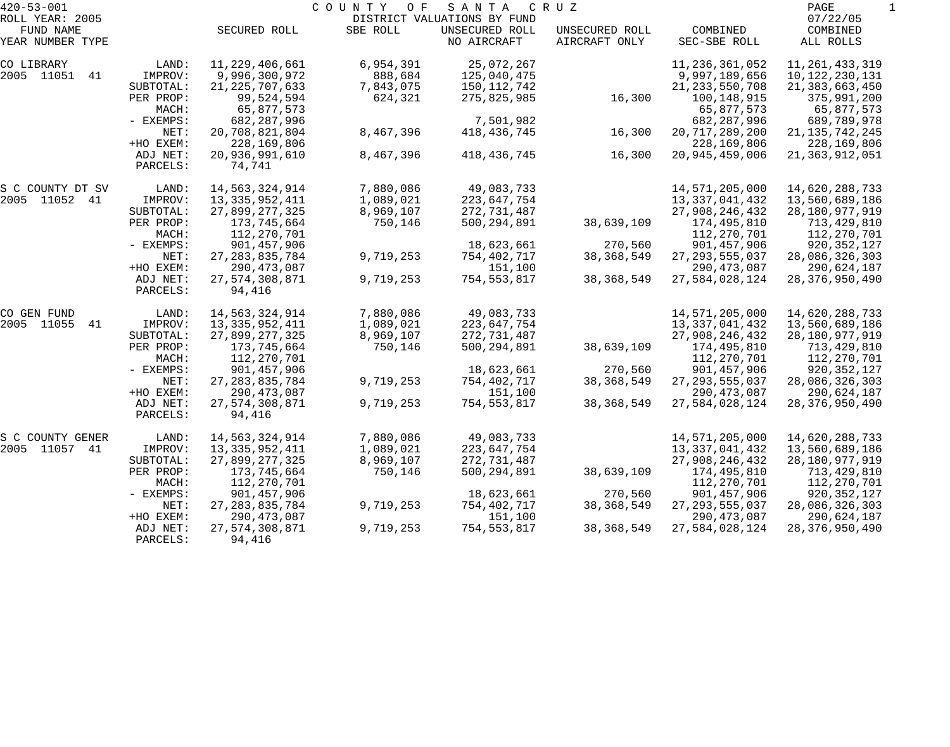| $420 - 53 - 001$             |                      |                          | COUNTY<br>O F | SANTA                                         | C R U Z        |                   | PAGE                 |  |
|------------------------------|----------------------|--------------------------|---------------|-----------------------------------------------|----------------|-------------------|----------------------|--|
| ROLL YEAR: 2005<br>FUND NAME |                      | SECURED ROLL             | SBE ROLL      | DISTRICT VALUATIONS BY FUND<br>UNSECURED ROLL | UNSECURED ROLL | COMBINED          | 07/22/05<br>COMBINED |  |
| YEAR NUMBER TYPE             |                      |                          |               | NO AIRCRAFT                                   | AIRCRAFT ONLY  | SEC-SBE ROLL      | ALL ROLLS            |  |
| CO LIBRARY                   | LAND:                | 11,229,406,661           | 6,954,391     | 25,072,267                                    |                | 11, 236, 361, 052 | 11, 261, 433, 319    |  |
| 2005 11051<br>41             | IMPROV:              | 9,996,300,972            | 888,684       | 125,040,475                                   |                | 9,997,189,656     | 10, 122, 230, 131    |  |
|                              | SUBTOTAL:            | 21, 225, 707, 633        | 7,843,075     | 150,112,742                                   |                | 21, 233, 550, 708 | 21, 383, 663, 450    |  |
|                              | PER PROP:            | 99,524,594               | 624,321       | 275,825,985                                   | 16,300         | 100,148,915       | 375,991,200          |  |
|                              | MACH:                | 65,877,573               |               |                                               |                | 65,877,573        | 65,877,573           |  |
|                              | - EXEMPS:            | 682,287,996              |               | 7,501,982                                     |                | 682, 287, 996     | 689,789,978          |  |
|                              | NET:                 | 20,708,821,804           | 8,467,396     | 418, 436, 745                                 | 16,300         | 20, 717, 289, 200 | 21, 135, 742, 245    |  |
|                              | +HO EXEM:            | 228,169,806              |               |                                               |                | 228,169,806       | 228,169,806          |  |
|                              | ADJ NET:<br>PARCELS: | 20,936,991,610<br>74,741 | 8,467,396     | 418, 436, 745                                 | 16,300         | 20,945,459,006    | 21, 363, 912, 051    |  |
| S C COUNTY DT SV             | LAND:                | 14,563,324,914           | 7,880,086     | 49,083,733                                    |                | 14,571,205,000    | 14,620,288,733       |  |
| 2005 11052 41                | IMPROV:              | 13, 335, 952, 411        | 1,089,021     | 223,647,754                                   |                | 13, 337, 041, 432 | 13,560,689,186       |  |
|                              | SUBTOTAL:            | 27,899,277,325           | 8,969,107     | 272,731,487                                   |                | 27,908,246,432    | 28,180,977,919       |  |
|                              | PER PROP:            | 173,745,664              | 750,146       | 500, 294, 891                                 | 38,639,109     | 174,495,810       | 713,429,810          |  |
|                              | MACH:                | 112,270,701              |               |                                               |                | 112,270,701       | 112,270,701          |  |
|                              | - EXEMPS:            | 901,457,906              |               | 18,623,661                                    | 270,560        | 901, 457, 906     | 920, 352, 127        |  |
|                              | NET:                 | 27, 283, 835, 784        | 9,719,253     | 754,402,717                                   | 38, 368, 549   | 27, 293, 555, 037 | 28,086,326,303       |  |
|                              | +HO EXEM:            | 290, 473, 087            |               | 151,100                                       |                | 290, 473, 087     | 290,624,187          |  |
|                              | ADJ NET:<br>PARCELS: | 27,574,308,871<br>94,416 | 9,719,253     | 754,553,817                                   | 38, 368, 549   | 27,584,028,124    | 28, 376, 950, 490    |  |
| CO GEN FUND                  | LAND:                | 14,563,324,914           | 7,880,086     | 49,083,733                                    |                | 14,571,205,000    | 14,620,288,733       |  |
| 2005 11055<br>41             | IMPROV:              | 13, 335, 952, 411        | 1,089,021     | 223,647,754                                   |                | 13, 337, 041, 432 | 13,560,689,186       |  |
|                              | SUBTOTAL:            | 27,899,277,325           | 8,969,107     | 272,731,487                                   |                | 27,908,246,432    | 28, 180, 977, 919    |  |
|                              | PER PROP:            | 173,745,664              | 750,146       | 500, 294, 891                                 | 38,639,109     | 174,495,810       | 713,429,810          |  |
|                              | MACH:                | 112,270,701              |               |                                               |                | 112,270,701       | 112,270,701          |  |
|                              | - EXEMPS:            | 901,457,906              |               | 18,623,661                                    | 270,560        | 901, 457, 906     | 920,352,127          |  |
|                              | NET:                 | 27, 283, 835, 784        | 9,719,253     | 754,402,717                                   | 38, 368, 549   | 27, 293, 555, 037 | 28,086,326,303       |  |
|                              | +HO EXEM:            | 290,473,087              |               | 151,100                                       |                | 290, 473, 087     | 290,624,187          |  |
|                              | ADJ NET:<br>PARCELS: | 27,574,308,871<br>94,416 | 9,719,253     | 754,553,817                                   | 38, 368, 549   | 27,584,028,124    | 28, 376, 950, 490    |  |
| S C COUNTY GENER             | LAND:                | 14,563,324,914           | 7,880,086     | 49,083,733                                    |                | 14,571,205,000    | 14,620,288,733       |  |
| 2005 11057<br>41             | IMPROV:              | 13, 335, 952, 411        | 1,089,021     | 223,647,754                                   |                | 13, 337, 041, 432 | 13,560,689,186       |  |
|                              | SUBTOTAL:            | 27,899,277,325           | 8,969,107     | 272,731,487                                   |                | 27,908,246,432    | 28,180,977,919       |  |
|                              | PER PROP:            | 173,745,664              | 750,146       | 500, 294, 891                                 | 38,639,109     | 174,495,810       | 713,429,810          |  |
|                              | MACH:                | 112,270,701              |               |                                               |                | 112,270,701       | 112,270,701          |  |
|                              | - EXEMPS:            | 901,457,906              |               | 18,623,661                                    | 270,560        | 901, 457, 906     | 920,352,127          |  |
|                              | NET:                 | 27, 283, 835, 784        | 9,719,253     | 754,402,717                                   | 38, 368, 549   | 27, 293, 555, 037 | 28,086,326,303       |  |
|                              | +HO EXEM:            | 290,473,087              |               | 151,100                                       |                | 290, 473, 087     | 290,624,187          |  |
|                              | ADJ NET:             | 27,574,308,871           | 9,719,253     | 754,553,817                                   | 38, 368, 549   | 27,584,028,124    | 28, 376, 950, 490    |  |
|                              | PARCELS:             | 94,416                   |               |                                               |                |                   |                      |  |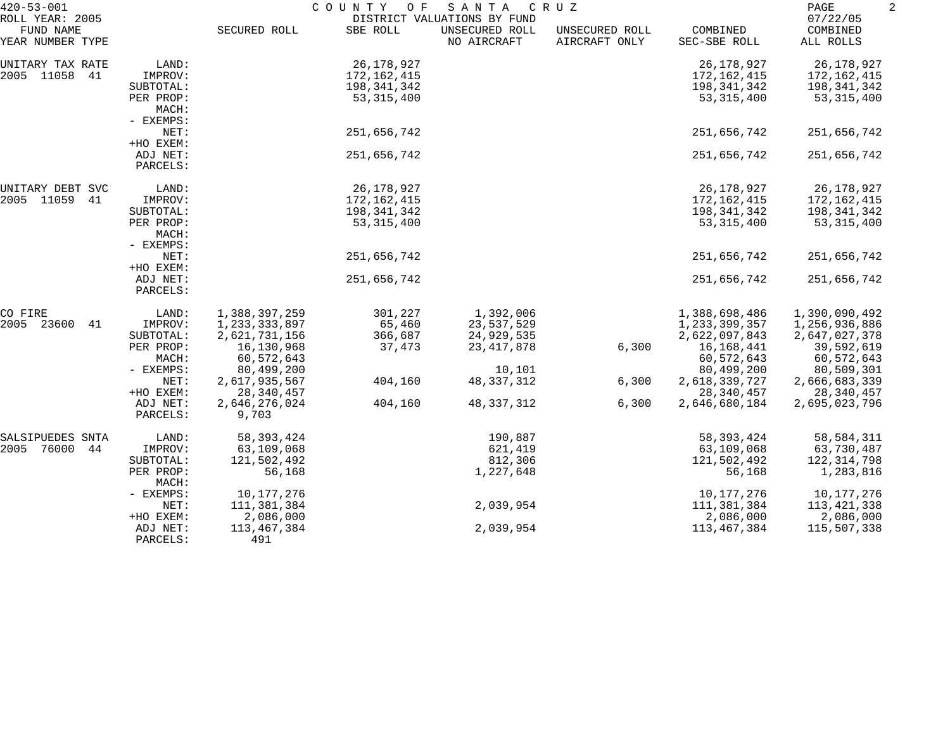| $420 - 53 - 001$                                 |                      | COUNTY<br>O F<br>SANTA<br>C R U Z<br>DISTRICT VALUATIONS BY FUND |              |                               |                                 |                          |                                   |  |
|--------------------------------------------------|----------------------|------------------------------------------------------------------|--------------|-------------------------------|---------------------------------|--------------------------|-----------------------------------|--|
| ROLL YEAR: 2005<br>FUND NAME<br>YEAR NUMBER TYPE |                      | SECURED ROLL                                                     | SBE ROLL     | UNSECURED ROLL<br>NO AIRCRAFT | UNSECURED ROLL<br>AIRCRAFT ONLY | COMBINED<br>SEC-SBE ROLL | 07/22/05<br>COMBINED<br>ALL ROLLS |  |
| UNITARY TAX RATE                                 | LAND:                |                                                                  | 26,178,927   |                               |                                 | 26, 178, 927             | 26,178,927                        |  |
| 2005 11058<br>41                                 | IMPROV:              |                                                                  | 172,162,415  |                               |                                 | 172,162,415              | 172,162,415                       |  |
|                                                  | SUBTOTAL:            |                                                                  | 198,341,342  |                               |                                 | 198,341,342              | 198,341,342                       |  |
|                                                  | PER PROP:<br>MACH:   |                                                                  | 53, 315, 400 |                               |                                 | 53, 315, 400             | 53, 315, 400                      |  |
|                                                  | - EXEMPS:            |                                                                  |              |                               |                                 |                          |                                   |  |
|                                                  | NET:                 |                                                                  | 251,656,742  |                               |                                 | 251,656,742              | 251,656,742                       |  |
|                                                  | +HO EXEM:            |                                                                  |              |                               |                                 |                          |                                   |  |
|                                                  | ADJ NET:<br>PARCELS: |                                                                  | 251,656,742  |                               |                                 | 251,656,742              | 251,656,742                       |  |
| UNITARY DEBT SVC                                 | LAND:                |                                                                  | 26,178,927   |                               |                                 | 26,178,927               | 26,178,927                        |  |
| 2005 11059<br>41                                 | IMPROV:              |                                                                  | 172,162,415  |                               |                                 | 172,162,415              | 172,162,415                       |  |
|                                                  | SUBTOTAL:            |                                                                  | 198,341,342  |                               |                                 | 198,341,342              | 198,341,342                       |  |
|                                                  | PER PROP:<br>MACH:   |                                                                  | 53, 315, 400 |                               |                                 | 53, 315, 400             | 53, 315, 400                      |  |
|                                                  | - EXEMPS:<br>NET:    |                                                                  | 251,656,742  |                               |                                 | 251,656,742              | 251,656,742                       |  |
|                                                  | +HO EXEM:            |                                                                  |              |                               |                                 |                          |                                   |  |
|                                                  | ADJ NET:<br>PARCELS: |                                                                  | 251,656,742  |                               |                                 | 251,656,742              | 251,656,742                       |  |
| CO FIRE                                          | LAND:                | 1,388,397,259                                                    | 301,227      | 1,392,006                     |                                 | 1,388,698,486            | 1,390,090,492                     |  |
| 23600<br>2005<br>41                              | IMPROV:              | 1,233,333,897                                                    | 65,460       | 23,537,529                    |                                 | 1, 233, 399, 357         | 1,256,936,886                     |  |
|                                                  | SUBTOTAL:            | 2,621,731,156                                                    | 366,687      | 24,929,535                    |                                 | 2,622,097,843            | 2,647,027,378                     |  |
|                                                  | PER PROP:            | 16,130,968                                                       | 37,473       | 23, 417, 878                  | 6,300                           | 16,168,441               | 39,592,619                        |  |
|                                                  | MACH:                | 60,572,643                                                       |              |                               |                                 | 60,572,643               | 60,572,643                        |  |
|                                                  | - EXEMPS:            | 80,499,200                                                       |              | 10,101                        |                                 | 80,499,200               | 80,509,301                        |  |
|                                                  | NET:                 | 2,617,935,567                                                    | 404,160      | 48, 337, 312                  | 6,300                           | 2,618,339,727            | 2,666,683,339                     |  |
|                                                  | +HO EXEM:            | 28, 340, 457                                                     |              |                               |                                 | 28,340,457               | 28,340,457                        |  |
|                                                  | ADJ NET:<br>PARCELS: | 2,646,276,024                                                    | 404,160      | 48, 337, 312                  | 6,300                           | 2,646,680,184            | 2,695,023,796                     |  |
|                                                  |                      | 9,703                                                            |              |                               |                                 |                          |                                   |  |
| SALSIPUEDES SNTA                                 | LAND:                | 58, 393, 424                                                     |              | 190,887                       |                                 | 58, 393, 424             | 58,584,311                        |  |
| 76000<br>2005<br>44                              | IMPROV:              | 63,109,068                                                       |              | 621,419                       |                                 | 63,109,068               | 63,730,487                        |  |
|                                                  | SUBTOTAL:            | 121,502,492                                                      |              | 812,306                       |                                 | 121,502,492              | 122,314,798                       |  |
|                                                  | PER PROP:<br>MACH:   | 56,168                                                           |              | 1,227,648                     |                                 | 56,168                   | 1,283,816                         |  |
|                                                  | - EXEMPS:            | 10,177,276                                                       |              |                               |                                 | 10,177,276               | 10,177,276                        |  |
|                                                  | NET:                 | 111,381,384                                                      |              | 2,039,954                     |                                 | 111,381,384              | 113,421,338                       |  |
|                                                  | +HO EXEM:            | 2,086,000                                                        |              |                               |                                 | 2,086,000                | 2,086,000                         |  |
|                                                  | ADJ NET:<br>PARCELS: | 113,467,384<br>491                                               |              | 2,039,954                     |                                 | 113,467,384              | 115,507,338                       |  |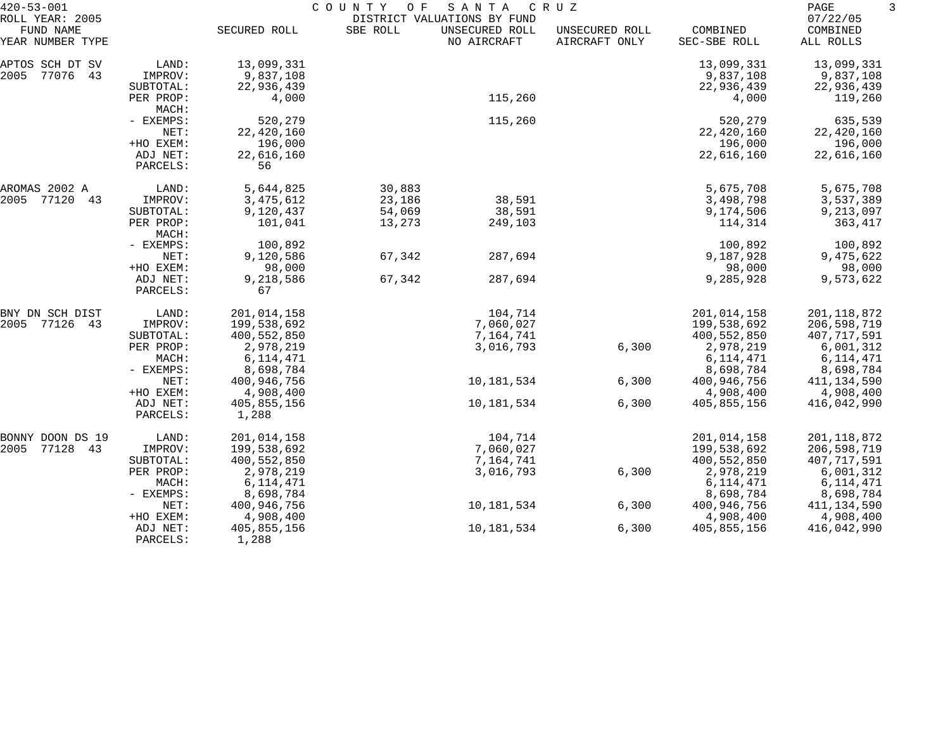| $420 - 53 - 001$                                 | COUNTY<br>O F<br>SANTA<br>C R U Z<br>DISTRICT VALUATIONS BY FUND |                      |          |                               |                                 |                          |                                   |
|--------------------------------------------------|------------------------------------------------------------------|----------------------|----------|-------------------------------|---------------------------------|--------------------------|-----------------------------------|
| ROLL YEAR: 2005<br>FUND NAME<br>YEAR NUMBER TYPE |                                                                  | SECURED ROLL         | SBE ROLL | UNSECURED ROLL<br>NO AIRCRAFT | UNSECURED ROLL<br>AIRCRAFT ONLY | COMBINED<br>SEC-SBE ROLL | 07/22/05<br>COMBINED<br>ALL ROLLS |
| APTOS SCH DT SV                                  | LAND:                                                            | 13,099,331           |          |                               |                                 | 13,099,331               | 13,099,331                        |
| 2005<br>77076<br>43                              | IMPROV:                                                          | 9,837,108            |          |                               |                                 | 9,837,108                | 9,837,108                         |
|                                                  | SUBTOTAL:                                                        | 22,936,439           |          |                               |                                 | 22,936,439               | 22,936,439                        |
|                                                  | PER PROP:<br>MACH:                                               | 4,000                |          | 115,260                       |                                 | 4,000                    | 119,260                           |
|                                                  | - EXEMPS:                                                        | 520,279              |          | 115,260                       |                                 | 520,279                  | 635,539                           |
|                                                  | NET:                                                             | 22,420,160           |          |                               |                                 | 22,420,160               | 22,420,160                        |
|                                                  | +HO EXEM:                                                        | 196,000              |          |                               |                                 | 196,000                  | 196,000                           |
|                                                  | ADJ NET:<br>PARCELS:                                             | 22,616,160<br>56     |          |                               |                                 | 22,616,160               | 22,616,160                        |
| AROMAS 2002 A                                    | LAND:                                                            | 5,644,825            | 30,883   |                               |                                 | 5,675,708                | 5,675,708                         |
| 2005<br>77120<br>43                              | IMPROV:                                                          | 3,475,612            | 23,186   | 38,591                        |                                 | 3,498,798                | 3,537,389                         |
|                                                  | SUBTOTAL:                                                        | 9,120,437            | 54,069   | 38,591                        |                                 | 9,174,506                | 9,213,097                         |
|                                                  | PER PROP:<br>MACH:                                               | 101,041              | 13,273   | 249,103                       |                                 | 114,314                  | 363,417                           |
|                                                  | - EXEMPS:                                                        | 100,892              |          |                               |                                 | 100,892                  | 100,892                           |
|                                                  | NET:                                                             | 9,120,586            | 67,342   | 287,694                       |                                 | 9,187,928                | 9,475,622                         |
|                                                  | +HO EXEM:                                                        | 98,000               |          |                               |                                 | 98,000                   | 98,000                            |
|                                                  | ADJ NET:<br>PARCELS:                                             | 9,218,586<br>67      | 67,342   | 287,694                       |                                 | 9,285,928                | 9,573,622                         |
| BNY DN SCH DIST                                  | LAND:                                                            | 201,014,158          |          | 104,714                       |                                 | 201,014,158              | 201, 118, 872                     |
| 2005 77126 43                                    | IMPROV:                                                          | 199,538,692          |          | 7,060,027                     |                                 | 199,538,692              | 206,598,719                       |
|                                                  | SUBTOTAL:                                                        | 400,552,850          |          | 7,164,741                     |                                 | 400,552,850              | 407,717,591                       |
|                                                  | PER PROP:                                                        | 2,978,219            |          | 3,016,793                     | 6,300                           | 2,978,219                | 6,001,312                         |
|                                                  | MACH:                                                            | 6, 114, 471          |          |                               |                                 | 6,114,471                | 6, 114, 471                       |
|                                                  | - EXEMPS:                                                        | 8,698,784            |          |                               |                                 | 8,698,784                | 8,698,784                         |
|                                                  | NET:                                                             | 400,946,756          |          | 10,181,534                    | 6,300                           | 400,946,756              | 411,134,590                       |
|                                                  | +HO EXEM:                                                        | 4,908,400            |          |                               |                                 | 4,908,400                | 4,908,400                         |
|                                                  | ADJ NET:<br>PARCELS:                                             | 405,855,156<br>1,288 |          | 10,181,534                    | 6,300                           | 405,855,156              | 416,042,990                       |
| BONNY DOON DS 19                                 | LAND:                                                            | 201,014,158          |          | 104,714                       |                                 | 201,014,158              | 201, 118, 872                     |
| 2005<br>77128<br>43                              | IMPROV:                                                          | 199,538,692          |          | 7,060,027                     |                                 | 199,538,692              | 206,598,719                       |
|                                                  | SUBTOTAL:                                                        | 400,552,850          |          | 7,164,741                     |                                 | 400,552,850              | 407,717,591                       |
|                                                  | PER PROP:                                                        | 2,978,219            |          | 3,016,793                     | 6,300                           | 2,978,219                | 6,001,312                         |
|                                                  | MACH:                                                            | 6, 114, 471          |          |                               |                                 | 6, 114, 471              | 6, 114, 471                       |
|                                                  | - EXEMPS:                                                        | 8,698,784            |          |                               |                                 | 8,698,784                | 8,698,784                         |
|                                                  | NET:                                                             | 400,946,756          |          | 10,181,534                    | 6,300                           | 400,946,756              | 411, 134, 590                     |
|                                                  | +HO EXEM:                                                        | 4,908,400            |          |                               |                                 | 4,908,400                | 4,908,400                         |
|                                                  | ADJ NET:                                                         | 405,855,156          |          | 10,181,534                    | 6,300                           | 405,855,156              | 416,042,990                       |
|                                                  | PARCELS:                                                         | 1,288                |          |                               |                                 |                          |                                   |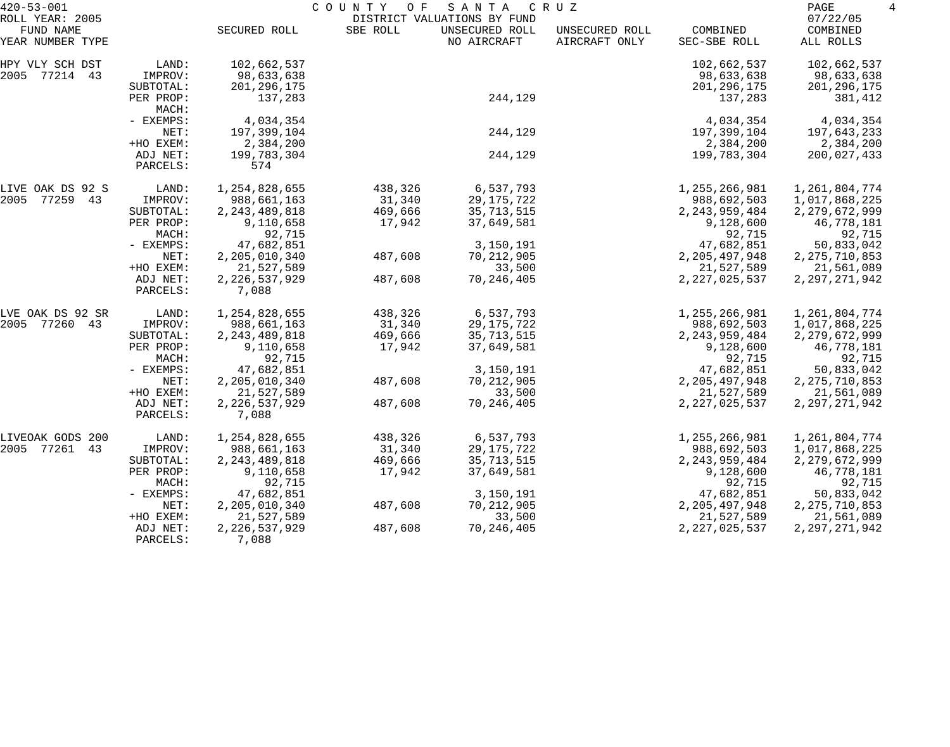| $420 - 53 - 001$                                 |                      |                                | COUNTY<br>O F | SANTA                                                        | C R U Z                         |                                | PAGE<br>4                         |
|--------------------------------------------------|----------------------|--------------------------------|---------------|--------------------------------------------------------------|---------------------------------|--------------------------------|-----------------------------------|
| ROLL YEAR: 2005<br>FUND NAME<br>YEAR NUMBER TYPE |                      | SECURED ROLL                   | SBE ROLL      | DISTRICT VALUATIONS BY FUND<br>UNSECURED ROLL<br>NO AIRCRAFT | UNSECURED ROLL<br>AIRCRAFT ONLY | COMBINED<br>SEC-SBE ROLL       | 07/22/05<br>COMBINED<br>ALL ROLLS |
| HPY VLY SCH DST                                  | LAND:                | 102,662,537                    |               |                                                              |                                 | 102,662,537                    | 102,662,537                       |
| 2005 77214 43                                    | IMPROV:              | 98,633,638                     |               |                                                              |                                 | 98,633,638                     | 98,633,638                        |
|                                                  | SUBTOTAL:            | 201, 296, 175                  |               |                                                              |                                 | 201, 296, 175                  | 201, 296, 175                     |
|                                                  | PER PROP:<br>MACH:   | 137,283                        |               | 244,129                                                      |                                 | 137,283                        | 381,412                           |
|                                                  | - EXEMPS:            | 4,034,354                      |               |                                                              |                                 | 4,034,354                      | 4,034,354                         |
|                                                  | NET:                 | 197,399,104                    |               | 244,129                                                      |                                 | 197,399,104                    | 197,643,233                       |
|                                                  | +HO EXEM:            | 2,384,200                      |               |                                                              |                                 | 2,384,200                      | 2,384,200                         |
|                                                  | ADJ NET:<br>PARCELS: | 199,783,304<br>574             |               | 244,129                                                      |                                 | 199,783,304                    | 200,027,433                       |
| LIVE OAK DS 92 S                                 | LAND:                | 1,254,828,655                  | 438,326       | 6,537,793                                                    |                                 | 1,255,266,981                  | 1,261,804,774                     |
| 2005 77259 43                                    | IMPROV:              | 988,661,163                    | 31,340        | 29, 175, 722                                                 |                                 | 988,692,503                    | 1,017,868,225                     |
|                                                  | SUBTOTAL:            | 2, 243, 489, 818               | 469,666       | 35,713,515                                                   |                                 | 2, 243, 959, 484               | 2, 279, 672, 999                  |
|                                                  | PER PROP:            | 9,110,658                      | 17,942        | 37,649,581                                                   |                                 | 9,128,600                      | 46,778,181                        |
|                                                  | MACH:                | 92,715                         |               |                                                              |                                 | 92,715                         | 92,715                            |
|                                                  | - EXEMPS:<br>NET:    | 47,682,851<br>2, 205, 010, 340 | 487,608       | 3,150,191<br>70, 212, 905                                    |                                 | 47,682,851<br>2, 205, 497, 948 | 50,833,042<br>2, 275, 710, 853    |
|                                                  | +HO EXEM:            | 21,527,589                     |               | 33,500                                                       |                                 | 21,527,589                     | 21,561,089                        |
|                                                  | ADJ NET:<br>PARCELS: | 2, 226, 537, 929<br>7,088      | 487,608       | 70, 246, 405                                                 |                                 | 2, 227, 025, 537               | 2, 297, 271, 942                  |
| LVE OAK DS 92 SR                                 | LAND:                | 1,254,828,655                  | 438,326       | 6,537,793                                                    |                                 | 1,255,266,981                  | 1,261,804,774                     |
| 2005 77260 43                                    | IMPROV:              | 988,661,163                    | 31,340        | 29, 175, 722                                                 |                                 | 988,692,503                    | 1,017,868,225                     |
|                                                  | SUBTOTAL:            | 2, 243, 489, 818               | 469,666       | 35,713,515                                                   |                                 | 2, 243, 959, 484               | 2, 279, 672, 999                  |
|                                                  | PER PROP:<br>MACH:   | 9,110,658<br>92,715            | 17,942        | 37,649,581                                                   |                                 | 9,128,600<br>92,715            | 46,778,181<br>92,715              |
|                                                  | - EXEMPS:            | 47,682,851                     |               | 3,150,191                                                    |                                 | 47,682,851                     | 50,833,042                        |
|                                                  | NET:                 | 2,205,010,340                  | 487,608       | 70, 212, 905                                                 |                                 | 2, 205, 497, 948               | 2, 275, 710, 853                  |
|                                                  | +HO EXEM:            | 21,527,589                     |               | 33,500                                                       |                                 | 21,527,589                     | 21,561,089                        |
|                                                  | ADJ NET:<br>PARCELS: | 2, 226, 537, 929<br>7,088      | 487,608       | 70, 246, 405                                                 |                                 | 2, 227, 025, 537               | 2, 297, 271, 942                  |
| LIVEOAK GODS 200                                 | LAND:                | 1,254,828,655                  | 438,326       | 6,537,793                                                    |                                 | 1,255,266,981                  | 1,261,804,774                     |
| 2005 77261<br>43                                 | IMPROV:              | 988,661,163                    | 31,340        | 29, 175, 722                                                 |                                 | 988,692,503                    | 1,017,868,225                     |
|                                                  | SUBTOTAL:            | 2, 243, 489, 818               | 469,666       | 35, 713, 515                                                 |                                 | 2, 243, 959, 484               | 2, 279, 672, 999                  |
|                                                  | PER PROP:<br>MACH:   | 9,110,658<br>92,715            | 17,942        | 37,649,581                                                   |                                 | 9,128,600<br>92,715            | 46,778,181<br>92,715              |
|                                                  | $-$ EXEMPS:          | 47,682,851                     |               | 3,150,191                                                    |                                 | 47,682,851                     | 50,833,042                        |
|                                                  | NET:                 | 2, 205, 010, 340               | 487,608       | 70,212,905                                                   |                                 | 2, 205, 497, 948               | 2, 275, 710, 853                  |
|                                                  | +HO EXEM:            | 21,527,589                     |               | 33,500                                                       |                                 | 21,527,589                     | 21,561,089                        |
|                                                  | ADJ NET:<br>PARCELS: | 2, 226, 537, 929<br>7,088      | 487,608       | 70, 246, 405                                                 |                                 | 2, 227, 025, 537               | 2, 297, 271, 942                  |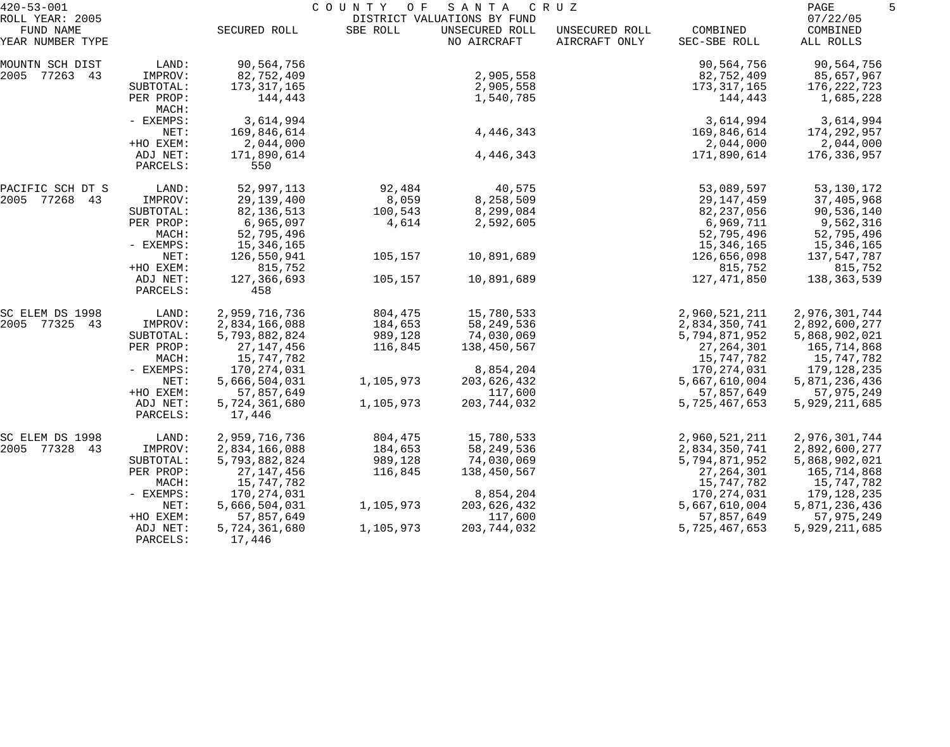| $420 - 53 - 001$              |                      |                         | COUNTY    | SANTA<br>C R U Z<br>O F       |                                 |                          |                       | 5 |
|-------------------------------|----------------------|-------------------------|-----------|-------------------------------|---------------------------------|--------------------------|-----------------------|---|
| ROLL YEAR: 2005               |                      |                         |           | DISTRICT VALUATIONS BY FUND   |                                 |                          | 07/22/05              |   |
| FUND NAME<br>YEAR NUMBER TYPE |                      | SECURED ROLL            | SBE ROLL  | UNSECURED ROLL<br>NO AIRCRAFT | UNSECURED ROLL<br>AIRCRAFT ONLY | COMBINED<br>SEC-SBE ROLL | COMBINED<br>ALL ROLLS |   |
| MOUNTN SCH DIST               | LAND:                | 90,564,756              |           |                               |                                 | 90,564,756               | 90,564,756            |   |
| 2005 77263 43                 | IMPROV:              | 82,752,409              |           | 2,905,558                     |                                 | 82,752,409               | 85,657,967            |   |
|                               | SUBTOTAL:            | 173, 317, 165           |           | 2,905,558                     |                                 | 173,317,165              | 176,222,723           |   |
|                               | PER PROP:<br>MACH:   | 144,443                 |           | 1,540,785                     |                                 | 144,443                  | 1,685,228             |   |
|                               | - EXEMPS:            | 3,614,994               |           |                               |                                 | 3,614,994                | 3,614,994             |   |
|                               | NET:                 | 169,846,614             |           | 4,446,343                     |                                 | 169,846,614              | 174,292,957           |   |
|                               | +HO EXEM:            | 2,044,000               |           |                               |                                 | 2,044,000                | 2,044,000             |   |
|                               | ADJ NET:<br>PARCELS: | 171,890,614<br>550      |           | 4,446,343                     |                                 | 171,890,614              | 176,336,957           |   |
| PACIFIC SCH DT S              | LAND:                | 52,997,113              | 92,484    | 40,575                        |                                 | 53,089,597               | 53, 130, 172          |   |
| 2005 77268 43                 | IMPROV:              | 29,139,400              | 8,059     | 8,258,509                     |                                 | 29,147,459               | 37,405,968            |   |
|                               | SUBTOTAL:            | 82, 136, 513            | 100,543   | 8,299,084                     |                                 | 82, 237, 056             | 90,536,140            |   |
|                               | PER PROP:            | 6,965,097               | 4,614     | 2,592,605                     |                                 | 6,969,711                | 9,562,316             |   |
|                               | MACH:                | 52,795,496              |           |                               |                                 | 52,795,496               | 52,795,496            |   |
|                               | - EXEMPS:            | 15,346,165              |           |                               |                                 | 15,346,165               | 15,346,165            |   |
|                               | NET:                 | 126,550,941             | 105,157   | 10,891,689                    |                                 | 126,656,098              | 137,547,787           |   |
|                               | +HO EXEM:            | 815,752                 |           |                               |                                 | 815,752                  | 815,752               |   |
|                               | ADJ NET:<br>PARCELS: | 127,366,693<br>458      | 105,157   | 10,891,689                    |                                 | 127,471,850              | 138,363,539           |   |
| SC ELEM DS 1998               | LAND:                | 2,959,716,736           | 804,475   | 15,780,533                    |                                 | 2,960,521,211            | 2,976,301,744         |   |
| 2005 77325 43                 | IMPROV:              | 2,834,166,088           | 184,653   | 58, 249, 536                  |                                 | 2,834,350,741            | 2,892,600,277         |   |
|                               | SUBTOTAL:            | 5,793,882,824           | 989,128   | 74,030,069                    |                                 | 5,794,871,952            | 5,868,902,021         |   |
|                               | PER PROP:            | 27, 147, 456            | 116,845   | 138,450,567                   |                                 | 27, 264, 301             | 165,714,868           |   |
|                               | MACH:                | 15,747,782              |           |                               |                                 | 15,747,782               | 15,747,782            |   |
|                               | - EXEMPS:            | 170, 274, 031           |           | 8,854,204                     |                                 | 170,274,031              | 179,128,235           |   |
|                               | NET:                 | 5,666,504,031           | 1,105,973 | 203,626,432                   |                                 | 5,667,610,004            | 5,871,236,436         |   |
|                               | +HO EXEM:            | 57,857,649              |           | 117,600                       |                                 | 57,857,649               | 57,975,249            |   |
|                               | ADJ NET:<br>PARCELS: | 5,724,361,680<br>17,446 | 1,105,973 | 203,744,032                   |                                 | 5,725,467,653            | 5,929,211,685         |   |
| SC ELEM DS 1998               | LAND:                | 2,959,716,736           | 804,475   | 15,780,533                    |                                 | 2,960,521,211            | 2,976,301,744         |   |
| 2005 77328 43                 | IMPROV:              | 2,834,166,088           | 184,653   | 58, 249, 536                  |                                 | 2,834,350,741            | 2,892,600,277         |   |
|                               | SUBTOTAL:            | 5,793,882,824           | 989,128   | 74,030,069                    |                                 | 5,794,871,952            | 5,868,902,021         |   |
|                               | PER PROP:            | 27, 147, 456            | 116,845   | 138,450,567                   |                                 | 27, 264, 301             | 165,714,868           |   |
|                               | MACH:                | 15,747,782              |           |                               |                                 | 15,747,782               | 15,747,782            |   |
|                               | - EXEMPS:            | 170,274,031             |           | 8,854,204                     |                                 | 170,274,031              | 179,128,235           |   |
|                               | NET:                 | 5,666,504,031           | 1,105,973 | 203,626,432                   |                                 | 5,667,610,004            | 5,871,236,436         |   |
|                               | +HO EXEM:            | 57,857,649              |           | 117,600                       |                                 | 57,857,649               | 57,975,249            |   |
|                               | ADJ NET:             | 5,724,361,680           | 1,105,973 | 203,744,032                   |                                 | 5,725,467,653            | 5,929,211,685         |   |
|                               | PARCELS:             | 17,446                  |           |                               |                                 |                          |                       |   |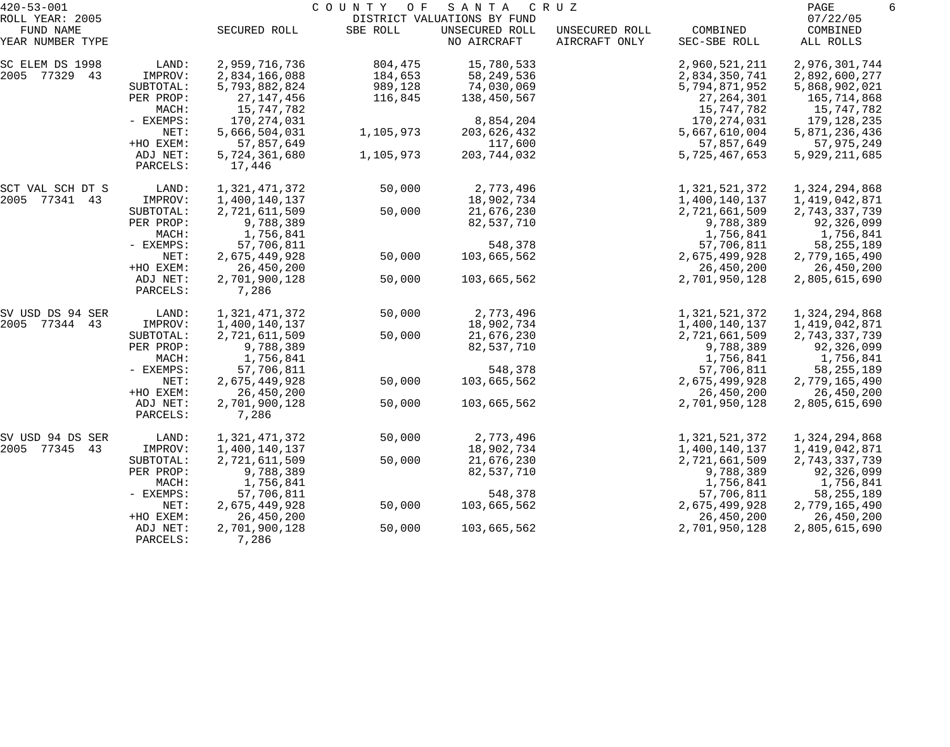| $420 - 53 - 001$                                 |                                            | COUNTY<br>O F<br>SANTA<br>C R U Z                        |                               |                                                              |                                 |                                                          |                                                           |
|--------------------------------------------------|--------------------------------------------|----------------------------------------------------------|-------------------------------|--------------------------------------------------------------|---------------------------------|----------------------------------------------------------|-----------------------------------------------------------|
| ROLL YEAR: 2005<br>FUND NAME<br>YEAR NUMBER TYPE |                                            | SECURED ROLL                                             | SBE ROLL                      | DISTRICT VALUATIONS BY FUND<br>UNSECURED ROLL<br>NO AIRCRAFT | UNSECURED ROLL<br>AIRCRAFT ONLY | COMBINED<br>SEC-SBE ROLL                                 | 07/22/05<br>COMBINED<br>ALL ROLLS                         |
|                                                  |                                            |                                                          |                               |                                                              |                                 |                                                          |                                                           |
| SC ELEM DS 1998<br>2005 77329 43                 | LAND:<br>IMPROV:<br>SUBTOTAL:              | 2,959,716,736<br>2,834,166,088<br>5,793,882,824          | 804,475<br>184,653<br>989,128 | 15,780,533<br>58, 249, 536<br>74,030,069                     |                                 | 2,960,521,211<br>2,834,350,741<br>5,794,871,952          | 2,976,301,744<br>2,892,600,277<br>5,868,902,021           |
|                                                  | PER PROP:<br>MACH:<br>- EXEMPS:            | 27, 147, 456<br>15,747,782<br>170,274,031                | 116,845                       | 138,450,567<br>8,854,204                                     |                                 | 27, 264, 301<br>15,747,782<br>170,274,031                | 165,714,868<br>15,747,782<br>179,128,235                  |
|                                                  | NET:<br>+HO EXEM:                          | 5,666,504,031<br>57,857,649                              | 1,105,973                     | 203,626,432<br>117,600                                       |                                 | 5,667,610,004<br>57,857,649                              | 5,871,236,436<br>57,975,249                               |
|                                                  | ADJ NET:<br>PARCELS:                       | 5,724,361,680<br>17,446                                  | 1,105,973                     | 203,744,032                                                  |                                 | 5,725,467,653                                            | 5,929,211,685                                             |
| SCT VAL SCH DT S<br>2005 77341 43                | LAND:<br>IMPROV:                           | 1,321,471,372<br>1,400,140,137                           | 50,000                        | 2,773,496<br>18,902,734                                      |                                 | 1,321,521,372<br>1,400,140,137                           | 1,324,294,868<br>1,419,042,871                            |
|                                                  | SUBTOTAL:<br>PER PROP:<br>MACH:            | 2,721,611,509<br>9,788,389<br>1,756,841                  | 50,000                        | 21,676,230<br>82,537,710                                     |                                 | 2,721,661,509<br>9,788,389<br>1,756,841                  | 2,743,337,739<br>92,326,099<br>1,756,841                  |
|                                                  | - EXEMPS:<br>NET:                          | 57,706,811<br>2,675,449,928                              | 50,000                        | 548,378<br>103,665,562                                       |                                 | 57,706,811<br>2,675,499,928                              | 58, 255, 189<br>2,779,165,490                             |
|                                                  | +HO EXEM:<br>ADJ NET:<br>PARCELS:          | 26,450,200<br>2,701,900,128<br>7,286                     | 50,000                        | 103,665,562                                                  |                                 | 26,450,200<br>2,701,950,128                              | 26,450,200<br>2,805,615,690                               |
| SV USD DS 94 SER                                 | LAND:                                      | 1,321,471,372                                            | 50,000                        | 2,773,496                                                    |                                 | 1,321,521,372                                            | 1,324,294,868                                             |
| 2005 77344 43                                    | IMPROV:<br>SUBTOTAL:<br>PER PROP:<br>MACH: | 1,400,140,137<br>2,721,611,509<br>9,788,389<br>1,756,841 | 50,000                        | 18,902,734<br>21,676,230<br>82,537,710                       |                                 | 1,400,140,137<br>2,721,661,509<br>9,788,389<br>1,756,841 | 1,419,042,871<br>2,743,337,739<br>92,326,099<br>1,756,841 |
|                                                  | - EXEMPS:<br>NET:                          | 57,706,811<br>2,675,449,928                              | 50,000                        | 548,378<br>103,665,562                                       |                                 | 57,706,811<br>2,675,499,928                              | 58, 255, 189<br>2,779,165,490                             |
|                                                  | +HO EXEM:<br>ADJ NET:<br>PARCELS:          | 26,450,200<br>2,701,900,128<br>7,286                     | 50,000                        | 103,665,562                                                  |                                 | 26,450,200<br>2,701,950,128                              | 26,450,200<br>2,805,615,690                               |
| SV USD 94 DS SER<br>2005 77345<br>43             | LAND:<br>IMPROV:                           | 1,321,471,372<br>1,400,140,137                           | 50,000                        | 2,773,496<br>18,902,734                                      |                                 | 1,321,521,372<br>1,400,140,137                           | 1,324,294,868<br>1,419,042,871                            |
|                                                  | SUBTOTAL:<br>PER PROP:<br>MACH:            | 2,721,611,509<br>9,788,389<br>1,756,841                  | 50,000                        | 21,676,230<br>82,537,710                                     |                                 | 2,721,661,509<br>9,788,389<br>1,756,841                  | 2,743,337,739<br>92,326,099<br>1,756,841                  |
|                                                  | - EXEMPS:<br>NET:                          | 57,706,811<br>2,675,449,928                              | 50,000                        | 548,378<br>103,665,562                                       |                                 | 57,706,811<br>2,675,499,928                              | 58, 255, 189<br>2,779,165,490                             |
|                                                  | +HO EXEM:<br>ADJ NET:<br>PARCELS:          | 26,450,200<br>2,701,900,128<br>7,286                     | 50,000                        | 103,665,562                                                  |                                 | 26,450,200<br>2,701,950,128                              | 26,450,200<br>2,805,615,690                               |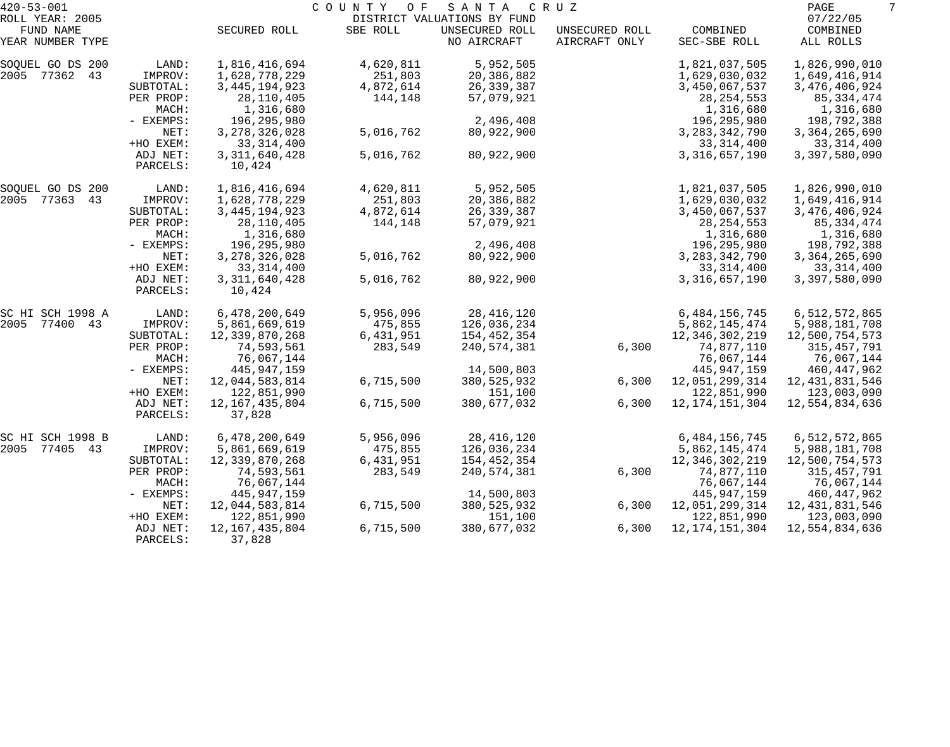| $420 - 53 - 001$                     |                      |                                 | COUNTY<br>O F        | SANTA                         | C R U Z                         |                               | PAGE                             | 7 |
|--------------------------------------|----------------------|---------------------------------|----------------------|-------------------------------|---------------------------------|-------------------------------|----------------------------------|---|
| ROLL YEAR: 2005                      |                      |                                 |                      | DISTRICT VALUATIONS BY FUND   |                                 |                               | 07/22/05                         |   |
| FUND NAME<br>YEAR NUMBER TYPE        |                      | SECURED ROLL                    | SBE ROLL             | UNSECURED ROLL<br>NO AIRCRAFT | UNSECURED ROLL<br>AIRCRAFT ONLY | COMBINED<br>SEC-SBE ROLL      | COMBINED<br>ALL ROLLS            |   |
| SOQUEL GO DS 200                     | LAND:                | 1,816,416,694                   | 4,620,811            | 5,952,505                     |                                 | 1,821,037,505                 | 1,826,990,010                    |   |
| 2005 77362 43                        | IMPROV:              | 1,628,778,229                   | 251,803              | 20,386,882                    |                                 | 1,629,030,032                 | 1,649,416,914                    |   |
|                                      | SUBTOTAL:            | 3, 445, 194, 923                | 4,872,614            | 26, 339, 387                  |                                 | 3,450,067,537                 | 3,476,406,924                    |   |
|                                      | PER PROP:            | 28,110,405                      | 144,148              | 57,079,921                    |                                 | 28, 254, 553                  | 85,334,474                       |   |
|                                      | MACH:                | 1,316,680                       |                      |                               |                                 | 1,316,680                     | 1,316,680                        |   |
|                                      | - EXEMPS:            | 196,295,980                     |                      | 2,496,408                     |                                 | 196,295,980                   | 198,792,388                      |   |
|                                      | NET:                 | 3, 278, 326, 028                | 5,016,762            | 80,922,900                    |                                 | 3, 283, 342, 790              | 3, 364, 265, 690                 |   |
|                                      | +HO EXEM:            | 33, 314, 400                    |                      |                               |                                 | 33, 314, 400                  | 33, 314, 400                     |   |
|                                      | ADJ NET:<br>PARCELS: | 3, 311, 640, 428<br>10,424      | 5,016,762            | 80,922,900                    |                                 | 3,316,657,190                 | 3,397,580,090                    |   |
| SOQUEL GO DS 200                     | LAND:                | 1,816,416,694                   | 4,620,811            | 5,952,505                     |                                 | 1,821,037,505                 | 1,826,990,010                    |   |
| 2005 77363<br>43                     | IMPROV:              | 1,628,778,229                   | 251,803              | 20,386,882                    |                                 | 1,629,030,032                 | 1,649,416,914                    |   |
|                                      | SUBTOTAL:            | 3, 445, 194, 923                | 4,872,614            | 26, 339, 387                  |                                 | 3,450,067,537                 | 3, 476, 406, 924                 |   |
|                                      | PER PROP:            | 28,110,405                      | 144,148              | 57,079,921                    |                                 | 28, 254, 553                  | 85,334,474                       |   |
|                                      | MACH:                | 1,316,680                       |                      |                               |                                 | 1,316,680                     | 1,316,680                        |   |
|                                      | - EXEMPS:            | 196,295,980                     |                      | 2,496,408                     |                                 | 196,295,980                   | 198,792,388                      |   |
|                                      | NET:                 | 3, 278, 326, 028                | 5,016,762            | 80,922,900                    |                                 | 3, 283, 342, 790              | 3, 364, 265, 690                 |   |
|                                      | +HO EXEM:            | 33, 314, 400                    |                      |                               |                                 | 33, 314, 400                  | 33, 314, 400                     |   |
|                                      | ADJ NET:<br>PARCELS: | 3, 311, 640, 428<br>10,424      | 5,016,762            | 80,922,900                    |                                 | 3,316,657,190                 | 3,397,580,090                    |   |
| SC HI SCH 1998 A                     | LAND:                | 6,478,200,649                   | 5,956,096            | 28, 416, 120                  |                                 | 6,484,156,745                 | 6,512,572,865                    |   |
| 2005 77400 43                        | IMPROV:              | 5,861,669,619                   | 475,855              | 126,036,234                   |                                 | 5,862,145,474                 | 5,988,181,708                    |   |
|                                      | SUBTOTAL:            | 12,339,870,268                  | 6,431,951            | 154,452,354                   |                                 | 12,346,302,219                | 12,500,754,573                   |   |
|                                      | PER PROP:            | 74,593,561                      | 283,549              | 240,574,381                   | 6,300                           | 74,877,110                    | 315,457,791                      |   |
|                                      | MACH:                | 76,067,144                      |                      |                               |                                 | 76,067,144                    | 76,067,144                       |   |
|                                      | - EXEMPS:            | 445,947,159                     |                      | 14,500,803                    |                                 | 445, 947, 159                 | 460,447,962                      |   |
|                                      | NET:                 | 12,044,583,814                  | 6,715,500            | 380, 525, 932                 | 6,300                           | 12,051,299,314                | 12, 431, 831, 546                |   |
|                                      | +HO EXEM:            | 122,851,990                     |                      | 151,100                       |                                 | 122,851,990                   | 123,003,090                      |   |
|                                      | ADJ NET:<br>PARCELS: | 12, 167, 435, 804<br>37,828     | 6,715,500            | 380,677,032                   | 6,300                           | 12, 174, 151, 304             | 12,554,834,636                   |   |
|                                      |                      |                                 |                      | 28, 416, 120                  |                                 | 6, 484, 156, 745              |                                  |   |
| SC HI SCH 1998 B<br>2005<br>77405 43 | LAND:<br>IMPROV:     | 6,478,200,649                   | 5,956,096            | 126,036,234                   |                                 | 5,862,145,474                 | 6,512,572,865                    |   |
|                                      | SUBTOTAL:            | 5,861,669,619<br>12,339,870,268 | 475,855              |                               |                                 |                               | 5,988,181,708<br>12,500,754,573  |   |
|                                      | PER PROP:            | 74,593,561                      | 6,431,951<br>283,549 | 154,452,354<br>240,574,381    |                                 | 12,346,302,219<br>74,877,110  |                                  |   |
|                                      |                      |                                 |                      |                               | 6,300                           |                               | 315,457,791                      |   |
|                                      | MACH:                | 76,067,144                      |                      |                               |                                 | 76,067,144<br>445, 947, 159   | 76,067,144                       |   |
|                                      | $-$ EXEMPS:          | 445,947,159                     | 6,715,500            | 14,500,803                    |                                 |                               | 460,447,962                      |   |
|                                      | NET:<br>+HO EXEM:    | 12,044,583,814<br>122,851,990   |                      | 380, 525, 932<br>151,100      | 6,300                           | 12,051,299,314<br>122,851,990 | 12, 431, 831, 546<br>123,003,090 |   |
|                                      |                      |                                 | 6,715,500            |                               |                                 |                               |                                  |   |
|                                      | ADJ NET:<br>PARCELS: | 12, 167, 435, 804<br>37,828     |                      | 380,677,032                   | 6,300                           | 12, 174, 151, 304             | 12,554,834,636                   |   |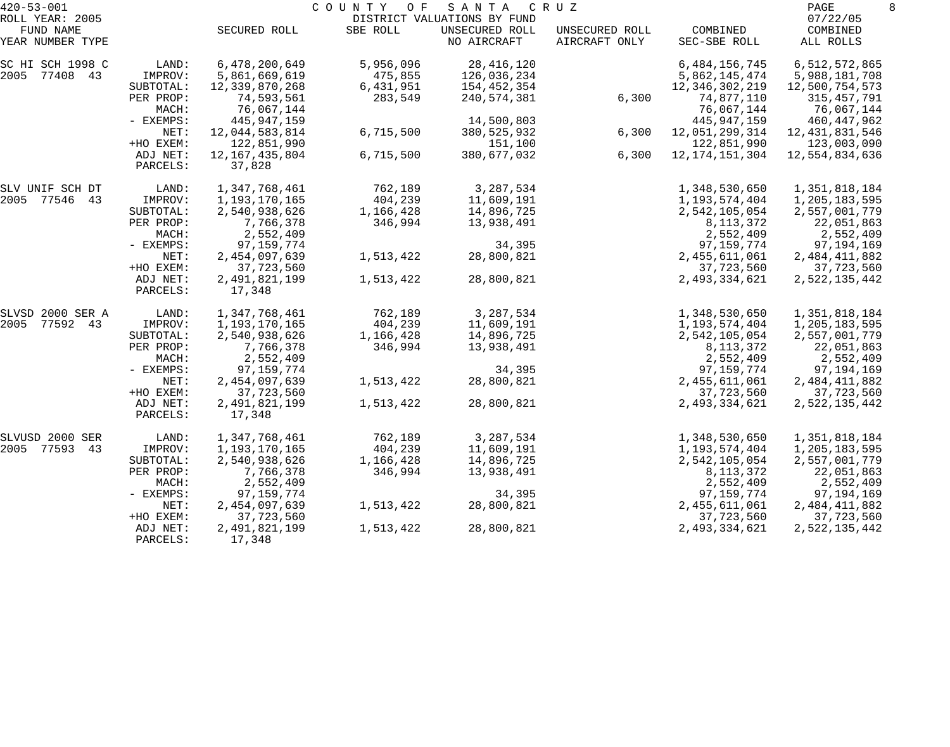| $420 - 53 - 001$                                 |                      |                               | COUNTY OF | SANTA                                                        | C R U Z                         |                           | PAGE                              | 8 |
|--------------------------------------------------|----------------------|-------------------------------|-----------|--------------------------------------------------------------|---------------------------------|---------------------------|-----------------------------------|---|
| ROLL YEAR: 2005<br>FUND NAME<br>YEAR NUMBER TYPE |                      | SECURED ROLL                  | SBE ROLL  | DISTRICT VALUATIONS BY FUND<br>UNSECURED ROLL<br>NO AIRCRAFT | UNSECURED ROLL<br>AIRCRAFT ONLY | COMBINED<br>SEC-SBE ROLL  | 07/22/05<br>COMBINED<br>ALL ROLLS |   |
|                                                  |                      |                               |           |                                                              |                                 |                           |                                   |   |
| SC HI SCH 1998 C                                 | LAND:                | 6,478,200,649                 | 5,956,096 | 28, 416, 120                                                 |                                 | 6,484,156,745             | 6,512,572,865                     |   |
| 2005 77408 43                                    | IMPROV:              | 5,861,669,619                 | 475,855   | 126,036,234                                                  |                                 | 5,862,145,474             | 5,988,181,708                     |   |
|                                                  | SUBTOTAL:            | 12,339,870,268                | 6,431,951 | 154,452,354                                                  |                                 | 12,346,302,219            | 12,500,754,573                    |   |
|                                                  | PER PROP:            | 74,593,561                    | 283,549   | 240,574,381                                                  | 6,300                           | 74,877,110                | 315, 457, 791                     |   |
|                                                  | MACH:<br>- EXEMPS:   | 76,067,144                    |           | 14,500,803                                                   |                                 | 76,067,144<br>445,947,159 | 76,067,144                        |   |
|                                                  | NET:                 | 445,947,159<br>12,044,583,814 | 6,715,500 | 380, 525, 932                                                | 6,300                           | 12,051,299,314            | 460,447,962<br>12, 431, 831, 546  |   |
|                                                  | +HO EXEM:            | 122,851,990                   |           | 151,100                                                      |                                 | 122,851,990               | 123,003,090                       |   |
|                                                  | ADJ NET:             | 12, 167, 435, 804             | 6,715,500 | 380,677,032                                                  | 6,300                           | 12, 174, 151, 304         | 12,554,834,636                    |   |
|                                                  | PARCELS:             | 37,828                        |           |                                                              |                                 |                           |                                   |   |
| SLV UNIF SCH DT                                  | LAND:                | 1,347,768,461                 | 762,189   | 3,287,534                                                    |                                 | 1,348,530,650             | 1,351,818,184                     |   |
| 2005 77546 43                                    | IMPROV:              | 1,193,170,165                 | 404,239   | 11,609,191                                                   |                                 | 1,193,574,404             | 1,205,183,595                     |   |
|                                                  | SUBTOTAL:            | 2,540,938,626                 | 1,166,428 | 14,896,725                                                   |                                 | 2,542,105,054             | 2,557,001,779                     |   |
|                                                  | PER PROP:            | 7,766,378                     | 346,994   | 13,938,491                                                   |                                 | 8, 113, 372               | 22,051,863                        |   |
|                                                  | MACH:                | 2,552,409                     |           |                                                              |                                 | 2,552,409                 | 2,552,409                         |   |
|                                                  | - EXEMPS:            | 97, 159, 774                  |           | 34,395                                                       |                                 | 97, 159, 774              | 97,194,169                        |   |
|                                                  | NET:                 | 2,454,097,639                 | 1,513,422 | 28,800,821                                                   |                                 | 2,455,611,061             | 2,484,411,882                     |   |
|                                                  | +HO EXEM:            | 37,723,560                    |           |                                                              |                                 | 37,723,560                | 37,723,560                        |   |
|                                                  | ADJ NET:<br>PARCELS: | 2,491,821,199<br>17,348       | 1,513,422 | 28,800,821                                                   |                                 | 2,493,334,621             | 2,522,135,442                     |   |
| SLVSD 2000 SER A                                 | LAND:                | 1,347,768,461                 | 762,189   | 3,287,534                                                    |                                 | 1,348,530,650             | 1,351,818,184                     |   |
| 2005<br>77592 43                                 | IMPROV:              | 1,193,170,165                 | 404,239   | 11,609,191                                                   |                                 | 1,193,574,404             | 1,205,183,595                     |   |
|                                                  | SUBTOTAL:            | 2,540,938,626                 | 1,166,428 | 14,896,725                                                   |                                 | 2,542,105,054             | 2,557,001,779                     |   |
|                                                  | PER PROP:            | 7,766,378                     | 346,994   | 13,938,491                                                   |                                 | 8, 113, 372               | 22,051,863                        |   |
|                                                  | MACH:                | 2,552,409                     |           |                                                              |                                 | 2,552,409                 | 2,552,409                         |   |
|                                                  | - EXEMPS:            | 97, 159, 774                  |           | 34,395                                                       |                                 | 97, 159, 774              | 97,194,169                        |   |
|                                                  | NET:                 | 2,454,097,639                 | 1,513,422 | 28,800,821                                                   |                                 | 2,455,611,061             | 2,484,411,882                     |   |
|                                                  | +HO EXEM:            | 37,723,560                    |           |                                                              |                                 | 37,723,560                | 37,723,560                        |   |
|                                                  | ADJ NET:<br>PARCELS: | 2,491,821,199<br>17,348       | 1,513,422 | 28,800,821                                                   |                                 | 2,493,334,621             | 2,522,135,442                     |   |
| SLVUSD 2000 SER                                  | LAND:                | 1,347,768,461                 | 762,189   | 3,287,534                                                    |                                 | 1,348,530,650             | 1,351,818,184                     |   |
| 2005 77593<br>43                                 | IMPROV:              | 1,193,170,165                 | 404,239   | 11,609,191                                                   |                                 | 1,193,574,404             | 1,205,183,595                     |   |
|                                                  | SUBTOTAL:            | 2,540,938,626                 | 1,166,428 | 14,896,725                                                   |                                 | 2,542,105,054             | 2,557,001,779                     |   |
|                                                  | PER PROP:            | 7,766,378                     | 346,994   | 13,938,491                                                   |                                 | 8, 113, 372               | 22,051,863                        |   |
|                                                  | MACH:                | 2,552,409                     |           |                                                              |                                 | 2,552,409                 | 2,552,409                         |   |
|                                                  | $-$ EXEMPS:          | 97, 159, 774                  |           | 34,395                                                       |                                 | 97, 159, 774              | 97,194,169                        |   |
|                                                  | NET:                 | 2,454,097,639                 | 1,513,422 | 28,800,821                                                   |                                 | 2,455,611,061             | 2,484,411,882                     |   |
|                                                  | +HO EXEM:            | 37,723,560                    |           |                                                              |                                 | 37,723,560                | 37,723,560                        |   |
|                                                  | ADJ NET:<br>PARCELS: | 2,491,821,199<br>17,348       | 1,513,422 | 28,800,821                                                   |                                 | 2,493,334,621             | 2,522,135,442                     |   |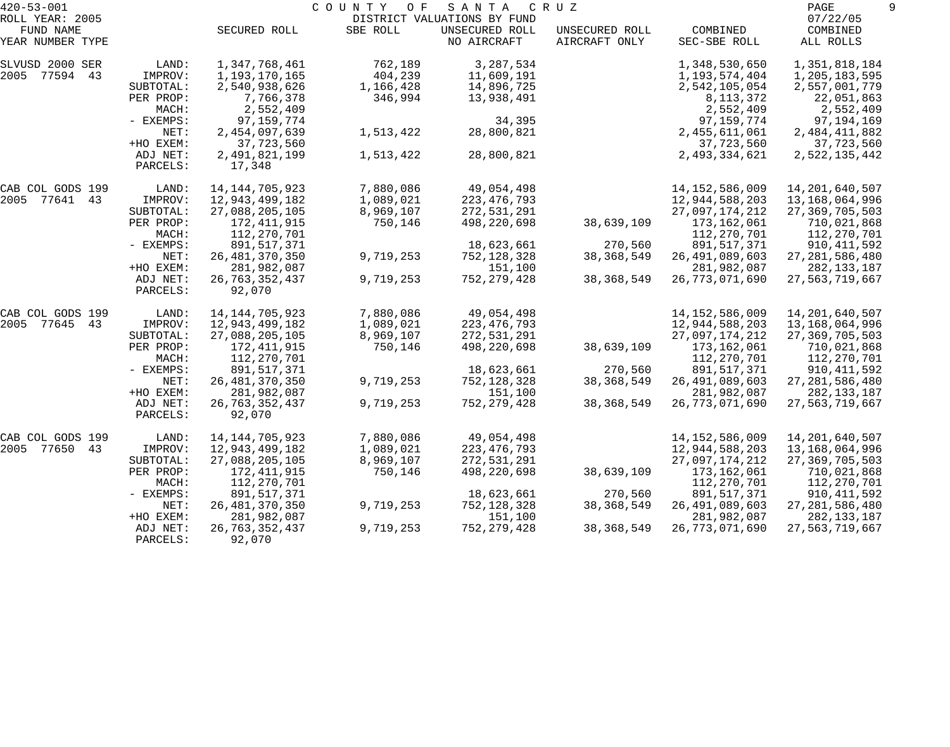| $420 - 53 - 001$              |                      |                             | COUNTY<br>O F | SANTA                         | C R U Z                         |                          | PAGE                  |  |
|-------------------------------|----------------------|-----------------------------|---------------|-------------------------------|---------------------------------|--------------------------|-----------------------|--|
| ROLL YEAR: 2005               |                      |                             |               | DISTRICT VALUATIONS BY FUND   |                                 |                          | 07/22/05              |  |
| FUND NAME<br>YEAR NUMBER TYPE |                      | SECURED ROLL                | SBE ROLL      | UNSECURED ROLL<br>NO AIRCRAFT | UNSECURED ROLL<br>AIRCRAFT ONLY | COMBINED<br>SEC-SBE ROLL | COMBINED<br>ALL ROLLS |  |
| SLVUSD 2000 SER               | LAND:                | 1,347,768,461               | 762,189       | 3,287,534                     |                                 | 1,348,530,650            | 1,351,818,184         |  |
| 2005 77594 43                 | IMPROV:              | 1,193,170,165               | 404,239       | 11,609,191                    |                                 | 1,193,574,404            | 1,205,183,595         |  |
|                               | SUBTOTAL:            | 2,540,938,626               | 1,166,428     | 14,896,725                    |                                 | 2,542,105,054            | 2,557,001,779         |  |
|                               | PER PROP:            | 7,766,378                   | 346,994       | 13,938,491                    |                                 | 8, 113, 372              | 22,051,863            |  |
|                               | MACH:                | 2,552,409                   |               |                               |                                 | 2,552,409                | 2,552,409             |  |
|                               | - EXEMPS:            | 97,159,774                  |               | 34,395                        |                                 | 97,159,774               | 97,194,169            |  |
|                               | NET:                 | 2,454,097,639               | 1,513,422     | 28,800,821                    |                                 | 2, 455, 611, 061         | 2,484,411,882         |  |
|                               | +HO EXEM:            | 37,723,560                  |               |                               |                                 | 37,723,560               | 37,723,560            |  |
|                               | ADJ NET:<br>PARCELS: | 2,491,821,199<br>17,348     | 1,513,422     | 28,800,821                    |                                 | 2,493,334,621            | 2,522,135,442         |  |
| CAB COL GODS 199              | LAND:                | 14, 144, 705, 923           | 7,880,086     | 49,054,498                    |                                 | 14, 152, 586, 009        | 14, 201, 640, 507     |  |
| 2005 77641 43                 | IMPROV:              | 12,943,499,182              | 1,089,021     | 223, 476, 793                 |                                 | 12,944,588,203           | 13,168,064,996        |  |
|                               | SUBTOTAL:            | 27,088,205,105              | 8,969,107     | 272,531,291                   |                                 | 27,097,174,212           | 27, 369, 705, 503     |  |
|                               | PER PROP:            | 172,411,915                 | 750,146       | 498,220,698                   | 38,639,109                      | 173,162,061              | 710,021,868           |  |
|                               | MACH:                | 112,270,701                 |               |                               |                                 | 112,270,701              | 112,270,701           |  |
|                               | - EXEMPS:            | 891,517,371                 |               | 18,623,661                    | 270,560                         | 891,517,371              | 910, 411, 592         |  |
|                               | NET:                 | 26, 481, 370, 350           | 9,719,253     | 752,128,328                   | 38, 368, 549                    | 26, 491, 089, 603        | 27, 281, 586, 480     |  |
|                               | +HO EXEM:            | 281,982,087                 |               | 151,100                       |                                 | 281,982,087              | 282, 133, 187         |  |
|                               | ADJ NET:<br>PARCELS: | 26, 763, 352, 437<br>92,070 | 9,719,253     | 752, 279, 428                 | 38, 368, 549                    | 26,773,071,690           | 27,563,719,667        |  |
| CAB COL GODS 199              | LAND:                | 14, 144, 705, 923           | 7,880,086     | 49,054,498                    |                                 | 14, 152, 586, 009        | 14, 201, 640, 507     |  |
| 2005 77645<br>43              | IMPROV:              | 12,943,499,182              | 1,089,021     | 223, 476, 793                 |                                 | 12,944,588,203           | 13,168,064,996        |  |
|                               | SUBTOTAL:            | 27,088,205,105              | 8,969,107     | 272,531,291                   |                                 | 27,097,174,212           | 27, 369, 705, 503     |  |
|                               | PER PROP:            | 172,411,915                 | 750,146       | 498,220,698                   | 38,639,109                      | 173,162,061              | 710,021,868           |  |
|                               | MACH:                | 112,270,701                 |               |                               |                                 | 112,270,701              | 112,270,701           |  |
|                               | - EXEMPS:            | 891,517,371                 |               | 18,623,661                    | 270,560                         | 891,517,371              | 910,411,592           |  |
|                               | NET:                 | 26, 481, 370, 350           | 9,719,253     | 752,128,328                   | 38, 368, 549                    | 26, 491, 089, 603        | 27, 281, 586, 480     |  |
|                               | +HO EXEM:            | 281,982,087                 |               | 151,100                       |                                 | 281,982,087              | 282, 133, 187         |  |
|                               | ADJ NET:             | 26, 763, 352, 437           | 9,719,253     | 752, 279, 428                 | 38, 368, 549                    | 26,773,071,690           | 27,563,719,667        |  |
|                               | PARCELS:             | 92,070                      |               |                               |                                 |                          |                       |  |
| CAB COL GODS 199              | LAND:                | 14, 144, 705, 923           | 7,880,086     | 49,054,498                    |                                 | 14, 152, 586, 009        | 14,201,640,507        |  |
| 2005<br>77650<br>43           | IMPROV:              | 12,943,499,182              | 1,089,021     | 223, 476, 793                 |                                 | 12,944,588,203           | 13,168,064,996        |  |
|                               | SUBTOTAL:            | 27,088,205,105              | 8,969,107     | 272,531,291                   |                                 | 27,097,174,212           | 27, 369, 705, 503     |  |
|                               | PER PROP:            | 172,411,915                 | 750,146       | 498,220,698                   | 38,639,109                      | 173,162,061              | 710,021,868           |  |
|                               | MACH:                | 112,270,701                 |               |                               |                                 | 112,270,701              | 112,270,701           |  |
|                               | - EXEMPS:            | 891,517,371                 |               | 18,623,661                    | 270,560                         | 891,517,371              | 910,411,592           |  |
|                               | NET:                 | 26, 481, 370, 350           | 9,719,253     | 752,128,328                   | 38, 368, 549                    | 26, 491, 089, 603        | 27, 281, 586, 480     |  |
|                               | +HO EXEM:            | 281,982,087                 |               | 151,100                       |                                 | 281,982,087              | 282,133,187           |  |
|                               | ADJ NET:             | 26, 763, 352, 437           | 9,719,253     | 752, 279, 428                 | 38, 368, 549                    | 26, 773, 071, 690        | 27,563,719,667        |  |
|                               | PARCELS:             | 92,070                      |               |                               |                                 |                          |                       |  |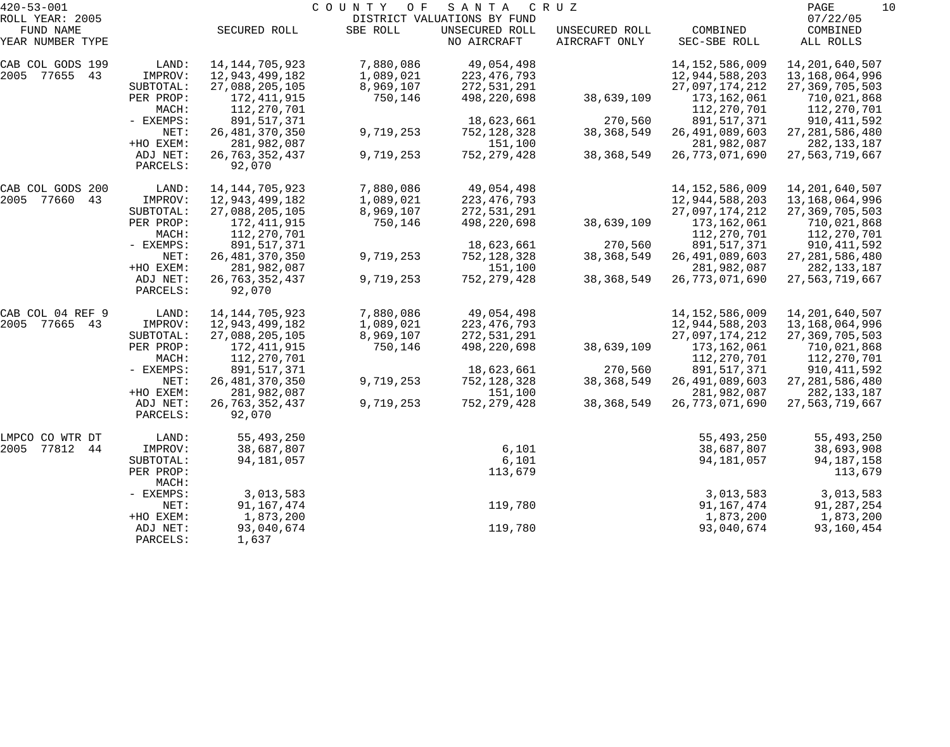| $420 - 53 - 001$    |                    |                   | COUNTY OF | SANTA                       | C R U Z        |                   | PAGE<br>10        |
|---------------------|--------------------|-------------------|-----------|-----------------------------|----------------|-------------------|-------------------|
| ROLL YEAR: 2005     |                    |                   |           | DISTRICT VALUATIONS BY FUND |                |                   | 07/22/05          |
| FUND NAME           |                    | SECURED ROLL      | SBE ROLL  | UNSECURED ROLL              | UNSECURED ROLL | COMBINED          | COMBINED          |
| YEAR NUMBER TYPE    |                    |                   |           | NO AIRCRAFT                 | AIRCRAFT ONLY  | SEC-SBE ROLL      | ALL ROLLS         |
| CAB COL GODS 199    | LAND:              | 14, 144, 705, 923 | 7,880,086 | 49,054,498                  |                | 14, 152, 586, 009 | 14, 201, 640, 507 |
| 2005 77655<br>43    | IMPROV:            | 12,943,499,182    | 1,089,021 | 223, 476, 793               |                | 12,944,588,203    | 13,168,064,996    |
|                     | SUBTOTAL:          | 27,088,205,105    | 8,969,107 | 272,531,291                 |                | 27,097,174,212    | 27, 369, 705, 503 |
|                     | PER PROP:          | 172,411,915       | 750,146   | 498,220,698                 | 38,639,109     | 173,162,061       | 710,021,868       |
|                     | MACH:              | 112,270,701       |           |                             |                | 112,270,701       | 112,270,701       |
|                     | - EXEMPS:          | 891,517,371       |           | 18,623,661                  | 270,560        | 891,517,371       | 910, 411, 592     |
|                     | NET:               | 26, 481, 370, 350 | 9,719,253 | 752,128,328                 | 38, 368, 549   | 26, 491, 089, 603 | 27, 281, 586, 480 |
|                     | +HO EXEM:          | 281,982,087       |           | 151,100                     |                | 281,982,087       | 282, 133, 187     |
|                     | ADJ NET:           | 26, 763, 352, 437 | 9,719,253 | 752, 279, 428               | 38, 368, 549   | 26, 773, 071, 690 | 27,563,719,667    |
|                     | PARCELS:           | 92,070            |           |                             |                |                   |                   |
| CAB COL GODS 200    | LAND:              | 14, 144, 705, 923 | 7,880,086 | 49,054,498                  |                | 14, 152, 586, 009 | 14, 201, 640, 507 |
| 2005<br>77660<br>43 | IMPROV:            | 12,943,499,182    | 1,089,021 | 223, 476, 793               |                | 12,944,588,203    | 13,168,064,996    |
|                     | SUBTOTAL:          | 27,088,205,105    | 8,969,107 | 272,531,291                 |                | 27,097,174,212    | 27, 369, 705, 503 |
|                     | PER PROP:          | 172,411,915       | 750,146   | 498,220,698                 | 38,639,109     | 173,162,061       | 710,021,868       |
|                     | MACH:              | 112,270,701       |           |                             |                | 112,270,701       | 112,270,701       |
|                     | - EXEMPS:          | 891,517,371       |           | 18,623,661                  | 270,560        | 891,517,371       | 910, 411, 592     |
|                     | NET:               | 26, 481, 370, 350 | 9,719,253 | 752,128,328                 | 38, 368, 549   | 26, 491, 089, 603 | 27, 281, 586, 480 |
|                     | +HO EXEM:          | 281,982,087       |           | 151,100                     |                | 281,982,087       | 282, 133, 187     |
|                     | ADJ NET:           | 26, 763, 352, 437 | 9,719,253 | 752, 279, 428               | 38, 368, 549   | 26, 773, 071, 690 | 27,563,719,667    |
|                     | PARCELS:           | 92,070            |           |                             |                |                   |                   |
| CAB COL 04 REF 9    | LAND:              | 14, 144, 705, 923 | 7,880,086 | 49,054,498                  |                | 14, 152, 586, 009 | 14, 201, 640, 507 |
| 2005<br>77665<br>43 | IMPROV:            | 12,943,499,182    | 1,089,021 | 223, 476, 793               |                | 12,944,588,203    | 13,168,064,996    |
|                     | SUBTOTAL:          | 27,088,205,105    | 8,969,107 | 272,531,291                 |                | 27,097,174,212    | 27, 369, 705, 503 |
|                     | PER PROP:          | 172,411,915       | 750,146   | 498,220,698                 | 38,639,109     | 173,162,061       | 710,021,868       |
|                     | MACH:              | 112,270,701       |           |                             |                | 112,270,701       | 112,270,701       |
|                     | - EXEMPS:          | 891,517,371       |           | 18,623,661                  | 270,560        | 891,517,371       | 910, 411, 592     |
|                     | NET:               | 26, 481, 370, 350 | 9,719,253 | 752,128,328                 | 38, 368, 549   | 26, 491, 089, 603 | 27, 281, 586, 480 |
|                     | +HO EXEM:          | 281,982,087       |           | 151,100                     |                | 281,982,087       | 282, 133, 187     |
|                     | ADJ NET:           | 26, 763, 352, 437 | 9,719,253 | 752, 279, 428               | 38, 368, 549   | 26, 773, 071, 690 | 27,563,719,667    |
|                     | PARCELS:           | 92,070            |           |                             |                |                   |                   |
| LMPCO CO WTR DT     | LAND:              | 55,493,250        |           |                             |                | 55,493,250        | 55,493,250        |
| 2005<br>77812<br>44 | IMPROV:            | 38,687,807        |           | 6,101                       |                | 38,687,807        | 38,693,908        |
|                     | SUBTOTAL:          | 94,181,057        |           | 6,101                       |                | 94,181,057        | 94, 187, 158      |
|                     | PER PROP:<br>MACH: |                   |           | 113,679                     |                |                   | 113,679           |
|                     | - EXEMPS:          | 3,013,583         |           |                             |                | 3,013,583         | 3,013,583         |
|                     | NET:               | 91, 167, 474      |           | 119,780                     |                | 91, 167, 474      | 91,287,254        |
|                     | +HO EXEM:          | 1,873,200         |           |                             |                | 1,873,200         | 1,873,200         |
|                     | ADJ NET:           | 93,040,674        |           | 119,780                     |                | 93,040,674        | 93,160,454        |
|                     | PARCELS:           | 1,637             |           |                             |                |                   |                   |
|                     |                    |                   |           |                             |                |                   |                   |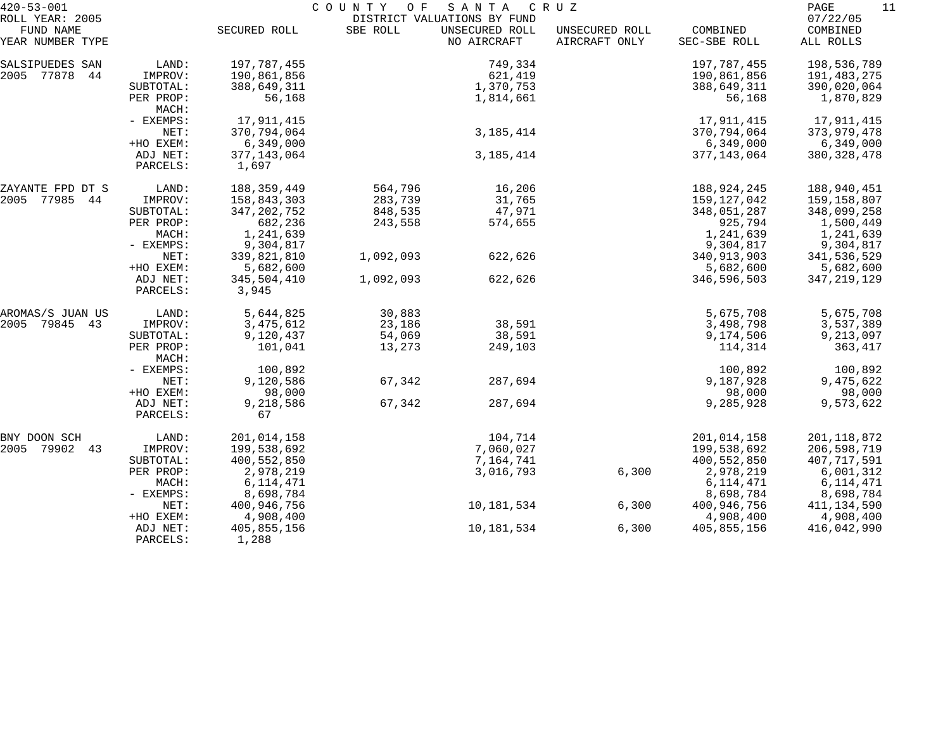| $420 - 53 - 001$                                 |                      |                        | COUNTY OF SANTA |                                                              | C R U Z                         |                          | PAGE<br>11                        |
|--------------------------------------------------|----------------------|------------------------|-----------------|--------------------------------------------------------------|---------------------------------|--------------------------|-----------------------------------|
| ROLL YEAR: 2005<br>FUND NAME<br>YEAR NUMBER TYPE |                      | SECURED ROLL           | SBE ROLL        | DISTRICT VALUATIONS BY FUND<br>UNSECURED ROLL<br>NO AIRCRAFT | UNSECURED ROLL<br>AIRCRAFT ONLY | COMBINED<br>SEC-SBE ROLL | 07/22/05<br>COMBINED<br>ALL ROLLS |
| SALSIPUEDES SAN                                  | LAND:                | 197,787,455            |                 | 749,334                                                      |                                 | 197,787,455              | 198,536,789                       |
| 2005 77878<br>44                                 | IMPROV:              | 190,861,856            |                 | 621,419                                                      |                                 | 190,861,856              | 191,483,275                       |
|                                                  | SUBTOTAL:            | 388,649,311            |                 | 1,370,753                                                    |                                 | 388,649,311              | 390,020,064                       |
|                                                  | PER PROP:<br>MACH:   | 56,168                 |                 | 1,814,661                                                    |                                 | 56,168                   | 1,870,829                         |
|                                                  | - EXEMPS:            | 17,911,415             |                 |                                                              |                                 | 17,911,415               | 17,911,415                        |
|                                                  | NET:                 | 370,794,064            |                 | 3, 185, 414                                                  |                                 | 370,794,064              | 373,979,478                       |
|                                                  | +HO EXEM:            | 6,349,000              |                 |                                                              |                                 | 6,349,000                | 6,349,000                         |
|                                                  | ADJ NET:<br>PARCELS: | 377, 143, 064<br>1,697 |                 | 3, 185, 414                                                  |                                 | 377, 143, 064            | 380, 328, 478                     |
| ZAYANTE FPD DT S                                 | LAND:                | 188, 359, 449          | 564,796         | 16,206                                                       |                                 | 188,924,245              | 188,940,451                       |
| 2005 77985 44                                    | IMPROV:              | 158,843,303            | 283,739         | 31,765                                                       |                                 | 159,127,042              | 159,158,807                       |
|                                                  | SUBTOTAL:            | 347, 202, 752          | 848,535         | 47,971                                                       |                                 | 348,051,287              | 348,099,258                       |
|                                                  | PER PROP:            | 682,236                | 243,558         | 574,655                                                      |                                 | 925,794                  | 1,500,449                         |
|                                                  | MACH:                | 1,241,639              |                 |                                                              |                                 | 1,241,639                | 1,241,639                         |
|                                                  | $-$ EXEMPS:          | 9,304,817              |                 |                                                              |                                 | 9,304,817                | 9,304,817                         |
|                                                  | NET:                 | 339,821,810            | 1,092,093       | 622,626                                                      |                                 | 340, 913, 903            | 341,536,529                       |
|                                                  | +HO EXEM:            | 5,682,600              |                 |                                                              |                                 | 5,682,600                | 5,682,600                         |
|                                                  | ADJ NET:<br>PARCELS: | 345,504,410<br>3,945   | 1,092,093       | 622,626                                                      |                                 | 346,596,503              | 347, 219, 129                     |
| AROMAS/S JUAN US                                 | LAND:                | 5,644,825              | 30,883          |                                                              |                                 | 5,675,708                | 5,675,708                         |
| 2005<br>79845 43                                 | IMPROV:              | 3,475,612              | 23,186          | 38,591                                                       |                                 | 3,498,798                | 3,537,389                         |
|                                                  | SUBTOTAL:            | 9,120,437              | 54,069          | 38,591                                                       |                                 | 9,174,506                | 9,213,097                         |
|                                                  | PER PROP:<br>MACH:   | 101,041                | 13,273          | 249,103                                                      |                                 | 114,314                  | 363,417                           |
|                                                  | - EXEMPS:            | 100,892                |                 |                                                              |                                 | 100,892                  | 100,892                           |
|                                                  | NET:                 | 9,120,586              | 67,342          | 287,694                                                      |                                 | 9,187,928                | 9,475,622                         |
|                                                  | +HO EXEM:            | 98,000                 |                 |                                                              |                                 | 98,000                   | 98,000                            |
|                                                  | ADJ NET:<br>PARCELS: | 9,218,586<br>67        | 67,342          | 287,694                                                      |                                 | 9,285,928                | 9,573,622                         |
| BNY DOON SCH                                     | LAND:                | 201,014,158            |                 | 104,714                                                      |                                 | 201,014,158              | 201, 118, 872                     |
| 2005<br>79902<br>43                              | IMPROV:              | 199,538,692            |                 | 7,060,027                                                    |                                 | 199,538,692              | 206,598,719                       |
|                                                  | SUBTOTAL:            | 400,552,850            |                 | 7,164,741                                                    |                                 | 400,552,850              | 407,717,591                       |
|                                                  | PER PROP:            | 2,978,219              |                 | 3,016,793                                                    | 6,300                           | 2,978,219                | 6,001,312                         |
|                                                  | MACH:                | 6, 114, 471            |                 |                                                              |                                 | 6, 114, 471              | 6, 114, 471                       |
|                                                  | - EXEMPS:            | 8,698,784              |                 |                                                              |                                 | 8,698,784                | 8,698,784                         |
|                                                  | NET:                 | 400,946,756            |                 | 10,181,534                                                   | 6,300                           | 400,946,756              | 411, 134, 590                     |
|                                                  | +HO EXEM:            | 4,908,400              |                 |                                                              |                                 | 4,908,400                | 4,908,400                         |
|                                                  | ADJ NET:<br>PARCELS: | 405,855,156<br>1,288   |                 | 10,181,534                                                   | 6,300                           | 405,855,156              | 416,042,990                       |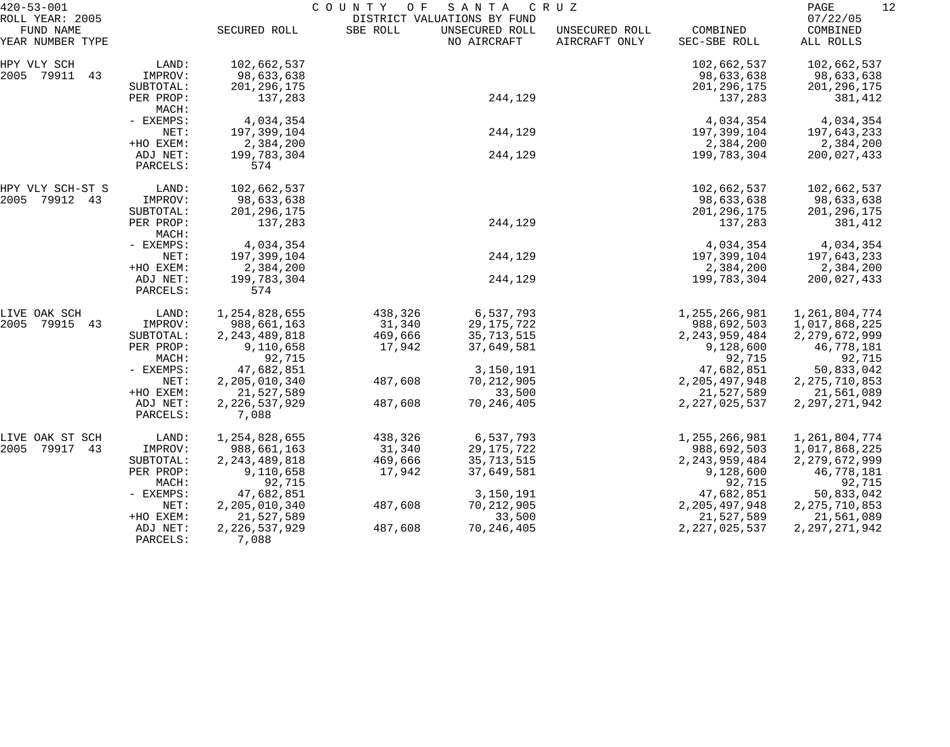| $420 - 53 - 001$                                 |                      | COUNTY OF<br>SANTA<br>C R U Z |          |                                                              |                                 |                          |                                   |  |
|--------------------------------------------------|----------------------|-------------------------------|----------|--------------------------------------------------------------|---------------------------------|--------------------------|-----------------------------------|--|
| ROLL YEAR: 2005<br>FUND NAME<br>YEAR NUMBER TYPE |                      | SECURED ROLL                  | SBE ROLL | DISTRICT VALUATIONS BY FUND<br>UNSECURED ROLL<br>NO AIRCRAFT | UNSECURED ROLL<br>AIRCRAFT ONLY | COMBINED<br>SEC-SBE ROLL | 07/22/05<br>COMBINED<br>ALL ROLLS |  |
| HPY VLY SCH                                      | LAND:                | 102,662,537                   |          |                                                              |                                 | 102,662,537              | 102,662,537                       |  |
| 2005 79911<br>43                                 | IMPROV:              | 98,633,638                    |          |                                                              |                                 | 98,633,638               | 98,633,638                        |  |
|                                                  | SUBTOTAL:            | 201, 296, 175                 |          |                                                              |                                 | 201, 296, 175            | 201, 296, 175                     |  |
|                                                  | PER PROP:<br>MACH:   | 137,283                       |          | 244,129                                                      |                                 | 137,283                  | 381,412                           |  |
|                                                  | - EXEMPS:            | 4,034,354                     |          |                                                              |                                 | 4,034,354                | 4,034,354                         |  |
|                                                  | NET:                 | 197,399,104                   |          | 244,129                                                      |                                 | 197,399,104              | 197,643,233                       |  |
|                                                  | +HO EXEM:            | 2,384,200                     |          |                                                              |                                 | 2,384,200                | 2,384,200                         |  |
|                                                  | ADJ NET:<br>PARCELS: | 199,783,304<br>574            |          | 244,129                                                      |                                 | 199,783,304              | 200,027,433                       |  |
| HPY VLY SCH-ST S                                 | LAND:                | 102,662,537                   |          |                                                              |                                 | 102,662,537              | 102,662,537                       |  |
| 2005<br>79912 43                                 | IMPROV:              | 98,633,638                    |          |                                                              |                                 | 98,633,638               | 98,633,638                        |  |
|                                                  | SUBTOTAL:            | 201, 296, 175                 |          |                                                              |                                 | 201, 296, 175            | 201, 296, 175                     |  |
|                                                  | PER PROP:<br>MACH:   | 137,283                       |          | 244,129                                                      |                                 | 137,283                  | 381,412                           |  |
|                                                  | - EXEMPS:            | 4,034,354                     |          |                                                              |                                 | 4,034,354                | 4,034,354                         |  |
|                                                  | NET:                 | 197,399,104                   |          | 244,129                                                      |                                 | 197,399,104              | 197,643,233                       |  |
|                                                  | +HO EXEM:            | 2,384,200                     |          |                                                              |                                 | 2,384,200                | 2,384,200                         |  |
|                                                  | ADJ NET:<br>PARCELS: | 199,783,304<br>574            |          | 244,129                                                      |                                 | 199,783,304              | 200,027,433                       |  |
| LIVE OAK SCH                                     | LAND:                | 1,254,828,655                 | 438,326  | 6,537,793                                                    |                                 | 1, 255, 266, 981         | 1, 261, 804, 774                  |  |
| 2005<br>79915<br>43                              | IMPROV:              | 988,661,163                   | 31,340   | 29, 175, 722                                                 |                                 | 988,692,503              | 1,017,868,225                     |  |
|                                                  | SUBTOTAL:            | 2, 243, 489, 818              | 469,666  | 35,713,515                                                   |                                 | 2, 243, 959, 484         | 2, 279, 672, 999                  |  |
|                                                  | PER PROP:            | 9,110,658                     | 17,942   | 37,649,581                                                   |                                 | 9,128,600                | 46,778,181                        |  |
|                                                  | MACH:                | 92,715                        |          |                                                              |                                 | 92,715                   | 92,715                            |  |
|                                                  | - EXEMPS:            | 47,682,851                    |          | 3,150,191                                                    |                                 | 47,682,851               | 50,833,042                        |  |
|                                                  | NET:                 | 2,205,010,340                 | 487,608  | 70, 212, 905                                                 |                                 | 2, 205, 497, 948         | 2, 275, 710, 853                  |  |
|                                                  | +HO EXEM:            | 21,527,589                    |          | 33,500                                                       |                                 | 21,527,589               | 21,561,089                        |  |
|                                                  | ADJ NET:<br>PARCELS: | 2, 226, 537, 929<br>7,088     | 487,608  | 70, 246, 405                                                 |                                 | 2, 227, 025, 537         | 2, 297, 271, 942                  |  |
| LIVE OAK ST SCH                                  | LAND:                | 1, 254, 828, 655              | 438,326  | 6,537,793                                                    |                                 | 1,255,266,981            | 1,261,804,774                     |  |
| 2005<br>79917<br>43                              | IMPROV:              | 988,661,163                   | 31,340   | 29, 175, 722                                                 |                                 | 988,692,503              | 1,017,868,225                     |  |
|                                                  | SUBTOTAL:            | 2, 243, 489, 818              | 469,666  | 35,713,515                                                   |                                 | 2, 243, 959, 484         | 2, 279, 672, 999                  |  |
|                                                  | PER PROP:<br>MACH:   | 9,110,658<br>92,715           | 17,942   | 37,649,581                                                   |                                 | 9,128,600<br>92,715      | 46,778,181<br>92,715              |  |
|                                                  | $-$ EXEMPS:          | 47,682,851                    |          | 3,150,191                                                    |                                 | 47,682,851               | 50,833,042                        |  |
|                                                  | NET:                 | 2,205,010,340                 | 487,608  | 70, 212, 905                                                 |                                 | 2, 205, 497, 948         | 2, 275, 710, 853                  |  |
|                                                  | +HO EXEM:            | 21,527,589                    |          | 33,500                                                       |                                 | 21,527,589               | 21,561,089                        |  |
|                                                  | ADJ NET:<br>PARCELS: | 2, 226, 537, 929<br>7,088     | 487,608  | 70, 246, 405                                                 |                                 | 2, 227, 025, 537         | 2, 297, 271, 942                  |  |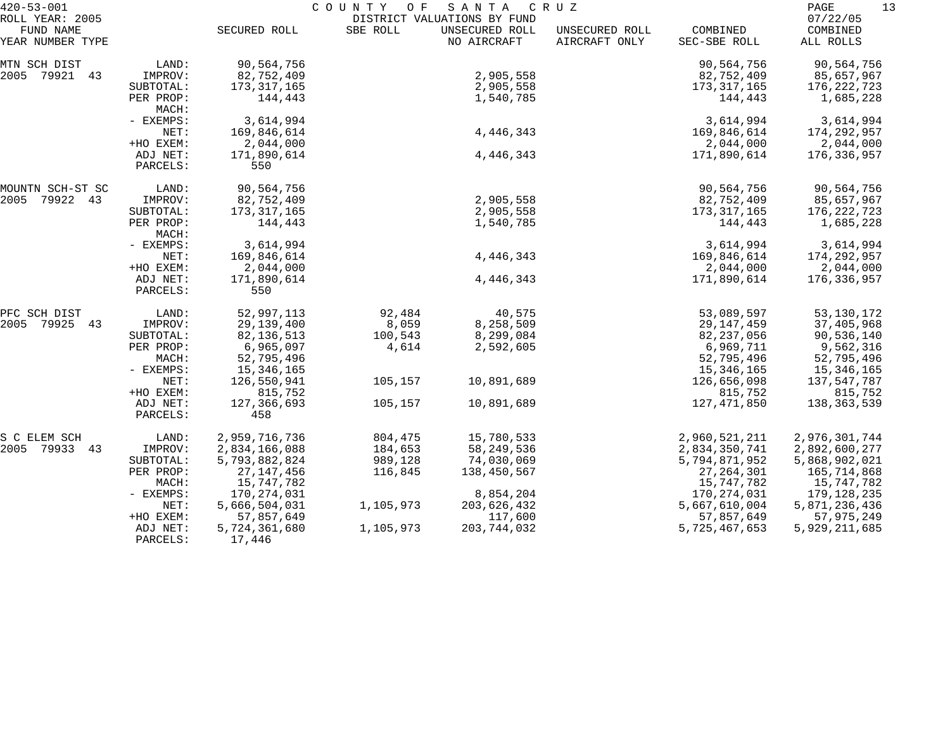| $420 - 53 - 001$                                 |                      |                         | COUNTY OF | S A N T A                                                    | C R U Z                         |                          | PAGE<br>13                        |
|--------------------------------------------------|----------------------|-------------------------|-----------|--------------------------------------------------------------|---------------------------------|--------------------------|-----------------------------------|
| ROLL YEAR: 2005<br>FUND NAME<br>YEAR NUMBER TYPE |                      | SECURED ROLL            | SBE ROLL  | DISTRICT VALUATIONS BY FUND<br>UNSECURED ROLL<br>NO AIRCRAFT | UNSECURED ROLL<br>AIRCRAFT ONLY | COMBINED<br>SEC-SBE ROLL | 07/22/05<br>COMBINED<br>ALL ROLLS |
| MTN SCH DIST                                     | LAND:                | 90,564,756              |           |                                                              |                                 | 90,564,756               | 90,564,756                        |
| 2005 79921 43                                    | IMPROV:              | 82,752,409              |           | 2,905,558                                                    |                                 | 82,752,409               | 85,657,967                        |
|                                                  | SUBTOTAL:            | 173, 317, 165           |           | 2,905,558                                                    |                                 | 173, 317, 165            | 176, 222, 723                     |
|                                                  | PER PROP:<br>MACH:   | 144,443                 |           | 1,540,785                                                    |                                 | 144,443                  | 1,685,228                         |
|                                                  | - EXEMPS:            | 3,614,994               |           |                                                              |                                 | 3,614,994                | 3,614,994                         |
|                                                  | NET:                 | 169,846,614             |           | 4,446,343                                                    |                                 | 169,846,614              | 174,292,957                       |
|                                                  | +HO EXEM:            | 2,044,000               |           |                                                              |                                 | 2,044,000                | 2,044,000                         |
|                                                  | ADJ NET:<br>PARCELS: | 171,890,614<br>550      |           | 4,446,343                                                    |                                 | 171,890,614              | 176,336,957                       |
|                                                  |                      |                         |           |                                                              |                                 |                          |                                   |
| MOUNTN SCH-ST SC                                 | LAND:                | 90,564,756              |           |                                                              |                                 | 90,564,756               | 90,564,756                        |
| 79922 43<br>2005                                 | IMPROV:              | 82,752,409              |           | 2,905,558                                                    |                                 | 82,752,409               | 85,657,967                        |
|                                                  | SUBTOTAL:            | 173, 317, 165           |           | 2,905,558                                                    |                                 | 173, 317, 165            | 176,222,723                       |
|                                                  | PER PROP:<br>MACH:   | 144,443                 |           | 1,540,785                                                    |                                 | 144,443                  | 1,685,228                         |
|                                                  | - EXEMPS:            | 3,614,994               |           |                                                              |                                 | 3,614,994                | 3,614,994                         |
|                                                  | NET:                 | 169,846,614             |           | 4,446,343                                                    |                                 | 169,846,614              | 174,292,957                       |
|                                                  | +HO EXEM:            | 2,044,000               |           |                                                              |                                 | 2,044,000                | 2,044,000                         |
|                                                  | ADJ NET:<br>PARCELS: | 171,890,614<br>550      |           | 4,446,343                                                    |                                 | 171,890,614              | 176,336,957                       |
| PFC SCH DIST                                     |                      | 52,997,113              | 92,484    |                                                              |                                 | 53,089,597               | 53, 130, 172                      |
| 2005<br>79925 43                                 | LAND:                | 29,139,400              | 8,059     | 40,575                                                       |                                 |                          |                                   |
|                                                  | IMPROV:              |                         |           | 8,258,509                                                    |                                 | 29, 147, 459             | 37,405,968                        |
|                                                  | SUBTOTAL:            | 82, 136, 513            | 100,543   | 8,299,084                                                    |                                 | 82, 237, 056             | 90,536,140                        |
|                                                  | PER PROP:            | 6,965,097               | 4,614     | 2,592,605                                                    |                                 | 6,969,711                | 9,562,316                         |
|                                                  | MACH:                | 52,795,496              |           |                                                              |                                 | 52,795,496               | 52,795,496                        |
|                                                  | - EXEMPS:            | 15,346,165              |           |                                                              |                                 | 15,346,165               | 15,346,165                        |
|                                                  | NET:                 | 126,550,941             | 105,157   | 10,891,689                                                   |                                 | 126,656,098              | 137,547,787                       |
|                                                  | +HO EXEM:            | 815,752                 |           |                                                              |                                 | 815,752                  | 815,752                           |
|                                                  | ADJ NET:<br>PARCELS: | 127,366,693<br>458      | 105,157   | 10,891,689                                                   |                                 | 127, 471, 850            | 138,363,539                       |
| S C ELEM SCH                                     | LAND:                | 2,959,716,736           | 804,475   | 15,780,533                                                   |                                 | 2,960,521,211            | 2,976,301,744                     |
| 2005 79933 43                                    | IMPROV:              | 2,834,166,088           | 184,653   | 58, 249, 536                                                 |                                 | 2,834,350,741            | 2,892,600,277                     |
|                                                  | SUBTOTAL:            | 5,793,882,824           | 989,128   | 74,030,069                                                   |                                 | 5,794,871,952            | 5,868,902,021                     |
|                                                  | PER PROP:            | 27, 147, 456            | 116,845   | 138,450,567                                                  |                                 | 27, 264, 301             | 165,714,868                       |
|                                                  | MACH:                | 15,747,782              |           |                                                              |                                 | 15,747,782               | 15,747,782                        |
|                                                  |                      |                         |           |                                                              |                                 |                          |                                   |
|                                                  | $-$ EXEMPS:          | 170,274,031             | 1,105,973 | 8,854,204                                                    |                                 | 170,274,031              | 179,128,235                       |
|                                                  | NET:                 | 5,666,504,031           |           | 203,626,432                                                  |                                 | 5,667,610,004            | 5,871,236,436                     |
|                                                  | +HO EXEM:            | 57,857,649              |           | 117,600                                                      |                                 | 57,857,649               | 57,975,249                        |
|                                                  | ADJ NET:<br>PARCELS: | 5,724,361,680<br>17,446 | 1,105,973 | 203,744,032                                                  |                                 | 5,725,467,653            | 5,929,211,685                     |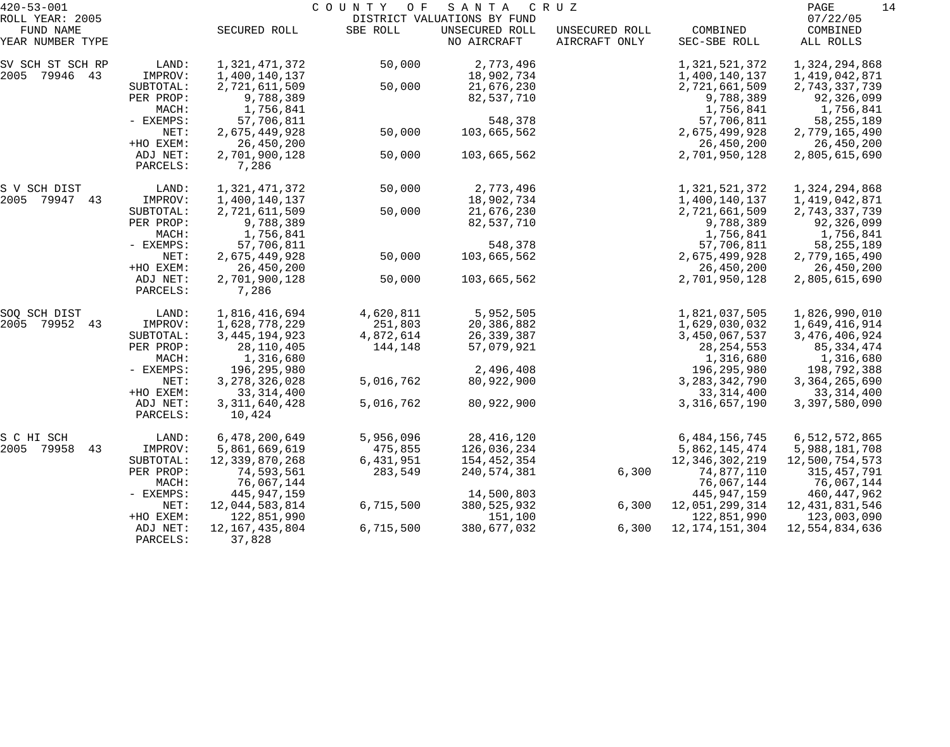| $420 - 53 - 001$ |           |                   | COUNTY OF | SANTA                       | C R U Z        |                   | 14<br>PAGE        |
|------------------|-----------|-------------------|-----------|-----------------------------|----------------|-------------------|-------------------|
| ROLL YEAR: 2005  |           |                   |           | DISTRICT VALUATIONS BY FUND |                |                   | 07/22/05          |
| FUND NAME        |           | SECURED ROLL      | SBE ROLL  | UNSECURED ROLL              | UNSECURED ROLL | COMBINED          | COMBINED          |
| YEAR NUMBER TYPE |           |                   |           | NO AIRCRAFT                 | AIRCRAFT ONLY  | SEC-SBE ROLL      | ALL ROLLS         |
| SV SCH ST SCH RP | LAND:     | 1,321,471,372     | 50,000    | 2,773,496                   |                | 1,321,521,372     | 1,324,294,868     |
| 2005 79946 43    | IMPROV:   | 1,400,140,137     |           | 18,902,734                  |                | 1,400,140,137     | 1,419,042,871     |
|                  | SUBTOTAL: | 2,721,611,509     | 50,000    | 21,676,230                  |                | 2,721,661,509     | 2,743,337,739     |
|                  | PER PROP: | 9,788,389         |           | 82,537,710                  |                | 9,788,389         | 92,326,099        |
|                  | MACH:     | 1,756,841         |           |                             |                | 1,756,841         | 1,756,841         |
|                  | - EXEMPS: | 57,706,811        |           | 548,378                     |                | 57,706,811        | 58, 255, 189      |
|                  | NET:      | 2,675,449,928     | 50,000    | 103,665,562                 |                | 2,675,499,928     | 2,779,165,490     |
|                  | +HO EXEM: | 26,450,200        |           |                             |                | 26,450,200        | 26,450,200        |
|                  | ADJ NET:  | 2,701,900,128     | 50,000    | 103,665,562                 |                | 2,701,950,128     | 2,805,615,690     |
|                  | PARCELS:  | 7,286             |           |                             |                |                   |                   |
| S V SCH DIST     | LAND:     | 1,321,471,372     | 50,000    | 2,773,496                   |                | 1,321,521,372     | 1,324,294,868     |
| 2005 79947 43    | IMPROV:   | 1,400,140,137     |           | 18,902,734                  |                | 1,400,140,137     | 1,419,042,871     |
|                  | SUBTOTAL: | 2,721,611,509     | 50,000    | 21,676,230                  |                | 2,721,661,509     | 2,743,337,739     |
|                  | PER PROP: | 9,788,389         |           | 82,537,710                  |                | 9,788,389         | 92,326,099        |
|                  | MACH:     | 1,756,841         |           |                             |                | 1,756,841         | 1,756,841         |
|                  | - EXEMPS: | 57,706,811        |           | 548,378                     |                | 57,706,811        | 58, 255, 189      |
|                  | NET:      | 2,675,449,928     | 50,000    | 103,665,562                 |                | 2,675,499,928     | 2,779,165,490     |
|                  | +HO EXEM: | 26,450,200        |           |                             |                | 26,450,200        | 26,450,200        |
|                  | ADJ NET:  | 2,701,900,128     | 50,000    | 103,665,562                 |                | 2,701,950,128     | 2,805,615,690     |
|                  | PARCELS:  | 7,286             |           |                             |                |                   |                   |
| SOQ SCH DIST     | LAND:     | 1,816,416,694     | 4,620,811 | 5,952,505                   |                | 1,821,037,505     | 1,826,990,010     |
| 79952 43<br>2005 | IMPROV:   | 1,628,778,229     | 251,803   | 20,386,882                  |                | 1,629,030,032     | 1,649,416,914     |
|                  | SUBTOTAL: | 3, 445, 194, 923  | 4,872,614 | 26,339,387                  |                | 3,450,067,537     | 3, 476, 406, 924  |
|                  | PER PROP: | 28, 110, 405      | 144,148   | 57,079,921                  |                | 28, 254, 553      | 85, 334, 474      |
|                  | MACH:     | 1,316,680         |           |                             |                | 1,316,680         | 1,316,680         |
|                  | - EXEMPS: | 196,295,980       |           | 2,496,408                   |                | 196,295,980       | 198,792,388       |
|                  | NET:      | 3, 278, 326, 028  | 5,016,762 | 80,922,900                  |                | 3, 283, 342, 790  | 3, 364, 265, 690  |
|                  | +HO EXEM: | 33, 314, 400      |           |                             |                | 33, 314, 400      | 33, 314, 400      |
|                  | ADJ NET:  | 3, 311, 640, 428  | 5,016,762 | 80,922,900                  |                | 3, 316, 657, 190  | 3,397,580,090     |
|                  | PARCELS:  | 10,424            |           |                             |                |                   |                   |
| S C HI SCH       | LAND:     | 6,478,200,649     | 5,956,096 | 28, 416, 120                |                | 6, 484, 156, 745  | 6,512,572,865     |
| 2005 79958<br>43 | IMPROV:   | 5,861,669,619     | 475,855   | 126,036,234                 |                | 5,862,145,474     | 5,988,181,708     |
|                  | SUBTOTAL: | 12,339,870,268    | 6,431,951 | 154,452,354                 |                | 12,346,302,219    | 12,500,754,573    |
|                  | PER PROP: | 74,593,561        | 283,549   | 240,574,381                 | 6,300          | 74,877,110        | 315,457,791       |
|                  | MACH:     | 76,067,144        |           |                             |                | 76,067,144        | 76,067,144        |
|                  | - EXEMPS: | 445, 947, 159     |           | 14,500,803                  |                | 445, 947, 159     | 460,447,962       |
|                  | NET:      | 12,044,583,814    | 6,715,500 | 380, 525, 932               | 6,300          | 12,051,299,314    | 12, 431, 831, 546 |
|                  | +HO EXEM: | 122,851,990       |           | 151,100                     |                | 122,851,990       | 123,003,090       |
|                  | ADJ NET:  | 12, 167, 435, 804 | 6,715,500 | 380,677,032                 | 6,300          | 12, 174, 151, 304 | 12,554,834,636    |
|                  | PARCELS:  | 37,828            |           |                             |                |                   |                   |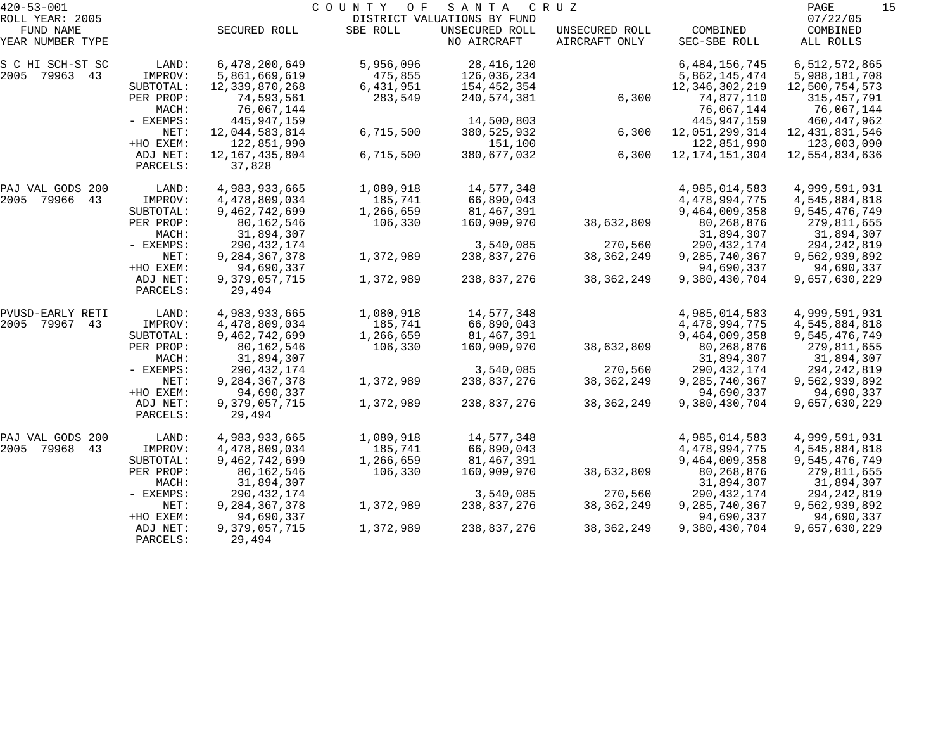| $420 - 53 - 001$     |           |                   | COUNTY<br>O F | SANTA                       | C R U Z        |                   | 15<br>PAGE        |
|----------------------|-----------|-------------------|---------------|-----------------------------|----------------|-------------------|-------------------|
| ROLL YEAR: 2005      |           |                   |               | DISTRICT VALUATIONS BY FUND |                |                   | 07/22/05          |
| FUND NAME            |           | SECURED ROLL      | SBE ROLL      | UNSECURED ROLL              | UNSECURED ROLL | COMBINED          | COMBINED          |
| YEAR NUMBER TYPE     |           |                   |               | NO AIRCRAFT                 | AIRCRAFT ONLY  | SEC-SBE ROLL      | ALL ROLLS         |
| S C HI SCH-ST SC     | LAND:     | 6,478,200,649     | 5,956,096     | 28, 416, 120                |                | 6, 484, 156, 745  | 6,512,572,865     |
| 2005<br>79963 43     | IMPROV:   | 5,861,669,619     | 475,855       | 126,036,234                 |                | 5,862,145,474     | 5,988,181,708     |
|                      | SUBTOTAL: | 12,339,870,268    | 6,431,951     | 154,452,354                 |                | 12,346,302,219    | 12,500,754,573    |
|                      | PER PROP: | 74,593,561        | 283,549       | 240,574,381                 | 6,300          | 74,877,110        | 315, 457, 791     |
|                      | MACH:     | 76,067,144        |               |                             |                | 76,067,144        | 76,067,144        |
|                      | - EXEMPS: | 445, 947, 159     |               | 14,500,803                  |                | 445, 947, 159     | 460,447,962       |
|                      | NET:      | 12,044,583,814    | 6,715,500     | 380, 525, 932               | 6,300          | 12,051,299,314    | 12, 431, 831, 546 |
|                      | +HO EXEM: | 122,851,990       |               | 151,100                     |                | 122,851,990       | 123,003,090       |
|                      | ADJ NET:  | 12, 167, 435, 804 | 6,715,500     | 380,677,032                 | 6,300          | 12, 174, 151, 304 | 12,554,834,636    |
|                      | PARCELS:  | 37,828            |               |                             |                |                   |                   |
| PAJ VAL GODS 200     | LAND:     | 4,983,933,665     | 1,080,918     | 14,577,348                  |                | 4,985,014,583     | 4,999,591,931     |
| 2005<br>79966<br>43  | IMPROV:   | 4,478,809,034     | 185,741       | 66,890,043                  |                | 4, 478, 994, 775  | 4,545,884,818     |
|                      | SUBTOTAL: | 9,462,742,699     | 1,266,659     | 81,467,391                  |                | 9,464,009,358     | 9,545,476,749     |
|                      | PER PROP: | 80, 162, 546      | 106,330       | 160,909,970                 | 38,632,809     | 80,268,876        | 279,811,655       |
|                      | MACH:     | 31,894,307        |               |                             |                | 31,894,307        | 31,894,307        |
|                      | - EXEMPS: | 290, 432, 174     |               | 3,540,085                   | 270,560        | 290, 432, 174     | 294, 242, 819     |
|                      | NET:      | 9, 284, 367, 378  | 1,372,989     | 238,837,276                 | 38, 362, 249   | 9,285,740,367     | 9,562,939,892     |
|                      | +HO EXEM: | 94,690,337        |               |                             |                | 94,690,337        | 94,690,337        |
|                      | ADJ NET:  | 9,379,057,715     | 1,372,989     | 238,837,276                 | 38, 362, 249   | 9,380,430,704     | 9,657,630,229     |
|                      | PARCELS:  | 29,494            |               |                             |                |                   |                   |
| PVUSD-EARLY RETI     | LAND:     | 4,983,933,665     | 1,080,918     | 14,577,348                  |                | 4,985,014,583     | 4,999,591,931     |
| 79967<br>43<br>2005  | IMPROV:   | 4,478,809,034     | 185,741       | 66,890,043                  |                | 4, 478, 994, 775  | 4,545,884,818     |
|                      | SUBTOTAL: | 9,462,742,699     | 1,266,659     | 81,467,391                  |                | 9,464,009,358     | 9,545,476,749     |
|                      | PER PROP: | 80,162,546        | 106,330       | 160,909,970                 | 38,632,809     | 80,268,876        | 279,811,655       |
|                      | MACH:     | 31,894,307        |               |                             |                | 31,894,307        | 31,894,307        |
|                      | - EXEMPS: | 290, 432, 174     |               | 3,540,085                   | 270,560        | 290, 432, 174     | 294, 242, 819     |
|                      | NET:      | 9, 284, 367, 378  | 1,372,989     | 238,837,276                 | 38, 362, 249   | 9,285,740,367     | 9,562,939,892     |
|                      | +HO EXEM: | 94,690,337        |               |                             |                | 94,690,337        | 94,690,337        |
|                      | ADJ NET:  | 9,379,057,715     | 1,372,989     | 238,837,276                 | 38, 362, 249   | 9,380,430,704     | 9,657,630,229     |
|                      | PARCELS:  | 29,494            |               |                             |                |                   |                   |
| PAJ VAL GODS<br>-200 | LAND:     | 4,983,933,665     | 1,080,918     | 14,577,348                  |                | 4,985,014,583     | 4,999,591,931     |
| 79968<br>2005<br>43  | IMPROV:   | 4,478,809,034     | 185,741       | 66,890,043                  |                | 4, 478, 994, 775  | 4,545,884,818     |
|                      | SUBTOTAL: | 9,462,742,699     | 1,266,659     | 81,467,391                  |                | 9,464,009,358     | 9,545,476,749     |
|                      | PER PROP: | 80,162,546        | 106,330       | 160,909,970                 | 38,632,809     | 80, 268, 876      | 279,811,655       |
|                      | MACH:     | 31,894,307        |               |                             |                | 31,894,307        | 31,894,307        |
|                      | - EXEMPS: | 290, 432, 174     |               | 3,540,085                   | 270,560        | 290, 432, 174     | 294, 242, 819     |
|                      | NET:      | 9, 284, 367, 378  | 1,372,989     | 238,837,276                 | 38, 362, 249   | 9,285,740,367     | 9,562,939,892     |
|                      | +HO EXEM: | 94,690,337        |               |                             |                | 94,690,337        | 94,690,337        |
|                      | ADJ NET:  | 9,379,057,715     | 1,372,989     | 238,837,276                 | 38, 362, 249   | 9,380,430,704     | 9,657,630,229     |
|                      | PARCELS:  | 29,494            |               |                             |                |                   |                   |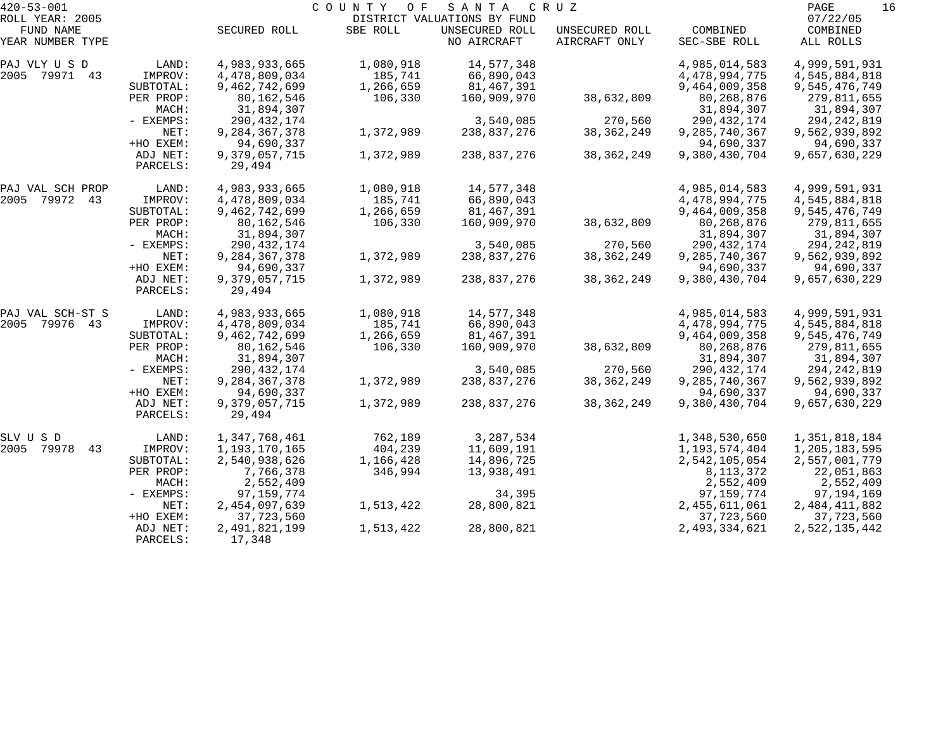| $420 - 53 - 001$    |                      |                         | COUNTY OF | S A N T A                   | C R U Z        |                  | PAGE<br>16    |
|---------------------|----------------------|-------------------------|-----------|-----------------------------|----------------|------------------|---------------|
| ROLL YEAR: 2005     |                      |                         |           | DISTRICT VALUATIONS BY FUND |                |                  | 07/22/05      |
| FUND NAME           |                      | SECURED ROLL            | SBE ROLL  | UNSECURED ROLL              | UNSECURED ROLL | COMBINED         | COMBINED      |
| YEAR NUMBER TYPE    |                      |                         |           | NO AIRCRAFT                 | AIRCRAFT ONLY  | SEC-SBE ROLL     | ALL ROLLS     |
| PAJ VLY U S D       | LAND:                | 4,983,933,665           | 1,080,918 | 14,577,348                  |                | 4,985,014,583    | 4,999,591,931 |
| 2005 79971 43       | IMPROV:              | 4,478,809,034           | 185,741   | 66,890,043                  |                | 4,478,994,775    | 4,545,884,818 |
|                     | SUBTOTAL:            | 9,462,742,699           | 1,266,659 | 81,467,391                  |                | 9,464,009,358    | 9,545,476,749 |
|                     | PER PROP:            | 80,162,546              | 106,330   | 160,909,970                 | 38,632,809     | 80, 268, 876     | 279,811,655   |
|                     | MACH:                | 31,894,307              |           |                             |                | 31,894,307       | 31,894,307    |
|                     | - EXEMPS:            | 290, 432, 174           |           | 3,540,085                   | 270,560        | 290, 432, 174    | 294, 242, 819 |
|                     | NET:                 | 9, 284, 367, 378        | 1,372,989 | 238,837,276                 | 38, 362, 249   | 9, 285, 740, 367 | 9,562,939,892 |
|                     | +HO EXEM:            | 94,690,337              |           |                             |                | 94,690,337       | 94,690,337    |
|                     | ADJ NET:<br>PARCELS: | 9,379,057,715<br>29,494 | 1,372,989 | 238,837,276                 | 38, 362, 249   | 9,380,430,704    | 9,657,630,229 |
| PAJ VAL SCH PROP    | LAND:                | 4,983,933,665           | 1,080,918 | 14,577,348                  |                | 4,985,014,583    | 4,999,591,931 |
| 2005 79972 43       | IMPROV:              | 4,478,809,034           | 185,741   | 66,890,043                  |                | 4,478,994,775    | 4,545,884,818 |
|                     | SUBTOTAL:            | 9,462,742,699           | 1,266,659 | 81,467,391                  |                | 9,464,009,358    | 9,545,476,749 |
|                     | PER PROP:            | 80,162,546              | 106,330   | 160,909,970                 | 38,632,809     | 80, 268, 876     | 279,811,655   |
|                     | MACH:                | 31,894,307              |           |                             |                | 31,894,307       | 31,894,307    |
|                     | - EXEMPS:            | 290, 432, 174           |           | 3,540,085                   | 270,560        | 290, 432, 174    | 294, 242, 819 |
|                     | NET:                 | 9, 284, 367, 378        | 1,372,989 | 238,837,276                 | 38, 362, 249   | 9, 285, 740, 367 | 9,562,939,892 |
|                     | +HO EXEM:            | 94,690,337              |           |                             |                | 94,690,337       | 94,690,337    |
|                     | ADJ NET:             | 9,379,057,715           | 1,372,989 | 238,837,276                 | 38, 362, 249   | 9,380,430,704    | 9,657,630,229 |
|                     | PARCELS:             | 29,494                  |           |                             |                |                  |               |
| PAJ VAL SCH-ST S    | LAND:                | 4,983,933,665           | 1,080,918 | 14,577,348                  |                | 4,985,014,583    | 4,999,591,931 |
| 2005<br>79976 43    | IMPROV:              | 4,478,809,034           | 185,741   | 66,890,043                  |                | 4,478,994,775    | 4,545,884,818 |
|                     | SUBTOTAL:            | 9,462,742,699           | 1,266,659 | 81,467,391                  |                | 9,464,009,358    | 9,545,476,749 |
|                     | PER PROP:            | 80,162,546              | 106,330   | 160,909,970                 | 38,632,809     | 80, 268, 876     | 279,811,655   |
|                     | MACH:                | 31,894,307              |           |                             |                | 31,894,307       | 31,894,307    |
|                     | - EXEMPS:            | 290, 432, 174           |           | 3,540,085                   | 270,560        | 290, 432, 174    | 294, 242, 819 |
|                     | NET:                 | 9, 284, 367, 378        | 1,372,989 | 238,837,276                 | 38, 362, 249   | 9, 285, 740, 367 | 9,562,939,892 |
|                     | +HO EXEM:            | 94,690,337              |           |                             |                | 94,690,337       | 94,690,337    |
|                     | ADJ NET:<br>PARCELS: | 9,379,057,715<br>29,494 | 1,372,989 | 238,837,276                 | 38, 362, 249   | 9,380,430,704    | 9,657,630,229 |
| SLV U S D           | LAND:                | 1,347,768,461           | 762,189   | 3,287,534                   |                | 1,348,530,650    | 1,351,818,184 |
| 2005<br>79978<br>43 | IMPROV:              | 1,193,170,165           | 404,239   | 11,609,191                  |                | 1,193,574,404    | 1,205,183,595 |
|                     | SUBTOTAL:            | 2,540,938,626           | 1,166,428 | 14,896,725                  |                | 2,542,105,054    | 2,557,001,779 |
|                     | PER PROP:            | 7,766,378               | 346,994   | 13,938,491                  |                | 8, 113, 372      | 22,051,863    |
|                     | MACH:                | 2,552,409               |           |                             |                | 2,552,409        | 2,552,409     |
|                     | $-$ EXEMPS:          | 97, 159, 774            |           | 34,395                      |                | 97, 159, 774     | 97,194,169    |
|                     | NET:                 | 2,454,097,639           | 1,513,422 | 28,800,821                  |                | 2,455,611,061    | 2,484,411,882 |
|                     | +HO EXEM:            | 37,723,560              |           |                             |                | 37,723,560       | 37,723,560    |
|                     | ADJ NET:             | 2,491,821,199           | 1,513,422 | 28,800,821                  |                | 2,493,334,621    | 2,522,135,442 |
|                     | PARCELS:             | 17,348                  |           |                             |                |                  |               |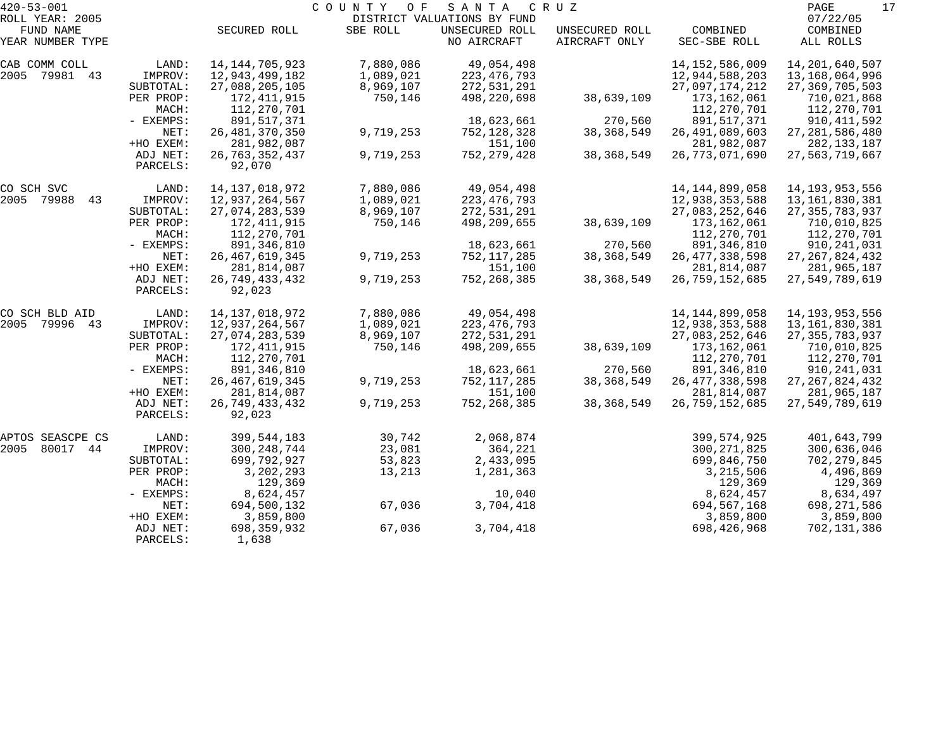| $420 - 53 - 001$              |                                   |                                            | COUNTY OF              | SANTA                         | C R U Z                         |                                  | 17<br>PAGE                          |
|-------------------------------|-----------------------------------|--------------------------------------------|------------------------|-------------------------------|---------------------------------|----------------------------------|-------------------------------------|
| ROLL YEAR: 2005               |                                   |                                            |                        | DISTRICT VALUATIONS BY FUND   |                                 |                                  | 07/22/05                            |
| FUND NAME<br>YEAR NUMBER TYPE |                                   | SECURED ROLL                               | SBE ROLL               | UNSECURED ROLL<br>NO AIRCRAFT | UNSECURED ROLL<br>AIRCRAFT ONLY | COMBINED<br>SEC-SBE ROLL         | COMBINED<br>ALL ROLLS               |
| CAB COMM COLL                 | LAND:                             | 14, 144, 705, 923                          | 7,880,086              | 49,054,498                    |                                 | 14, 152, 586, 009                | 14, 201, 640, 507                   |
| 2005 79981 43                 | IMPROV:<br>SUBTOTAL:              | 12,943,499,182<br>27,088,205,105           | 1,089,021<br>8,969,107 | 223, 476, 793<br>272,531,291  |                                 | 12,944,588,203<br>27,097,174,212 | 13,168,064,996<br>27, 369, 705, 503 |
|                               | PER PROP:<br>MACH:                | 172,411,915<br>112,270,701                 | 750,146                | 498,220,698                   | 38,639,109                      | 173,162,061<br>112,270,701       | 710,021,868<br>112,270,701          |
|                               | - EXEMPS:                         | 891,517,371                                |                        | 18,623,661                    | 270,560                         | 891,517,371                      | 910, 411, 592                       |
|                               | NET:                              | 26, 481, 370, 350                          | 9,719,253              | 752,128,328                   | 38, 368, 549                    | 26, 491, 089, 603                | 27, 281, 586, 480                   |
|                               | +HO EXEM:<br>ADJ NET:<br>PARCELS: | 281,982,087<br>26, 763, 352, 437<br>92,070 | 9,719,253              | 151,100<br>752, 279, 428      | 38, 368, 549                    | 281,982,087<br>26,773,071,690    | 282, 133, 187<br>27,563,719,667     |
|                               |                                   |                                            |                        |                               |                                 |                                  |                                     |
| CO SCH SVC                    | LAND:                             | 14, 137, 018, 972                          | 7,880,086              | 49,054,498                    |                                 | 14, 144, 899, 058                | 14, 193, 953, 556                   |
| 2005 79988<br>43              | IMPROV:<br>SUBTOTAL:              | 12,937,264,567<br>27,074,283,539           | 1,089,021<br>8,969,107 | 223, 476, 793<br>272,531,291  |                                 | 12,938,353,588<br>27,083,252,646 | 13,161,830,381<br>27, 355, 783, 937 |
|                               | PER PROP:                         | 172,411,915                                | 750,146                | 498,209,655                   | 38,639,109                      | 173,162,061                      | 710,010,825                         |
|                               | MACH:                             | 112,270,701                                |                        |                               |                                 | 112,270,701                      | 112,270,701                         |
|                               | - EXEMPS:                         | 891, 346, 810                              |                        | 18,623,661                    | 270,560                         | 891, 346, 810                    | 910, 241, 031                       |
|                               | NET:                              | 26, 467, 619, 345                          | 9,719,253              | 752, 117, 285                 | 38, 368, 549                    | 26, 477, 338, 598                | 27, 267, 824, 432                   |
|                               | +HO EXEM:                         | 281,814,087                                |                        | 151,100                       |                                 | 281,814,087                      | 281,965,187                         |
|                               | ADJ NET:<br>PARCELS:              | 26, 749, 433, 432<br>92,023                | 9,719,253              | 752, 268, 385                 | 38, 368, 549                    | 26,759,152,685                   | 27,549,789,619                      |
| CO SCH BLD AID                | LAND:                             | 14, 137, 018, 972                          | 7,880,086              | 49,054,498                    |                                 | 14, 144, 899, 058                | 14, 193, 953, 556                   |
| 2005 79996 43                 | IMPROV:                           | 12,937,264,567                             | 1,089,021              | 223, 476, 793                 |                                 | 12,938,353,588                   | 13,161,830,381                      |
|                               | SUBTOTAL:                         | 27,074,283,539                             | 8,969,107              | 272,531,291                   |                                 | 27,083,252,646                   | 27, 355, 783, 937                   |
|                               | PER PROP:                         | 172,411,915                                | 750,146                | 498,209,655                   | 38,639,109                      | 173,162,061                      | 710,010,825                         |
|                               | MACH:                             | 112,270,701                                |                        |                               |                                 | 112,270,701                      | 112,270,701                         |
|                               | - EXEMPS:                         | 891,346,810                                |                        | 18,623,661                    | 270,560                         | 891, 346, 810                    | 910, 241, 031                       |
|                               | NET:                              | 26, 467, 619, 345                          | 9,719,253              | 752,117,285                   | 38, 368, 549                    | 26, 477, 338, 598                | 27, 267, 824, 432                   |
|                               | +HO EXEM:<br>ADJ NET:             | 281,814,087<br>26, 749, 433, 432           | 9,719,253              | 151,100<br>752, 268, 385      | 38, 368, 549                    | 281,814,087<br>26,759,152,685    | 281,965,187<br>27,549,789,619       |
|                               | PARCELS:                          | 92,023                                     |                        |                               |                                 |                                  |                                     |
| APTOS SEASCPE CS              | LAND:                             | 399,544,183                                | 30,742                 | 2,068,874                     |                                 | 399, 574, 925                    | 401,643,799                         |
| 2005<br>80017<br>44           | IMPROV:                           | 300, 248, 744                              | 23,081                 | 364,221                       |                                 | 300, 271, 825                    | 300,636,046                         |
|                               | SUBTOTAL:                         | 699,792,927                                | 53,823                 | 2,433,095                     |                                 | 699,846,750                      | 702, 279, 845                       |
|                               | PER PROP:                         | 3,202,293                                  | 13,213                 | 1,281,363                     |                                 | 3, 215, 506                      | 4,496,869                           |
|                               | MACH:                             | 129,369                                    |                        |                               |                                 | 129,369                          | 129,369                             |
|                               | - EXEMPS:                         | 8,624,457                                  |                        | 10,040                        |                                 | 8,624,457                        | 8,634,497                           |
|                               | NET:                              | 694,500,132                                | 67,036                 | 3,704,418                     |                                 | 694,567,168                      | 698,271,586                         |
|                               | +HO EXEM:<br>ADJ NET:             | 3,859,800<br>698,359,932                   | 67,036                 | 3,704,418                     |                                 | 3,859,800<br>698, 426, 968       | 3,859,800<br>702,131,386            |
|                               | PARCELS:                          | 1,638                                      |                        |                               |                                 |                                  |                                     |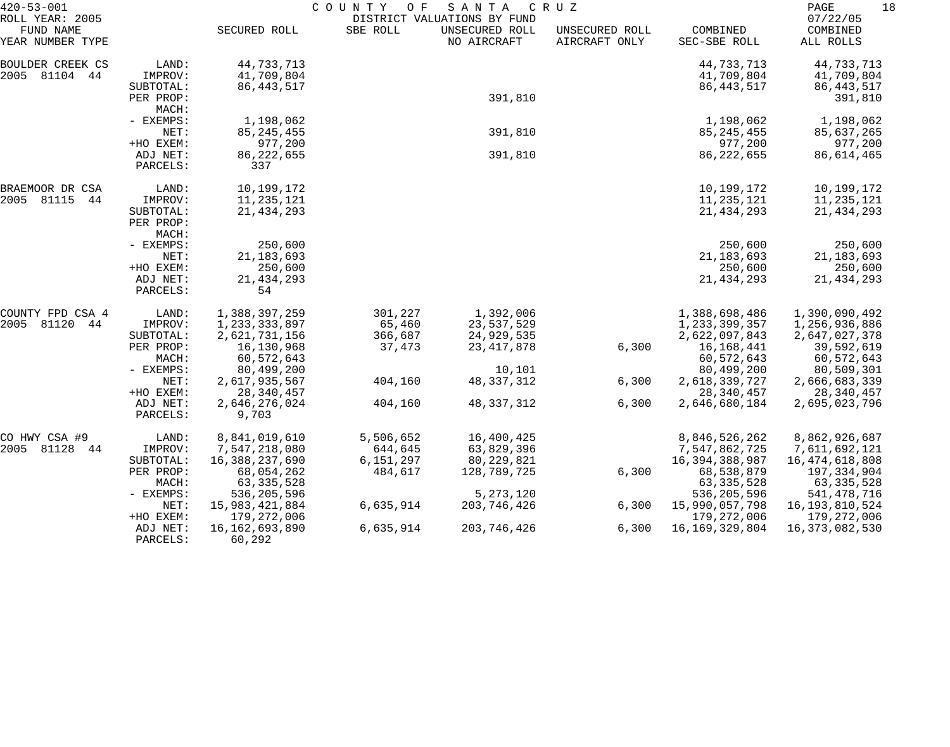| $420 - 53 - 001$                                 |                                   |                                             | COUNTY<br>O F        | SANTA                                                        | C R U Z                         |                                           | PAGE<br>18                                |
|--------------------------------------------------|-----------------------------------|---------------------------------------------|----------------------|--------------------------------------------------------------|---------------------------------|-------------------------------------------|-------------------------------------------|
| ROLL YEAR: 2005<br>FUND NAME<br>YEAR NUMBER TYPE |                                   | SECURED ROLL                                | SBE ROLL             | DISTRICT VALUATIONS BY FUND<br>UNSECURED ROLL<br>NO AIRCRAFT | UNSECURED ROLL<br>AIRCRAFT ONLY | COMBINED<br>SEC-SBE ROLL                  | 07/22/05<br>COMBINED<br>ALL ROLLS         |
| BOULDER CREEK CS<br>2005 81104 44                | LAND:<br>IMPROV:<br>SUBTOTAL:     | 44,733,713<br>41,709,804<br>86, 443, 517    |                      |                                                              |                                 | 44,733,713<br>41,709,804<br>86, 443, 517  | 44,733,713<br>41,709,804<br>86, 443, 517  |
|                                                  | PER PROP:<br>MACH:                |                                             |                      | 391,810                                                      |                                 |                                           | 391,810                                   |
|                                                  | - EXEMPS:<br>NET:<br>+HO EXEM:    | 1,198,062<br>85, 245, 455<br>977,200        |                      | 391,810                                                      |                                 | 1,198,062<br>85, 245, 455<br>977,200      | 1,198,062<br>85,637,265<br>977,200        |
|                                                  | ADJ NET:<br>PARCELS:              | 86, 222, 655<br>337                         |                      | 391,810                                                      |                                 | 86, 222, 655                              | 86,614,465                                |
| BRAEMOOR DR CSA<br>2005 81115<br>44              | LAND:<br>IMPROV:                  | 10,199,172<br>11,235,121                    |                      |                                                              |                                 | 10,199,172<br>11,235,121                  | 10,199,172<br>11,235,121                  |
|                                                  | SUBTOTAL:<br>PER PROP:<br>MACH:   | 21, 434, 293                                |                      |                                                              |                                 | 21, 434, 293                              | 21, 434, 293                              |
|                                                  | - EXEMPS:<br>NET:                 | 250,600<br>21, 183, 693                     |                      |                                                              |                                 | 250,600<br>21, 183, 693                   | 250,600<br>21, 183, 693                   |
|                                                  | +HO EXEM:<br>ADJ NET:<br>PARCELS: | 250,600<br>21, 434, 293<br>54               |                      |                                                              |                                 | 250,600<br>21, 434, 293                   | 250,600<br>21, 434, 293                   |
| COUNTY FPD CSA 4                                 | LAND:                             | 1,388,397,259                               | 301,227              | 1,392,006                                                    |                                 | 1,388,698,486                             | 1,390,090,492                             |
| 2005 81120<br>44                                 | IMPROV:<br>SUBTOTAL:              | 1,233,333,897<br>2,621,731,156              | 65,460<br>366,687    | 23,537,529<br>24,929,535                                     |                                 | 1, 233, 399, 357<br>2,622,097,843         | 1,256,936,886<br>2,647,027,378            |
|                                                  | PER PROP:<br>MACH:                | 16,130,968<br>60,572,643                    | 37,473               | 23, 417, 878                                                 | 6,300                           | 16,168,441<br>60,572,643                  | 39,592,619<br>60,572,643                  |
|                                                  | - EXEMPS:<br>NET:<br>+HO EXEM:    | 80,499,200<br>2,617,935,567<br>28, 340, 457 | 404,160              | 10,101<br>48, 337, 312                                       | 6,300                           | 80,499,200<br>2,618,339,727<br>28,340,457 | 80,509,301<br>2,666,683,339<br>28,340,457 |
|                                                  | ADJ NET:<br>PARCELS:              | 2,646,276,024<br>9,703                      | 404,160              | 48, 337, 312                                                 | 6,300                           | 2,646,680,184                             | 2,695,023,796                             |
| CO HWY CSA #9                                    | LAND:                             | 8,841,019,610                               | 5,506,652            | 16,400,425                                                   |                                 | 8,846,526,262                             | 8,862,926,687                             |
| 2005 81128 44                                    | IMPROV:<br>SUBTOTAL:              | 7,547,218,080<br>16,388,237,690             | 644,645<br>6,151,297 | 63,829,396<br>80,229,821                                     |                                 | 7,547,862,725<br>16,394,388,987           | 7,611,692,121<br>16,474,618,808           |
|                                                  | PER PROP:<br>MACH:                | 68,054,262<br>63, 335, 528                  | 484,617              | 128,789,725                                                  | 6,300                           | 68,538,879<br>63, 335, 528                | 197,334,904<br>63, 335, 528               |
|                                                  | - EXEMPS:                         | 536, 205, 596                               |                      | 5, 273, 120                                                  |                                 | 536,205,596                               | 541,478,716                               |
|                                                  | NET:<br>+HO EXEM:                 | 15,983,421,884<br>179, 272, 006             | 6,635,914            | 203,746,426                                                  | 6,300                           | 15,990,057,798<br>179,272,006             | 16, 193, 810, 524<br>179,272,006          |
|                                                  | ADJ NET:<br>PARCELS:              | 16, 162, 693, 890<br>60,292                 | 6,635,914            | 203, 746, 426                                                | 6,300                           | 16, 169, 329, 804                         | 16,373,082,530                            |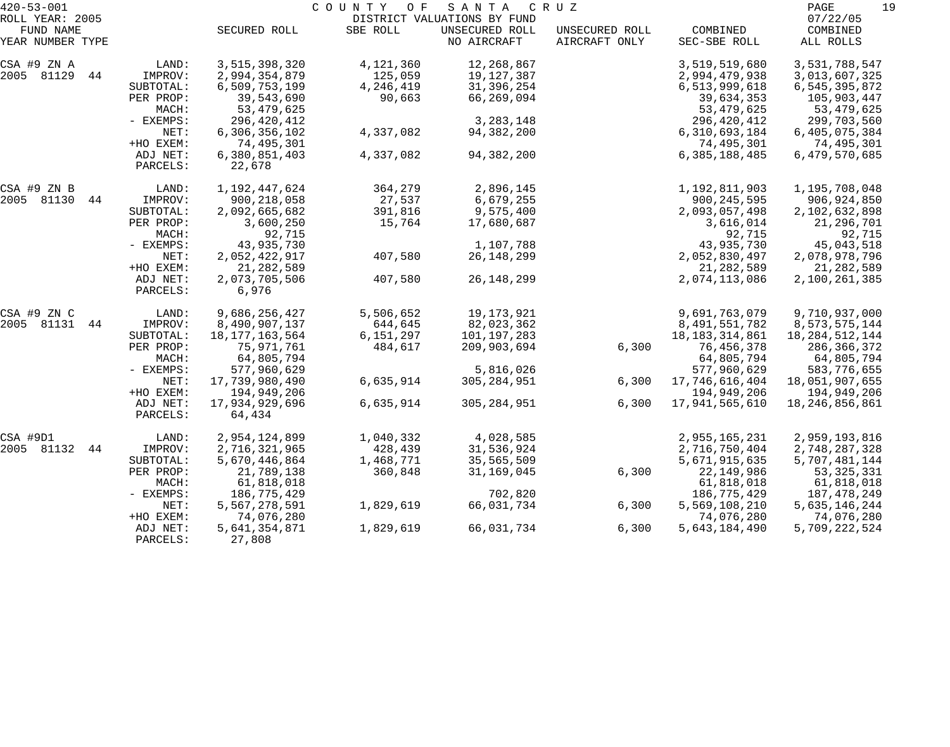| $420 - 53 - 001$              |                      |                         | COUNTY OF | S A N T A                     | C R U Z                         |                          | PAGE<br>19            |
|-------------------------------|----------------------|-------------------------|-----------|-------------------------------|---------------------------------|--------------------------|-----------------------|
| ROLL YEAR: 2005               |                      |                         |           | DISTRICT VALUATIONS BY FUND   |                                 |                          | 07/22/05              |
| FUND NAME<br>YEAR NUMBER TYPE |                      | SECURED ROLL            | SBE ROLL  | UNSECURED ROLL<br>NO AIRCRAFT | UNSECURED ROLL<br>AIRCRAFT ONLY | COMBINED<br>SEC-SBE ROLL | COMBINED<br>ALL ROLLS |
| CSA #9 ZN A                   | LAND:                | 3,515,398,320           | 4,121,360 | 12,268,867                    |                                 | 3,519,519,680            | 3,531,788,547         |
| 2005 81129<br>44              | IMPROV:              | 2,994,354,879           | 125,059   | 19,127,387                    |                                 | 2,994,479,938            | 3,013,607,325         |
|                               | SUBTOTAL:            | 6,509,753,199           | 4,246,419 | 31, 396, 254                  |                                 | 6,513,999,618            | 6,545,395,872         |
|                               | PER PROP:            | 39,543,690              | 90,663    | 66,269,094                    |                                 | 39,634,353               | 105,903,447           |
|                               | MACH:                | 53,479,625              |           |                               |                                 | 53, 479, 625             | 53,479,625            |
|                               | - EXEMPS:            | 296,420,412             |           | 3, 283, 148                   |                                 | 296,420,412              | 299,703,560           |
|                               | NET:                 | 6,306,356,102           | 4,337,082 | 94,382,200                    |                                 | 6,310,693,184            | 6,405,075,384         |
|                               | +HO EXEM:            | 74,495,301              |           |                               |                                 | 74,495,301               | 74,495,301            |
|                               | ADJ NET:             | 6,380,851,403           | 4,337,082 | 94,382,200                    |                                 | 6,385,188,485            | 6,479,570,685         |
|                               | PARCELS:             | 22,678                  |           |                               |                                 |                          |                       |
| CSA #9 ZN B                   | LAND:                | 1,192,447,624           | 364,279   | 2,896,145                     |                                 | 1,192,811,903            | 1,195,708,048         |
| 2005 81130<br>44              | IMPROV:              | 900, 218, 058           | 27,537    | 6,679,255                     |                                 | 900, 245, 595            | 906,924,850           |
|                               | SUBTOTAL:            | 2,092,665,682           | 391,816   | 9,575,400                     |                                 | 2,093,057,498            | 2,102,632,898         |
|                               | PER PROP:            | 3,600,250               | 15,764    | 17,680,687                    |                                 | 3,616,014                | 21,296,701            |
|                               | MACH:                | 92,715                  |           |                               |                                 | 92,715                   | 92,715                |
|                               | - EXEMPS:            | 43,935,730              |           | 1,107,788                     |                                 | 43,935,730               | 45,043,518            |
|                               | NET:                 | 2,052,422,917           | 407,580   | 26, 148, 299                  |                                 | 2,052,830,497            | 2,078,978,796         |
|                               | +HO EXEM:            | 21, 282, 589            |           |                               |                                 | 21, 282, 589             | 21,282,589            |
|                               | ADJ NET:<br>PARCELS: | 2,073,705,506<br>6,976  | 407,580   | 26, 148, 299                  |                                 | 2,074,113,086            | 2,100,261,385         |
| CSA #9 ZN C                   | LAND:                | 9,686,256,427           | 5,506,652 | 19,173,921                    |                                 | 9,691,763,079            | 9,710,937,000         |
| 2005 81131<br>44              | IMPROV:              | 8,490,907,137           | 644,645   | 82,023,362                    |                                 | 8,491,551,782            | 8, 573, 575, 144      |
|                               | SUBTOTAL:            | 18, 177, 163, 564       | 6,151,297 | 101,197,283                   |                                 | 18, 183, 314, 861        | 18, 284, 512, 144     |
|                               | PER PROP:            | 75,971,761              | 484,617   | 209,903,694                   | 6,300                           | 76,456,378               | 286,366,372           |
|                               | MACH:                | 64,805,794              |           |                               |                                 | 64,805,794               | 64,805,794            |
|                               | - EXEMPS:            | 577,960,629             |           | 5,816,026                     |                                 | 577,960,629              | 583,776,655           |
|                               | NET:                 | 17,739,980,490          | 6,635,914 | 305, 284, 951                 | 6,300                           | 17,746,616,404           | 18,051,907,655        |
|                               | +HO EXEM:            | 194,949,206             |           |                               |                                 | 194,949,206              | 194,949,206           |
|                               | ADJ NET:             | 17,934,929,696          | 6,635,914 | 305, 284, 951                 | 6,300                           | 17,941,565,610           | 18, 246, 856, 861     |
|                               | PARCELS:             | 64,434                  |           |                               |                                 |                          |                       |
| CSA #9D1                      | LAND:                | 2,954,124,899           | 1,040,332 | 4,028,585                     |                                 | 2,955,165,231            | 2,959,193,816         |
| 2005 81132<br>44              | IMPROV:              | 2,716,321,965           | 428,439   | 31,536,924                    |                                 | 2,716,750,404            | 2,748,287,328         |
|                               | SUBTOTAL:            | 5,670,446,864           | 1,468,771 | 35,565,509                    |                                 | 5,671,915,635            | 5,707,481,144         |
|                               | PER PROP:            | 21,789,138              | 360,848   | 31,169,045                    | 6,300                           | 22, 149, 986             | 53, 325, 331          |
|                               | MACH:                | 61,818,018              |           |                               |                                 | 61,818,018               | 61,818,018            |
|                               | $-$ EXEMPS:          | 186,775,429             |           | 702,820                       |                                 | 186,775,429              | 187,478,249           |
|                               | NET:                 | 5,567,278,591           | 1,829,619 | 66,031,734                    | 6,300                           | 5,569,108,210            | 5,635,146,244         |
|                               | +HO EXEM:            | 74,076,280              |           |                               |                                 | 74,076,280               | 74,076,280            |
|                               | ADJ NET:<br>PARCELS: | 5,641,354,871<br>27,808 | 1,829,619 | 66,031,734                    | 6,300                           | 5,643,184,490            | 5,709,222,524         |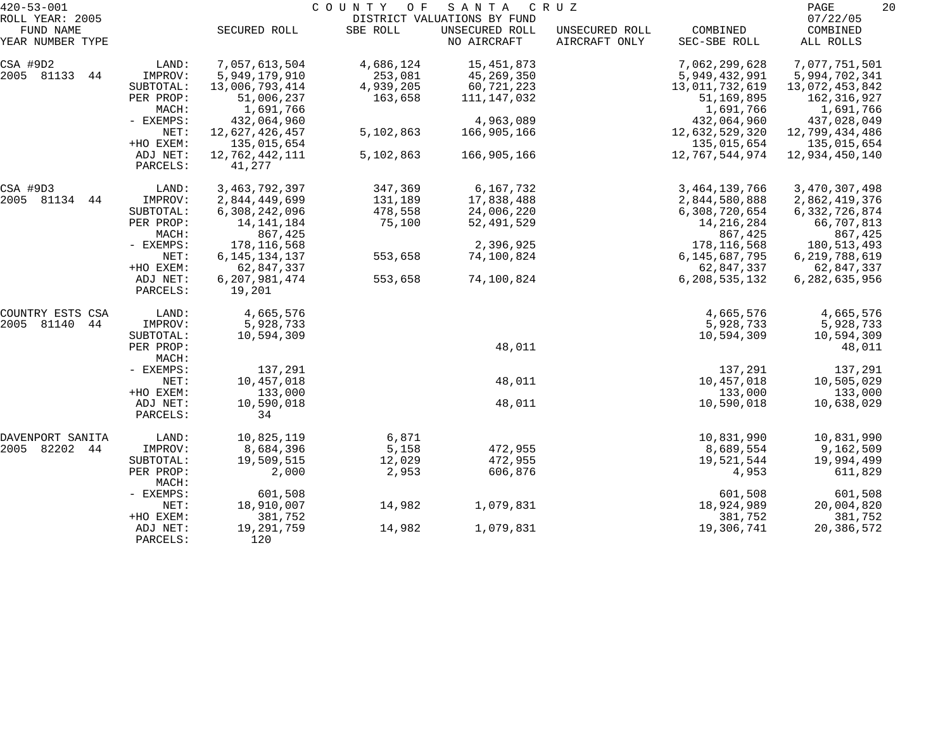| $420 - 53 - 001$              |                      |                            | COUNTY<br>O F | SANTA                         | C R U Z                         |                          | PAGE                  | 20 |
|-------------------------------|----------------------|----------------------------|---------------|-------------------------------|---------------------------------|--------------------------|-----------------------|----|
| ROLL YEAR: 2005               |                      |                            |               | DISTRICT VALUATIONS BY FUND   |                                 |                          | 07/22/05              |    |
| FUND NAME<br>YEAR NUMBER TYPE |                      | SECURED ROLL               | SBE ROLL      | UNSECURED ROLL<br>NO AIRCRAFT | UNSECURED ROLL<br>AIRCRAFT ONLY | COMBINED<br>SEC-SBE ROLL | COMBINED<br>ALL ROLLS |    |
| CSA #9D2                      | LAND:                | 7,057,613,504              | 4,686,124     | 15,451,873                    |                                 | 7,062,299,628            | 7,077,751,501         |    |
| 2005 81133<br>44              | IMPROV:              | 5,949,179,910              | 253,081       | 45,269,350                    |                                 | 5,949,432,991            | 5,994,702,341         |    |
|                               | SUBTOTAL:            | 13,006,793,414             | 4,939,205     | 60,721,223                    |                                 | 13,011,732,619           | 13,072,453,842        |    |
|                               | PER PROP:            | 51,006,237                 | 163,658       | 111,147,032                   |                                 | 51,169,895               | 162,316,927           |    |
|                               | MACH:                | 1,691,766                  |               |                               |                                 | 1,691,766                | 1,691,766             |    |
|                               | - EXEMPS:            | 432,064,960                |               | 4,963,089                     |                                 | 432,064,960              | 437,028,049           |    |
|                               | NET:                 | 12,627,426,457             | 5,102,863     | 166,905,166                   |                                 | 12,632,529,320           | 12,799,434,486        |    |
|                               | +HO EXEM:            | 135,015,654                |               |                               |                                 | 135,015,654              | 135,015,654           |    |
|                               | ADJ NET:             | 12,762,442,111             | 5,102,863     | 166,905,166                   |                                 | 12,767,544,974           | 12,934,450,140        |    |
|                               | PARCELS:             | 41,277                     |               |                               |                                 |                          |                       |    |
| CSA #9D3                      | LAND:                | 3, 463, 792, 397           | 347,369       | 6,167,732                     |                                 | 3,464,139,766            | 3,470,307,498         |    |
| 2005 81134<br>44              | IMPROV:              | 2,844,449,699              | 131,189       | 17,838,488                    |                                 | 2,844,580,888            | 2,862,419,376         |    |
|                               | SUBTOTAL:            | 6,308,242,096              | 478,558       | 24,006,220                    |                                 | 6,308,720,654            | 6, 332, 726, 874      |    |
|                               | PER PROP:            | 14, 141, 184               | 75,100        | 52, 491, 529                  |                                 | 14, 216, 284             | 66,707,813            |    |
|                               | MACH:                | 867,425                    |               |                               |                                 | 867,425                  | 867,425               |    |
|                               | - EXEMPS:            | 178, 116, 568              |               | 2,396,925                     |                                 | 178, 116, 568            | 180,513,493           |    |
|                               | NET:                 | 6, 145, 134, 137           | 553,658       | 74,100,824                    |                                 | 6, 145, 687, 795         | 6, 219, 788, 619      |    |
|                               | +HO EXEM:            | 62,847,337                 |               |                               |                                 | 62,847,337               | 62,847,337            |    |
|                               | ADJ NET:<br>PARCELS: | 6, 207, 981, 474<br>19,201 | 553,658       | 74,100,824                    |                                 | 6,208,535,132            | 6,282,635,956         |    |
| COUNTRY ESTS CSA              | LAND:                | 4,665,576                  |               |                               |                                 | 4,665,576                | 4,665,576             |    |
| 2005 81140<br>44              | IMPROV:              | 5,928,733                  |               |                               |                                 | 5,928,733                | 5,928,733             |    |
|                               | SUBTOTAL:            | 10,594,309                 |               |                               |                                 | 10,594,309               | 10,594,309            |    |
|                               | PER PROP:            |                            |               | 48,011                        |                                 |                          | 48,011                |    |
|                               | MACH:                |                            |               |                               |                                 |                          |                       |    |
|                               | - EXEMPS:            | 137,291                    |               |                               |                                 | 137,291                  | 137,291               |    |
|                               | NET:                 | 10,457,018                 |               | 48,011                        |                                 | 10,457,018               | 10,505,029            |    |
|                               | +HO EXEM:            | 133,000                    |               |                               |                                 | 133,000                  | 133,000               |    |
|                               | ADJ NET:             | 10,590,018                 |               | 48,011                        |                                 | 10,590,018               | 10,638,029            |    |
|                               | PARCELS:             | 34                         |               |                               |                                 |                          |                       |    |
| DAVENPORT SANITA              | LAND:                | 10,825,119                 | 6,871         |                               |                                 | 10,831,990               | 10,831,990            |    |
| 2005 82202 44                 | IMPROV:              | 8,684,396                  | 5,158         | 472,955                       |                                 | 8,689,554                | 9,162,509             |    |
|                               | SUBTOTAL:            | 19,509,515                 | 12,029        | 472,955                       |                                 | 19,521,544               | 19,994,499            |    |
|                               | PER PROP:            | 2,000                      | 2,953         | 606,876                       |                                 | 4,953                    | 611,829               |    |
|                               | MACH:                |                            |               |                               |                                 |                          |                       |    |
|                               | - EXEMPS:            | 601,508                    |               |                               |                                 | 601,508                  | 601,508               |    |
|                               | NET:                 | 18,910,007                 | 14,982        | 1,079,831                     |                                 | 18,924,989               | 20,004,820            |    |
|                               | +HO EXEM:            | 381,752                    |               |                               |                                 | 381,752                  | 381,752               |    |
|                               | ADJ NET:             | 19,291,759                 | 14,982        | 1,079,831                     |                                 | 19,306,741               | 20,386,572            |    |
|                               | PARCELS:             | 120                        |               |                               |                                 |                          |                       |    |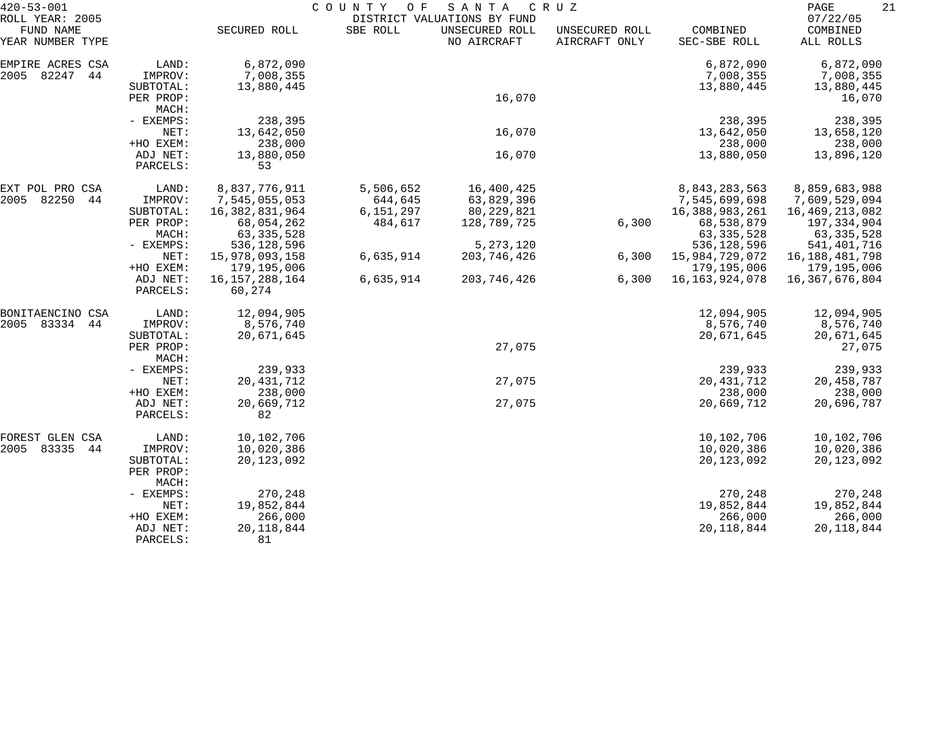| $420 - 53 - 001$                                 |                       | COUNTY<br>O F<br>SANTA<br>C R U Z |           |                                                              |                                 |                          |                                   | 21<br>PAGE |  |
|--------------------------------------------------|-----------------------|-----------------------------------|-----------|--------------------------------------------------------------|---------------------------------|--------------------------|-----------------------------------|------------|--|
| ROLL YEAR: 2005<br>FUND NAME<br>YEAR NUMBER TYPE |                       | SECURED ROLL                      | SBE ROLL  | DISTRICT VALUATIONS BY FUND<br>UNSECURED ROLL<br>NO AIRCRAFT | UNSECURED ROLL<br>AIRCRAFT ONLY | COMBINED<br>SEC-SBE ROLL | 07/22/05<br>COMBINED<br>ALL ROLLS |            |  |
| EMPIRE ACRES CSA                                 | LAND:                 | 6,872,090                         |           |                                                              |                                 | 6,872,090                | 6,872,090                         |            |  |
| 82247<br>44<br>2005                              | IMPROV:               | 7,008,355                         |           |                                                              |                                 | 7,008,355                | 7,008,355                         |            |  |
|                                                  | SUBTOTAL:             | 13,880,445                        |           |                                                              |                                 | 13,880,445               | 13,880,445                        |            |  |
|                                                  | PER PROP:             |                                   |           | 16,070                                                       |                                 |                          | 16,070                            |            |  |
|                                                  | MACH:                 |                                   |           |                                                              |                                 |                          |                                   |            |  |
|                                                  | - EXEMPS:             | 238,395                           |           |                                                              |                                 | 238,395                  | 238,395                           |            |  |
|                                                  | NET:                  | 13,642,050                        |           | 16,070                                                       |                                 | 13,642,050               | 13,658,120                        |            |  |
|                                                  | +HO EXEM:<br>ADJ NET: | 238,000<br>13,880,050             |           | 16,070                                                       |                                 | 238,000<br>13,880,050    | 238,000<br>13,896,120             |            |  |
|                                                  | PARCELS:              | 53                                |           |                                                              |                                 |                          |                                   |            |  |
| EXT POL PRO CSA                                  | LAND:                 | 8,837,776,911                     | 5,506,652 | 16,400,425                                                   |                                 | 8,843,283,563            | 8,859,683,988                     |            |  |
| 82250<br>2005<br>44                              | IMPROV:               | 7,545,055,053                     | 644,645   | 63,829,396                                                   |                                 | 7,545,699,698            | 7,609,529,094                     |            |  |
|                                                  | SUBTOTAL:             | 16,382,831,964                    | 6,151,297 | 80,229,821                                                   |                                 | 16, 388, 983, 261        | 16,469,213,082                    |            |  |
|                                                  | PER PROP:             | 68,054,262                        | 484,617   | 128,789,725                                                  | 6,300                           | 68,538,879               | 197,334,904                       |            |  |
|                                                  | MACH:                 | 63, 335, 528                      |           |                                                              |                                 | 63, 335, 528             | 63, 335, 528                      |            |  |
|                                                  | - EXEMPS:             | 536, 128, 596                     |           | 5, 273, 120                                                  |                                 | 536,128,596              | 541, 401, 716                     |            |  |
|                                                  | NET:                  | 15,978,093,158                    | 6,635,914 | 203, 746, 426                                                | 6,300                           | 15,984,729,072           | 16, 188, 481, 798                 |            |  |
|                                                  | +HO EXEM:             | 179,195,006                       |           |                                                              |                                 | 179,195,006              | 179,195,006                       |            |  |
|                                                  | ADJ NET:<br>PARCELS:  | 16, 157, 288, 164<br>60,274       | 6,635,914 | 203,746,426                                                  | 6,300                           | 16, 163, 924, 078        | 16,367,676,804                    |            |  |
| BONITAENCINO CSA                                 | LAND:                 | 12,094,905                        |           |                                                              |                                 | 12,094,905               | 12,094,905                        |            |  |
| 83334<br>2005<br>44                              | IMPROV:               | 8,576,740                         |           |                                                              |                                 | 8,576,740                | 8,576,740                         |            |  |
|                                                  | SUBTOTAL:             | 20,671,645                        |           |                                                              |                                 | 20,671,645               | 20,671,645                        |            |  |
|                                                  | PER PROP:<br>MACH:    |                                   |           | 27,075                                                       |                                 |                          | 27,075                            |            |  |
|                                                  | - EXEMPS:             | 239,933                           |           |                                                              |                                 | 239,933                  | 239,933                           |            |  |
|                                                  | NET:                  | 20, 431, 712                      |           | 27,075                                                       |                                 | 20, 431, 712             | 20,458,787                        |            |  |
|                                                  | +HO EXEM:             | 238,000                           |           |                                                              |                                 | 238,000                  | 238,000                           |            |  |
|                                                  | ADJ NET:              | 20,669,712                        |           | 27,075                                                       |                                 | 20,669,712               | 20,696,787                        |            |  |
|                                                  | PARCELS:              | 82                                |           |                                                              |                                 |                          |                                   |            |  |
| FOREST GLEN CSA                                  | LAND:                 | 10,102,706                        |           |                                                              |                                 | 10,102,706               | 10,102,706                        |            |  |
| 2005 83335<br>44                                 | IMPROV:               | 10,020,386                        |           |                                                              |                                 | 10,020,386               | 10,020,386                        |            |  |
|                                                  | SUBTOTAL:             | 20, 123, 092                      |           |                                                              |                                 | 20, 123, 092             | 20, 123, 092                      |            |  |
|                                                  | PER PROP:<br>MACH:    |                                   |           |                                                              |                                 |                          |                                   |            |  |
|                                                  | - EXEMPS:             | 270,248                           |           |                                                              |                                 | 270,248                  | 270,248                           |            |  |
|                                                  | NET:                  | 19,852,844                        |           |                                                              |                                 | 19,852,844               | 19,852,844                        |            |  |
|                                                  | +HO EXEM:             | 266,000                           |           |                                                              |                                 | 266,000                  | 266,000                           |            |  |
|                                                  | ADJ NET:              | 20, 118, 844                      |           |                                                              |                                 | 20, 118, 844             | 20, 118, 844                      |            |  |
|                                                  | PARCELS:              | 81                                |           |                                                              |                                 |                          |                                   |            |  |
|                                                  |                       |                                   |           |                                                              |                                 |                          |                                   |            |  |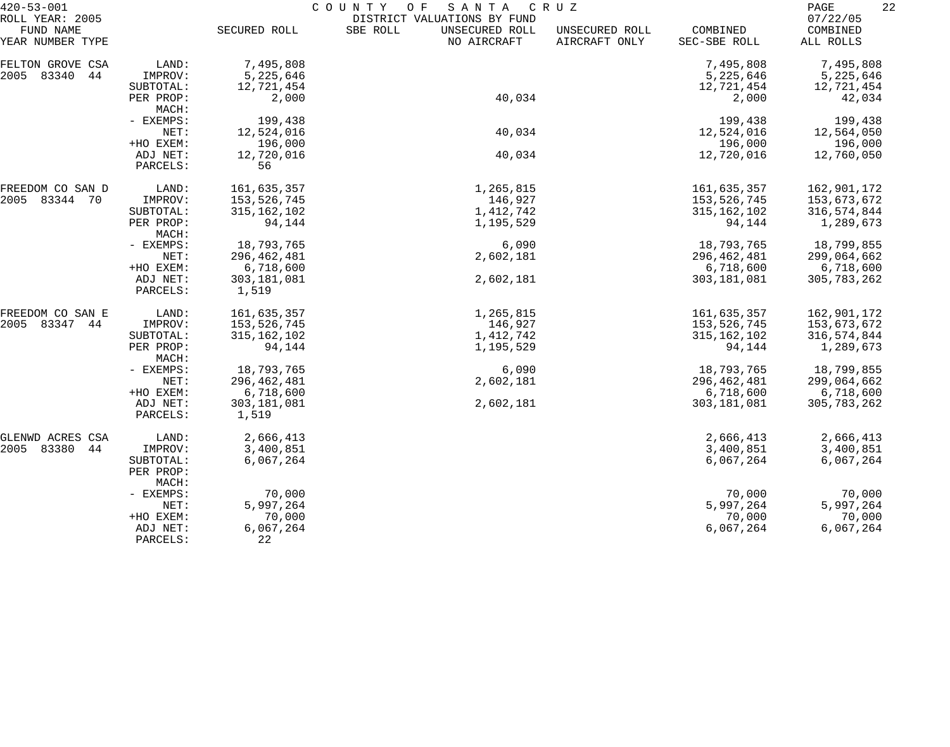| $420 - 53 - 001$              |                        | COUNTY<br>O F<br>SANTA<br>C R U Z |                                           |                                 |                          |                       |  |  |
|-------------------------------|------------------------|-----------------------------------|-------------------------------------------|---------------------------------|--------------------------|-----------------------|--|--|
| ROLL YEAR: 2005               |                        |                                   | DISTRICT VALUATIONS BY FUND               |                                 |                          | 07/22/05              |  |  |
| FUND NAME<br>YEAR NUMBER TYPE |                        | SECURED ROLL                      | SBE ROLL<br>UNSECURED ROLL<br>NO AIRCRAFT | UNSECURED ROLL<br>AIRCRAFT ONLY | COMBINED<br>SEC-SBE ROLL | COMBINED<br>ALL ROLLS |  |  |
| FELTON GROVE CSA              | LAND:                  | 7,495,808                         |                                           |                                 | 7,495,808                | 7,495,808             |  |  |
| 2005<br>83340<br>44           | IMPROV:                | 5,225,646                         |                                           |                                 | 5,225,646                | 5,225,646             |  |  |
|                               | SUBTOTAL:              | 12,721,454                        |                                           |                                 | 12,721,454               | 12,721,454            |  |  |
|                               | PER PROP:<br>MACH:     | 2,000                             | 40,034                                    |                                 | 2,000                    | 42,034                |  |  |
|                               | - EXEMPS:              | 199,438                           |                                           |                                 | 199,438                  | 199,438               |  |  |
|                               | NET:                   | 12,524,016                        | 40,034                                    |                                 | 12,524,016               | 12,564,050            |  |  |
|                               | +HO EXEM:              | 196,000                           |                                           |                                 | 196,000                  | 196,000               |  |  |
|                               | ADJ NET:<br>PARCELS:   | 12,720,016<br>56                  | 40,034                                    |                                 | 12,720,016               | 12,760,050            |  |  |
| FREEDOM CO SAN D              | LAND:                  | 161,635,357                       | 1,265,815                                 |                                 | 161,635,357              | 162,901,172           |  |  |
| 2005 83344 70                 | IMPROV:                | 153,526,745                       | 146,927                                   |                                 | 153,526,745              | 153,673,672           |  |  |
|                               | SUBTOTAL:              | 315, 162, 102                     | 1,412,742                                 |                                 | 315, 162, 102            | 316,574,844           |  |  |
|                               | PER PROP:<br>MACH:     | 94,144                            | 1,195,529                                 |                                 | 94,144                   | 1,289,673             |  |  |
|                               | - EXEMPS:              | 18,793,765                        | 6,090                                     |                                 | 18,793,765               | 18,799,855            |  |  |
|                               | NET:                   | 296, 462, 481                     | 2,602,181                                 |                                 | 296, 462, 481            | 299,064,662           |  |  |
|                               | +HO EXEM:              | 6,718,600                         |                                           |                                 | 6,718,600                | 6,718,600             |  |  |
|                               | ADJ NET:<br>PARCELS:   | 303,181,081<br>1,519              | 2,602,181                                 |                                 | 303,181,081              | 305,783,262           |  |  |
| FREEDOM CO SAN E              | LAND:                  | 161,635,357                       | 1,265,815                                 |                                 | 161,635,357              | 162,901,172           |  |  |
| 2005<br>83347 44              | IMPROV:                | 153,526,745                       | 146,927                                   |                                 | 153,526,745              | 153,673,672           |  |  |
|                               | SUBTOTAL:              | 315, 162, 102                     | 1,412,742                                 |                                 | 315, 162, 102            | 316,574,844           |  |  |
|                               | PER PROP:<br>MACH:     | 94,144                            | 1,195,529                                 |                                 | 94,144                   | 1,289,673             |  |  |
|                               | - EXEMPS:              | 18,793,765                        | 6,090                                     |                                 | 18,793,765               | 18,799,855            |  |  |
|                               | NET:                   | 296, 462, 481                     | 2,602,181                                 |                                 | 296,462,481              | 299,064,662           |  |  |
|                               | +HO EXEM:              | 6,718,600                         |                                           |                                 | 6,718,600                | 6,718,600             |  |  |
|                               | ADJ NET:               | 303, 181, 081                     | 2,602,181                                 |                                 | 303, 181, 081            | 305,783,262           |  |  |
|                               | PARCELS:               | 1,519                             |                                           |                                 |                          |                       |  |  |
| GLENWD ACRES CSA              | LAND:                  | 2,666,413                         |                                           |                                 | 2,666,413                | 2,666,413             |  |  |
| 2005<br>83380<br>44           | IMPROV:                | 3,400,851                         |                                           |                                 | 3,400,851                | 3,400,851             |  |  |
|                               | SUBTOTAL:<br>PER PROP: | 6,067,264                         |                                           |                                 | 6,067,264                | 6,067,264             |  |  |
|                               | MACH:                  |                                   |                                           |                                 |                          |                       |  |  |
|                               | - EXEMPS:              | 70,000                            |                                           |                                 | 70,000                   | 70,000                |  |  |
|                               | NET:                   | 5,997,264                         |                                           |                                 | 5,997,264                | 5,997,264             |  |  |
|                               | +HO EXEM:              | 70,000                            |                                           |                                 | 70,000                   | 70,000                |  |  |
|                               | ADJ NET:<br>PARCELS:   | 6,067,264<br>22                   |                                           |                                 | 6,067,264                | 6,067,264             |  |  |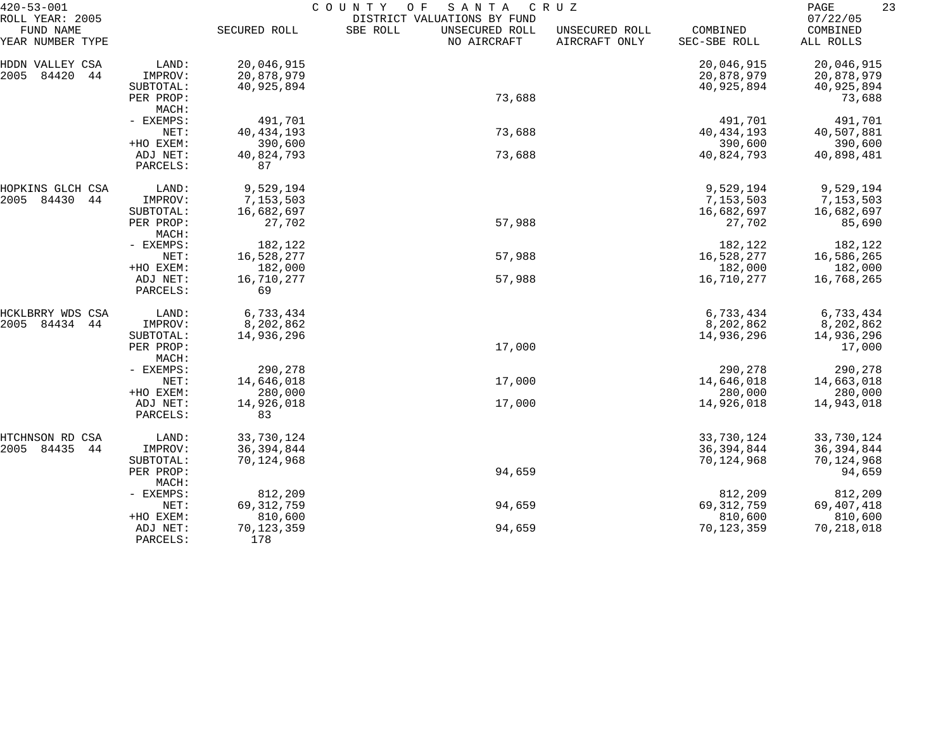| FUND NAME<br>SECURED ROLL<br>SBE ROLL<br>UNSECURED ROLL<br>COMBINED<br>COMBINED<br>UNSECURED ROLL<br>AIRCRAFT ONLY<br>YEAR NUMBER TYPE<br>NO AIRCRAFT<br>SEC-SBE ROLL<br>ALL ROLLS<br>LAND:<br>20,046,915<br>20,046,915<br>20,046,915<br>HDDN VALLEY CSA<br>2005<br>84420<br>44<br>20,878,979<br>20,878,979<br>IMPROV:<br>20,878,979<br>40,925,894<br>40,925,894<br>40,925,894<br>SUBTOTAL:<br>73,688<br>PER PROP:<br>73,688<br>MACH:<br>491,701<br>491,701<br>- EXEMPS:<br>491,701<br>73,688<br>40, 434, 193<br>NET:<br>40, 434, 193<br>40,507,881<br>+HO EXEM:<br>390,600<br>390,600<br>390,600<br>73,688<br>ADJ NET:<br>40,824,793<br>40,824,793<br>40,898,481<br>87<br>PARCELS:<br>9,529,194<br>9,529,194<br>9,529,194<br>LAND:<br>HOPKINS GLCH CSA<br>84430<br>7,153,503<br>7,153,503<br>2005<br>44<br>IMPROV:<br>7,153,503<br>16,682,697<br>16,682,697<br>SUBTOTAL:<br>16,682,697<br>57,988<br>PER PROP:<br>27,702<br>27,702<br>85,690<br>MACH:<br>182,122<br>182,122<br>182,122<br>- EXEMPS:<br>16,528,277<br>57,988<br>16,528,277<br>16,586,265<br>NET:<br>+HO EXEM:<br>182,000<br>182,000<br>182,000<br>57,988<br>16,710,277<br>16,710,277<br>ADJ NET:<br>16,768,265<br>69<br>PARCELS:<br>6,733,434<br>6,733,434<br>6,733,434<br>HCKLBRRY WDS CSA<br>LAND:<br>8,202,862<br>2005<br>84434<br>IMPROV:<br>8,202,862<br>8,202,862<br>44<br>14,936,296<br>14,936,296<br>14,936,296<br>SUBTOTAL:<br>17,000<br>17,000<br>PER PROP:<br>MACH:<br>290,278<br>290,278<br>- EXEMPS:<br>290,278<br>14,646,018<br>17,000<br>14,646,018<br>NET:<br>14,663,018<br>+HO EXEM:<br>280,000<br>280,000<br>280,000<br>14,926,018<br>17,000<br>ADJ NET:<br>14,926,018<br>14,943,018<br>PARCELS:<br>83<br>33,730,124<br>33,730,124<br>33,730,124<br>CSA<br>LAND:<br>HTCHNSON RD<br>2005 84435<br>44<br>36, 394, 844<br>36, 394, 844<br>36, 394, 844<br>IMPROV:<br>70,124,968<br>70,124,968<br>70,124,968<br>SUBTOTAL:<br>94,659<br>94,659<br>PER PROP:<br>MACH:<br>812,209<br>812,209<br>812,209<br>- EXEMPS:<br>94,659<br>69, 312, 759<br>NET:<br>69, 312, 759<br>69,407,418<br>810,600<br>810,600<br>810,600<br>+HO EXEM:<br>94,659<br>70,123,359<br>70,123,359<br>70,218,018<br>ADJ NET:<br>178<br>PARCELS: | $420 - 53 - 001$ |  | COUNTY<br>SANTA<br>O F      | CRUZ | 23<br>PAGE |
|-------------------------------------------------------------------------------------------------------------------------------------------------------------------------------------------------------------------------------------------------------------------------------------------------------------------------------------------------------------------------------------------------------------------------------------------------------------------------------------------------------------------------------------------------------------------------------------------------------------------------------------------------------------------------------------------------------------------------------------------------------------------------------------------------------------------------------------------------------------------------------------------------------------------------------------------------------------------------------------------------------------------------------------------------------------------------------------------------------------------------------------------------------------------------------------------------------------------------------------------------------------------------------------------------------------------------------------------------------------------------------------------------------------------------------------------------------------------------------------------------------------------------------------------------------------------------------------------------------------------------------------------------------------------------------------------------------------------------------------------------------------------------------------------------------------------------------------------------------------------------------------------------------------------------------------------------------------------------------------------------------------------------------------------------------------------------------------------------------------------------------------------------------------------------------------------------|------------------|--|-----------------------------|------|------------|
|                                                                                                                                                                                                                                                                                                                                                                                                                                                                                                                                                                                                                                                                                                                                                                                                                                                                                                                                                                                                                                                                                                                                                                                                                                                                                                                                                                                                                                                                                                                                                                                                                                                                                                                                                                                                                                                                                                                                                                                                                                                                                                                                                                                                 | ROLL YEAR: 2005  |  | DISTRICT VALUATIONS BY FUND |      | 07/22/05   |
|                                                                                                                                                                                                                                                                                                                                                                                                                                                                                                                                                                                                                                                                                                                                                                                                                                                                                                                                                                                                                                                                                                                                                                                                                                                                                                                                                                                                                                                                                                                                                                                                                                                                                                                                                                                                                                                                                                                                                                                                                                                                                                                                                                                                 |                  |  |                             |      |            |
|                                                                                                                                                                                                                                                                                                                                                                                                                                                                                                                                                                                                                                                                                                                                                                                                                                                                                                                                                                                                                                                                                                                                                                                                                                                                                                                                                                                                                                                                                                                                                                                                                                                                                                                                                                                                                                                                                                                                                                                                                                                                                                                                                                                                 |                  |  |                             |      |            |
|                                                                                                                                                                                                                                                                                                                                                                                                                                                                                                                                                                                                                                                                                                                                                                                                                                                                                                                                                                                                                                                                                                                                                                                                                                                                                                                                                                                                                                                                                                                                                                                                                                                                                                                                                                                                                                                                                                                                                                                                                                                                                                                                                                                                 |                  |  |                             |      |            |
|                                                                                                                                                                                                                                                                                                                                                                                                                                                                                                                                                                                                                                                                                                                                                                                                                                                                                                                                                                                                                                                                                                                                                                                                                                                                                                                                                                                                                                                                                                                                                                                                                                                                                                                                                                                                                                                                                                                                                                                                                                                                                                                                                                                                 |                  |  |                             |      |            |
|                                                                                                                                                                                                                                                                                                                                                                                                                                                                                                                                                                                                                                                                                                                                                                                                                                                                                                                                                                                                                                                                                                                                                                                                                                                                                                                                                                                                                                                                                                                                                                                                                                                                                                                                                                                                                                                                                                                                                                                                                                                                                                                                                                                                 |                  |  |                             |      |            |
|                                                                                                                                                                                                                                                                                                                                                                                                                                                                                                                                                                                                                                                                                                                                                                                                                                                                                                                                                                                                                                                                                                                                                                                                                                                                                                                                                                                                                                                                                                                                                                                                                                                                                                                                                                                                                                                                                                                                                                                                                                                                                                                                                                                                 |                  |  |                             |      |            |
|                                                                                                                                                                                                                                                                                                                                                                                                                                                                                                                                                                                                                                                                                                                                                                                                                                                                                                                                                                                                                                                                                                                                                                                                                                                                                                                                                                                                                                                                                                                                                                                                                                                                                                                                                                                                                                                                                                                                                                                                                                                                                                                                                                                                 |                  |  |                             |      |            |
|                                                                                                                                                                                                                                                                                                                                                                                                                                                                                                                                                                                                                                                                                                                                                                                                                                                                                                                                                                                                                                                                                                                                                                                                                                                                                                                                                                                                                                                                                                                                                                                                                                                                                                                                                                                                                                                                                                                                                                                                                                                                                                                                                                                                 |                  |  |                             |      |            |
|                                                                                                                                                                                                                                                                                                                                                                                                                                                                                                                                                                                                                                                                                                                                                                                                                                                                                                                                                                                                                                                                                                                                                                                                                                                                                                                                                                                                                                                                                                                                                                                                                                                                                                                                                                                                                                                                                                                                                                                                                                                                                                                                                                                                 |                  |  |                             |      |            |
|                                                                                                                                                                                                                                                                                                                                                                                                                                                                                                                                                                                                                                                                                                                                                                                                                                                                                                                                                                                                                                                                                                                                                                                                                                                                                                                                                                                                                                                                                                                                                                                                                                                                                                                                                                                                                                                                                                                                                                                                                                                                                                                                                                                                 |                  |  |                             |      |            |
|                                                                                                                                                                                                                                                                                                                                                                                                                                                                                                                                                                                                                                                                                                                                                                                                                                                                                                                                                                                                                                                                                                                                                                                                                                                                                                                                                                                                                                                                                                                                                                                                                                                                                                                                                                                                                                                                                                                                                                                                                                                                                                                                                                                                 |                  |  |                             |      |            |
|                                                                                                                                                                                                                                                                                                                                                                                                                                                                                                                                                                                                                                                                                                                                                                                                                                                                                                                                                                                                                                                                                                                                                                                                                                                                                                                                                                                                                                                                                                                                                                                                                                                                                                                                                                                                                                                                                                                                                                                                                                                                                                                                                                                                 |                  |  |                             |      |            |
|                                                                                                                                                                                                                                                                                                                                                                                                                                                                                                                                                                                                                                                                                                                                                                                                                                                                                                                                                                                                                                                                                                                                                                                                                                                                                                                                                                                                                                                                                                                                                                                                                                                                                                                                                                                                                                                                                                                                                                                                                                                                                                                                                                                                 |                  |  |                             |      |            |
|                                                                                                                                                                                                                                                                                                                                                                                                                                                                                                                                                                                                                                                                                                                                                                                                                                                                                                                                                                                                                                                                                                                                                                                                                                                                                                                                                                                                                                                                                                                                                                                                                                                                                                                                                                                                                                                                                                                                                                                                                                                                                                                                                                                                 |                  |  |                             |      |            |
|                                                                                                                                                                                                                                                                                                                                                                                                                                                                                                                                                                                                                                                                                                                                                                                                                                                                                                                                                                                                                                                                                                                                                                                                                                                                                                                                                                                                                                                                                                                                                                                                                                                                                                                                                                                                                                                                                                                                                                                                                                                                                                                                                                                                 |                  |  |                             |      |            |
|                                                                                                                                                                                                                                                                                                                                                                                                                                                                                                                                                                                                                                                                                                                                                                                                                                                                                                                                                                                                                                                                                                                                                                                                                                                                                                                                                                                                                                                                                                                                                                                                                                                                                                                                                                                                                                                                                                                                                                                                                                                                                                                                                                                                 |                  |  |                             |      |            |
|                                                                                                                                                                                                                                                                                                                                                                                                                                                                                                                                                                                                                                                                                                                                                                                                                                                                                                                                                                                                                                                                                                                                                                                                                                                                                                                                                                                                                                                                                                                                                                                                                                                                                                                                                                                                                                                                                                                                                                                                                                                                                                                                                                                                 |                  |  |                             |      |            |
|                                                                                                                                                                                                                                                                                                                                                                                                                                                                                                                                                                                                                                                                                                                                                                                                                                                                                                                                                                                                                                                                                                                                                                                                                                                                                                                                                                                                                                                                                                                                                                                                                                                                                                                                                                                                                                                                                                                                                                                                                                                                                                                                                                                                 |                  |  |                             |      |            |
|                                                                                                                                                                                                                                                                                                                                                                                                                                                                                                                                                                                                                                                                                                                                                                                                                                                                                                                                                                                                                                                                                                                                                                                                                                                                                                                                                                                                                                                                                                                                                                                                                                                                                                                                                                                                                                                                                                                                                                                                                                                                                                                                                                                                 |                  |  |                             |      |            |
|                                                                                                                                                                                                                                                                                                                                                                                                                                                                                                                                                                                                                                                                                                                                                                                                                                                                                                                                                                                                                                                                                                                                                                                                                                                                                                                                                                                                                                                                                                                                                                                                                                                                                                                                                                                                                                                                                                                                                                                                                                                                                                                                                                                                 |                  |  |                             |      |            |
|                                                                                                                                                                                                                                                                                                                                                                                                                                                                                                                                                                                                                                                                                                                                                                                                                                                                                                                                                                                                                                                                                                                                                                                                                                                                                                                                                                                                                                                                                                                                                                                                                                                                                                                                                                                                                                                                                                                                                                                                                                                                                                                                                                                                 |                  |  |                             |      |            |
|                                                                                                                                                                                                                                                                                                                                                                                                                                                                                                                                                                                                                                                                                                                                                                                                                                                                                                                                                                                                                                                                                                                                                                                                                                                                                                                                                                                                                                                                                                                                                                                                                                                                                                                                                                                                                                                                                                                                                                                                                                                                                                                                                                                                 |                  |  |                             |      |            |
|                                                                                                                                                                                                                                                                                                                                                                                                                                                                                                                                                                                                                                                                                                                                                                                                                                                                                                                                                                                                                                                                                                                                                                                                                                                                                                                                                                                                                                                                                                                                                                                                                                                                                                                                                                                                                                                                                                                                                                                                                                                                                                                                                                                                 |                  |  |                             |      |            |
|                                                                                                                                                                                                                                                                                                                                                                                                                                                                                                                                                                                                                                                                                                                                                                                                                                                                                                                                                                                                                                                                                                                                                                                                                                                                                                                                                                                                                                                                                                                                                                                                                                                                                                                                                                                                                                                                                                                                                                                                                                                                                                                                                                                                 |                  |  |                             |      |            |
|                                                                                                                                                                                                                                                                                                                                                                                                                                                                                                                                                                                                                                                                                                                                                                                                                                                                                                                                                                                                                                                                                                                                                                                                                                                                                                                                                                                                                                                                                                                                                                                                                                                                                                                                                                                                                                                                                                                                                                                                                                                                                                                                                                                                 |                  |  |                             |      |            |
|                                                                                                                                                                                                                                                                                                                                                                                                                                                                                                                                                                                                                                                                                                                                                                                                                                                                                                                                                                                                                                                                                                                                                                                                                                                                                                                                                                                                                                                                                                                                                                                                                                                                                                                                                                                                                                                                                                                                                                                                                                                                                                                                                                                                 |                  |  |                             |      |            |
|                                                                                                                                                                                                                                                                                                                                                                                                                                                                                                                                                                                                                                                                                                                                                                                                                                                                                                                                                                                                                                                                                                                                                                                                                                                                                                                                                                                                                                                                                                                                                                                                                                                                                                                                                                                                                                                                                                                                                                                                                                                                                                                                                                                                 |                  |  |                             |      |            |
|                                                                                                                                                                                                                                                                                                                                                                                                                                                                                                                                                                                                                                                                                                                                                                                                                                                                                                                                                                                                                                                                                                                                                                                                                                                                                                                                                                                                                                                                                                                                                                                                                                                                                                                                                                                                                                                                                                                                                                                                                                                                                                                                                                                                 |                  |  |                             |      |            |
|                                                                                                                                                                                                                                                                                                                                                                                                                                                                                                                                                                                                                                                                                                                                                                                                                                                                                                                                                                                                                                                                                                                                                                                                                                                                                                                                                                                                                                                                                                                                                                                                                                                                                                                                                                                                                                                                                                                                                                                                                                                                                                                                                                                                 |                  |  |                             |      |            |
|                                                                                                                                                                                                                                                                                                                                                                                                                                                                                                                                                                                                                                                                                                                                                                                                                                                                                                                                                                                                                                                                                                                                                                                                                                                                                                                                                                                                                                                                                                                                                                                                                                                                                                                                                                                                                                                                                                                                                                                                                                                                                                                                                                                                 |                  |  |                             |      |            |
|                                                                                                                                                                                                                                                                                                                                                                                                                                                                                                                                                                                                                                                                                                                                                                                                                                                                                                                                                                                                                                                                                                                                                                                                                                                                                                                                                                                                                                                                                                                                                                                                                                                                                                                                                                                                                                                                                                                                                                                                                                                                                                                                                                                                 |                  |  |                             |      |            |
|                                                                                                                                                                                                                                                                                                                                                                                                                                                                                                                                                                                                                                                                                                                                                                                                                                                                                                                                                                                                                                                                                                                                                                                                                                                                                                                                                                                                                                                                                                                                                                                                                                                                                                                                                                                                                                                                                                                                                                                                                                                                                                                                                                                                 |                  |  |                             |      |            |
|                                                                                                                                                                                                                                                                                                                                                                                                                                                                                                                                                                                                                                                                                                                                                                                                                                                                                                                                                                                                                                                                                                                                                                                                                                                                                                                                                                                                                                                                                                                                                                                                                                                                                                                                                                                                                                                                                                                                                                                                                                                                                                                                                                                                 |                  |  |                             |      |            |
|                                                                                                                                                                                                                                                                                                                                                                                                                                                                                                                                                                                                                                                                                                                                                                                                                                                                                                                                                                                                                                                                                                                                                                                                                                                                                                                                                                                                                                                                                                                                                                                                                                                                                                                                                                                                                                                                                                                                                                                                                                                                                                                                                                                                 |                  |  |                             |      |            |
|                                                                                                                                                                                                                                                                                                                                                                                                                                                                                                                                                                                                                                                                                                                                                                                                                                                                                                                                                                                                                                                                                                                                                                                                                                                                                                                                                                                                                                                                                                                                                                                                                                                                                                                                                                                                                                                                                                                                                                                                                                                                                                                                                                                                 |                  |  |                             |      |            |
|                                                                                                                                                                                                                                                                                                                                                                                                                                                                                                                                                                                                                                                                                                                                                                                                                                                                                                                                                                                                                                                                                                                                                                                                                                                                                                                                                                                                                                                                                                                                                                                                                                                                                                                                                                                                                                                                                                                                                                                                                                                                                                                                                                                                 |                  |  |                             |      |            |
|                                                                                                                                                                                                                                                                                                                                                                                                                                                                                                                                                                                                                                                                                                                                                                                                                                                                                                                                                                                                                                                                                                                                                                                                                                                                                                                                                                                                                                                                                                                                                                                                                                                                                                                                                                                                                                                                                                                                                                                                                                                                                                                                                                                                 |                  |  |                             |      |            |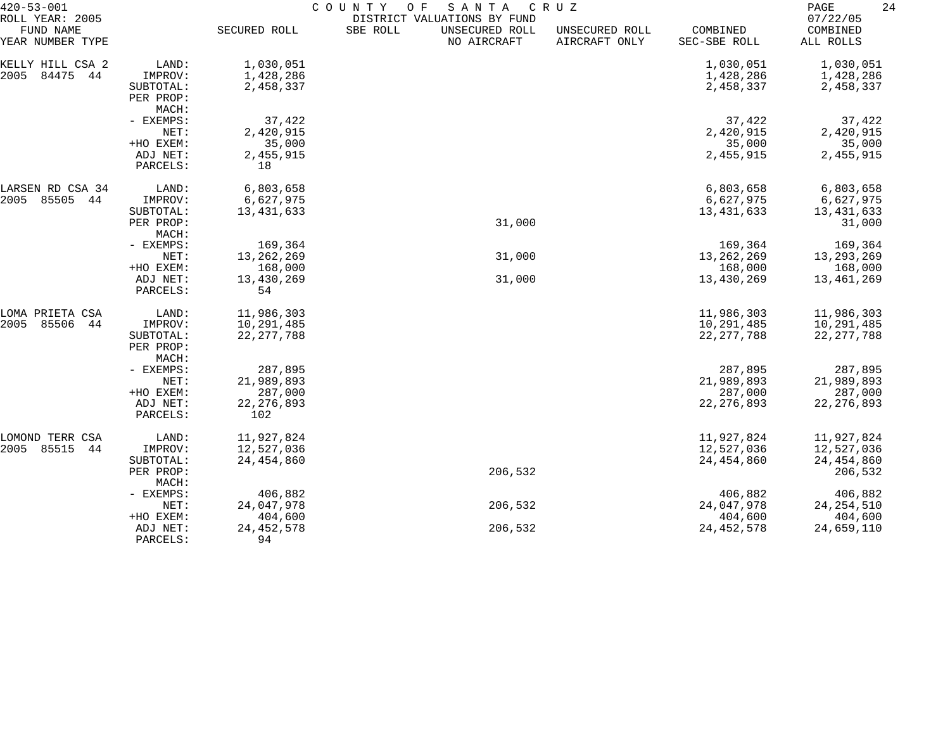| $420 - 53 - 001$                                 |                      | COUNTY<br>SANTA<br>O F<br>C R U Z |                                                                          |                                 |                          |                                   |  |
|--------------------------------------------------|----------------------|-----------------------------------|--------------------------------------------------------------------------|---------------------------------|--------------------------|-----------------------------------|--|
| ROLL YEAR: 2005<br>FUND NAME<br>YEAR NUMBER TYPE |                      | SECURED ROLL                      | DISTRICT VALUATIONS BY FUND<br>SBE ROLL<br>UNSECURED ROLL<br>NO AIRCRAFT | UNSECURED ROLL<br>AIRCRAFT ONLY | COMBINED<br>SEC-SBE ROLL | 07/22/05<br>COMBINED<br>ALL ROLLS |  |
| KELLY HILL CSA 2                                 | LAND:                | 1,030,051                         |                                                                          |                                 | 1,030,051                | 1,030,051                         |  |
| 2005<br>84475<br>44                              | IMPROV:              | 1,428,286                         |                                                                          |                                 | 1,428,286                | 1,428,286                         |  |
|                                                  | SUBTOTAL:            | 2,458,337                         |                                                                          |                                 | 2,458,337                | 2,458,337                         |  |
|                                                  | PER PROP:            |                                   |                                                                          |                                 |                          |                                   |  |
|                                                  | MACH:                |                                   |                                                                          |                                 |                          |                                   |  |
|                                                  | - EXEMPS:            | 37,422                            |                                                                          |                                 | 37,422                   | 37,422                            |  |
|                                                  | NET:                 | 2,420,915                         |                                                                          |                                 | 2,420,915                | 2,420,915                         |  |
|                                                  | +HO EXEM:            | 35,000                            |                                                                          |                                 | 35,000                   | 35,000                            |  |
|                                                  | ADJ NET:             | 2,455,915                         |                                                                          |                                 | 2,455,915                | 2,455,915                         |  |
|                                                  | PARCELS:             | 18                                |                                                                          |                                 |                          |                                   |  |
| LARSEN RD CSA 34                                 | LAND:                | 6,803,658                         |                                                                          |                                 | 6,803,658                | 6,803,658                         |  |
| 85505<br>2005<br>44                              | IMPROV:              | 6,627,975                         |                                                                          |                                 | 6,627,975                | 6,627,975                         |  |
|                                                  | SUBTOTAL:            | 13, 431, 633                      |                                                                          |                                 | 13, 431, 633             | 13,431,633                        |  |
|                                                  | PER PROP:            |                                   | 31,000                                                                   |                                 |                          | 31,000                            |  |
|                                                  | MACH:                |                                   |                                                                          |                                 |                          |                                   |  |
|                                                  | - EXEMPS:            | 169,364                           |                                                                          |                                 | 169,364                  | 169,364                           |  |
|                                                  | NET:                 | 13, 262, 269                      | 31,000                                                                   |                                 | 13, 262, 269             | 13,293,269                        |  |
|                                                  | +HO EXEM:            | 168,000                           |                                                                          |                                 | 168,000                  | 168,000                           |  |
|                                                  | ADJ NET:<br>PARCELS: | 13,430,269<br>54                  | 31,000                                                                   |                                 | 13,430,269               | 13,461,269                        |  |
| LOMA PRIETA CSA                                  | LAND:                | 11,986,303                        |                                                                          |                                 | 11,986,303               | 11,986,303                        |  |
| 85506<br>2005<br>-44                             | IMPROV:              | 10,291,485                        |                                                                          |                                 | 10,291,485               | 10,291,485                        |  |
|                                                  | SUBTOTAL:            | 22, 277, 788                      |                                                                          |                                 | 22, 277, 788             | 22, 277, 788                      |  |
|                                                  | PER PROP:            |                                   |                                                                          |                                 |                          |                                   |  |
|                                                  | MACH:                |                                   |                                                                          |                                 |                          |                                   |  |
|                                                  | - EXEMPS:            | 287,895                           |                                                                          |                                 | 287,895                  | 287,895                           |  |
|                                                  | NET:                 | 21,989,893                        |                                                                          |                                 | 21,989,893               | 21,989,893                        |  |
|                                                  | +HO EXEM:            | 287,000                           |                                                                          |                                 | 287,000                  | 287,000<br>22, 276, 893           |  |
|                                                  | ADJ NET:<br>PARCELS: | 22, 276, 893<br>102               |                                                                          |                                 | 22, 276, 893             |                                   |  |
| LOMOND TERR CSA                                  | LAND:                | 11,927,824                        |                                                                          |                                 | 11,927,824               | 11,927,824                        |  |
| 85515<br>2005<br>44                              | IMPROV:              | 12,527,036                        |                                                                          |                                 | 12,527,036               | 12,527,036                        |  |
|                                                  | SUBTOTAL:            | 24, 454, 860                      |                                                                          |                                 | 24, 454, 860             | 24, 454, 860                      |  |
|                                                  | PER PROP:            |                                   | 206,532                                                                  |                                 |                          | 206,532                           |  |
|                                                  | MACH:                |                                   |                                                                          |                                 |                          |                                   |  |
|                                                  | - EXEMPS:            | 406,882                           |                                                                          |                                 | 406,882                  | 406,882                           |  |
|                                                  | NET:                 | 24,047,978                        | 206,532                                                                  |                                 | 24,047,978               | 24, 254, 510                      |  |
|                                                  | +HO EXEM:            | 404,600                           |                                                                          |                                 | 404,600                  | 404,600                           |  |
|                                                  | ADJ NET:             | 24, 452, 578                      | 206,532                                                                  |                                 | 24, 452, 578             | 24,659,110                        |  |
|                                                  | PARCELS:             | 94                                |                                                                          |                                 |                          |                                   |  |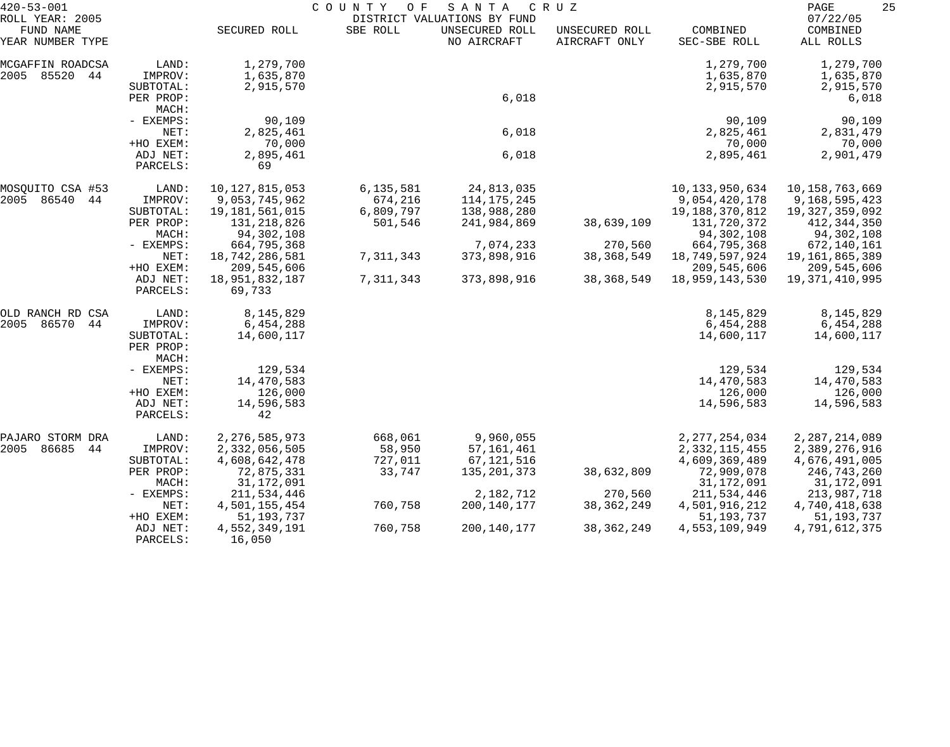| $420 - 53 - 001$                                 |                                 |                          | COUNTY<br>O F | SANTA                                                        | C R U Z                         |                          | 25<br>PAGE                        |
|--------------------------------------------------|---------------------------------|--------------------------|---------------|--------------------------------------------------------------|---------------------------------|--------------------------|-----------------------------------|
| ROLL YEAR: 2005<br>FUND NAME<br>YEAR NUMBER TYPE |                                 | SECURED ROLL             | SBE ROLL      | DISTRICT VALUATIONS BY FUND<br>UNSECURED ROLL<br>NO AIRCRAFT | UNSECURED ROLL<br>AIRCRAFT ONLY | COMBINED<br>SEC-SBE ROLL | 07/22/05<br>COMBINED<br>ALL ROLLS |
| MCGAFFIN ROADCSA                                 | LAND:                           | 1,279,700                |               |                                                              |                                 | 1,279,700                | 1,279,700                         |
| 2005 85520<br>44                                 | IMPROV:                         | 1,635,870                |               |                                                              |                                 | 1,635,870                | 1,635,870                         |
|                                                  | SUBTOTAL:                       | 2,915,570                |               |                                                              |                                 | 2,915,570                | 2,915,570                         |
|                                                  | PER PROP:                       |                          |               | 6,018                                                        |                                 |                          | 6,018                             |
|                                                  | MACH:                           |                          |               |                                                              |                                 |                          |                                   |
|                                                  | - EXEMPS:                       | 90,109                   |               |                                                              |                                 | 90,109                   | 90,109                            |
|                                                  | NET:                            | 2,825,461                |               | 6,018                                                        |                                 | 2,825,461                | 2,831,479                         |
|                                                  | +HO EXEM:                       | 70,000                   |               |                                                              |                                 | 70,000                   | 70,000                            |
|                                                  | ADJ NET:<br>PARCELS:            | 2,895,461<br>69          |               | 6,018                                                        |                                 | 2,895,461                | 2,901,479                         |
| MOSOUITO CSA #53                                 | LAND:                           | 10, 127, 815, 053        | 6,135,581     | 24,813,035                                                   |                                 | 10, 133, 950, 634        | 10,158,763,669                    |
| 2005<br>86540<br>44                              | IMPROV:                         | 9,053,745,962            | 674,216       | 114, 175, 245                                                |                                 | 9,054,420,178            | 9,168,595,423                     |
|                                                  | SUBTOTAL:                       | 19,181,561,015           | 6,809,797     | 138,988,280                                                  |                                 | 19,188,370,812           | 19, 327, 359, 092                 |
|                                                  | PER PROP:                       | 131,218,826              | 501,546       | 241,984,869                                                  | 38,639,109                      | 131,720,372              | 412,344,350                       |
|                                                  | MACH:                           | 94,302,108               |               |                                                              |                                 | 94,302,108               | 94,302,108                        |
|                                                  | - EXEMPS:                       | 664,795,368              |               | 7,074,233                                                    | 270,560                         | 664,795,368              | 672,140,161                       |
|                                                  | NET:                            | 18,742,286,581           | 7,311,343     | 373,898,916                                                  | 38, 368, 549                    | 18,749,597,924           | 19,161,865,389                    |
|                                                  | +HO EXEM:                       | 209,545,606              |               |                                                              |                                 | 209,545,606              | 209,545,606                       |
|                                                  | ADJ NET:<br>PARCELS:            | 18,951,832,187<br>69,733 | 7,311,343     | 373,898,916                                                  | 38, 368, 549                    | 18,959,143,530           | 19,371,410,995                    |
| OLD RANCH RD CSA                                 | LAND:                           | 8,145,829                |               |                                                              |                                 | 8,145,829                | 8,145,829                         |
| 2005<br>86570<br>44                              | IMPROV:                         | 6,454,288                |               |                                                              |                                 | 6,454,288                | 6,454,288                         |
|                                                  | SUBTOTAL:<br>PER PROP:<br>MACH: | 14,600,117               |               |                                                              |                                 | 14,600,117               | 14,600,117                        |
|                                                  | - EXEMPS:                       | 129,534                  |               |                                                              |                                 | 129,534                  | 129,534                           |
|                                                  | NET:                            | 14,470,583               |               |                                                              |                                 | 14,470,583               | 14,470,583                        |
|                                                  | +HO EXEM:                       | 126,000                  |               |                                                              |                                 | 126,000                  | 126,000                           |
|                                                  | ADJ NET:                        | 14,596,583               |               |                                                              |                                 | 14,596,583               | 14,596,583                        |
|                                                  | PARCELS:                        | 42                       |               |                                                              |                                 |                          |                                   |
| PAJARO STORM DRA                                 | LAND:                           | 2, 276, 585, 973         | 668,061       | 9,960,055                                                    |                                 | 2, 277, 254, 034         | 2, 287, 214, 089                  |
| 86685<br>2005<br>44                              | IMPROV:                         | 2,332,056,505            | 58,950        | 57, 161, 461                                                 |                                 | 2, 332, 115, 455         | 2,389,276,916                     |
|                                                  | SUBTOTAL:                       | 4,608,642,478            | 727,011       | 67, 121, 516                                                 |                                 | 4,609,369,489            | 4,676,491,005                     |
|                                                  | PER PROP:                       | 72,875,331               | 33,747        | 135, 201, 373                                                | 38,632,809                      | 72,909,078               | 246,743,260                       |
|                                                  | MACH:                           | 31, 172, 091             |               |                                                              |                                 | 31, 172, 091             | 31,172,091                        |
|                                                  | - EXEMPS:                       | 211,534,446              |               | 2,182,712                                                    | 270,560                         | 211,534,446              | 213,987,718                       |
|                                                  | NET:                            | 4,501,155,454            | 760,758       | 200,140,177                                                  | 38, 362, 249                    | 4,501,916,212            | 4,740,418,638                     |
|                                                  | +HO EXEM:                       | 51, 193, 737             |               |                                                              |                                 | 51, 193, 737             | 51, 193, 737                      |
|                                                  | ADJ NET:<br>PARCELS:            | 4,552,349,191<br>16,050  | 760,758       | 200,140,177                                                  | 38, 362, 249                    | 4,553,109,949            | 4,791,612,375                     |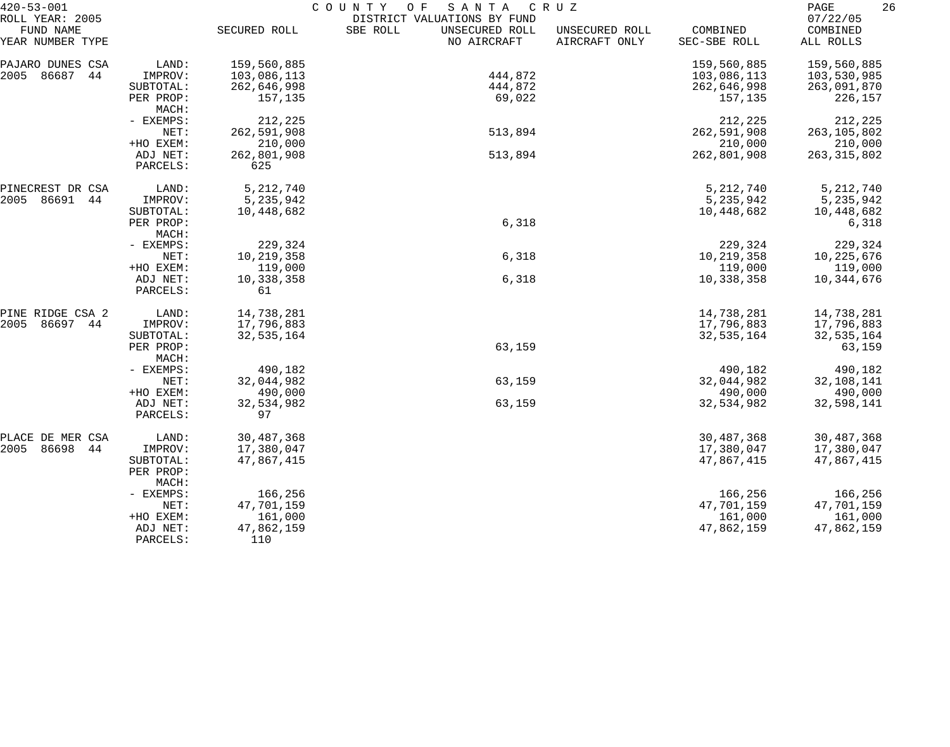| $420 - 53 - 001$                                 |                      |                    | COUNTY<br>O F<br>SANTA<br>DISTRICT VALUATIONS BY FUND | C R U Z                         |                          | $\mathop{\mathrm{PAGE}}$<br>26<br>07/22/05 |
|--------------------------------------------------|----------------------|--------------------|-------------------------------------------------------|---------------------------------|--------------------------|--------------------------------------------|
| ROLL YEAR: 2005<br>FUND NAME<br>YEAR NUMBER TYPE |                      | SECURED ROLL       | SBE ROLL<br>UNSECURED ROLL<br>NO AIRCRAFT             | UNSECURED ROLL<br>AIRCRAFT ONLY | COMBINED<br>SEC-SBE ROLL | COMBINED<br>ALL ROLLS                      |
| PAJARO DUNES CSA                                 | LAND:                | 159,560,885        |                                                       |                                 | 159,560,885              | 159,560,885                                |
| 2005<br>86687<br>44                              | IMPROV:              | 103,086,113        | 444,872                                               |                                 | 103,086,113              | 103,530,985                                |
|                                                  | SUBTOTAL:            | 262,646,998        | 444,872                                               |                                 | 262,646,998              | 263,091,870                                |
|                                                  | PER PROP:<br>MACH:   | 157,135            | 69,022                                                |                                 | 157,135                  | 226,157                                    |
|                                                  | - EXEMPS:            | 212,225            |                                                       |                                 | 212,225                  | 212,225                                    |
|                                                  | NET:                 | 262,591,908        | 513,894                                               |                                 | 262,591,908              | 263, 105, 802                              |
|                                                  | +HO EXEM:            | 210,000            |                                                       |                                 | 210,000                  | 210,000                                    |
|                                                  | ADJ NET:<br>PARCELS: | 262,801,908<br>625 | 513,894                                               |                                 | 262,801,908              | 263, 315, 802                              |
| PINECREST DR CSA                                 | LAND:                | 5, 212, 740        |                                                       |                                 | 5, 212, 740              | 5, 212, 740                                |
| 2005<br>86691<br>44                              | IMPROV:              | 5, 235, 942        |                                                       |                                 | 5,235,942                | 5,235,942                                  |
|                                                  | SUBTOTAL:            | 10,448,682         |                                                       |                                 | 10,448,682               | 10,448,682                                 |
|                                                  | PER PROP:            |                    | 6,318                                                 |                                 |                          | 6,318                                      |
|                                                  | MACH:                |                    |                                                       |                                 |                          |                                            |
|                                                  | - EXEMPS:            | 229,324            |                                                       |                                 | 229,324                  | 229,324                                    |
|                                                  | NET:                 | 10,219,358         | 6,318                                                 |                                 | 10,219,358               | 10,225,676                                 |
|                                                  | +HO EXEM:            | 119,000            |                                                       |                                 | 119,000                  | 119,000                                    |
|                                                  | ADJ NET:<br>PARCELS: | 10,338,358<br>61   | 6,318                                                 |                                 | 10,338,358               | 10,344,676                                 |
| PINE RIDGE CSA 2                                 | LAND:                | 14,738,281         |                                                       |                                 | 14,738,281               | 14,738,281                                 |
| 86697<br>2005<br>44                              | IMPROV:              | 17,796,883         |                                                       |                                 | 17,796,883               | 17,796,883                                 |
|                                                  | SUBTOTAL:            | 32,535,164         |                                                       |                                 | 32,535,164               | 32,535,164                                 |
|                                                  | PER PROP:            |                    | 63,159                                                |                                 |                          | 63,159                                     |
|                                                  | MACH:                |                    |                                                       |                                 |                          |                                            |
|                                                  | - EXEMPS:            | 490,182            |                                                       |                                 | 490,182                  | 490,182                                    |
|                                                  | NET:                 | 32,044,982         | 63,159                                                |                                 | 32,044,982               | 32,108,141                                 |
|                                                  | +HO EXEM:            | 490,000            |                                                       |                                 | 490,000                  | 490,000                                    |
|                                                  | ADJ NET:<br>PARCELS: | 32,534,982<br>97   | 63,159                                                |                                 | 32,534,982               | 32,598,141                                 |
| PLACE DE MER CSA                                 | LAND:                | 30,487,368         |                                                       |                                 | 30,487,368               | 30,487,368                                 |
| 86698<br>2005<br>44                              | IMPROV:              | 17,380,047         |                                                       |                                 | 17,380,047               | 17,380,047                                 |
|                                                  | SUBTOTAL:            | 47,867,415         |                                                       |                                 | 47,867,415               | 47,867,415                                 |
|                                                  | PER PROP:<br>MACH:   |                    |                                                       |                                 |                          |                                            |
|                                                  | - EXEMPS:            | 166,256            |                                                       |                                 | 166,256                  | 166,256                                    |
|                                                  | NET:                 | 47,701,159         |                                                       |                                 | 47,701,159               | 47,701,159                                 |
|                                                  | +HO EXEM:            | 161,000            |                                                       |                                 | 161,000                  | 161,000                                    |
|                                                  | ADJ NET:             | 47,862,159         |                                                       |                                 | 47,862,159               | 47,862,159                                 |
|                                                  | PARCELS:             | 110                |                                                       |                                 |                          |                                            |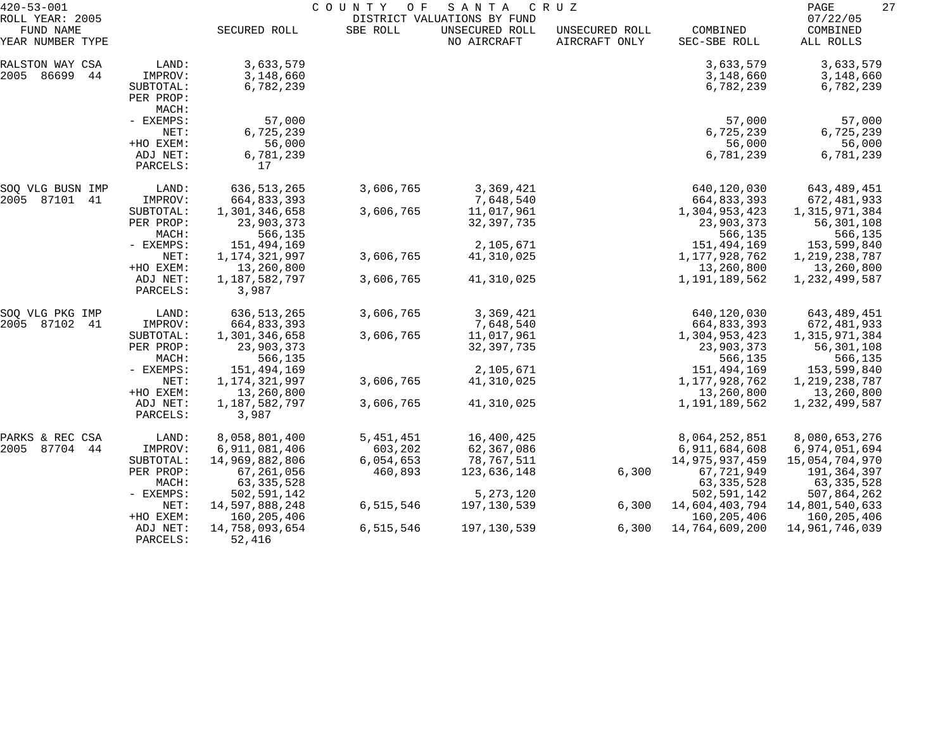| $420 - 53 - 001$<br>ROLL YEAR: 2005 |                                                        | COUNTY<br>SANTA<br>C R U Z<br>O F<br>DISTRICT VALUATIONS BY FUND |                      |                                         |                                 |                                                       | 27<br>PAGE<br>07/22/05                                |  |
|-------------------------------------|--------------------------------------------------------|------------------------------------------------------------------|----------------------|-----------------------------------------|---------------------------------|-------------------------------------------------------|-------------------------------------------------------|--|
| FUND NAME<br>YEAR NUMBER TYPE       |                                                        | SECURED ROLL                                                     | SBE ROLL             | UNSECURED ROLL<br>NO AIRCRAFT           | UNSECURED ROLL<br>AIRCRAFT ONLY | COMBINED<br>SEC-SBE ROLL                              | COMBINED<br>ALL ROLLS                                 |  |
| RALSTON WAY CSA<br>2005 86699<br>44 | LAND:<br>IMPROV:<br>SUBTOTAL:<br>PER PROP:<br>MACH:    | 3,633,579<br>3,148,660<br>6,782,239                              |                      |                                         |                                 | 3,633,579<br>3,148,660<br>6,782,239                   | 3,633,579<br>3,148,660<br>6,782,239                   |  |
|                                     | - EXEMPS:<br>NET:<br>+HO EXEM:<br>ADJ NET:<br>PARCELS: | 57,000<br>6,725,239<br>56,000<br>6,781,239<br>17                 |                      |                                         |                                 | 57,000<br>6,725,239<br>56,000<br>6,781,239            | 57,000<br>6,725,239<br>56,000<br>6,781,239            |  |
| SOQ VLG BUSN IMP                    | LAND:                                                  | 636, 513, 265                                                    | 3,606,765            | 3,369,421                               |                                 | 640,120,030                                           | 643,489,451                                           |  |
| 2005<br>87101 41                    | IMPROV:<br>SUBTOTAL:<br>PER PROP:<br>MACH:             | 664,833,393<br>1,301,346,658<br>23,903,373<br>566,135            | 3,606,765            | 7,648,540<br>11,017,961<br>32, 397, 735 |                                 | 664,833,393<br>1,304,953,423<br>23,903,373<br>566,135 | 672,481,933<br>1,315,971,384<br>56,301,108<br>566,135 |  |
|                                     | - EXEMPS:                                              | 151,494,169                                                      |                      | 2,105,671                               |                                 | 151,494,169                                           | 153,599,840                                           |  |
|                                     | NET:<br>+HO EXEM:                                      | 1, 174, 321, 997<br>13,260,800                                   | 3,606,765            | 41,310,025                              |                                 | 1,177,928,762<br>13,260,800                           | 1, 219, 238, 787<br>13,260,800                        |  |
|                                     | ADJ NET:<br>PARCELS:                                   | 1,187,582,797<br>3,987                                           | 3,606,765            | 41,310,025                              |                                 | 1,191,189,562                                         | 1,232,499,587                                         |  |
| SOQ VLG PKG IMP                     | LAND:                                                  | 636, 513, 265                                                    | 3,606,765            | 3,369,421                               |                                 | 640,120,030                                           | 643,489,451                                           |  |
| 2005<br>87102<br>41                 | IMPROV:<br>SUBTOTAL:                                   | 664,833,393<br>1,301,346,658                                     | 3,606,765            | 7,648,540<br>11,017,961                 |                                 | 664,833,393<br>1,304,953,423                          | 672,481,933<br>1,315,971,384                          |  |
|                                     | PER PROP:<br>MACH:                                     | 23,903,373<br>566,135                                            |                      | 32, 397, 735                            |                                 | 23,903,373<br>566,135                                 | 56,301,108<br>566,135                                 |  |
|                                     | - EXEMPS:                                              | 151,494,169                                                      |                      | 2,105,671                               |                                 | 151,494,169                                           | 153,599,840                                           |  |
|                                     | NET:<br>+HO EXEM:                                      | 1, 174, 321, 997<br>13,260,800                                   | 3,606,765            | 41,310,025                              |                                 | 1,177,928,762<br>13,260,800                           | 1, 219, 238, 787<br>13,260,800                        |  |
|                                     | ADJ NET:<br>PARCELS:                                   | 1,187,582,797<br>3,987                                           | 3,606,765            | 41,310,025                              |                                 | 1,191,189,562                                         | 1,232,499,587                                         |  |
| PARKS & REC CSA                     | LAND:                                                  | 8,058,801,400                                                    | 5, 451, 451          | 16,400,425                              |                                 | 8,064,252,851                                         | 8,080,653,276                                         |  |
| 2005 87704<br>44                    | IMPROV:                                                | 6,911,081,406                                                    | 603,202              | 62,367,086                              |                                 | 6,911,684,608                                         | 6,974,051,694                                         |  |
|                                     | SUBTOTAL:<br>PER PROP:                                 | 14,969,882,806<br>67,261,056                                     | 6,054,653<br>460,893 | 78,767,511<br>123,636,148               | 6,300                           | 14, 975, 937, 459<br>67,721,949                       | 15,054,704,970<br>191,364,397                         |  |
|                                     | MACH:                                                  | 63, 335, 528                                                     |                      |                                         |                                 | 63, 335, 528                                          | 63, 335, 528                                          |  |
|                                     | - EXEMPS:                                              | 502,591,142                                                      |                      | 5, 273, 120                             |                                 | 502,591,142                                           | 507,864,262                                           |  |
|                                     | NET:                                                   | 14,597,888,248                                                   | 6,515,546            | 197,130,539                             | 6,300                           | 14,604,403,794                                        | 14,801,540,633                                        |  |
|                                     | +HO EXEM:<br>ADJ NET:<br>PARCELS:                      | 160,205,406<br>14,758,093,654<br>52,416                          | 6,515,546            | 197,130,539                             | 6,300                           | 160,205,406<br>14,764,609,200                         | 160,205,406<br>14,961,746,039                         |  |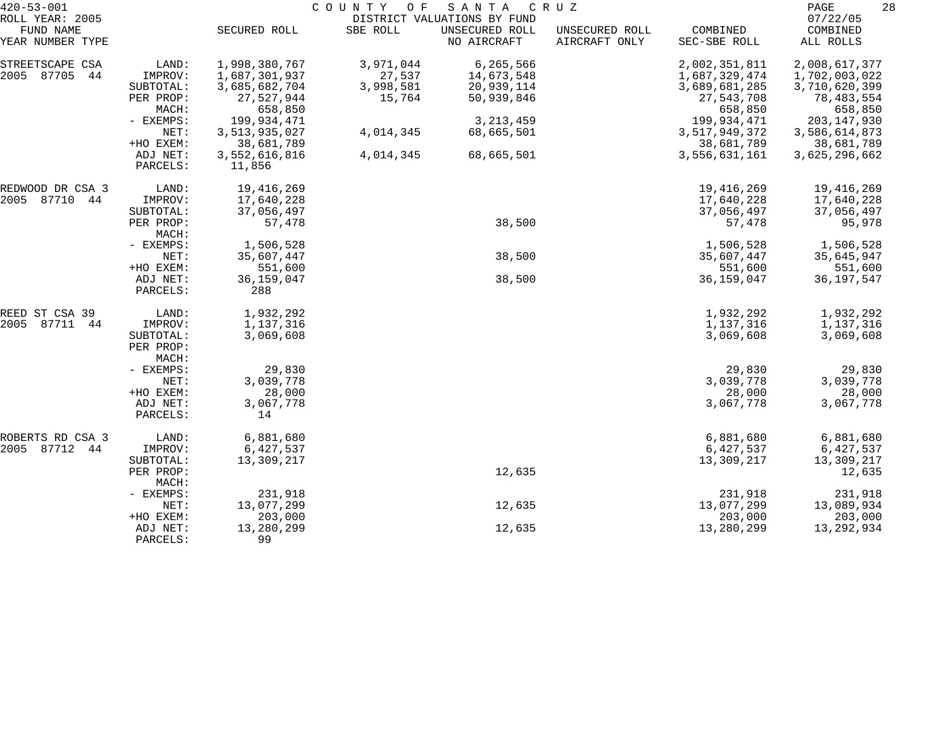| $420 - 53 - 001$    |                                 |               | COUNTY OF | SANTA                       | C R U Z        |               | 28<br>PAGE    |
|---------------------|---------------------------------|---------------|-----------|-----------------------------|----------------|---------------|---------------|
| ROLL YEAR: 2005     |                                 |               |           | DISTRICT VALUATIONS BY FUND |                |               | 07/22/05      |
| FUND NAME           |                                 | SECURED ROLL  | SBE ROLL  | UNSECURED ROLL              | UNSECURED ROLL | COMBINED      | COMBINED      |
| YEAR NUMBER TYPE    |                                 |               |           | NO AIRCRAFT                 | AIRCRAFT ONLY  | SEC-SBE ROLL  | ALL ROLLS     |
| STREETSCAPE CSA     | LAND:                           | 1,998,380,767 | 3,971,044 | 6, 265, 566                 |                | 2,002,351,811 | 2,008,617,377 |
| 2005 87705<br>44    | IMPROV:                         | 1,687,301,937 | 27,537    | 14,673,548                  |                | 1,687,329,474 | 1,702,003,022 |
|                     | SUBTOTAL:                       | 3,685,682,704 | 3,998,581 | 20,939,114                  |                | 3,689,681,285 | 3,710,620,399 |
|                     | PER PROP:                       | 27,527,944    | 15,764    | 50,939,846                  |                | 27,543,708    | 78,483,554    |
|                     | MACH:                           | 658,850       |           |                             |                | 658,850       | 658,850       |
|                     | - EXEMPS:                       | 199,934,471   |           | 3, 213, 459                 |                | 199,934,471   | 203, 147, 930 |
|                     | NET:                            | 3,513,935,027 | 4,014,345 | 68,665,501                  |                | 3,517,949,372 | 3,586,614,873 |
|                     | +HO EXEM:                       | 38,681,789    |           |                             |                | 38,681,789    | 38,681,789    |
|                     | ADJ NET:                        | 3,552,616,816 | 4,014,345 | 68,665,501                  |                | 3,556,631,161 | 3,625,296,662 |
|                     | PARCELS:                        | 11,856        |           |                             |                |               |               |
| REDWOOD DR CSA 3    | LAND:                           | 19,416,269    |           |                             |                | 19,416,269    | 19,416,269    |
| 87710<br>2005<br>44 | IMPROV:                         | 17,640,228    |           |                             |                | 17,640,228    | 17,640,228    |
|                     | SUBTOTAL:                       | 37,056,497    |           |                             |                | 37,056,497    | 37,056,497    |
|                     | PER PROP:<br>MACH:              | 57,478        |           | 38,500                      |                | 57,478        | 95,978        |
|                     | - EXEMPS:                       | 1,506,528     |           |                             |                | 1,506,528     | 1,506,528     |
|                     | NET:                            | 35,607,447    |           | 38,500                      |                | 35,607,447    | 35,645,947    |
|                     | +HO EXEM:                       | 551,600       |           |                             |                | 551,600       | 551,600       |
|                     | ADJ NET:                        | 36,159,047    |           | 38,500                      |                | 36, 159, 047  | 36, 197, 547  |
|                     | PARCELS:                        | 288           |           |                             |                |               |               |
| REED ST CSA 39      | LAND:                           | 1,932,292     |           |                             |                | 1,932,292     | 1,932,292     |
| 87711<br>2005<br>44 | IMPROV:                         | 1,137,316     |           |                             |                | 1,137,316     | 1,137,316     |
|                     | SUBTOTAL:<br>PER PROP:<br>MACH: | 3,069,608     |           |                             |                | 3,069,608     | 3,069,608     |
|                     | - EXEMPS:                       | 29,830        |           |                             |                | 29,830        | 29,830        |
|                     | NET:                            | 3,039,778     |           |                             |                | 3,039,778     | 3,039,778     |
|                     | +HO EXEM:                       | 28,000        |           |                             |                | 28,000        | 28,000        |
|                     | ADJ NET:                        | 3,067,778     |           |                             |                | 3,067,778     | 3,067,778     |
|                     | PARCELS:                        | 14            |           |                             |                |               |               |
| ROBERTS RD CSA 3    | LAND:                           | 6,881,680     |           |                             |                | 6,881,680     | 6,881,680     |
| 2005 87712<br>44    | IMPROV:                         | 6,427,537     |           |                             |                | 6,427,537     | 6,427,537     |
|                     | SUBTOTAL:                       | 13,309,217    |           |                             |                | 13,309,217    | 13,309,217    |
|                     | PER PROP:<br>MACH:              |               |           | 12,635                      |                |               | 12,635        |
|                     | - EXEMPS:                       | 231,918       |           |                             |                | 231,918       | 231,918       |
|                     | NET:                            | 13,077,299    |           | 12,635                      |                | 13,077,299    | 13,089,934    |
|                     | +HO EXEM:                       | 203,000       |           |                             |                | 203,000       | 203,000       |
|                     | ADJ NET:                        | 13,280,299    |           | 12,635                      |                | 13,280,299    | 13,292,934    |
|                     | PARCELS:                        | 99            |           |                             |                |               |               |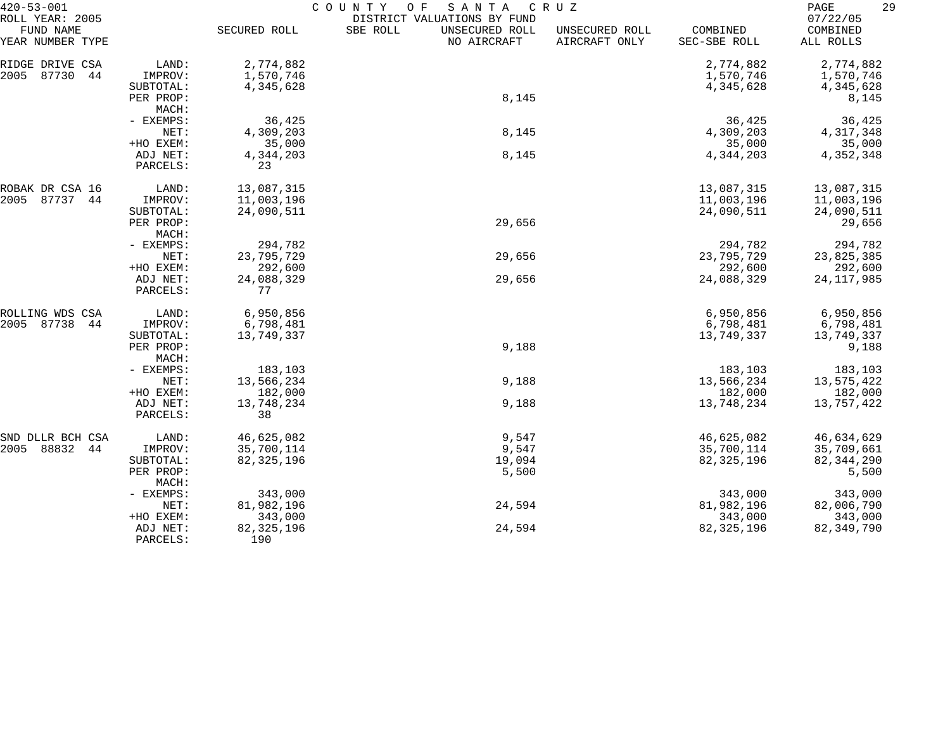| $420 - 53 - 001$                                 |                      | COUNTY<br>SANTA<br>O F<br>C R U Z |                                                                          |                                 |                          |                                   |  |
|--------------------------------------------------|----------------------|-----------------------------------|--------------------------------------------------------------------------|---------------------------------|--------------------------|-----------------------------------|--|
| ROLL YEAR: 2005<br>FUND NAME<br>YEAR NUMBER TYPE |                      | SECURED ROLL                      | DISTRICT VALUATIONS BY FUND<br>SBE ROLL<br>UNSECURED ROLL<br>NO AIRCRAFT | UNSECURED ROLL<br>AIRCRAFT ONLY | COMBINED<br>SEC-SBE ROLL | 07/22/05<br>COMBINED<br>ALL ROLLS |  |
| RIDGE DRIVE CSA                                  | LAND:                | 2,774,882                         |                                                                          |                                 | 2,774,882                | 2,774,882                         |  |
| 87730<br>44<br>2005                              | IMPROV:              | 1,570,746                         |                                                                          |                                 | 1,570,746                | 1,570,746                         |  |
|                                                  | SUBTOTAL:            | 4,345,628                         |                                                                          |                                 | 4,345,628                | 4,345,628                         |  |
|                                                  | PER PROP:<br>MACH:   |                                   | 8,145                                                                    |                                 |                          | 8,145                             |  |
|                                                  | - EXEMPS:            | 36,425                            |                                                                          |                                 | 36,425                   | 36,425                            |  |
|                                                  | NET:                 | 4,309,203                         | 8,145                                                                    |                                 | 4,309,203                | 4,317,348                         |  |
|                                                  | +HO EXEM:            | 35,000                            |                                                                          |                                 | 35,000                   | 35,000                            |  |
|                                                  | ADJ NET:             | 4,344,203                         | 8,145                                                                    |                                 | 4,344,203                | 4,352,348                         |  |
|                                                  | PARCELS:             | 23                                |                                                                          |                                 |                          |                                   |  |
| ROBAK DR CSA 16                                  | LAND:                | 13,087,315                        |                                                                          |                                 | 13,087,315               | 13,087,315                        |  |
| 2005<br>87737<br>44                              | IMPROV:              | 11,003,196                        |                                                                          |                                 | 11,003,196               | 11,003,196                        |  |
|                                                  | SUBTOTAL:            | 24,090,511                        |                                                                          |                                 | 24,090,511               | 24,090,511                        |  |
|                                                  | PER PROP:            |                                   | 29,656                                                                   |                                 |                          | 29,656                            |  |
|                                                  | MACH:                |                                   |                                                                          |                                 |                          |                                   |  |
|                                                  | - EXEMPS:<br>NET:    | 294,782<br>23,795,729             | 29,656                                                                   |                                 | 294,782<br>23,795,729    | 294,782<br>23,825,385             |  |
|                                                  | +HO EXEM:            | 292,600                           |                                                                          |                                 | 292,600                  | 292,600                           |  |
|                                                  | ADJ NET:             | 24,088,329                        | 29,656                                                                   |                                 | 24,088,329               | 24, 117, 985                      |  |
|                                                  | PARCELS:             | 77                                |                                                                          |                                 |                          |                                   |  |
| ROLLING WDS CSA                                  | LAND:                | 6,950,856                         |                                                                          |                                 | 6,950,856                | 6,950,856                         |  |
| 2005<br>87738<br>44                              | IMPROV:              | 6,798,481                         |                                                                          |                                 | 6,798,481                | 6,798,481                         |  |
|                                                  | SUBTOTAL:            | 13,749,337                        |                                                                          |                                 | 13,749,337               | 13,749,337                        |  |
|                                                  | PER PROP:<br>MACH:   |                                   | 9,188                                                                    |                                 |                          | 9,188                             |  |
|                                                  | - EXEMPS:            | 183,103                           |                                                                          |                                 | 183,103                  | 183,103                           |  |
|                                                  | NET:                 | 13,566,234                        | 9,188                                                                    |                                 | 13,566,234               | 13,575,422                        |  |
|                                                  | +HO EXEM:            | 182,000                           |                                                                          |                                 | 182,000                  | 182,000                           |  |
|                                                  | ADJ NET:<br>PARCELS: | 13,748,234<br>38                  | 9,188                                                                    |                                 | 13,748,234               | 13,757,422                        |  |
| SND DLLR BCH CSA                                 | LAND:                | 46,625,082                        | 9,547                                                                    |                                 | 46,625,082               | 46,634,629                        |  |
| 88832<br>2005<br>44                              | IMPROV:              | 35,700,114                        | 9,547                                                                    |                                 | 35,700,114               | 35,709,661                        |  |
|                                                  | SUBTOTAL:            | 82, 325, 196                      | 19,094                                                                   |                                 | 82, 325, 196             | 82, 344, 290                      |  |
|                                                  | PER PROP:<br>MACH:   |                                   | 5,500                                                                    |                                 |                          | 5,500                             |  |
|                                                  | - EXEMPS:            | 343,000                           |                                                                          |                                 | 343,000                  | 343,000                           |  |
|                                                  | NET:                 | 81,982,196                        | 24,594                                                                   |                                 | 81,982,196               | 82,006,790                        |  |
|                                                  | +HO EXEM:            | 343,000                           |                                                                          |                                 | 343,000                  | 343,000                           |  |
|                                                  | ADJ NET:             | 82, 325, 196                      | 24,594                                                                   |                                 | 82, 325, 196             | 82, 349, 790                      |  |
|                                                  | PARCELS:             | 190                               |                                                                          |                                 |                          |                                   |  |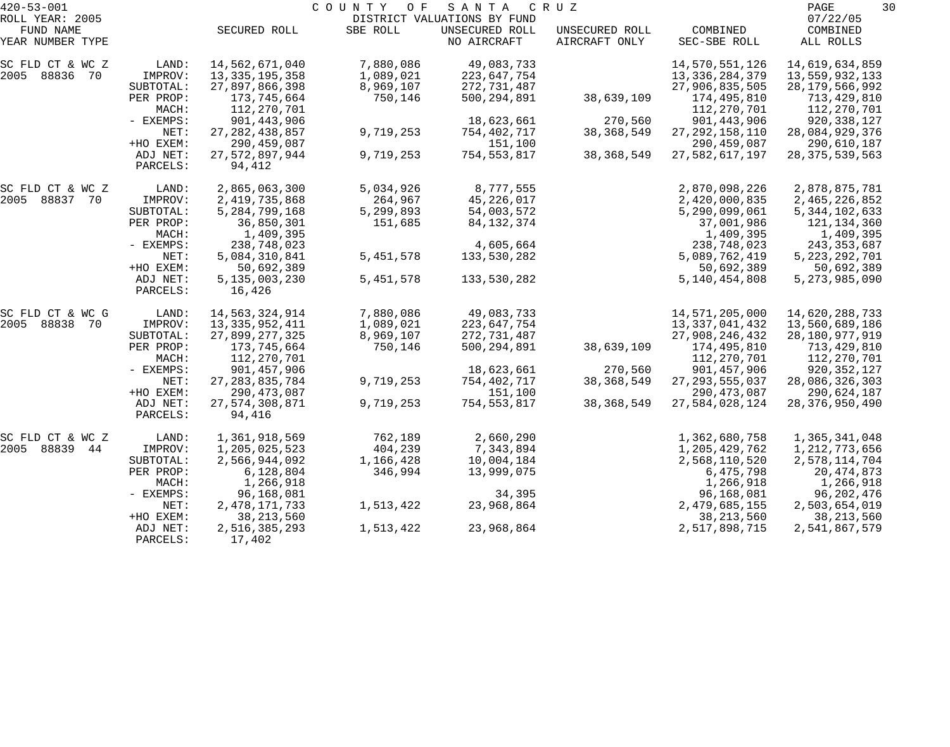| $420 - 53 - 001$             |                      |                          | COUNTY<br>O F | SANTA                                         | C R U Z        |                   | PAGE<br>30           |
|------------------------------|----------------------|--------------------------|---------------|-----------------------------------------------|----------------|-------------------|----------------------|
| ROLL YEAR: 2005<br>FUND NAME |                      | SECURED ROLL             | SBE ROLL      | DISTRICT VALUATIONS BY FUND<br>UNSECURED ROLL | UNSECURED ROLL | COMBINED          | 07/22/05<br>COMBINED |
| YEAR NUMBER TYPE             |                      |                          |               | NO AIRCRAFT                                   | AIRCRAFT ONLY  | SEC-SBE ROLL      | ALL ROLLS            |
| SC FLD CT & WC Z             | LAND:                | 14,562,671,040           | 7,880,086     | 49,083,733                                    |                | 14,570,551,126    | 14,619,634,859       |
| 2005 88836 70                | IMPROV:              | 13, 335, 195, 358        | 1,089,021     | 223,647,754                                   |                | 13, 336, 284, 379 | 13,559,932,133       |
|                              | SUBTOTAL:            | 27,897,866,398           | 8,969,107     | 272,731,487                                   |                | 27,906,835,505    | 28, 179, 566, 992    |
|                              | PER PROP:            | 173,745,664              | 750,146       | 500,294,891                                   | 38,639,109     | 174,495,810       | 713,429,810          |
|                              | MACH:                | 112,270,701              |               |                                               |                | 112,270,701       | 112,270,701          |
|                              | - EXEMPS:            | 901,443,906              |               | 18,623,661                                    | 270,560        | 901, 443, 906     | 920,338,127          |
|                              | NET:                 | 27, 282, 438, 857        | 9,719,253     | 754,402,717                                   | 38, 368, 549   | 27, 292, 158, 110 | 28,084,929,376       |
|                              | +HO EXEM:            | 290, 459, 087            |               | 151,100                                       |                | 290, 459, 087     | 290,610,187          |
|                              | ADJ NET:<br>PARCELS: | 27,572,897,944<br>94,412 | 9,719,253     | 754,553,817                                   | 38, 368, 549   | 27,582,617,197    | 28, 375, 539, 563    |
| SC FLD CT & WC Z             | LAND:                | 2,865,063,300            | 5,034,926     | 8,777,555                                     |                | 2,870,098,226     | 2,878,875,781        |
| 2005 88837 70                | IMPROV:              | 2, 419, 735, 868         | 264,967       | 45, 226, 017                                  |                | 2,420,000,835     | 2,465,226,852        |
|                              | SUBTOTAL:            | 5, 284, 799, 168         | 5,299,893     | 54,003,572                                    |                | 5,290,099,061     | 5, 344, 102, 633     |
|                              | PER PROP:            | 36,850,301               | 151,685       | 84, 132, 374                                  |                | 37,001,986        | 121,134,360          |
|                              | MACH:                | 1,409,395                |               |                                               |                | 1,409,395         | 1,409,395            |
|                              | - EXEMPS:            | 238,748,023              |               | 4,605,664                                     |                | 238,748,023       | 243, 353, 687        |
|                              | NET:                 | 5,084,310,841            | 5,451,578     | 133,530,282                                   |                | 5,089,762,419     | 5, 223, 292, 701     |
|                              | +HO EXEM:            | 50,692,389               |               |                                               |                | 50,692,389        | 50,692,389           |
|                              | ADJ NET:             | 5,135,003,230            | 5, 451, 578   | 133,530,282                                   |                | 5, 140, 454, 808  | 5, 273, 985, 090     |
|                              | PARCELS:             | 16,426                   |               |                                               |                |                   |                      |
| SC FLD CT & WC G             | LAND:                | 14,563,324,914           | 7,880,086     | 49,083,733                                    |                | 14,571,205,000    | 14,620,288,733       |
| 2005 88838 70                | IMPROV:              | 13, 335, 952, 411        | 1,089,021     | 223,647,754                                   |                | 13,337,041,432    | 13,560,689,186       |
|                              | SUBTOTAL:            | 27,899,277,325           | 8,969,107     | 272, 731, 487                                 |                | 27,908,246,432    | 28,180,977,919       |
|                              | PER PROP:            | 173,745,664              | 750,146       | 500, 294, 891                                 | 38,639,109     | 174,495,810       | 713,429,810          |
|                              | MACH:                | 112,270,701              |               |                                               |                | 112,270,701       | 112,270,701          |
|                              | - EXEMPS:            | 901,457,906              |               | 18,623,661                                    | 270,560        | 901, 457, 906     | 920,352,127          |
|                              | NET:                 | 27, 283, 835, 784        | 9,719,253     | 754,402,717                                   | 38, 368, 549   | 27, 293, 555, 037 | 28,086,326,303       |
|                              | +HO EXEM:            | 290, 473, 087            |               | 151,100                                       |                | 290, 473, 087     | 290,624,187          |
|                              | ADJ NET:<br>PARCELS: | 27,574,308,871<br>94,416 | 9,719,253     | 754,553,817                                   | 38, 368, 549   | 27,584,028,124    | 28, 376, 950, 490    |
| SC FLD CT & WC Z             | LAND:                | 1,361,918,569            | 762,189       | 2,660,290                                     |                | 1,362,680,758     | 1,365,341,048        |
| 2005 88839 44                | IMPROV:              | 1,205,025,523            | 404,239       | 7,343,894                                     |                | 1,205,429,762     | 1,212,773,656        |
|                              | SUBTOTAL:            | 2,566,944,092            | 1,166,428     | 10,004,184                                    |                | 2,568,110,520     | 2,578,114,704        |
|                              | PER PROP:            | 6,128,804                | 346,994       | 13,999,075                                    |                | 6,475,798         | 20, 474, 873         |
|                              | MACH:                | 1,266,918                |               |                                               |                | 1,266,918         | 1,266,918            |
|                              | - EXEMPS:            | 96,168,081               |               | 34,395                                        |                | 96,168,081        | 96,202,476           |
|                              | NET:                 | 2, 478, 171, 733         | 1,513,422     | 23,968,864                                    |                | 2,479,685,155     | 2,503,654,019        |
|                              | +HO EXEM:            | 38, 213, 560             |               |                                               |                | 38, 213, 560      | 38, 213, 560         |
|                              | ADJ NET:             | 2,516,385,293            | 1,513,422     | 23,968,864                                    |                | 2,517,898,715     | 2,541,867,579        |
|                              | PARCELS:             | 17,402                   |               |                                               |                |                   |                      |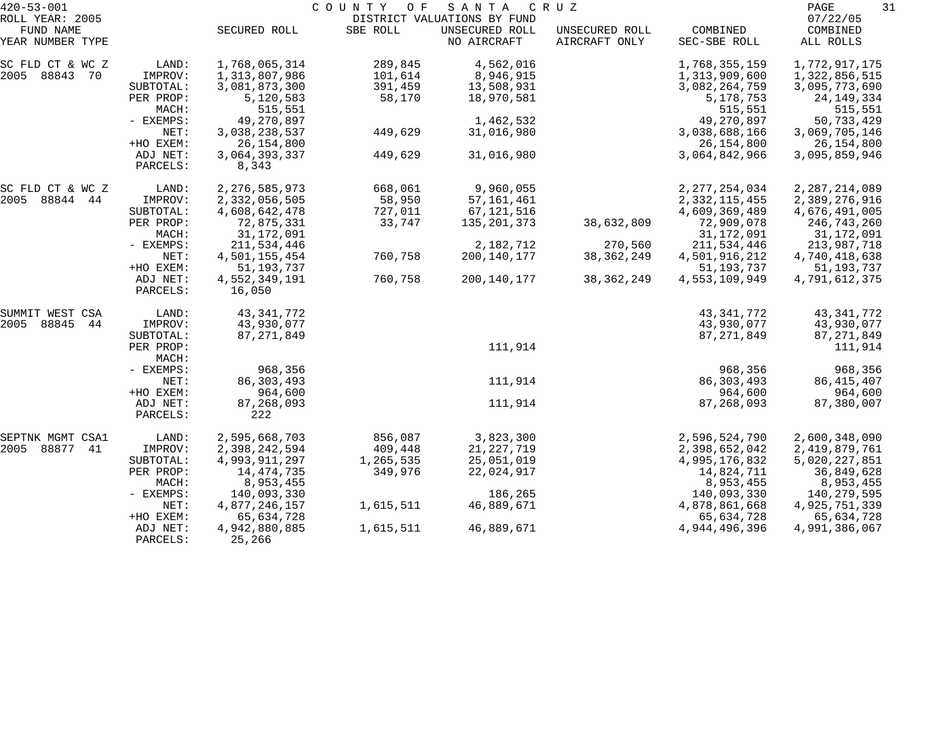| $420 - 53 - 001$<br>ROLL YEAR: 2005 |                    | COUNTY OF<br>SANTA CRUZ<br>DISTRICT VALUATIONS BY FUND |           |                |                |                  |                      |  |
|-------------------------------------|--------------------|--------------------------------------------------------|-----------|----------------|----------------|------------------|----------------------|--|
| FUND NAME                           |                    | SECURED ROLL                                           | SBE ROLL  | UNSECURED ROLL | UNSECURED ROLL | COMBINED         | 07/22/05<br>COMBINED |  |
| YEAR NUMBER TYPE                    |                    |                                                        |           | NO AIRCRAFT    | AIRCRAFT ONLY  | SEC-SBE ROLL     | ALL ROLLS            |  |
| SC FLD CT & WC Z                    | LAND:              | 1,768,065,314                                          | 289,845   | 4,562,016      |                | 1,768,355,159    | 1,772,917,175        |  |
| 2005 88843<br>70                    | IMPROV:            | 1,313,807,986                                          | 101,614   | 8,946,915      |                | 1,313,909,600    | 1,322,856,515        |  |
|                                     | SUBTOTAL:          | 3,081,873,300                                          | 391,459   | 13,508,931     |                | 3,082,264,759    | 3,095,773,690        |  |
|                                     | PER PROP:          | 5,120,583                                              | 58,170    | 18,970,581     |                | 5,178,753        | 24, 149, 334         |  |
|                                     | MACH:              | 515,551                                                |           |                |                | 515,551          | 515,551              |  |
|                                     | - EXEMPS:          | 49,270,897                                             |           | 1,462,532      |                | 49,270,897       | 50,733,429           |  |
|                                     | NET:               | 3,038,238,537                                          | 449,629   | 31,016,980     |                | 3,038,688,166    | 3,069,705,146        |  |
|                                     | +HO EXEM:          | 26, 154, 800                                           |           |                |                | 26, 154, 800     | 26,154,800           |  |
|                                     | ADJ NET:           | 3,064,393,337                                          | 449,629   | 31,016,980     |                | 3,064,842,966    | 3,095,859,946        |  |
|                                     | PARCELS:           | 8,343                                                  |           |                |                |                  |                      |  |
| SC FLD CT & WC Z                    | LAND:              | 2, 276, 585, 973                                       | 668,061   | 9,960,055      |                | 2, 277, 254, 034 | 2, 287, 214, 089     |  |
| 2005<br>88844 44                    | IMPROV:            | 2,332,056,505                                          | 58,950    | 57, 161, 461   |                | 2, 332, 115, 455 | 2,389,276,916        |  |
|                                     | SUBTOTAL:          | 4,608,642,478                                          | 727,011   | 67,121,516     |                | 4,609,369,489    | 4,676,491,005        |  |
|                                     | PER PROP:          | 72,875,331                                             | 33,747    | 135, 201, 373  | 38,632,809     | 72,909,078       | 246,743,260          |  |
|                                     | MACH:              | 31,172,091                                             |           |                |                | 31,172,091       | 31,172,091           |  |
|                                     | - EXEMPS:          | 211,534,446                                            |           | 2,182,712      | 270,560        | 211,534,446      | 213,987,718          |  |
|                                     | NET:               | 4,501,155,454                                          | 760,758   | 200,140,177    | 38, 362, 249   | 4,501,916,212    | 4,740,418,638        |  |
|                                     | +HO EXEM:          | 51, 193, 737                                           |           |                |                | 51, 193, 737     | 51,193,737           |  |
|                                     | ADJ NET:           | 4,552,349,191                                          | 760,758   | 200,140,177    | 38, 362, 249   | 4,553,109,949    | 4,791,612,375        |  |
|                                     | PARCELS:           | 16,050                                                 |           |                |                |                  |                      |  |
| SUMMIT WEST CSA                     | LAND:              | 43, 341, 772                                           |           |                |                | 43, 341, 772     | 43, 341, 772         |  |
| 2005<br>88845<br>44                 | IMPROV:            | 43,930,077                                             |           |                |                | 43,930,077       | 43,930,077           |  |
|                                     | SUBTOTAL:          | 87, 271, 849                                           |           |                |                | 87, 271, 849     | 87, 271, 849         |  |
|                                     | PER PROP:<br>MACH: |                                                        |           | 111,914        |                |                  | 111,914              |  |
|                                     | - EXEMPS:          | 968,356                                                |           |                |                | 968,356          | 968,356              |  |
|                                     | NET:               | 86, 303, 493                                           |           | 111,914        |                | 86, 303, 493     | 86, 415, 407         |  |
|                                     | +HO EXEM:          | 964,600                                                |           |                |                | 964,600          | 964,600              |  |
|                                     | ADJ NET:           | 87,268,093                                             |           | 111,914        |                | 87, 268, 093     | 87,380,007           |  |
|                                     | PARCELS:           | 222                                                    |           |                |                |                  |                      |  |
| SEPTNK MGMT CSA1                    | LAND:              | 2,595,668,703                                          | 856,087   | 3,823,300      |                | 2,596,524,790    | 2,600,348,090        |  |
| 2005<br>88877<br>41                 | IMPROV:            | 2,398,242,594                                          | 409,448   | 21, 227, 719   |                | 2,398,652,042    | 2,419,879,761        |  |
|                                     | SUBTOTAL:          | 4,993,911,297                                          | 1,265,535 | 25,051,019     |                | 4,995,176,832    | 5,020,227,851        |  |
|                                     | PER PROP:          | 14, 474, 735                                           | 349,976   | 22,024,917     |                | 14,824,711       | 36,849,628           |  |
|                                     | MACH:              | 8,953,455                                              |           |                |                | 8,953,455        | 8,953,455            |  |
|                                     | - EXEMPS:          | 140,093,330                                            |           | 186,265        |                | 140,093,330      | 140,279,595          |  |
|                                     | NET:               | 4,877,246,157                                          | 1,615,511 | 46,889,671     |                | 4,878,861,668    | 4,925,751,339        |  |
|                                     | +HO EXEM:          | 65,634,728                                             |           |                |                | 65,634,728       | 65,634,728           |  |
|                                     | ADJ NET:           | 4,942,880,885                                          | 1,615,511 | 46,889,671     |                | 4,944,496,396    | 4,991,386,067        |  |
|                                     | PARCELS:           | 25,266                                                 |           |                |                |                  |                      |  |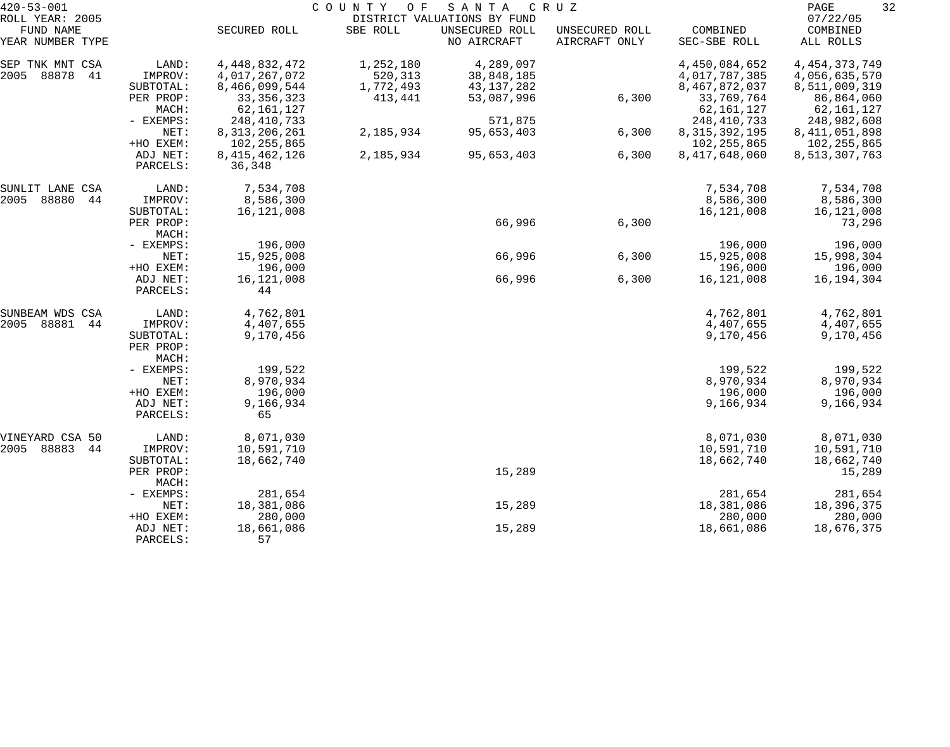| $420 - 53 - 001$                                 |                                   |                                                    | COUNTY<br>O F                     | SANTA                                                        | C R U Z                         |                                                  | 32<br>PAGE                                         |
|--------------------------------------------------|-----------------------------------|----------------------------------------------------|-----------------------------------|--------------------------------------------------------------|---------------------------------|--------------------------------------------------|----------------------------------------------------|
| ROLL YEAR: 2005<br>FUND NAME<br>YEAR NUMBER TYPE |                                   | SECURED ROLL                                       | SBE ROLL                          | DISTRICT VALUATIONS BY FUND<br>UNSECURED ROLL<br>NO AIRCRAFT | UNSECURED ROLL<br>AIRCRAFT ONLY | COMBINED<br>SEC-SBE ROLL                         | 07/22/05<br>COMBINED<br>ALL ROLLS                  |
| SEP TNK MNT CSA<br>2005<br>88878<br>41           | LAND:<br>IMPROV:<br>SUBTOTAL:     | 4, 448, 832, 472<br>4,017,267,072<br>8,466,099,544 | 1,252,180<br>520,313<br>1,772,493 | 4,289,097<br>38,848,185<br>43, 137, 282                      |                                 | 4,450,084,652<br>4,017,787,385<br>8,467,872,037  | 4, 454, 373, 749<br>4,056,635,570<br>8,511,009,319 |
|                                                  | PER PROP:<br>MACH:                | 33, 356, 323<br>62, 161, 127                       | 413,441                           | 53,087,996                                                   | 6,300                           | 33,769,764<br>62, 161, 127                       | 86,864,060<br>62,161,127                           |
|                                                  | - EXEMPS:<br>NET:<br>+HO EXEM:    | 248, 410, 733<br>8, 313, 206, 261<br>102, 255, 865 | 2,185,934                         | 571,875<br>95,653,403                                        | 6,300                           | 248,410,733<br>8, 315, 392, 195<br>102, 255, 865 | 248,982,608<br>8, 411, 051, 898<br>102, 255, 865   |
|                                                  | ADJ NET:<br>PARCELS:              | 8, 415, 462, 126<br>36,348                         | 2,185,934                         | 95,653,403                                                   | 6,300                           | 8,417,648,060                                    | 8,513,307,763                                      |
| SUNLIT LANE CSA<br>2005<br>88880<br>44           | LAND:<br>IMPROV:                  | 7,534,708<br>8,586,300                             |                                   |                                                              |                                 | 7,534,708<br>8,586,300                           | 7,534,708<br>8,586,300                             |
|                                                  | SUBTOTAL:<br>PER PROP:<br>MACH:   | 16,121,008                                         |                                   | 66,996                                                       | 6,300                           | 16, 121, 008                                     | 16,121,008<br>73,296                               |
|                                                  | - EXEMPS:<br>NET:                 | 196,000<br>15,925,008                              |                                   | 66,996                                                       | 6,300                           | 196,000<br>15,925,008                            | 196,000<br>15,998,304                              |
|                                                  | +HO EXEM:<br>ADJ NET:<br>PARCELS: | 196,000<br>16,121,008<br>44                        |                                   | 66,996                                                       | 6,300                           | 196,000<br>16, 121, 008                          | 196,000<br>16,194,304                              |
| SUNBEAM WDS CSA<br>2005<br>88881<br>44           | LAND:<br>IMPROV:                  | 4,762,801<br>4,407,655                             |                                   |                                                              |                                 | 4,762,801<br>4,407,655                           | 4,762,801<br>4,407,655                             |
|                                                  | SUBTOTAL:<br>PER PROP:<br>MACH:   | 9,170,456                                          |                                   |                                                              |                                 | 9,170,456                                        | 9,170,456                                          |
|                                                  | - EXEMPS:<br>NET:                 | 199,522<br>8,970,934                               |                                   |                                                              |                                 | 199,522<br>8,970,934                             | 199,522<br>8,970,934                               |
|                                                  | +HO EXEM:<br>ADJ NET:<br>PARCELS: | 196,000<br>9,166,934<br>65                         |                                   |                                                              |                                 | 196,000<br>9,166,934                             | 196,000<br>9,166,934                               |
| VINEYARD CSA 50<br>2005 88883<br>44              | LAND:<br>IMPROV:                  | 8,071,030<br>10,591,710                            |                                   |                                                              |                                 | 8,071,030<br>10,591,710                          | 8,071,030<br>10,591,710                            |
|                                                  | SUBTOTAL:<br>PER PROP:<br>MACH:   | 18,662,740                                         |                                   | 15,289                                                       |                                 | 18,662,740                                       | 18,662,740<br>15,289                               |
|                                                  | - EXEMPS:<br>NET:                 | 281,654<br>18,381,086                              |                                   | 15,289                                                       |                                 | 281,654<br>18,381,086                            | 281,654<br>18,396,375                              |
|                                                  | +HO EXEM:<br>ADJ NET:<br>PARCELS: | 280,000<br>18,661,086<br>57                        |                                   | 15,289                                                       |                                 | 280,000<br>18,661,086                            | 280,000<br>18,676,375                              |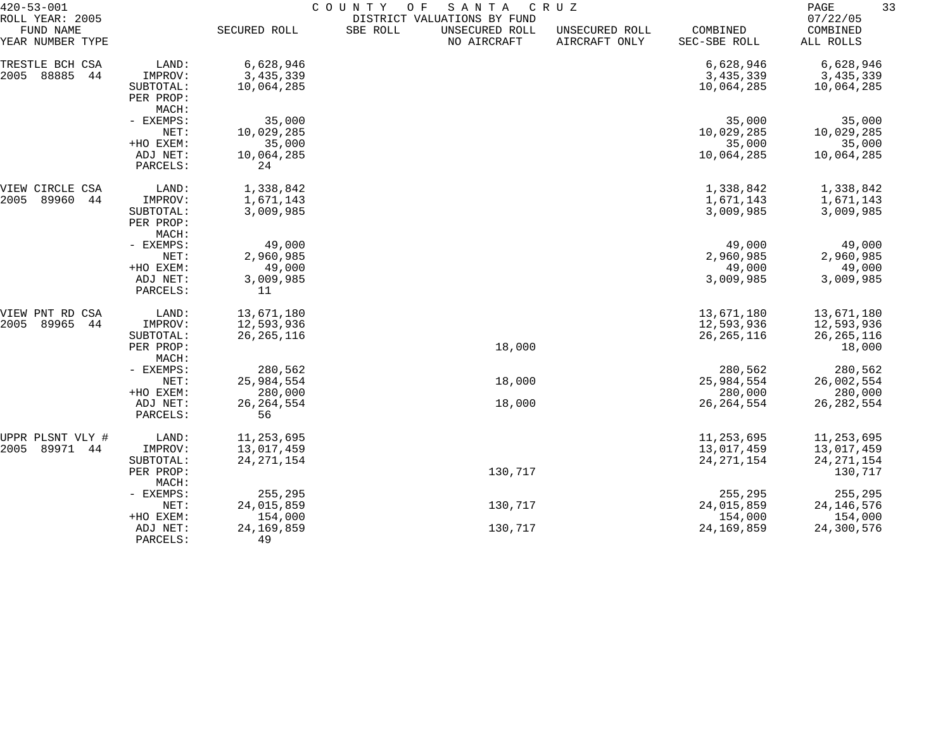| $420 - 53 - 001$             |                       | COUNTY<br>SANTA<br>O F<br>CRUZ |                                                           |         |                |                     |                      | 33<br>PAGE |  |
|------------------------------|-----------------------|--------------------------------|-----------------------------------------------------------|---------|----------------|---------------------|----------------------|------------|--|
| ROLL YEAR: 2005<br>FUND NAME |                       | SECURED ROLL                   | DISTRICT VALUATIONS BY FUND<br>UNSECURED ROLL<br>SBE ROLL |         | UNSECURED ROLL | COMBINED            | 07/22/05<br>COMBINED |            |  |
| YEAR NUMBER TYPE             |                       |                                | NO AIRCRAFT                                               |         | AIRCRAFT ONLY  | SEC-SBE ROLL        | ALL ROLLS            |            |  |
| TRESTLE BCH CSA              | LAND:                 | 6,628,946                      |                                                           |         |                | 6,628,946           | 6,628,946            |            |  |
| 88885<br>2005<br>44          | IMPROV:               | 3,435,339                      |                                                           |         |                | 3, 435, 339         | 3, 435, 339          |            |  |
|                              | SUBTOTAL:             | 10,064,285                     |                                                           |         |                | 10,064,285          | 10,064,285           |            |  |
|                              | PER PROP:             |                                |                                                           |         |                |                     |                      |            |  |
|                              | MACH:                 |                                |                                                           |         |                |                     |                      |            |  |
|                              | - EXEMPS:             | 35,000                         |                                                           |         |                | 35,000              | 35,000               |            |  |
|                              | NET:                  | 10,029,285                     |                                                           |         |                | 10,029,285          | 10,029,285           |            |  |
|                              | +HO EXEM:             | 35,000                         |                                                           |         |                | 35,000              | 35,000               |            |  |
|                              | ADJ NET:              | 10,064,285                     |                                                           |         |                | 10,064,285          | 10,064,285           |            |  |
|                              | PARCELS:              | 24                             |                                                           |         |                |                     |                      |            |  |
| VIEW CIRCLE<br>CSA           | LAND:                 | 1,338,842                      |                                                           |         |                | 1,338,842           | 1,338,842            |            |  |
| 89960<br>2005<br>44          | IMPROV:               | 1,671,143                      |                                                           |         |                | 1,671,143           | 1,671,143            |            |  |
|                              | SUBTOTAL:             | 3,009,985                      |                                                           |         |                | 3,009,985           | 3,009,985            |            |  |
|                              | PER PROP:             |                                |                                                           |         |                |                     |                      |            |  |
|                              | MACH:                 |                                |                                                           |         |                |                     |                      |            |  |
|                              | - EXEMPS:             | 49,000                         |                                                           |         |                | 49,000              | 49,000               |            |  |
|                              | NET:                  | 2,960,985                      |                                                           |         |                | 2,960,985           | 2,960,985            |            |  |
|                              | +HO EXEM:<br>ADJ NET: | 49,000<br>3,009,985            |                                                           |         |                | 49,000<br>3,009,985 | 49,000<br>3,009,985  |            |  |
|                              | PARCELS:              | 11                             |                                                           |         |                |                     |                      |            |  |
| VIEW PNT RD CSA              | LAND:                 | 13,671,180                     |                                                           |         |                | 13,671,180          | 13,671,180           |            |  |
| 2005<br>89965<br>44          | IMPROV:               | 12,593,936                     |                                                           |         |                | 12,593,936          | 12,593,936           |            |  |
|                              | SUBTOTAL:             | 26, 265, 116                   |                                                           |         |                | 26, 265, 116        | 26, 265, 116         |            |  |
|                              | PER PROP:             |                                |                                                           | 18,000  |                |                     | 18,000               |            |  |
|                              | MACH:                 |                                |                                                           |         |                |                     |                      |            |  |
|                              | - EXEMPS:             | 280,562                        |                                                           |         |                | 280,562             | 280,562              |            |  |
|                              | NET:                  | 25,984,554                     |                                                           | 18,000  |                | 25,984,554          | 26,002,554           |            |  |
|                              | +HO EXEM:             | 280,000                        |                                                           |         |                | 280,000             | 280,000              |            |  |
|                              | ADJ NET:              | 26, 264, 554                   |                                                           | 18,000  |                | 26, 264, 554        | 26, 282, 554         |            |  |
|                              | PARCELS:              | 56                             |                                                           |         |                |                     |                      |            |  |
| UPPR PLSNT VLY #             | LAND:                 | 11,253,695                     |                                                           |         |                | 11,253,695          | 11,253,695           |            |  |
| 89971 44<br>2005             | IMPROV:               | 13,017,459                     |                                                           |         |                | 13,017,459          | 13,017,459           |            |  |
|                              | SUBTOTAL:             | 24, 271, 154                   |                                                           |         |                | 24, 271, 154        | 24, 271, 154         |            |  |
|                              | PER PROP:<br>MACH:    |                                |                                                           | 130,717 |                |                     | 130,717              |            |  |
|                              | - EXEMPS:             | 255,295                        |                                                           |         |                | 255,295             | 255,295              |            |  |
|                              | NET:                  | 24,015,859                     |                                                           | 130,717 |                | 24,015,859          | 24, 146, 576         |            |  |
|                              | +HO EXEM:             | 154,000                        |                                                           |         |                | 154,000             | 154,000              |            |  |
|                              | ADJ NET:              | 24, 169, 859                   |                                                           | 130,717 |                | 24,169,859          | 24,300,576           |            |  |
|                              | PARCELS:              | 49                             |                                                           |         |                |                     |                      |            |  |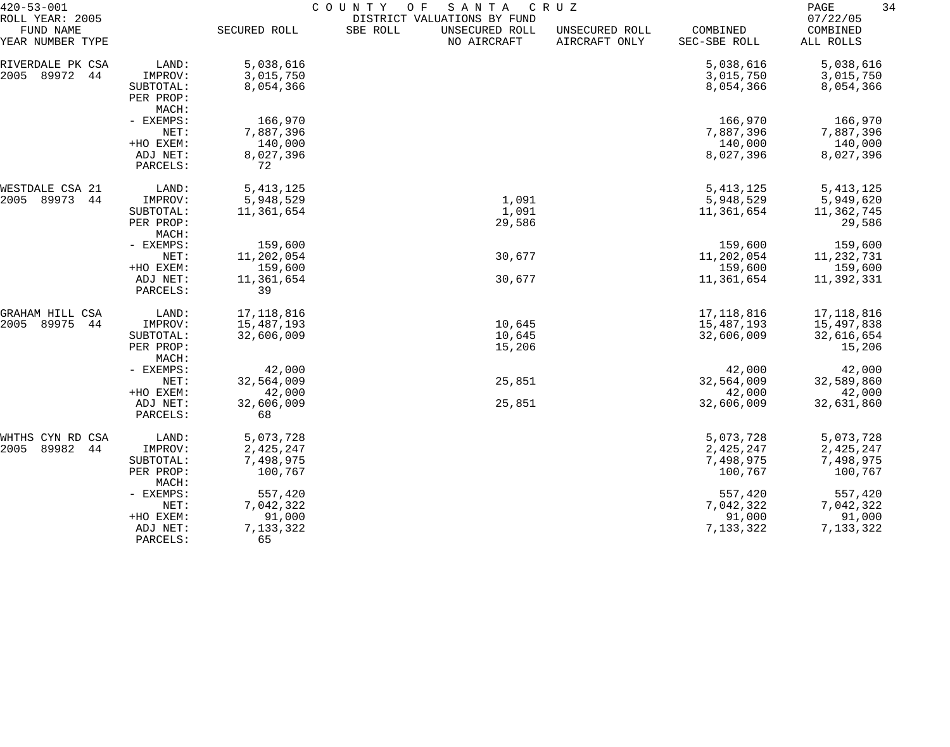| $420 - 53 - 001$                                 |                      | COUNTY<br>O F<br>SANTA<br>C R U Z |                                                                          |                                 |                          |                                   |  |
|--------------------------------------------------|----------------------|-----------------------------------|--------------------------------------------------------------------------|---------------------------------|--------------------------|-----------------------------------|--|
| ROLL YEAR: 2005<br>FUND NAME<br>YEAR NUMBER TYPE |                      | SECURED ROLL                      | DISTRICT VALUATIONS BY FUND<br>SBE ROLL<br>UNSECURED ROLL<br>NO AIRCRAFT | UNSECURED ROLL<br>AIRCRAFT ONLY | COMBINED<br>SEC-SBE ROLL | 07/22/05<br>COMBINED<br>ALL ROLLS |  |
| RIVERDALE PK CSA                                 | LAND:                | 5,038,616                         |                                                                          |                                 | 5,038,616                | 5,038,616                         |  |
| 2005<br>89972<br>44                              | IMPROV:              | 3,015,750                         |                                                                          |                                 | 3,015,750                | 3,015,750                         |  |
|                                                  | SUBTOTAL:            | 8,054,366                         |                                                                          |                                 | 8,054,366                | 8,054,366                         |  |
|                                                  | PER PROP:            |                                   |                                                                          |                                 |                          |                                   |  |
|                                                  | MACH:                |                                   |                                                                          |                                 |                          |                                   |  |
|                                                  | - EXEMPS:            | 166,970                           |                                                                          |                                 | 166,970                  | 166,970                           |  |
|                                                  | NET:                 | 7,887,396                         |                                                                          |                                 | 7,887,396                | 7,887,396                         |  |
|                                                  | +HO EXEM:            | 140,000                           |                                                                          |                                 | 140,000                  | 140,000                           |  |
|                                                  | ADJ NET:             | 8,027,396                         |                                                                          |                                 | 8,027,396                | 8,027,396                         |  |
|                                                  | PARCELS:             | 72                                |                                                                          |                                 |                          |                                   |  |
| WESTDALE CSA 21                                  | LAND:                | 5, 413, 125                       |                                                                          |                                 | 5, 413, 125              | 5, 413, 125                       |  |
| 89973<br>2005<br>44                              | IMPROV:              | 5,948,529                         | 1,091                                                                    |                                 | 5,948,529                | 5,949,620                         |  |
|                                                  | SUBTOTAL:            | 11,361,654                        | 1,091                                                                    |                                 | 11,361,654               | 11,362,745                        |  |
|                                                  | PER PROP:            |                                   | 29,586                                                                   |                                 |                          | 29,586                            |  |
|                                                  | MACH:                |                                   |                                                                          |                                 |                          |                                   |  |
|                                                  | - EXEMPS:            | 159,600                           |                                                                          |                                 | 159,600                  | 159,600                           |  |
|                                                  | NET:                 | 11,202,054                        | 30,677                                                                   |                                 | 11,202,054               | 11, 232, 731                      |  |
|                                                  | +HO EXEM:            | 159,600                           |                                                                          |                                 | 159,600                  | 159,600                           |  |
|                                                  | ADJ NET:             | 11,361,654                        | 30,677                                                                   |                                 | 11,361,654               | 11,392,331                        |  |
|                                                  | PARCELS:             | 39                                |                                                                          |                                 |                          |                                   |  |
| GRAHAM HILL CSA                                  | LAND:                | 17, 118, 816                      |                                                                          |                                 | 17, 118, 816             | 17,118,816                        |  |
| 2005<br>89975<br>44                              | IMPROV:              | 15,487,193                        | 10,645                                                                   |                                 | 15,487,193               | 15,497,838                        |  |
|                                                  | SUBTOTAL:            | 32,606,009                        | 10,645                                                                   |                                 | 32,606,009               | 32,616,654                        |  |
|                                                  | PER PROP:            |                                   | 15,206                                                                   |                                 |                          | 15,206                            |  |
|                                                  | MACH:                |                                   |                                                                          |                                 |                          |                                   |  |
|                                                  | - EXEMPS:            | 42,000                            |                                                                          |                                 | 42,000                   | 42,000                            |  |
|                                                  | NET:                 | 32,564,009                        | 25,851                                                                   |                                 | 32,564,009               | 32,589,860                        |  |
|                                                  | +HO EXEM:            | 42,000                            |                                                                          |                                 | 42,000                   | 42,000                            |  |
|                                                  | ADJ NET:<br>PARCELS: | 32,606,009<br>68                  | 25,851                                                                   |                                 | 32,606,009               | 32,631,860                        |  |
| WHTHS CYN RD CSA                                 | LAND:                | 5,073,728                         |                                                                          |                                 | 5,073,728                | 5,073,728                         |  |
| 89982<br>2005<br>44                              | IMPROV:              | 2,425,247                         |                                                                          |                                 | 2,425,247                | 2,425,247                         |  |
|                                                  | SUBTOTAL:            | 7,498,975                         |                                                                          |                                 | 7,498,975                | 7,498,975                         |  |
|                                                  | PER PROP:            | 100,767                           |                                                                          |                                 | 100,767                  | 100,767                           |  |
|                                                  | MACH:                |                                   |                                                                          |                                 |                          |                                   |  |
|                                                  | - EXEMPS:            | 557,420                           |                                                                          |                                 | 557,420                  | 557,420                           |  |
|                                                  | NET:                 | 7,042,322                         |                                                                          |                                 | 7,042,322                | 7,042,322                         |  |
|                                                  | +HO EXEM:            | 91,000                            |                                                                          |                                 | 91,000                   | 91,000                            |  |
|                                                  | ADJ NET:             | 7,133,322                         |                                                                          |                                 | 7,133,322                | 7,133,322                         |  |
|                                                  | PARCELS:             | 65                                |                                                                          |                                 |                          |                                   |  |
|                                                  |                      |                                   |                                                                          |                                 |                          |                                   |  |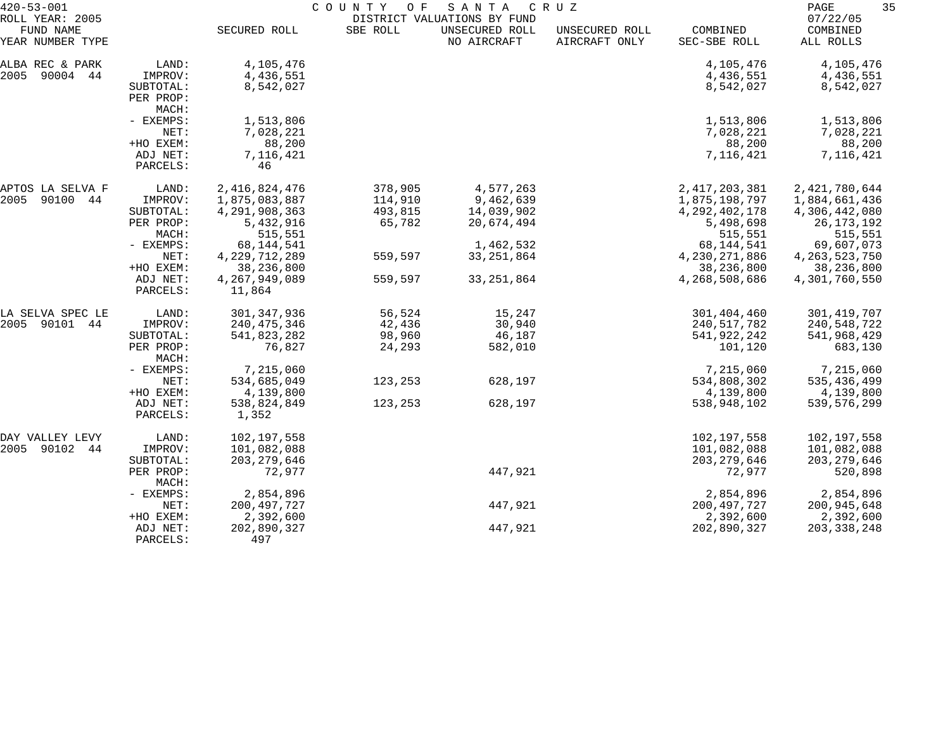| $420 - 53 - 001$                                 |                      | COUNTY<br>O F<br>S A N T A<br>C R U Z<br>DISTRICT VALUATIONS BY FUND |          |                               |                                 |                          |                                   |
|--------------------------------------------------|----------------------|----------------------------------------------------------------------|----------|-------------------------------|---------------------------------|--------------------------|-----------------------------------|
| ROLL YEAR: 2005<br>FUND NAME<br>YEAR NUMBER TYPE |                      | SECURED ROLL                                                         | SBE ROLL | UNSECURED ROLL<br>NO AIRCRAFT | UNSECURED ROLL<br>AIRCRAFT ONLY | COMBINED<br>SEC-SBE ROLL | 07/22/05<br>COMBINED<br>ALL ROLLS |
| ALBA REC & PARK                                  | LAND:                | 4,105,476                                                            |          |                               |                                 | 4,105,476                | 4,105,476                         |
| 2005 90004 44                                    | IMPROV:              | 4,436,551                                                            |          |                               |                                 | 4,436,551                | 4,436,551                         |
|                                                  | SUBTOTAL:            | 8,542,027                                                            |          |                               |                                 | 8,542,027                | 8,542,027                         |
|                                                  | PER PROP:            |                                                                      |          |                               |                                 |                          |                                   |
|                                                  | MACH:                |                                                                      |          |                               |                                 |                          |                                   |
|                                                  | - EXEMPS:            | 1,513,806                                                            |          |                               |                                 | 1,513,806                | 1,513,806                         |
|                                                  | NET:                 | 7,028,221                                                            |          |                               |                                 | 7,028,221                | 7,028,221                         |
|                                                  | +HO EXEM:            | 88,200                                                               |          |                               |                                 | 88,200                   | 88,200                            |
|                                                  | ADJ NET:             | 7,116,421                                                            |          |                               |                                 | 7,116,421                | 7,116,421                         |
|                                                  | PARCELS:             | 46                                                                   |          |                               |                                 |                          |                                   |
| APTOS LA SELVA F                                 | LAND:                | 2, 416, 824, 476                                                     | 378,905  | 4,577,263                     |                                 | 2, 417, 203, 381         | 2,421,780,644                     |
| 2005<br>90100 44                                 | IMPROV:              | 1,875,083,887                                                        | 114,910  | 9,462,639                     |                                 | 1,875,198,797            | 1,884,661,436                     |
|                                                  | SUBTOTAL:            | 4, 291, 908, 363                                                     | 493,815  | 14,039,902                    |                                 | 4, 292, 402, 178         | 4,306,442,080                     |
|                                                  | PER PROP:            | 5,432,916                                                            | 65,782   | 20,674,494                    |                                 | 5,498,698                | 26, 173, 192                      |
|                                                  | MACH:                | 515,551                                                              |          |                               |                                 | 515,551                  | 515,551                           |
|                                                  | - EXEMPS:            | 68, 144, 541                                                         |          | 1,462,532                     |                                 | 68,144,541               | 69,607,073                        |
|                                                  | NET:                 | 4, 229, 712, 289                                                     | 559,597  | 33,251,864                    |                                 | 4,230,271,886            | 4, 263, 523, 750                  |
|                                                  | +HO EXEM:            | 38,236,800                                                           |          |                               |                                 | 38,236,800               | 38,236,800                        |
|                                                  | ADJ NET:<br>PARCELS: | 4,267,949,089<br>11,864                                              | 559,597  | 33, 251, 864                  |                                 | 4,268,508,686            | 4,301,760,550                     |
| LA SELVA SPEC LE                                 | LAND:                | 301, 347, 936                                                        | 56,524   | 15,247                        |                                 | 301,404,460              | 301, 419, 707                     |
| 2005 90101<br>44                                 | IMPROV:              | 240, 475, 346                                                        | 42,436   | 30,940                        |                                 | 240,517,782              | 240,548,722                       |
|                                                  | SUBTOTAL:            | 541,823,282                                                          | 98,960   | 46,187                        |                                 | 541,922,242              | 541,968,429                       |
|                                                  | PER PROP:<br>MACH:   | 76,827                                                               | 24,293   | 582,010                       |                                 | 101,120                  | 683,130                           |
|                                                  | - EXEMPS:            | 7,215,060                                                            |          |                               |                                 | 7,215,060                | 7,215,060                         |
|                                                  | NET:                 | 534,685,049                                                          | 123,253  | 628,197                       |                                 | 534,808,302              | 535, 436, 499                     |
|                                                  | +HO EXEM:            | 4,139,800                                                            |          |                               |                                 | 4,139,800                | 4,139,800                         |
|                                                  | ADJ NET:             | 538,824,849                                                          | 123,253  | 628,197                       |                                 | 538,948,102              | 539,576,299                       |
|                                                  | PARCELS:             | 1,352                                                                |          |                               |                                 |                          |                                   |
| DAY VALLEY LEVY                                  | LAND:                | 102,197,558                                                          |          |                               |                                 | 102,197,558              | 102,197,558                       |
| 2005 90102<br>44                                 | IMPROV:              | 101,082,088                                                          |          |                               |                                 | 101,082,088              | 101,082,088                       |
|                                                  | SUBTOTAL:            | 203, 279, 646                                                        |          |                               |                                 | 203, 279, 646            | 203, 279, 646                     |
|                                                  | PER PROP:<br>MACH:   | 72,977                                                               |          | 447,921                       |                                 | 72,977                   | 520,898                           |
|                                                  | - EXEMPS:            | 2,854,896                                                            |          |                               |                                 | 2,854,896                | 2,854,896                         |
|                                                  | NET:                 | 200, 497, 727                                                        |          | 447,921                       |                                 | 200, 497, 727            | 200,945,648                       |
|                                                  | +HO EXEM:            | 2,392,600                                                            |          |                               |                                 | 2,392,600                | 2,392,600                         |
|                                                  | ADJ NET:             | 202,890,327                                                          |          | 447,921                       |                                 | 202,890,327              | 203, 338, 248                     |
|                                                  | PARCELS:             | 497                                                                  |          |                               |                                 |                          |                                   |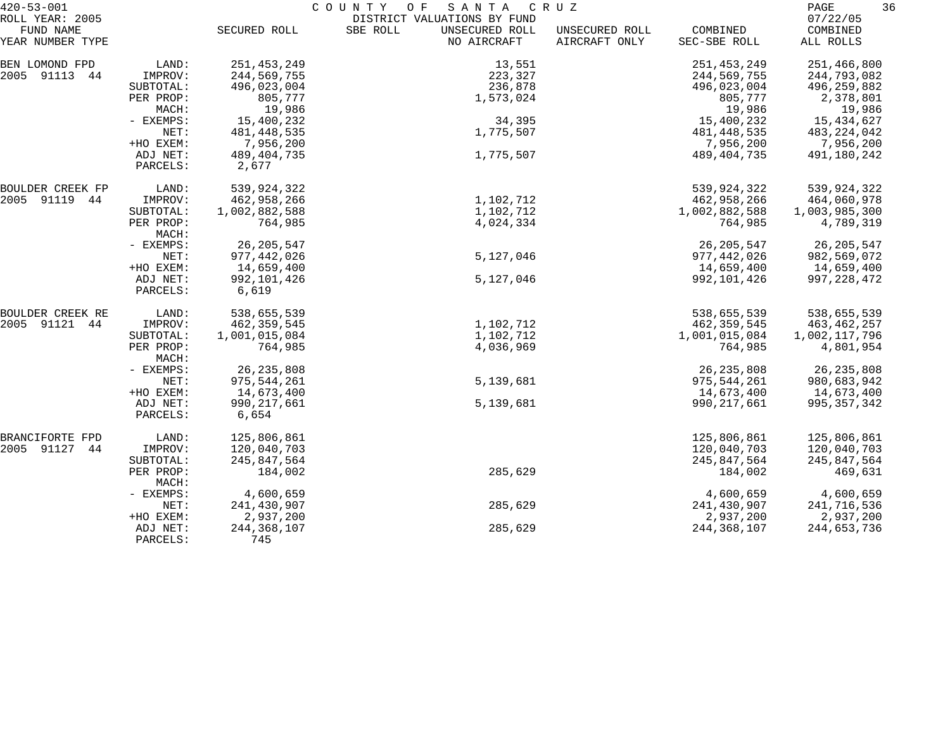| $420 - 53 - 001$             |                      |                        | COUNTY<br>O F<br>SANTA                                    | C R U Z        |               | 36<br>PAGE           |
|------------------------------|----------------------|------------------------|-----------------------------------------------------------|----------------|---------------|----------------------|
| ROLL YEAR: 2005<br>FUND NAME |                      | SECURED ROLL           | DISTRICT VALUATIONS BY FUND<br>SBE ROLL<br>UNSECURED ROLL | UNSECURED ROLL | COMBINED      | 07/22/05<br>COMBINED |
| YEAR NUMBER TYPE             |                      |                        | NO AIRCRAFT                                               | AIRCRAFT ONLY  | SEC-SBE ROLL  | ALL ROLLS            |
| BEN LOMOND FPD               | LAND:                | 251, 453, 249          | 13,551                                                    |                | 251, 453, 249 | 251,466,800          |
| 2005 91113 44                | IMPROV:              | 244,569,755            | 223,327                                                   |                | 244,569,755   | 244,793,082          |
|                              | SUBTOTAL:            | 496,023,004            | 236,878                                                   |                | 496,023,004   | 496,259,882          |
|                              | PER PROP:            | 805,777                | 1,573,024                                                 |                | 805,777       | 2,378,801            |
|                              | MACH:                | 19,986                 |                                                           |                | 19,986        | 19,986               |
|                              | - EXEMPS:            | 15,400,232             | 34,395                                                    |                | 15,400,232    | 15,434,627           |
|                              | NET:                 | 481,448,535            | 1,775,507                                                 |                | 481,448,535   | 483, 224, 042        |
|                              | +HO EXEM:            | 7,956,200              |                                                           |                | 7,956,200     | 7,956,200            |
|                              | ADJ NET:<br>PARCELS: | 489, 404, 735<br>2,677 | 1,775,507                                                 |                | 489,404,735   | 491,180,242          |
| BOULDER CREEK FP             | LAND:                | 539,924,322            |                                                           |                | 539,924,322   | 539,924,322          |
| 2005 91119 44                | IMPROV:              | 462,958,266            | 1,102,712                                                 |                | 462,958,266   | 464,060,978          |
|                              | SUBTOTAL:            | 1,002,882,588          | 1,102,712                                                 |                | 1,002,882,588 | 1,003,985,300        |
|                              | PER PROP:<br>MACH:   | 764,985                | 4,024,334                                                 |                | 764,985       | 4,789,319            |
|                              | - EXEMPS:            | 26, 205, 547           |                                                           |                | 26, 205, 547  | 26,205,547           |
|                              | NET:                 | 977,442,026            | 5,127,046                                                 |                | 977,442,026   | 982,569,072          |
|                              | +HO EXEM:            | 14,659,400             |                                                           |                | 14,659,400    | 14,659,400           |
|                              | ADJ NET:<br>PARCELS: | 992,101,426<br>6,619   | 5,127,046                                                 |                | 992,101,426   | 997, 228, 472        |
| BOULDER CREEK RE             | LAND:                | 538,655,539            |                                                           |                | 538,655,539   | 538,655,539          |
| 2005 91121 44                | IMPROV:              | 462,359,545            | 1,102,712                                                 |                | 462,359,545   | 463,462,257          |
|                              | SUBTOTAL:            | 1,001,015,084          | 1,102,712                                                 |                | 1,001,015,084 | 1,002,117,796        |
|                              | PER PROP:<br>MACH:   | 764,985                | 4,036,969                                                 |                | 764,985       | 4,801,954            |
|                              | - EXEMPS:            | 26, 235, 808           |                                                           |                | 26, 235, 808  | 26, 235, 808         |
|                              | NET:                 | 975,544,261            | 5,139,681                                                 |                | 975,544,261   | 980,683,942          |
|                              | +HO EXEM:            | 14,673,400             |                                                           |                | 14,673,400    | 14,673,400           |
|                              | ADJ NET:<br>PARCELS: | 990,217,661<br>6,654   | 5,139,681                                                 |                | 990,217,661   | 995, 357, 342        |
| BRANCIFORTE FPD              | LAND:                | 125,806,861            |                                                           |                | 125,806,861   | 125,806,861          |
| 2005 91127<br>44             | IMPROV:              | 120,040,703            |                                                           |                | 120,040,703   | 120,040,703          |
|                              | SUBTOTAL:            | 245,847,564            |                                                           |                | 245,847,564   | 245,847,564          |
|                              | PER PROP:<br>MACH:   | 184,002                | 285,629                                                   |                | 184,002       | 469,631              |
|                              | - EXEMPS:            | 4,600,659              |                                                           |                | 4,600,659     | 4,600,659            |
|                              | NET:                 | 241,430,907            | 285,629                                                   |                | 241,430,907   | 241,716,536          |
|                              | +HO EXEM:            | 2,937,200              |                                                           |                | 2,937,200     | 2,937,200            |
|                              | ADJ NET:<br>PARCELS: | 244, 368, 107<br>745   | 285,629                                                   |                | 244, 368, 107 | 244,653,736          |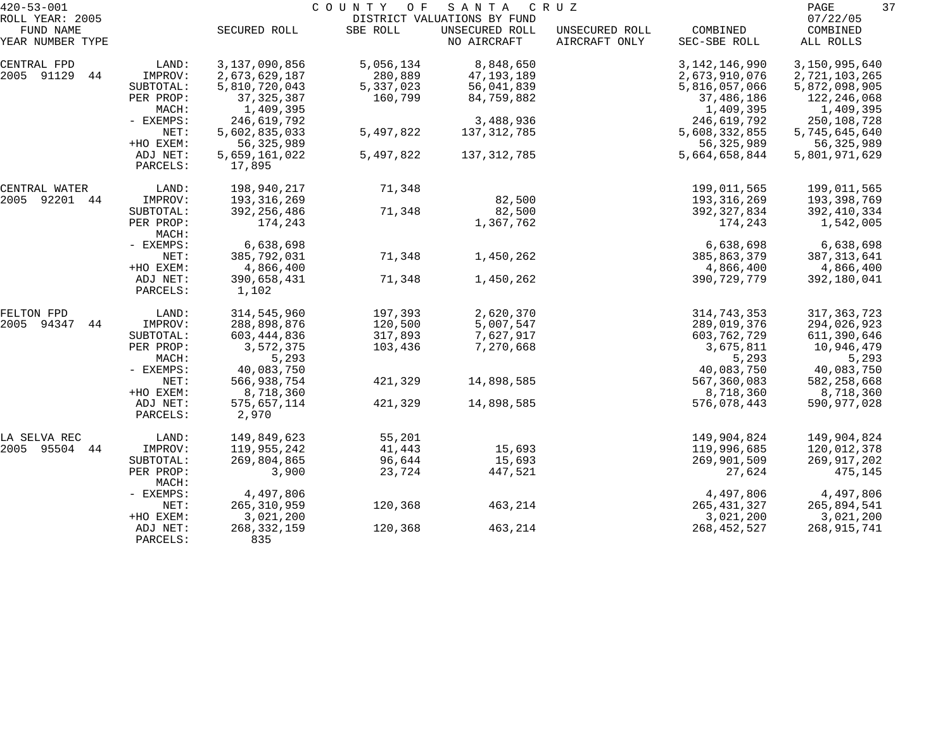| $420 - 53 - 001$              |                      | COUNTY OF<br>S A N T A<br>C R U Z |           |                               |                                 |                          |                       |  |
|-------------------------------|----------------------|-----------------------------------|-----------|-------------------------------|---------------------------------|--------------------------|-----------------------|--|
| ROLL YEAR: 2005               |                      |                                   |           | DISTRICT VALUATIONS BY FUND   |                                 |                          | 07/22/05              |  |
| FUND NAME<br>YEAR NUMBER TYPE |                      | SECURED ROLL                      | SBE ROLL  | UNSECURED ROLL<br>NO AIRCRAFT | UNSECURED ROLL<br>AIRCRAFT ONLY | COMBINED<br>SEC-SBE ROLL | COMBINED<br>ALL ROLLS |  |
| CENTRAL FPD                   | LAND:                | 3,137,090,856                     | 5,056,134 | 8,848,650                     |                                 | 3, 142, 146, 990         | 3,150,995,640         |  |
| 2005 91129<br>44              | IMPROV:              | 2,673,629,187                     | 280,889   | 47,193,189                    |                                 | 2,673,910,076            | 2,721,103,265         |  |
|                               | SUBTOTAL:            | 5,810,720,043                     | 5,337,023 | 56,041,839                    |                                 | 5,816,057,066            | 5,872,098,905         |  |
|                               | PER PROP:            | 37, 325, 387                      | 160,799   | 84,759,882                    |                                 | 37,486,186               | 122,246,068           |  |
|                               | MACH:                | 1,409,395                         |           |                               |                                 | 1,409,395                | 1,409,395             |  |
|                               | - EXEMPS:            | 246,619,792                       |           | 3,488,936                     |                                 | 246,619,792              | 250,108,728           |  |
|                               | NET:                 | 5,602,835,033                     | 5,497,822 | 137, 312, 785                 |                                 | 5,608,332,855            | 5,745,645,640         |  |
|                               | +HO EXEM:            | 56, 325, 989                      |           |                               |                                 | 56, 325, 989             | 56,325,989            |  |
|                               | ADJ NET:<br>PARCELS: | 5,659,161,022<br>17,895           | 5,497,822 | 137, 312, 785                 |                                 | 5,664,658,844            | 5,801,971,629         |  |
| CENTRAL WATER                 | LAND:                | 198,940,217                       | 71,348    |                               |                                 | 199,011,565              | 199,011,565           |  |
| 2005 92201 44                 | IMPROV:              | 193, 316, 269                     |           | 82,500                        |                                 | 193,316,269              | 193,398,769           |  |
|                               | SUBTOTAL:            | 392, 256, 486                     | 71,348    | 82,500                        |                                 | 392, 327, 834            | 392,410,334           |  |
|                               | PER PROP:<br>MACH:   | 174,243                           |           | 1,367,762                     |                                 | 174,243                  | 1,542,005             |  |
|                               | - EXEMPS:            | 6,638,698                         |           |                               |                                 | 6,638,698                | 6,638,698             |  |
|                               | NET:                 | 385,792,031                       | 71,348    | 1,450,262                     |                                 | 385,863,379              | 387, 313, 641         |  |
|                               | +HO EXEM:            | 4,866,400                         |           |                               |                                 | 4,866,400                | 4,866,400             |  |
|                               | ADJ NET:<br>PARCELS: | 390,658,431<br>1,102              | 71,348    | 1,450,262                     |                                 | 390,729,779              | 392,180,041           |  |
| FELTON FPD                    | LAND:                | 314,545,960                       | 197,393   | 2,620,370                     |                                 | 314,743,353              | 317, 363, 723         |  |
| 94347<br>2005<br>44           | IMPROV:              | 288,898,876                       | 120,500   | 5,007,547                     |                                 | 289,019,376              | 294,026,923           |  |
|                               | SUBTOTAL:            | 603, 444, 836                     | 317,893   | 7,627,917                     |                                 | 603,762,729              | 611,390,646           |  |
|                               | PER PROP:<br>MACH:   | 3,572,375<br>5,293                | 103,436   | 7,270,668                     |                                 | 3,675,811<br>5,293       | 10,946,479<br>5,293   |  |
|                               | - EXEMPS:            | 40,083,750                        |           |                               |                                 | 40,083,750               | 40,083,750            |  |
|                               | NET:                 | 566,938,754                       | 421,329   | 14,898,585                    |                                 | 567,360,083              | 582,258,668           |  |
|                               | +HO EXEM:            | 8,718,360                         |           |                               |                                 | 8,718,360                | 8,718,360             |  |
|                               | ADJ NET:<br>PARCELS: | 575,657,114<br>2,970              | 421,329   | 14,898,585                    |                                 | 576,078,443              | 590, 977, 028         |  |
| LA SELVA REC                  | LAND:                | 149,849,623                       | 55,201    |                               |                                 | 149,904,824              | 149,904,824           |  |
| 2005 95504 44                 | IMPROV:              | 119,955,242                       | 41,443    | 15,693                        |                                 | 119,996,685              | 120,012,378           |  |
|                               | SUBTOTAL:            | 269,804,865                       | 96,644    | 15,693                        |                                 | 269,901,509              | 269,917,202           |  |
|                               | PER PROP:<br>MACH:   | 3,900                             | 23,724    | 447,521                       |                                 | 27,624                   | 475,145               |  |
|                               | - EXEMPS:            | 4,497,806                         |           |                               |                                 | 4,497,806                | 4,497,806             |  |
|                               | NET:                 | 265, 310, 959                     | 120,368   | 463,214                       |                                 | 265, 431, 327            | 265,894,541           |  |
|                               | +HO EXEM:            | 3,021,200                         |           |                               |                                 | 3,021,200                | 3,021,200             |  |
|                               | ADJ NET:<br>PARCELS: | 268, 332, 159<br>835              | 120,368   | 463,214                       |                                 | 268, 452, 527            | 268,915,741           |  |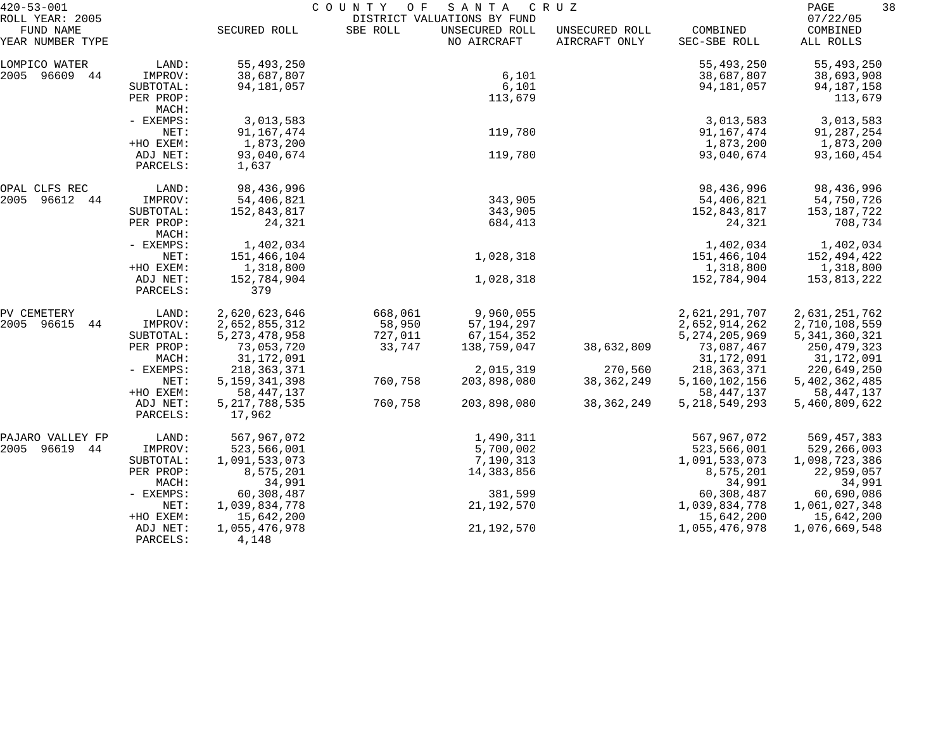| $420 - 53 - 001$                                 |                      | COUNTY<br>SANTA<br>O F<br>C R U Z |          |                                                              |                                 |                  |                      |  |
|--------------------------------------------------|----------------------|-----------------------------------|----------|--------------------------------------------------------------|---------------------------------|------------------|----------------------|--|
| ROLL YEAR: 2005<br>FUND NAME<br>YEAR NUMBER TYPE |                      | SECURED ROLL                      | SBE ROLL | DISTRICT VALUATIONS BY FUND<br>UNSECURED ROLL<br>NO AIRCRAFT | UNSECURED ROLL<br>AIRCRAFT ONLY | COMBINED         | 07/22/05<br>COMBINED |  |
|                                                  |                      |                                   |          |                                                              |                                 | SEC-SBE ROLL     | ALL ROLLS            |  |
| LOMPICO WATER                                    | LAND:                | 55,493,250                        |          |                                                              |                                 | 55, 493, 250     | 55,493,250           |  |
| 2005 96609 44                                    | IMPROV:              | 38,687,807                        |          | 6,101                                                        |                                 | 38,687,807       | 38,693,908           |  |
|                                                  | SUBTOTAL:            | 94,181,057                        |          | 6,101                                                        |                                 | 94,181,057       | 94, 187, 158         |  |
|                                                  | PER PROP:<br>MACH:   |                                   |          | 113,679                                                      |                                 |                  | 113,679              |  |
|                                                  | - EXEMPS:            | 3,013,583                         |          |                                                              |                                 | 3,013,583        | 3,013,583            |  |
|                                                  | NET:                 | 91, 167, 474                      |          | 119,780                                                      |                                 | 91,167,474       | 91,287,254           |  |
|                                                  | +HO EXEM:            | 1,873,200                         |          |                                                              |                                 | 1,873,200        | 1,873,200            |  |
|                                                  | ADJ NET:             | 93,040,674                        |          | 119,780                                                      |                                 | 93,040,674       | 93,160,454           |  |
|                                                  | PARCELS:             | 1,637                             |          |                                                              |                                 |                  |                      |  |
| OPAL CLFS REC                                    | LAND:                | 98,436,996                        |          |                                                              |                                 | 98,436,996       | 98,436,996           |  |
| 2005<br>96612 44                                 | IMPROV:              | 54,406,821                        |          | 343,905                                                      |                                 | 54,406,821       | 54,750,726           |  |
|                                                  | SUBTOTAL:            | 152,843,817                       |          | 343,905                                                      |                                 | 152,843,817      | 153,187,722          |  |
|                                                  | PER PROP:<br>MACH:   | 24,321                            |          | 684,413                                                      |                                 | 24,321           | 708,734              |  |
|                                                  | - EXEMPS:            | 1,402,034                         |          |                                                              |                                 | 1,402,034        | 1,402,034            |  |
|                                                  | NET:                 | 151,466,104                       |          | 1,028,318                                                    |                                 | 151,466,104      | 152,494,422          |  |
|                                                  | +HO EXEM:            | 1,318,800                         |          |                                                              |                                 | 1,318,800        | 1,318,800            |  |
|                                                  | ADJ NET:<br>PARCELS: | 152,784,904<br>379                |          | 1,028,318                                                    |                                 | 152,784,904      | 153,813,222          |  |
| PV CEMETERY                                      | LAND:                | 2,620,623,646                     | 668,061  | 9,960,055                                                    |                                 | 2,621,291,707    | 2,631,251,762        |  |
| 2005 96615<br>44                                 | IMPROV:              | 2,652,855,312                     | 58,950   | 57, 194, 297                                                 |                                 | 2,652,914,262    | 2,710,108,559        |  |
|                                                  | SUBTOTAL:            | 5, 273, 478, 958                  | 727,011  | 67, 154, 352                                                 |                                 | 5, 274, 205, 969 | 5, 341, 360, 321     |  |
|                                                  | PER PROP:            | 73,053,720                        | 33,747   | 138,759,047                                                  | 38,632,809                      | 73,087,467       | 250,479,323          |  |
|                                                  | MACH:                | 31,172,091                        |          |                                                              |                                 | 31,172,091       | 31,172,091           |  |
|                                                  | - EXEMPS:            | 218, 363, 371                     |          | 2,015,319                                                    | 270,560                         | 218, 363, 371    | 220,649,250          |  |
|                                                  | NET:                 | 5, 159, 341, 398                  | 760,758  | 203,898,080                                                  | 38, 362, 249                    | 5,160,102,156    | 5,402,362,485        |  |
|                                                  | +HO EXEM:            | 58, 447, 137                      |          |                                                              |                                 | 58, 447, 137     | 58, 447, 137         |  |
|                                                  | ADJ NET:<br>PARCELS: | 5, 217, 788, 535<br>17,962        | 760,758  | 203,898,080                                                  | 38, 362, 249                    | 5, 218, 549, 293 | 5,460,809,622        |  |
| PAJARO VALLEY FP                                 | LAND:                | 567,967,072                       |          | 1,490,311                                                    |                                 | 567,967,072      | 569, 457, 383        |  |
| 2005<br>96619 44                                 | IMPROV:              | 523,566,001                       |          | 5,700,002                                                    |                                 | 523,566,001      | 529,266,003          |  |
|                                                  | SUBTOTAL:            | 1,091,533,073                     |          | 7,190,313                                                    |                                 | 1,091,533,073    | 1,098,723,386        |  |
|                                                  | PER PROP:            | 8,575,201                         |          | 14,383,856                                                   |                                 | 8,575,201        | 22,959,057           |  |
|                                                  | MACH:                | 34,991                            |          |                                                              |                                 | 34,991           | 34,991               |  |
|                                                  | - EXEMPS:            | 60,308,487                        |          | 381,599                                                      |                                 | 60,308,487       | 60,690,086           |  |
|                                                  | NET:                 | 1,039,834,778                     |          | 21, 192, 570                                                 |                                 | 1,039,834,778    | 1,061,027,348        |  |
|                                                  | +HO EXEM:            | 15,642,200                        |          |                                                              |                                 | 15,642,200       | 15,642,200           |  |
|                                                  | ADJ NET:             | 1,055,476,978                     |          | 21, 192, 570                                                 |                                 | 1,055,476,978    | 1,076,669,548        |  |
|                                                  | PARCELS:             | 4,148                             |          |                                                              |                                 |                  |                      |  |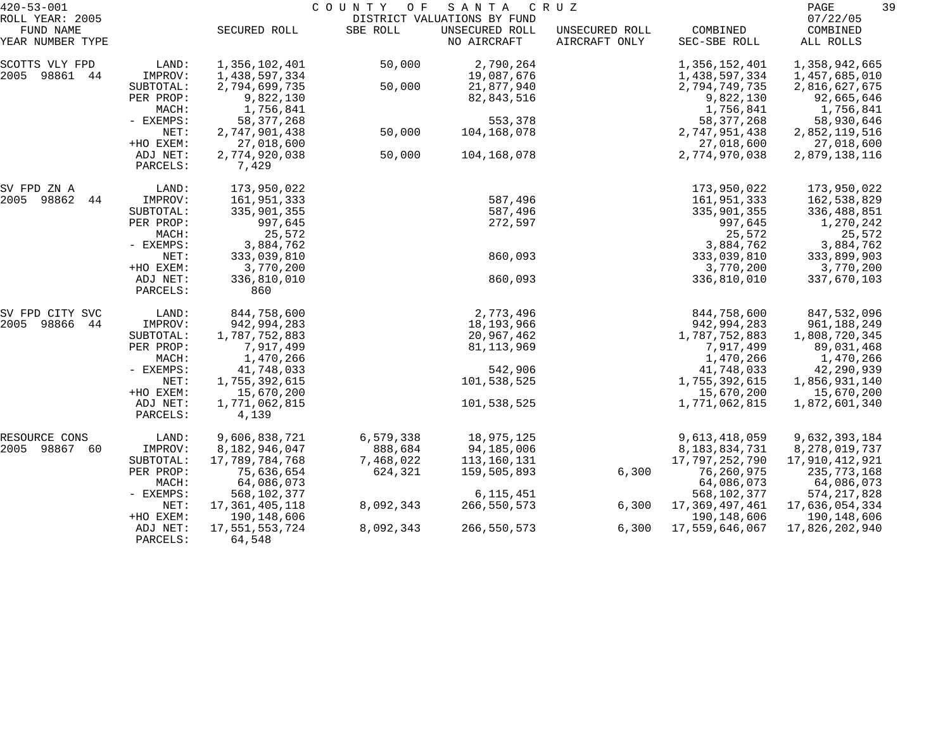| $420 - 53 - 001$                                 |                        | COUNTY OF<br>SANTA<br>C R U Z    |                      |                                                              |                                 |                                 |                                    |  |
|--------------------------------------------------|------------------------|----------------------------------|----------------------|--------------------------------------------------------------|---------------------------------|---------------------------------|------------------------------------|--|
| ROLL YEAR: 2005<br>FUND NAME<br>YEAR NUMBER TYPE |                        | SECURED ROLL                     | SBE ROLL             | DISTRICT VALUATIONS BY FUND<br>UNSECURED ROLL<br>NO AIRCRAFT | UNSECURED ROLL<br>AIRCRAFT ONLY | COMBINED<br>SEC-SBE ROLL        | 07/22/05<br>COMBINED<br>ALL ROLLS  |  |
|                                                  |                        |                                  |                      |                                                              |                                 |                                 |                                    |  |
| SCOTTS VLY FPD<br>2005<br>98861<br>44            | LAND:<br>IMPROV:       | 1,356,102,401<br>1,438,597,334   | 50,000               | 2,790,264<br>19,087,676                                      |                                 | 1,356,152,401<br>1,438,597,334  | 1,358,942,665<br>1,457,685,010     |  |
|                                                  | SUBTOTAL:<br>PER PROP: | 2,794,699,735<br>9,822,130       | 50,000               | 21,877,940<br>82,843,516                                     |                                 | 2,794,749,735<br>9,822,130      | 2,816,627,675<br>92,665,646        |  |
|                                                  | MACH:<br>- EXEMPS:     | 1,756,841<br>58, 377, 268        |                      | 553,378                                                      |                                 | 1,756,841<br>58, 377, 268       | 1,756,841<br>58,930,646            |  |
|                                                  | NET:<br>+HO EXEM:      | 2,747,901,438<br>27,018,600      | 50,000               | 104,168,078                                                  |                                 | 2,747,951,438<br>27,018,600     | 2,852,119,516<br>27,018,600        |  |
|                                                  | ADJ NET:<br>PARCELS:   | 2,774,920,038<br>7,429           | 50,000               | 104,168,078                                                  |                                 | 2,774,970,038                   | 2,879,138,116                      |  |
| SV FPD ZN A<br>2005 98862                        | LAND:                  | 173,950,022                      |                      | 587,496                                                      |                                 | 173,950,022                     | 173,950,022                        |  |
| 44                                               | IMPROV:<br>SUBTOTAL:   | 161,951,333<br>335,901,355       |                      | 587,496                                                      |                                 | 161,951,333<br>335,901,355      | 162,538,829<br>336,488,851         |  |
|                                                  | PER PROP:<br>MACH:     | 997,645<br>25,572                |                      | 272,597                                                      |                                 | 997,645<br>25,572               | 1,270,242<br>25,572                |  |
|                                                  | - EXEMPS:              | 3,884,762                        |                      |                                                              |                                 | 3,884,762                       | 3,884,762                          |  |
|                                                  | NET:<br>+HO EXEM:      | 333,039,810<br>3,770,200         |                      | 860,093                                                      |                                 | 333,039,810<br>3,770,200        | 333,899,903<br>3,770,200           |  |
|                                                  | ADJ NET:<br>PARCELS:   | 336,810,010<br>860               |                      | 860,093                                                      |                                 | 336,810,010                     | 337,670,103                        |  |
| SV FPD CITY SVC                                  | LAND:                  | 844,758,600                      |                      | 2,773,496                                                    |                                 | 844,758,600                     | 847,532,096                        |  |
| 2005<br>98866<br>44                              | IMPROV:<br>SUBTOTAL:   | 942,994,283<br>1,787,752,883     |                      | 18,193,966<br>20,967,462                                     |                                 | 942,994,283<br>1,787,752,883    | 961,188,249<br>1,808,720,345       |  |
|                                                  | PER PROP:<br>MACH:     | 7,917,499<br>1,470,266           |                      | 81, 113, 969                                                 |                                 | 7,917,499<br>1,470,266          | 89,031,468<br>1,470,266            |  |
|                                                  | - EXEMPS:              | 41,748,033                       |                      | 542,906                                                      |                                 | 41,748,033                      | 42,290,939                         |  |
|                                                  | NET:<br>+HO EXEM:      | 1,755,392,615<br>15,670,200      |                      | 101,538,525                                                  |                                 | 1,755,392,615<br>15,670,200     | 1,856,931,140<br>15,670,200        |  |
|                                                  | ADJ NET:<br>PARCELS:   | 1,771,062,815<br>4,139           |                      | 101,538,525                                                  |                                 | 1,771,062,815                   | 1,872,601,340                      |  |
| RESOURCE CONS                                    | LAND:                  | 9,606,838,721                    | 6,579,338            | 18,975,125                                                   |                                 | 9,613,418,059                   | 9,632,393,184                      |  |
| 2005 98867<br>60                                 | IMPROV:<br>SUBTOTAL:   | 8,182,946,047<br>17,789,784,768  | 888,684<br>7,468,022 | 94,185,006<br>113,160,131                                    |                                 | 8,183,834,731<br>17,797,252,790 | 8, 278, 019, 737<br>17,910,412,921 |  |
|                                                  | PER PROP:              | 75,636,654                       | 624,321              | 159,505,893                                                  | 6,300                           | 76,260,975                      | 235,773,168                        |  |
|                                                  | MACH:<br>- EXEMPS:     | 64,086,073<br>568,102,377        |                      | 6, 115, 451                                                  |                                 | 64,086,073<br>568,102,377       | 64,086,073<br>574, 217, 828        |  |
|                                                  | NET:<br>+HO EXEM:      | 17, 361, 405, 118<br>190,148,606 | 8,092,343            | 266,550,573                                                  | 6,300                           | 17,369,497,461<br>190, 148, 606 | 17,636,054,334<br>190,148,606      |  |
|                                                  | ADJ NET:<br>PARCELS:   | 17,551,553,724<br>64,548         | 8,092,343            | 266,550,573                                                  | 6,300                           | 17,559,646,067                  | 17,826,202,940                     |  |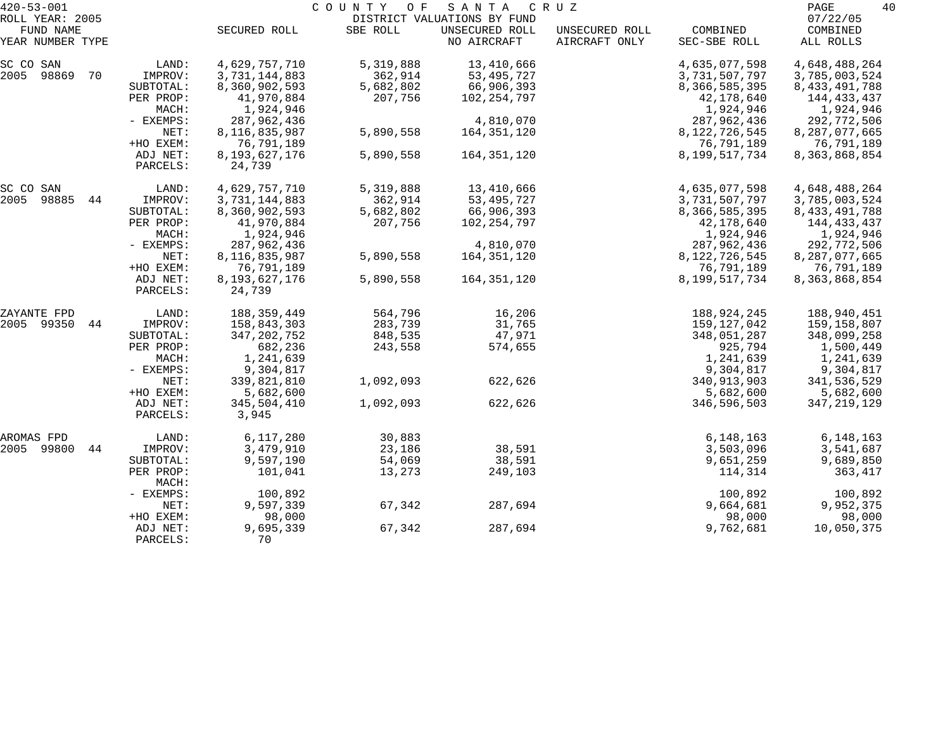| $420 - 53 - 001$             |           |               | COUNTY OF | SANTA                                         | C R U Z        |                  | PAGE<br>40           |
|------------------------------|-----------|---------------|-----------|-----------------------------------------------|----------------|------------------|----------------------|
| ROLL YEAR: 2005<br>FUND NAME |           | SECURED ROLL  | SBE ROLL  | DISTRICT VALUATIONS BY FUND<br>UNSECURED ROLL | UNSECURED ROLL | COMBINED         | 07/22/05<br>COMBINED |
| YEAR NUMBER TYPE             |           |               |           | NO AIRCRAFT                                   | AIRCRAFT ONLY  | SEC-SBE ROLL     | ALL ROLLS            |
| SC CO SAN                    | LAND:     | 4,629,757,710 | 5,319,888 | 13,410,666                                    |                | 4,635,077,598    | 4,648,488,264        |
| 2005<br>98869<br>70          | IMPROV:   | 3,731,144,883 | 362,914   | 53, 495, 727                                  |                | 3,731,507,797    | 3,785,003,524        |
|                              | SUBTOTAL: | 8,360,902,593 | 5,682,802 | 66,906,393                                    |                | 8,366,585,395    | 8, 433, 491, 788     |
|                              | PER PROP: | 41,970,884    | 207,756   | 102,254,797                                   |                | 42,178,640       | 144,433,437          |
|                              | MACH:     | 1,924,946     |           |                                               |                | 1,924,946        | 1,924,946            |
|                              | - EXEMPS: | 287,962,436   |           | 4,810,070                                     |                | 287,962,436      | 292,772,506          |
|                              | NET:      | 8,116,835,987 | 5,890,558 | 164,351,120                                   |                | 8, 122, 726, 545 | 8,287,077,665        |
|                              | +HO EXEM: | 76,791,189    |           |                                               |                | 76,791,189       | 76,791,189           |
|                              | ADJ NET:  | 8,193,627,176 | 5,890,558 | 164,351,120                                   |                | 8,199,517,734    | 8, 363, 868, 854     |
|                              | PARCELS:  | 24,739        |           |                                               |                |                  |                      |
| SC CO SAN                    | LAND:     | 4,629,757,710 | 5,319,888 | 13,410,666                                    |                | 4,635,077,598    | 4,648,488,264        |
| 2005<br>98885<br>44          | IMPROV:   | 3,731,144,883 | 362,914   | 53, 495, 727                                  |                | 3,731,507,797    | 3,785,003,524        |
|                              | SUBTOTAL: | 8,360,902,593 | 5,682,802 | 66,906,393                                    |                | 8,366,585,395    | 8, 433, 491, 788     |
|                              | PER PROP: | 41,970,884    | 207,756   | 102,254,797                                   |                | 42,178,640       | 144,433,437          |
|                              | MACH:     | 1,924,946     |           |                                               |                | 1,924,946        | 1,924,946            |
|                              | - EXEMPS: | 287,962,436   |           | 4,810,070                                     |                | 287,962,436      | 292,772,506          |
|                              | NET:      | 8,116,835,987 | 5,890,558 | 164,351,120                                   |                | 8,122,726,545    | 8,287,077,665        |
|                              | +HO EXEM: | 76,791,189    |           |                                               |                | 76,791,189       | 76,791,189           |
|                              | ADJ NET:  | 8,193,627,176 | 5,890,558 | 164,351,120                                   |                | 8,199,517,734    | 8, 363, 868, 854     |
|                              | PARCELS:  | 24,739        |           |                                               |                |                  |                      |
| ZAYANTE FPD                  | LAND:     | 188, 359, 449 | 564,796   | 16,206                                        |                | 188,924,245      | 188,940,451          |
| 2005 99350<br>44             | IMPROV:   | 158,843,303   | 283,739   | 31,765                                        |                | 159,127,042      | 159,158,807          |
|                              | SUBTOTAL: | 347, 202, 752 | 848,535   | 47,971                                        |                | 348,051,287      | 348,099,258          |
|                              | PER PROP: | 682,236       | 243,558   | 574,655                                       |                | 925,794          | 1,500,449            |
|                              | MACH:     | 1,241,639     |           |                                               |                | 1,241,639        | 1,241,639            |
|                              | - EXEMPS: | 9,304,817     |           |                                               |                | 9,304,817        | 9,304,817            |
|                              | NET:      | 339,821,810   | 1,092,093 | 622,626                                       |                | 340, 913, 903    | 341,536,529          |
|                              | +HO EXEM: | 5,682,600     |           |                                               |                | 5,682,600        | 5,682,600            |
|                              | ADJ NET:  | 345,504,410   | 1,092,093 | 622,626                                       |                | 346,596,503      | 347, 219, 129        |
|                              | PARCELS:  | 3,945         |           |                                               |                |                  |                      |
| AROMAS FPD                   | LAND:     | 6,117,280     | 30,883    |                                               |                | 6,148,163        | 6,148,163            |
| 2005<br>99800<br>44          | IMPROV:   | 3,479,910     | 23,186    | 38,591                                        |                | 3,503,096        | 3,541,687            |
|                              | SUBTOTAL: | 9,597,190     | 54,069    | 38,591                                        |                | 9,651,259        | 9,689,850            |
|                              | PER PROP: | 101,041       | 13,273    | 249,103                                       |                | 114,314          | 363,417              |
|                              | MACH:     |               |           |                                               |                |                  |                      |
|                              | - EXEMPS: | 100,892       |           |                                               |                | 100,892          | 100,892              |
|                              | NET:      | 9,597,339     | 67,342    | 287,694                                       |                | 9,664,681        | 9,952,375            |
|                              | +HO EXEM: | 98,000        |           |                                               |                | 98,000           | 98,000               |
|                              | ADJ NET:  | 9,695,339     | 67,342    | 287,694                                       |                | 9,762,681        | 10,050,375           |
|                              | PARCELS:  | 70            |           |                                               |                |                  |                      |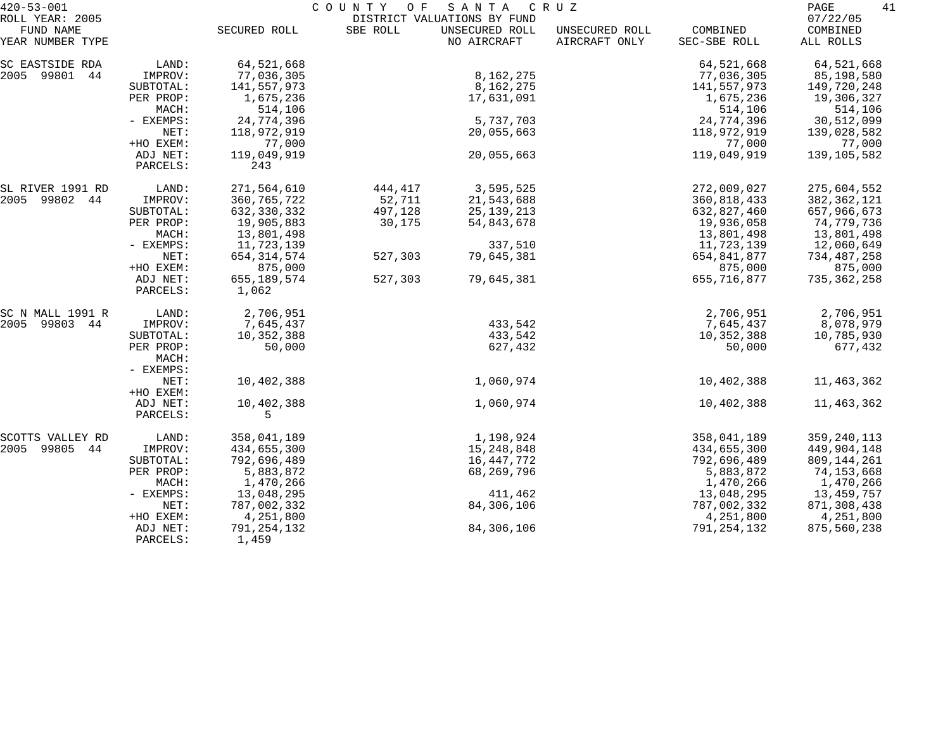| $420 - 53 - 001$             |           | COUNTY<br>O F<br>SANTA<br>C R U Z |          |                                               |                |              |                      |  |
|------------------------------|-----------|-----------------------------------|----------|-----------------------------------------------|----------------|--------------|----------------------|--|
| ROLL YEAR: 2005<br>FUND NAME |           | SECURED ROLL                      | SBE ROLL | DISTRICT VALUATIONS BY FUND<br>UNSECURED ROLL | UNSECURED ROLL | COMBINED     | 07/22/05<br>COMBINED |  |
| YEAR NUMBER TYPE             |           |                                   |          | NO AIRCRAFT                                   | AIRCRAFT ONLY  | SEC-SBE ROLL | ALL ROLLS            |  |
| SC EASTSIDE RDA              | LAND:     | 64,521,668                        |          |                                               |                | 64,521,668   | 64,521,668           |  |
| 2005 99801<br>44             | IMPROV:   | 77,036,305                        |          | 8, 162, 275                                   |                | 77,036,305   | 85,198,580           |  |
|                              | SUBTOTAL: | 141,557,973                       |          | 8, 162, 275                                   |                | 141,557,973  | 149,720,248          |  |
|                              | PER PROP: | 1,675,236                         |          | 17,631,091                                    |                | 1,675,236    | 19,306,327           |  |
|                              | MACH:     | 514,106                           |          |                                               |                | 514,106      | 514,106              |  |
|                              | - EXEMPS: | 24,774,396                        |          | 5,737,703                                     |                | 24,774,396   | 30,512,099           |  |
|                              | NET:      | 118,972,919                       |          | 20,055,663                                    |                | 118,972,919  | 139,028,582          |  |
|                              | +HO EXEM: | 77,000                            |          |                                               |                | 77,000       | 77,000               |  |
|                              | ADJ NET:  | 119,049,919                       |          | 20,055,663                                    |                | 119,049,919  | 139,105,582          |  |
|                              | PARCELS:  | 243                               |          |                                               |                |              |                      |  |
| SL RIVER 1991 RD             | LAND:     | 271,564,610                       | 444,417  | 3,595,525                                     |                | 272,009,027  | 275,604,552          |  |
| 2005 99802<br>44             | IMPROV:   | 360, 765, 722                     | 52,711   | 21,543,688                                    |                | 360,818,433  | 382,362,121          |  |
|                              | SUBTOTAL: | 632, 330, 332                     | 497,128  | 25, 139, 213                                  |                | 632,827,460  | 657,966,673          |  |
|                              | PER PROP: | 19,905,883                        | 30,175   | 54,843,678                                    |                | 19,936,058   | 74,779,736           |  |
|                              | MACH:     | 13,801,498                        |          |                                               |                | 13,801,498   | 13,801,498           |  |
|                              | - EXEMPS: | 11,723,139                        |          | 337,510                                       |                | 11,723,139   | 12,060,649           |  |
|                              | NET:      | 654, 314, 574                     | 527,303  | 79,645,381                                    |                | 654,841,877  | 734,487,258          |  |
|                              | +HO EXEM: | 875,000                           |          |                                               |                | 875,000      | 875,000              |  |
|                              | ADJ NET:  | 655, 189, 574                     | 527,303  | 79,645,381                                    |                | 655,716,877  | 735,362,258          |  |
|                              | PARCELS:  | 1,062                             |          |                                               |                |              |                      |  |
| SC N MALL 1991 R             | LAND:     | 2,706,951                         |          |                                               |                | 2,706,951    | 2,706,951            |  |
| 2005<br>99803 44             | IMPROV:   | 7,645,437                         |          | 433,542                                       |                | 7,645,437    | 8,078,979            |  |
|                              | SUBTOTAL: | 10,352,388                        |          | 433,542                                       |                | 10,352,388   | 10,785,930           |  |
|                              | PER PROP: | 50,000                            |          | 627,432                                       |                | 50,000       | 677,432              |  |
|                              | MACH:     |                                   |          |                                               |                |              |                      |  |
|                              | - EXEMPS: |                                   |          |                                               |                |              |                      |  |
|                              | NET:      | 10,402,388                        |          | 1,060,974                                     |                | 10,402,388   | 11,463,362           |  |
|                              | +HO EXEM: |                                   |          |                                               |                |              |                      |  |
|                              | ADJ NET:  | 10,402,388                        |          | 1,060,974                                     |                | 10,402,388   | 11,463,362           |  |
|                              | PARCELS:  | 5                                 |          |                                               |                |              |                      |  |
| SCOTTS VALLEY RD             | LAND:     | 358,041,189                       |          | 1,198,924                                     |                | 358,041,189  | 359, 240, 113        |  |
| 99805<br>2005<br>44          | IMPROV:   | 434,655,300                       |          | 15,248,848                                    |                | 434,655,300  | 449,904,148          |  |
|                              | SUBTOTAL: | 792,696,489                       |          | 16,447,772                                    |                | 792,696,489  | 809, 144, 261        |  |
|                              | PER PROP: | 5,883,872                         |          | 68,269,796                                    |                | 5,883,872    | 74,153,668           |  |
|                              | MACH:     | 1,470,266                         |          |                                               |                | 1,470,266    | 1,470,266            |  |
|                              | - EXEMPS: | 13,048,295                        |          | 411,462                                       |                | 13,048,295   | 13,459,757           |  |
|                              | NET:      | 787,002,332                       |          | 84,306,106                                    |                | 787,002,332  | 871,308,438          |  |
|                              | +HO EXEM: | 4,251,800                         |          |                                               |                | 4,251,800    | 4,251,800            |  |
|                              | ADJ NET:  | 791,254,132                       |          | 84,306,106                                    |                | 791,254,132  | 875,560,238          |  |
|                              | PARCELS:  | 1,459                             |          |                                               |                |              |                      |  |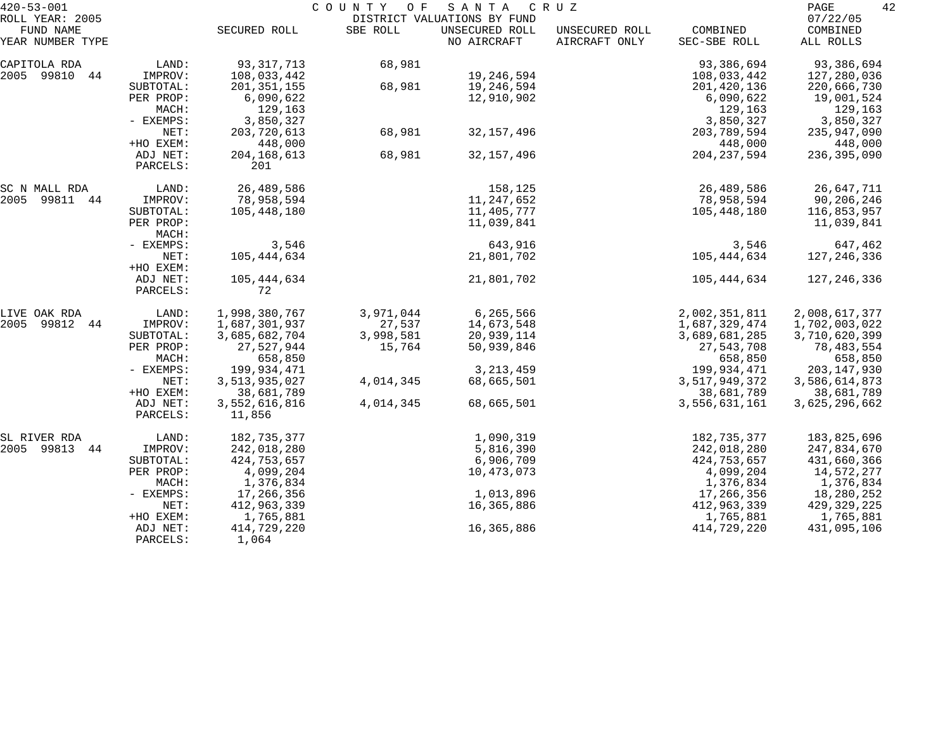| $420 - 53 - 001$              |                      |                         | COUNTY<br>O F | SANTA                         | C R U Z                         |                          | 42<br>PAGE            |
|-------------------------------|----------------------|-------------------------|---------------|-------------------------------|---------------------------------|--------------------------|-----------------------|
| ROLL YEAR: 2005               |                      |                         |               | DISTRICT VALUATIONS BY FUND   |                                 |                          | 07/22/05              |
| FUND NAME<br>YEAR NUMBER TYPE |                      | SECURED ROLL            | SBE ROLL      | UNSECURED ROLL<br>NO AIRCRAFT | UNSECURED ROLL<br>AIRCRAFT ONLY | COMBINED<br>SEC-SBE ROLL | COMBINED<br>ALL ROLLS |
| CAPITOLA RDA                  | LAND:                | 93, 317, 713            | 68,981        |                               |                                 | 93,386,694               | 93,386,694            |
| 2005 99810<br>44              | IMPROV:              | 108,033,442             |               | 19,246,594                    |                                 | 108,033,442              | 127,280,036           |
|                               | SUBTOTAL:            | 201, 351, 155           | 68,981        | 19,246,594                    |                                 | 201,420,136              | 220,666,730           |
|                               | PER PROP:            | 6,090,622               |               | 12,910,902                    |                                 | 6,090,622                | 19,001,524            |
|                               | MACH:                | 129,163                 |               |                               |                                 | 129,163                  | 129,163               |
|                               | - EXEMPS:            | 3,850,327               |               |                               |                                 | 3,850,327                | 3,850,327             |
|                               | NET:                 | 203,720,613             | 68,981        | 32, 157, 496                  |                                 | 203,789,594              | 235,947,090           |
|                               | +HO EXEM:            | 448,000                 |               |                               |                                 | 448,000                  | 448,000               |
|                               | ADJ NET:<br>PARCELS: | 204, 168, 613<br>201    | 68,981        | 32, 157, 496                  |                                 | 204, 237, 594            | 236,395,090           |
| SC N MALL RDA                 | LAND:                | 26,489,586              |               | 158,125                       |                                 | 26,489,586               | 26,647,711            |
| 2005 99811 44                 | IMPROV:              | 78,958,594              |               | 11,247,652                    |                                 | 78,958,594               | 90,206,246            |
|                               | SUBTOTAL:            | 105,448,180             |               | 11,405,777                    |                                 | 105,448,180              | 116,853,957           |
|                               | PER PROP:            |                         |               | 11,039,841                    |                                 |                          | 11,039,841            |
|                               | MACH:                |                         |               |                               |                                 |                          |                       |
|                               | - EXEMPS:            | 3,546                   |               | 643,916                       |                                 | 3,546                    | 647,462               |
|                               | NET:<br>+HO EXEM:    | 105,444,634             |               | 21,801,702                    |                                 | 105, 444, 634            | 127,246,336           |
|                               | ADJ NET:             | 105,444,634             |               | 21,801,702                    |                                 | 105,444,634              | 127,246,336           |
|                               | PARCELS:             | 72                      |               |                               |                                 |                          |                       |
| LIVE OAK RDA                  | LAND:                | 1,998,380,767           | 3,971,044     | 6,265,566                     |                                 | 2,002,351,811            | 2,008,617,377         |
| 2005 99812 44                 | IMPROV:              | 1,687,301,937           | 27,537        | 14,673,548                    |                                 | 1,687,329,474            | 1,702,003,022         |
|                               | SUBTOTAL:            | 3,685,682,704           | 3,998,581     | 20,939,114                    |                                 | 3,689,681,285            | 3,710,620,399         |
|                               | PER PROP:            | 27,527,944              | 15,764        | 50,939,846                    |                                 | 27,543,708               | 78,483,554            |
|                               | MACH:                | 658,850                 |               |                               |                                 | 658,850                  | 658,850               |
|                               | - EXEMPS:            | 199,934,471             |               | 3, 213, 459                   |                                 | 199,934,471              | 203, 147, 930         |
|                               | NET:                 | 3,513,935,027           | 4,014,345     | 68,665,501                    |                                 | 3,517,949,372            | 3,586,614,873         |
|                               | +HO EXEM:            | 38,681,789              |               |                               |                                 | 38,681,789               | 38,681,789            |
|                               | ADJ NET:<br>PARCELS: | 3,552,616,816<br>11,856 | 4,014,345     | 68,665,501                    |                                 | 3,556,631,161            | 3,625,296,662         |
| SL RIVER RDA                  | LAND:                | 182,735,377             |               | 1,090,319                     |                                 | 182,735,377              | 183,825,696           |
| 2005 99813 44                 | IMPROV:              | 242,018,280             |               | 5,816,390                     |                                 | 242,018,280              | 247,834,670           |
|                               | SUBTOTAL:            | 424,753,657             |               | 6,906,709                     |                                 | 424,753,657              | 431,660,366           |
|                               | PER PROP:            | 4,099,204               |               | 10,473,073                    |                                 | 4,099,204                | 14,572,277            |
|                               | MACH:                | 1,376,834               |               |                               |                                 | 1,376,834                | 1,376,834             |
|                               | - EXEMPS:            | 17,266,356              |               | 1,013,896                     |                                 | 17,266,356               | 18,280,252            |
|                               | NET:                 | 412,963,339             |               | 16,365,886                    |                                 | 412,963,339              | 429, 329, 225         |
|                               | +HO EXEM:            | 1,765,881               |               |                               |                                 | 1,765,881                | 1,765,881             |
|                               | ADJ NET:             | 414,729,220             |               | 16,365,886                    |                                 | 414,729,220              | 431,095,106           |
|                               | PARCELS:             | 1,064                   |               |                               |                                 |                          |                       |
|                               |                      |                         |               |                               |                                 |                          |                       |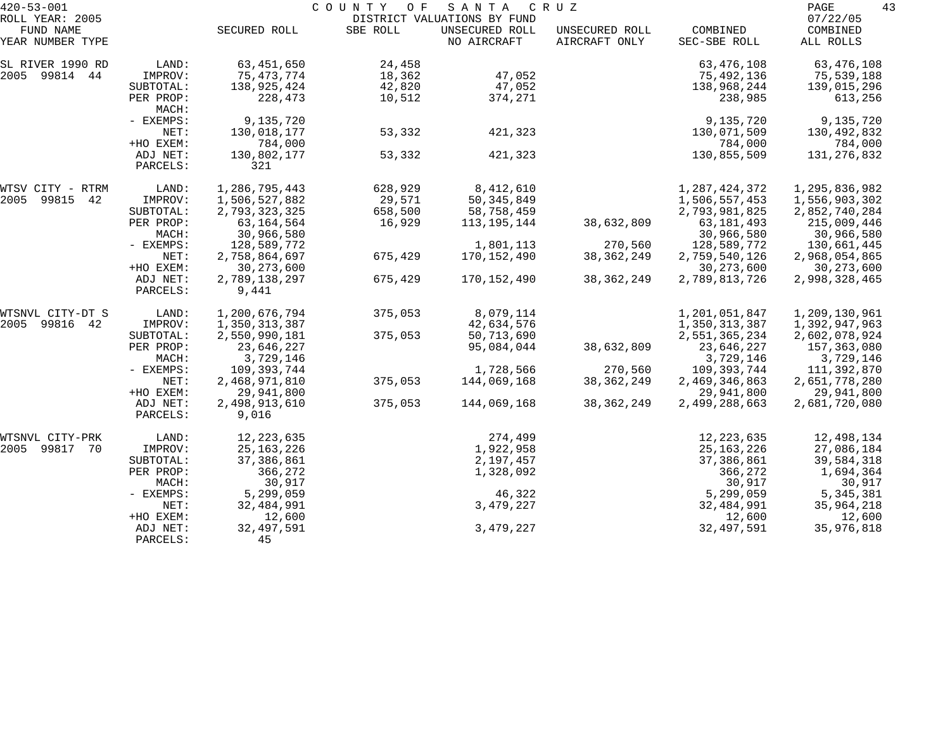| $420 - 53 - 001$              |                      |                        | COUNTY<br>O F | SANTA                         | C R U Z                         |                          | PAGE<br>43            |
|-------------------------------|----------------------|------------------------|---------------|-------------------------------|---------------------------------|--------------------------|-----------------------|
| ROLL YEAR: 2005               |                      |                        |               | DISTRICT VALUATIONS BY FUND   |                                 |                          | 07/22/05              |
| FUND NAME<br>YEAR NUMBER TYPE |                      | SECURED ROLL           | SBE ROLL      | UNSECURED ROLL<br>NO AIRCRAFT | UNSECURED ROLL<br>AIRCRAFT ONLY | COMBINED<br>SEC-SBE ROLL | COMBINED<br>ALL ROLLS |
| SL RIVER 1990 RD              | LAND:                | 63, 451, 650           | 24,458        |                               |                                 | 63, 476, 108             | 63,476,108            |
| 2005 99814 44                 | IMPROV:              | 75,473,774             | 18,362        | 47,052                        |                                 | 75,492,136               | 75,539,188            |
|                               | SUBTOTAL:            | 138,925,424            | 42,820        | 47,052                        |                                 | 138,968,244              | 139,015,296           |
|                               | PER PROP:<br>MACH:   | 228,473                | 10,512        | 374,271                       |                                 | 238,985                  | 613,256               |
|                               | - EXEMPS:            | 9,135,720              |               |                               |                                 | 9,135,720                | 9,135,720             |
|                               | NET:                 | 130,018,177            | 53,332        | 421,323                       |                                 | 130,071,509              | 130,492,832           |
|                               | +HO EXEM:            | 784,000                |               |                               |                                 | 784,000                  | 784,000               |
|                               | ADJ NET:<br>PARCELS: | 130,802,177<br>321     | 53,332        | 421,323                       |                                 | 130,855,509              | 131,276,832           |
| WTSV CITY - RTRM              | LAND:                | 1,286,795,443          | 628,929       | 8,412,610                     |                                 | 1, 287, 424, 372         | 1,295,836,982         |
| 2005<br>99815<br>42           | IMPROV:              | 1,506,527,882          | 29,571        | 50, 345, 849                  |                                 | 1,506,557,453            | 1,556,903,302         |
|                               | SUBTOTAL:            | 2,793,323,325          | 658,500       | 58,758,459                    |                                 | 2,793,981,825            | 2,852,740,284         |
|                               | PER PROP:            | 63, 164, 564           | 16,929        | 113,195,144                   | 38,632,809                      | 63, 181, 493             | 215,009,446           |
|                               | MACH:                | 30,966,580             |               |                               |                                 | 30,966,580               | 30,966,580            |
|                               | - EXEMPS:            | 128,589,772            |               | 1,801,113                     | 270,560                         | 128,589,772              | 130,661,445           |
|                               | NET:                 | 2,758,864,697          | 675,429       | 170,152,490                   | 38, 362, 249                    | 2,759,540,126            | 2,968,054,865         |
|                               | +HO EXEM:            | 30, 273, 600           |               |                               |                                 | 30, 273, 600             | 30, 273, 600          |
|                               | ADJ NET:<br>PARCELS: | 2,789,138,297<br>9,441 | 675,429       | 170,152,490                   | 38, 362, 249                    | 2,789,813,726            | 2,998,328,465         |
| WTSNVL CITY-DT S              | LAND:                | 1,200,676,794          | 375,053       | 8,079,114                     |                                 | 1,201,051,847            | 1,209,130,961         |
| 2005 99816<br>42              | IMPROV:              | 1,350,313,387          |               | 42,634,576                    |                                 | 1,350,313,387            | 1,392,947,963         |
|                               | SUBTOTAL:            | 2,550,990,181          | 375,053       | 50,713,690                    |                                 | 2,551,365,234            | 2,602,078,924         |
|                               | PER PROP:            | 23,646,227             |               | 95,084,044                    | 38,632,809                      | 23,646,227               | 157,363,080           |
|                               | MACH:                | 3,729,146              |               |                               |                                 | 3,729,146                | 3,729,146             |
|                               | - EXEMPS:            | 109,393,744            |               | 1,728,566                     | 270,560                         | 109,393,744              | 111,392,870           |
|                               | NET:                 | 2,468,971,810          | 375,053       | 144,069,168                   | 38, 362, 249                    | 2,469,346,863            | 2,651,778,280         |
|                               | +HO EXEM:            | 29,941,800             |               |                               |                                 | 29,941,800               | 29,941,800            |
|                               | ADJ NET:<br>PARCELS: | 2,498,913,610<br>9,016 | 375,053       | 144,069,168                   | 38, 362, 249                    | 2,499,288,663            | 2,681,720,080         |
| WTSNVL CITY-PRK               | LAND:                | 12, 223, 635           |               | 274,499                       |                                 | 12, 223, 635             | 12,498,134            |
| 2005 99817<br>- 70            | IMPROV:              | 25, 163, 226           |               | 1,922,958                     |                                 | 25, 163, 226             | 27,086,184            |
|                               | SUBTOTAL:            | 37, 386, 861           |               | 2,197,457                     |                                 | 37,386,861               | 39,584,318            |
|                               | PER PROP:            | 366,272                |               | 1,328,092                     |                                 | 366,272                  | 1,694,364             |
|                               | MACH:                | 30,917                 |               |                               |                                 | 30,917                   | 30,917                |
|                               | - EXEMPS:            | 5,299,059              |               | 46,322                        |                                 | 5,299,059                | 5, 345, 381           |
|                               | NET:                 | 32,484,991             |               | 3,479,227                     |                                 | 32,484,991               | 35,964,218            |
|                               | +HO EXEM:            | 12,600                 |               |                               |                                 | 12,600                   | 12,600                |
|                               | ADJ NET:<br>PARCELS: | 32, 497, 591<br>45     |               | 3,479,227                     |                                 | 32, 497, 591             | 35,976,818            |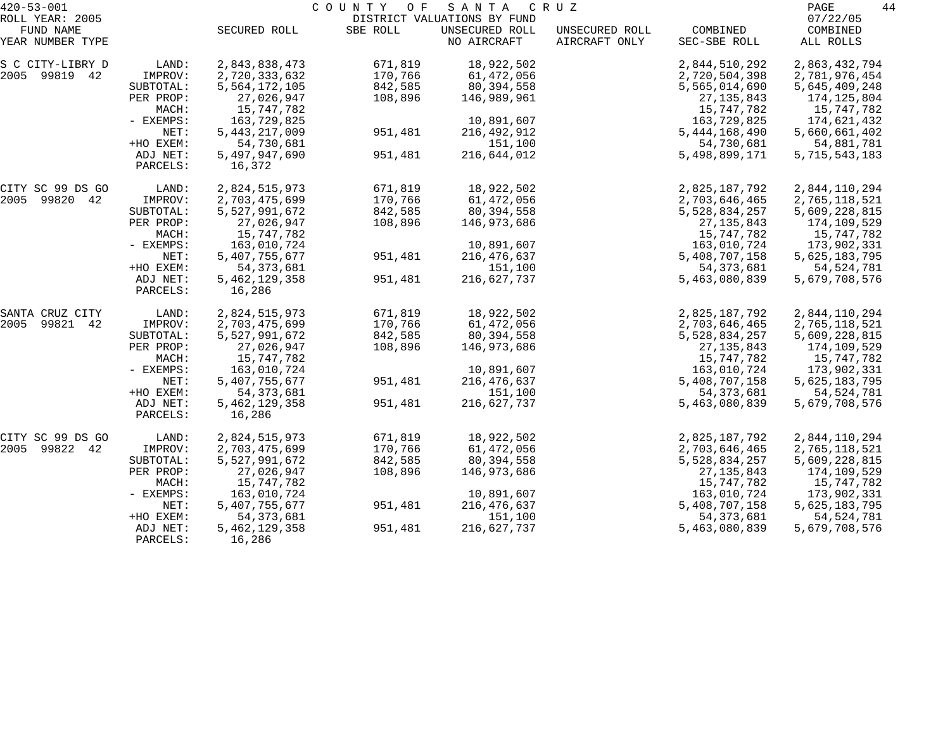| $420 - 53 - 001$             |           |                  | COUNTY<br>O F | S A N T A                                     | C R U Z        |                  | 44<br>PAGE           |
|------------------------------|-----------|------------------|---------------|-----------------------------------------------|----------------|------------------|----------------------|
| ROLL YEAR: 2005<br>FUND NAME |           | SECURED ROLL     | SBE ROLL      | DISTRICT VALUATIONS BY FUND<br>UNSECURED ROLL | UNSECURED ROLL | COMBINED         | 07/22/05<br>COMBINED |
| YEAR NUMBER TYPE             |           |                  |               | NO AIRCRAFT                                   | AIRCRAFT ONLY  | SEC-SBE ROLL     | ALL ROLLS            |
| S C CITY-LIBRY D             | LAND:     | 2,843,838,473    | 671,819       | 18,922,502                                    |                | 2,844,510,292    | 2,863,432,794        |
| 2005 99819 42                | IMPROV:   | 2,720,333,632    | 170,766       | 61,472,056                                    |                | 2,720,504,398    | 2,781,976,454        |
|                              | SUBTOTAL: | 5,564,172,105    | 842,585       | 80,394,558                                    |                | 5,565,014,690    | 5,645,409,248        |
|                              | PER PROP: | 27,026,947       | 108,896       | 146,989,961                                   |                | 27, 135, 843     | 174,125,804          |
|                              | MACH:     | 15,747,782       |               |                                               |                | 15,747,782       | 15,747,782           |
|                              | - EXEMPS: | 163,729,825      |               | 10,891,607                                    |                | 163,729,825      | 174,621,432          |
|                              | NET:      | 5, 443, 217, 009 | 951,481       | 216, 492, 912                                 |                | 5, 444, 168, 490 | 5,660,661,402        |
|                              | +HO EXEM: | 54,730,681       |               | 151,100                                       |                | 54,730,681       | 54,881,781           |
|                              | ADJ NET:  | 5,497,947,690    | 951,481       | 216,644,012                                   |                | 5,498,899,171    | 5,715,543,183        |
|                              | PARCELS:  | 16,372           |               |                                               |                |                  |                      |
| CITY SC 99 DS GO             | LAND:     | 2,824,515,973    | 671,819       | 18,922,502                                    |                | 2,825,187,792    | 2,844,110,294        |
| 2005 99820 42                | IMPROV:   | 2,703,475,699    | 170,766       | 61,472,056                                    |                | 2,703,646,465    | 2,765,118,521        |
|                              | SUBTOTAL: | 5,527,991,672    | 842,585       | 80,394,558                                    |                | 5,528,834,257    | 5,609,228,815        |
|                              | PER PROP: | 27,026,947       | 108,896       | 146,973,686                                   |                | 27, 135, 843     | 174,109,529          |
|                              | MACH:     | 15,747,782       |               |                                               |                | 15,747,782       | 15,747,782           |
|                              | - EXEMPS: | 163,010,724      |               | 10,891,607                                    |                | 163,010,724      | 173,902,331          |
|                              | NET:      | 5,407,755,677    | 951,481       | 216, 476, 637                                 |                | 5,408,707,158    | 5,625,183,795        |
|                              | +HO EXEM: | 54, 373, 681     |               | 151,100                                       |                | 54, 373, 681     | 54, 524, 781         |
|                              | ADJ NET:  | 5, 462, 129, 358 | 951,481       | 216,627,737                                   |                | 5,463,080,839    | 5,679,708,576        |
|                              | PARCELS:  | 16,286           |               |                                               |                |                  |                      |
| SANTA CRUZ CITY              | LAND:     | 2,824,515,973    | 671,819       | 18,922,502                                    |                | 2,825,187,792    | 2,844,110,294        |
| 99821 42<br>2005             | IMPROV:   | 2,703,475,699    | 170,766       | 61,472,056                                    |                | 2,703,646,465    | 2,765,118,521        |
|                              | SUBTOTAL: | 5,527,991,672    | 842,585       | 80,394,558                                    |                | 5,528,834,257    | 5,609,228,815        |
|                              | PER PROP: | 27,026,947       | 108,896       | 146,973,686                                   |                | 27, 135, 843     | 174,109,529          |
|                              | MACH:     | 15,747,782       |               |                                               |                | 15,747,782       | 15,747,782           |
|                              | - EXEMPS: | 163,010,724      |               | 10,891,607                                    |                | 163,010,724      | 173,902,331          |
|                              | NET:      | 5,407,755,677    | 951,481       | 216, 476, 637                                 |                | 5,408,707,158    | 5,625,183,795        |
|                              | +HO EXEM: | 54, 373, 681     |               | 151,100                                       |                | 54, 373, 681     | 54, 524, 781         |
|                              | ADJ NET:  | 5, 462, 129, 358 | 951,481       | 216,627,737                                   |                | 5,463,080,839    | 5,679,708,576        |
|                              | PARCELS:  | 16,286           |               |                                               |                |                  |                      |
| CITY SC 99 DS GO             | LAND:     | 2,824,515,973    | 671,819       | 18,922,502                                    |                | 2,825,187,792    | 2,844,110,294        |
| 2005 99822<br>42             | IMPROV:   | 2,703,475,699    | 170,766       | 61,472,056                                    |                | 2,703,646,465    | 2,765,118,521        |
|                              | SUBTOTAL: | 5,527,991,672    | 842,585       | 80,394,558                                    |                | 5,528,834,257    | 5,609,228,815        |
|                              | PER PROP: | 27,026,947       | 108,896       | 146,973,686                                   |                | 27, 135, 843     | 174,109,529          |
|                              | MACH:     | 15,747,782       |               |                                               |                | 15,747,782       | 15,747,782           |
|                              | - EXEMPS: | 163,010,724      |               | 10,891,607                                    |                | 163,010,724      | 173,902,331          |
|                              | NET:      | 5,407,755,677    | 951,481       | 216, 476, 637                                 |                | 5,408,707,158    | 5,625,183,795        |
|                              | +HO EXEM: | 54, 373, 681     |               | 151,100                                       |                | 54, 373, 681     | 54, 524, 781         |
|                              | ADJ NET:  | 5, 462, 129, 358 | 951,481       | 216,627,737                                   |                | 5,463,080,839    | 5,679,708,576        |
|                              | PARCELS:  | 16,286           |               |                                               |                |                  |                      |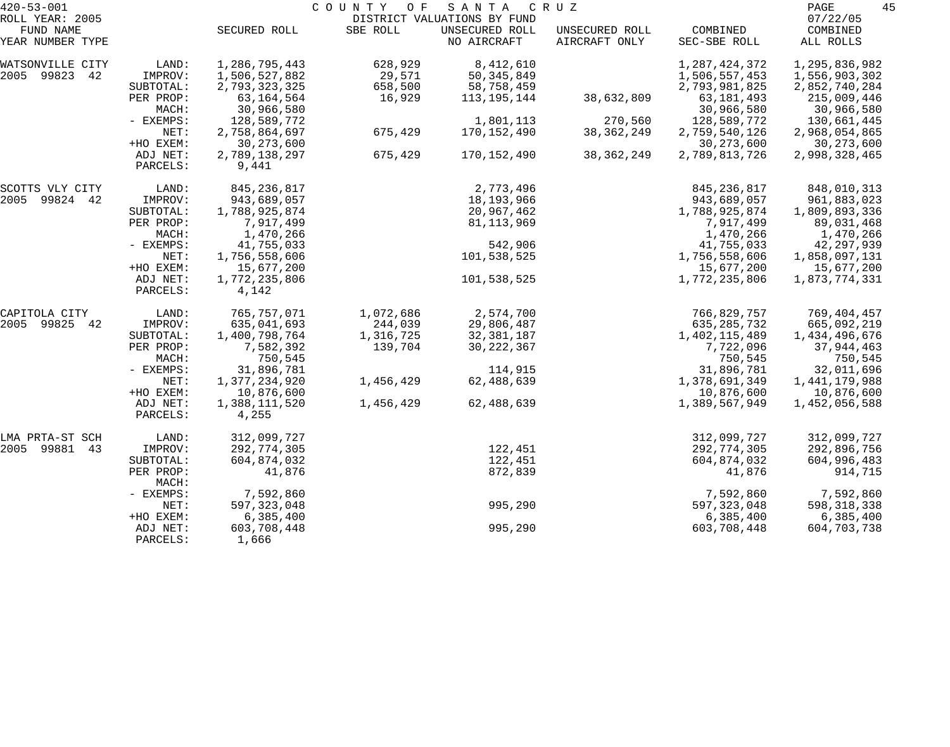| $420 - 53 - 001$    |                    | COUNTY<br>O F<br>SANTA<br>C R U Z |           |                             |                |                  |               |  |
|---------------------|--------------------|-----------------------------------|-----------|-----------------------------|----------------|------------------|---------------|--|
| ROLL YEAR: 2005     |                    |                                   |           | DISTRICT VALUATIONS BY FUND |                |                  | 07/22/05      |  |
| FUND NAME           |                    | SECURED ROLL                      | SBE ROLL  | UNSECURED ROLL              | UNSECURED ROLL | COMBINED         | COMBINED      |  |
| YEAR NUMBER TYPE    |                    |                                   |           | NO AIRCRAFT                 | AIRCRAFT ONLY  | SEC-SBE ROLL     | ALL ROLLS     |  |
| WATSONVILLE CITY    | LAND:              | 1,286,795,443                     | 628,929   | 8,412,610                   |                | 1, 287, 424, 372 | 1,295,836,982 |  |
| 2005 99823<br>42    | IMPROV:            | 1,506,527,882                     | 29,571    | 50, 345, 849                |                | 1,506,557,453    | 1,556,903,302 |  |
|                     | SUBTOTAL:          | 2,793,323,325                     | 658,500   | 58,758,459                  |                | 2,793,981,825    | 2,852,740,284 |  |
|                     | PER PROP:          | 63,164,564                        | 16,929    | 113, 195, 144               | 38,632,809     | 63, 181, 493     | 215,009,446   |  |
|                     | MACH:              | 30,966,580                        |           |                             |                | 30,966,580       | 30,966,580    |  |
|                     | - EXEMPS:          | 128,589,772                       |           | 1,801,113                   | 270,560        | 128,589,772      | 130,661,445   |  |
|                     | NET:               | 2,758,864,697                     | 675,429   | 170,152,490                 | 38, 362, 249   | 2,759,540,126    | 2,968,054,865 |  |
|                     | +HO EXEM:          | 30, 273, 600                      |           |                             |                | 30, 273, 600     | 30, 273, 600  |  |
|                     | ADJ NET:           | 2,789,138,297                     | 675,429   | 170,152,490                 | 38, 362, 249   | 2,789,813,726    | 2,998,328,465 |  |
|                     | PARCELS:           | 9,441                             |           |                             |                |                  |               |  |
| SCOTTS VLY CITY     | LAND:              | 845, 236, 817                     |           | 2,773,496                   |                | 845, 236, 817    | 848,010,313   |  |
| 2005<br>99824 42    | IMPROV:            | 943,689,057                       |           | 18,193,966                  |                | 943,689,057      | 961,883,023   |  |
|                     | SUBTOTAL:          | 1,788,925,874                     |           | 20,967,462                  |                | 1,788,925,874    | 1,809,893,336 |  |
|                     | PER PROP:          | 7,917,499                         |           | 81,113,969                  |                | 7,917,499        | 89,031,468    |  |
|                     | MACH:              | 1,470,266                         |           |                             |                | 1,470,266        | 1,470,266     |  |
|                     | - EXEMPS:          | 41,755,033                        |           | 542,906                     |                | 41,755,033       | 42,297,939    |  |
|                     | NET:               | 1,756,558,606                     |           | 101,538,525                 |                | 1,756,558,606    | 1,858,097,131 |  |
|                     | +HO EXEM:          | 15,677,200                        |           |                             |                | 15,677,200       | 15,677,200    |  |
|                     | ADJ NET:           | 1,772,235,806                     |           | 101,538,525                 |                | 1,772,235,806    | 1,873,774,331 |  |
|                     | PARCELS:           | 4,142                             |           |                             |                |                  |               |  |
| CAPITOLA CITY       | LAND:              | 765,757,071                       | 1,072,686 | 2,574,700                   |                | 766,829,757      | 769,404,457   |  |
| 2005<br>99825<br>42 | IMPROV:            | 635,041,693                       | 244,039   | 29,806,487                  |                | 635, 285, 732    | 665,092,219   |  |
|                     | SUBTOTAL:          | 1,400,798,764                     | 1,316,725 | 32, 381, 187                |                | 1,402,115,489    | 1,434,496,676 |  |
|                     | PER PROP:          | 7,582,392                         | 139,704   | 30, 222, 367                |                | 7,722,096        | 37,944,463    |  |
|                     | MACH:              | 750,545                           |           |                             |                | 750,545          | 750,545       |  |
|                     | - EXEMPS:          | 31,896,781                        |           | 114,915                     |                | 31,896,781       | 32,011,696    |  |
|                     | NET:               | 1,377,234,920                     | 1,456,429 | 62,488,639                  |                | 1,378,691,349    | 1,441,179,988 |  |
|                     | +HO EXEM:          | 10,876,600                        |           |                             |                | 10,876,600       | 10,876,600    |  |
|                     | ADJ NET:           | 1,388,111,520                     | 1,456,429 | 62,488,639                  |                | 1,389,567,949    | 1,452,056,588 |  |
|                     | PARCELS:           | 4,255                             |           |                             |                |                  |               |  |
| LMA PRTA-ST SCH     | LAND:              | 312,099,727                       |           |                             |                | 312,099,727      | 312,099,727   |  |
| 2005<br>99881<br>43 | IMPROV:            | 292,774,305                       |           | 122,451                     |                | 292,774,305      | 292,896,756   |  |
|                     | SUBTOTAL:          | 604,874,032                       |           | 122,451                     |                | 604,874,032      | 604,996,483   |  |
|                     | PER PROP:<br>MACH: | 41,876                            |           | 872,839                     |                | 41,876           | 914,715       |  |
|                     | - EXEMPS:          | 7,592,860                         |           |                             |                | 7,592,860        | 7,592,860     |  |
|                     | NET:               | 597, 323, 048                     |           | 995,290                     |                | 597, 323, 048    | 598, 318, 338 |  |
|                     | +HO EXEM:          | 6,385,400                         |           |                             |                | 6,385,400        | 6,385,400     |  |
|                     | ADJ NET:           | 603,708,448                       |           | 995,290                     |                | 603,708,448      | 604,703,738   |  |
|                     | PARCELS:           | 1,666                             |           |                             |                |                  |               |  |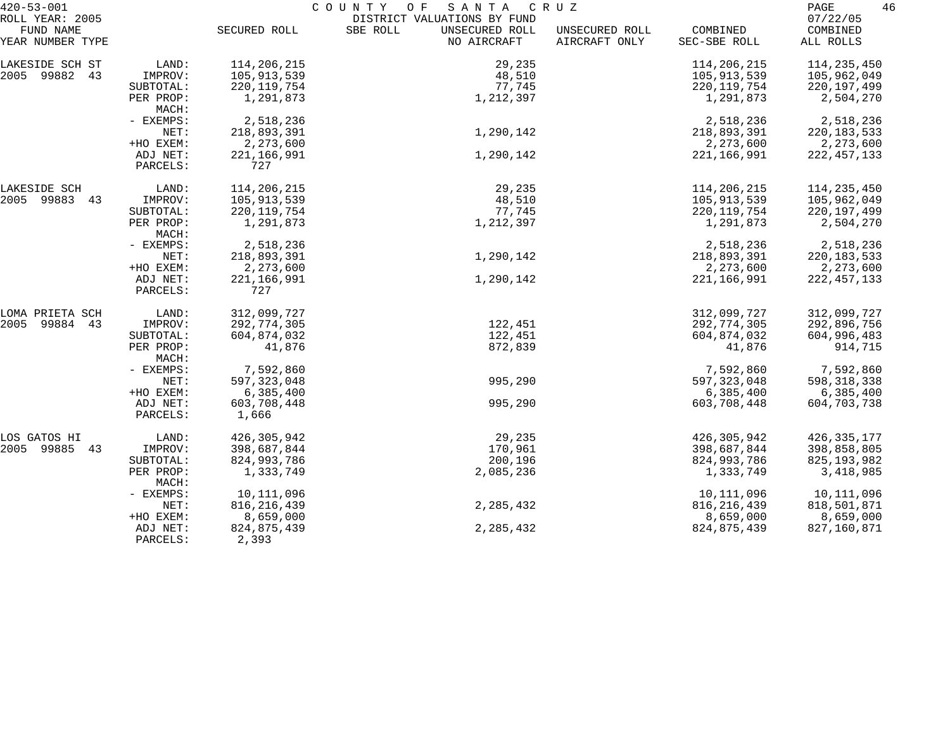| $420 - 53 - 001$              |                      | COUNTY<br>O F<br>SANTA<br>C R U Z |                                                           |                |                            |                            |  |
|-------------------------------|----------------------|-----------------------------------|-----------------------------------------------------------|----------------|----------------------------|----------------------------|--|
| ROLL YEAR: 2005<br>FUND NAME  |                      | SECURED ROLL                      | DISTRICT VALUATIONS BY FUND<br>SBE ROLL<br>UNSECURED ROLL | UNSECURED ROLL | COMBINED                   | 07/22/05<br>COMBINED       |  |
| YEAR NUMBER TYPE              |                      |                                   | NO AIRCRAFT                                               | AIRCRAFT ONLY  | SEC-SBE ROLL               | ALL ROLLS                  |  |
| LAKESIDE SCH ST               | LAND:                | 114,206,215                       | 29,235                                                    |                | 114,206,215                | 114,235,450                |  |
| 2005 99882 43                 | IMPROV:              | 105,913,539                       | 48,510                                                    |                | 105,913,539                | 105,962,049                |  |
|                               | SUBTOTAL:            | 220, 119, 754                     | 77,745                                                    |                | 220, 119, 754              | 220, 197, 499              |  |
|                               | PER PROP:<br>MACH:   | 1,291,873                         | 1,212,397                                                 |                | 1,291,873                  | 2,504,270                  |  |
|                               | - EXEMPS:            | 2,518,236                         |                                                           |                | 2,518,236                  | 2,518,236                  |  |
|                               | NET:                 | 218,893,391                       | 1,290,142                                                 |                | 218,893,391                | 220, 183, 533              |  |
|                               | +HO EXEM:            | 2,273,600                         |                                                           |                | 2,273,600                  | 2,273,600                  |  |
|                               | ADJ NET:<br>PARCELS: | 221, 166, 991<br>727              | 1,290,142                                                 |                | 221,166,991                | 222, 457, 133              |  |
|                               |                      |                                   |                                                           |                |                            |                            |  |
| LAKESIDE SCH<br>2005 99883 43 | LAND:<br>IMPROV:     | 114,206,215<br>105,913,539        | 29,235<br>48,510                                          |                | 114,206,215<br>105,913,539 | 114,235,450<br>105,962,049 |  |
|                               | SUBTOTAL:            | 220, 119, 754                     | 77,745                                                    |                | 220, 119, 754              | 220, 197, 499              |  |
|                               | PER PROP:            | 1,291,873                         | 1,212,397                                                 |                | 1,291,873                  | 2,504,270                  |  |
|                               | MACH:                |                                   |                                                           |                |                            |                            |  |
|                               | - EXEMPS:            | 2,518,236                         |                                                           |                | 2,518,236                  | 2,518,236                  |  |
|                               | NET:                 | 218,893,391                       | 1,290,142                                                 |                | 218,893,391                | 220, 183, 533              |  |
|                               | +HO EXEM:            | 2,273,600                         |                                                           |                | 2,273,600                  | 2,273,600                  |  |
|                               | ADJ NET:             | 221, 166, 991                     | 1,290,142                                                 |                | 221,166,991                | 222, 457, 133              |  |
|                               | PARCELS:             | 727                               |                                                           |                |                            |                            |  |
| LOMA PRIETA SCH               | LAND:                | 312,099,727                       |                                                           |                | 312,099,727                | 312,099,727                |  |
| 2005<br>99884 43              | IMPROV:              | 292,774,305                       | 122,451                                                   |                | 292,774,305                | 292,896,756                |  |
|                               | SUBTOTAL:            | 604,874,032                       | 122,451                                                   |                | 604,874,032                | 604,996,483                |  |
|                               | PER PROP:<br>MACH:   | 41,876                            | 872,839                                                   |                | 41,876                     | 914,715                    |  |
|                               | - EXEMPS:            | 7,592,860                         |                                                           |                | 7,592,860                  | 7,592,860                  |  |
|                               | NET:                 | 597, 323, 048                     | 995,290                                                   |                | 597, 323, 048              | 598, 318, 338              |  |
|                               | +HO EXEM:            | 6,385,400                         |                                                           |                | 6,385,400                  | 6,385,400                  |  |
|                               | ADJ NET:             | 603,708,448                       | 995,290                                                   |                | 603,708,448                | 604,703,738                |  |
|                               | PARCELS:             | 1,666                             |                                                           |                |                            |                            |  |
| LOS GATOS HI                  | LAND:                | 426, 305, 942                     | 29,235                                                    |                | 426,305,942                | 426, 335, 177              |  |
| 2005 99885 43                 | IMPROV:              | 398,687,844                       | 170,961                                                   |                | 398,687,844                | 398,858,805                |  |
|                               | SUBTOTAL:            | 824,993,786                       | 200,196                                                   |                | 824,993,786                | 825, 193, 982              |  |
|                               | PER PROP:<br>MACH:   | 1,333,749                         | 2,085,236                                                 |                | 1,333,749                  | 3,418,985                  |  |
|                               | - EXEMPS:            | 10,111,096                        |                                                           |                | 10,111,096                 | 10,111,096                 |  |
|                               | NET:                 | 816, 216, 439                     | 2,285,432                                                 |                | 816, 216, 439              | 818,501,871                |  |
|                               | +HO EXEM:            | 8,659,000                         |                                                           |                | 8,659,000                  | 8,659,000                  |  |
|                               | ADJ NET:<br>PARCELS: | 824,875,439<br>2,393              | 2,285,432                                                 |                | 824,875,439                | 827,160,871                |  |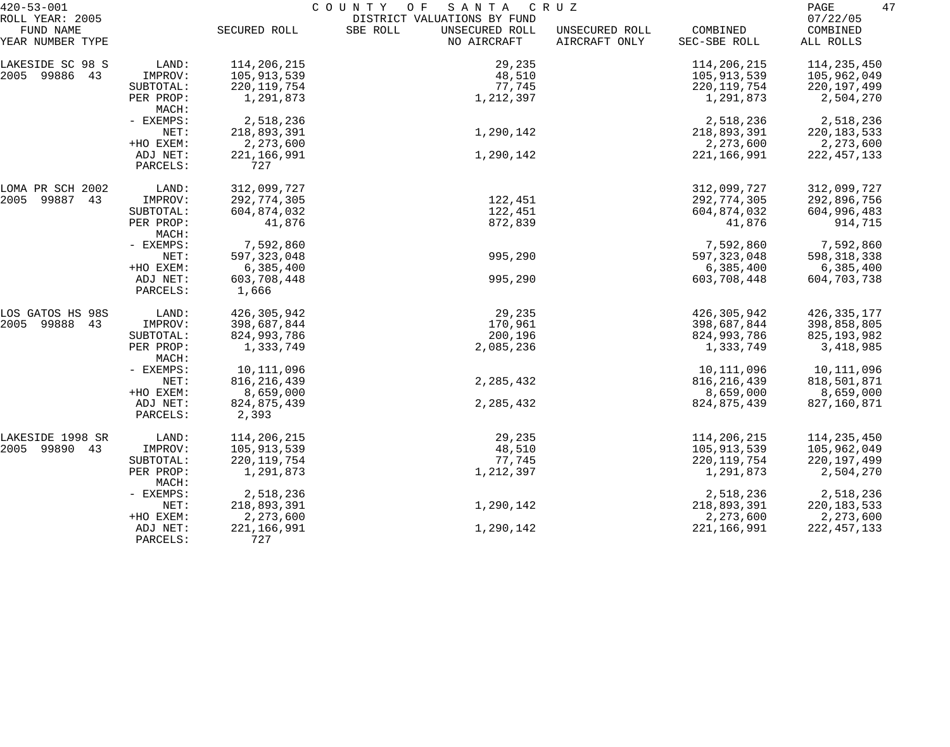| $420 - 53 - 001$              |                      | 47<br>PAGE             |                                           |                                 |                          |                       |
|-------------------------------|----------------------|------------------------|-------------------------------------------|---------------------------------|--------------------------|-----------------------|
| ROLL YEAR: 2005               |                      |                        | DISTRICT VALUATIONS BY FUND               |                                 |                          | 07/22/05              |
| FUND NAME<br>YEAR NUMBER TYPE |                      | SECURED ROLL           | SBE ROLL<br>UNSECURED ROLL<br>NO AIRCRAFT | UNSECURED ROLL<br>AIRCRAFT ONLY | COMBINED<br>SEC-SBE ROLL | COMBINED<br>ALL ROLLS |
| LAKESIDE SC 98 S              | LAND:                | 114,206,215            | 29,235                                    |                                 | 114,206,215              | 114,235,450           |
| 2005 99886 43                 | IMPROV:              | 105,913,539            | 48,510                                    |                                 | 105,913,539              | 105,962,049           |
|                               | SUBTOTAL:            | 220, 119, 754          | 77,745                                    |                                 | 220, 119, 754            | 220, 197, 499         |
|                               | PER PROP:<br>MACH:   | 1,291,873              | 1,212,397                                 |                                 | 1,291,873                | 2,504,270             |
|                               | - EXEMPS:            | 2,518,236              |                                           |                                 | 2,518,236                | 2,518,236             |
|                               | NET:                 | 218,893,391            | 1,290,142                                 |                                 | 218,893,391              | 220, 183, 533         |
|                               | +HO EXEM:            | 2,273,600              |                                           |                                 | 2,273,600                | 2,273,600             |
|                               | ADJ NET:<br>PARCELS: | 221, 166, 991<br>727   | 1,290,142                                 |                                 | 221, 166, 991            | 222, 457, 133         |
| LOMA PR SCH 2002              | LAND:                | 312,099,727            |                                           |                                 | 312,099,727              | 312,099,727           |
| 2005 99887 43                 | IMPROV:              | 292,774,305            | 122,451                                   |                                 | 292,774,305              | 292,896,756           |
|                               | SUBTOTAL:            | 604,874,032            | 122,451                                   |                                 | 604,874,032              | 604,996,483           |
|                               | PER PROP:<br>MACH:   | 41,876                 | 872,839                                   |                                 | 41,876                   | 914,715               |
|                               | - EXEMPS:            | 7,592,860              |                                           |                                 | 7,592,860                | 7,592,860             |
|                               | NET:                 | 597, 323, 048          | 995,290                                   |                                 | 597, 323, 048            | 598, 318, 338         |
|                               | +HO EXEM:            | 6,385,400              |                                           |                                 | 6,385,400                | 6,385,400             |
|                               | ADJ NET:<br>PARCELS: | 603,708,448<br>1,666   | 995,290                                   |                                 | 603,708,448              | 604,703,738           |
| LOS GATOS HS 98S              | LAND:                | 426,305,942            | 29,235                                    |                                 | 426,305,942              | 426, 335, 177         |
| 2005 99888 43                 | IMPROV:              | 398,687,844            | 170,961                                   |                                 | 398,687,844              | 398,858,805           |
|                               | SUBTOTAL:            | 824,993,786            | 200,196                                   |                                 | 824,993,786              | 825, 193, 982         |
|                               | PER PROP:<br>MACH:   | 1,333,749              | 2,085,236                                 |                                 | 1,333,749                | 3,418,985             |
|                               | - EXEMPS:            | 10,111,096             |                                           |                                 | 10,111,096               | 10,111,096            |
|                               | NET:                 | 816, 216, 439          | 2,285,432                                 |                                 | 816,216,439              | 818,501,871           |
|                               | +HO EXEM:            | 8,659,000              |                                           |                                 | 8,659,000                | 8,659,000             |
|                               | ADJ NET:<br>PARCELS: | 824, 875, 439<br>2,393 | 2,285,432                                 |                                 | 824, 875, 439            | 827,160,871           |
| LAKESIDE 1998 SR              | LAND:                | 114,206,215            | 29,235                                    |                                 | 114,206,215              | 114,235,450           |
| 2005 99890<br>43              | IMPROV:              | 105,913,539            | 48,510                                    |                                 | 105,913,539              | 105,962,049           |
|                               | SUBTOTAL:            | 220, 119, 754          | 77,745                                    |                                 | 220, 119, 754            | 220,197,499           |
|                               | PER PROP:<br>MACH:   | 1,291,873              | 1,212,397                                 |                                 | 1,291,873                | 2,504,270             |
|                               | - EXEMPS:            | 2,518,236              |                                           |                                 | 2,518,236                | 2,518,236             |
|                               | NET:                 | 218,893,391            | 1,290,142                                 |                                 | 218,893,391              | 220, 183, 533         |
|                               | +HO EXEM:            | 2,273,600              |                                           |                                 | 2,273,600                | 2,273,600             |
|                               | ADJ NET:<br>PARCELS: | 221, 166, 991<br>727   | 1,290,142                                 |                                 | 221, 166, 991            | 222, 457, 133         |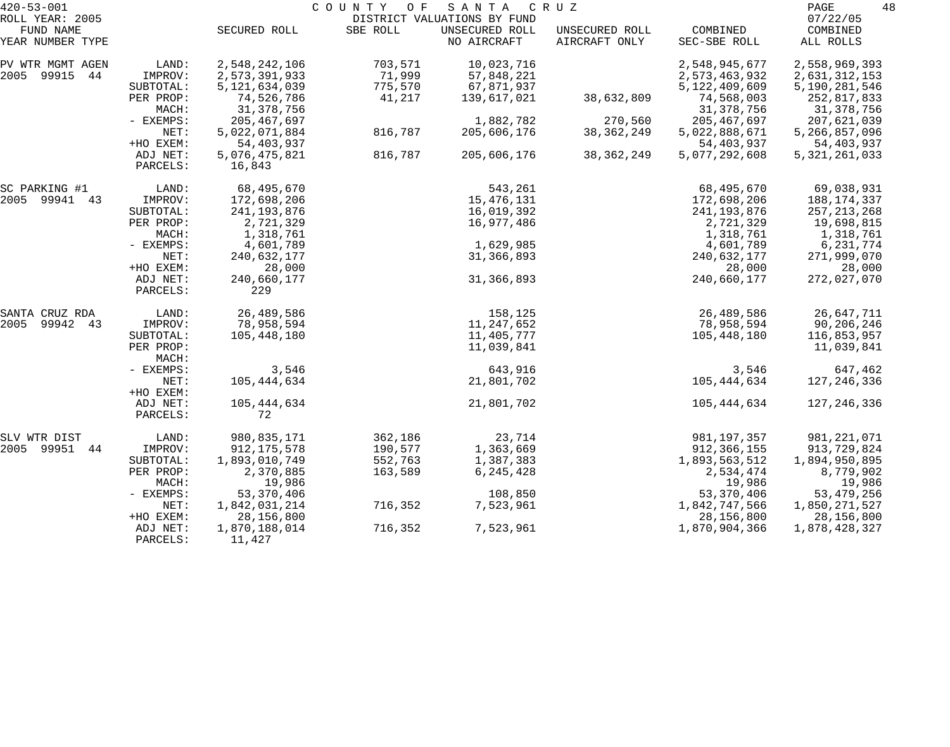| $420 - 53 - 001$             |                      |                                   | COUNTY<br>O F     | SANTA                                         | C R U Z        |                                   | 48<br>PAGE                     |
|------------------------------|----------------------|-----------------------------------|-------------------|-----------------------------------------------|----------------|-----------------------------------|--------------------------------|
| ROLL YEAR: 2005<br>FUND NAME |                      | SECURED ROLL                      | SBE ROLL          | DISTRICT VALUATIONS BY FUND<br>UNSECURED ROLL | UNSECURED ROLL | COMBINED                          | 07/22/05<br>COMBINED           |
| YEAR NUMBER TYPE             |                      |                                   |                   | NO AIRCRAFT                                   | AIRCRAFT ONLY  | SEC-SBE ROLL                      | ALL ROLLS                      |
| PV WTR MGMT AGEN             | LAND:                | 2,548,242,106                     | 703,571           | 10,023,716                                    |                | 2,548,945,677                     | 2,558,969,393                  |
| 99915<br>2005<br>44          | IMPROV:<br>SUBTOTAL: | 2,573,391,933<br>5, 121, 634, 039 | 71,999<br>775,570 | 57,848,221<br>67,871,937                      |                | 2,573,463,932<br>5, 122, 409, 609 | 2,631,312,153<br>5,190,281,546 |
|                              | PER PROP:<br>MACH:   | 74,526,786<br>31,378,756          | 41,217            | 139,617,021                                   | 38,632,809     | 74,568,003<br>31,378,756          | 252,817,833<br>31,378,756      |
|                              | - EXEMPS:            | 205,467,697                       |                   | 1,882,782                                     | 270,560        | 205, 467, 697                     | 207,621,039                    |
|                              | NET:<br>+HO EXEM:    | 5,022,071,884<br>54,403,937       | 816,787           | 205,606,176                                   | 38, 362, 249   | 5,022,888,671<br>54,403,937       | 5,266,857,096<br>54,403,937    |
|                              | ADJ NET:<br>PARCELS: | 5,076,475,821<br>16,843           | 816,787           | 205,606,176                                   | 38, 362, 249   | 5,077,292,608                     | 5, 321, 261, 033               |
| SC PARKING #1                | LAND:                | 68,495,670                        |                   | 543,261                                       |                | 68,495,670                        | 69,038,931                     |
| 2005 99941 43                | IMPROV:              | 172,698,206                       |                   | 15,476,131                                    |                | 172,698,206                       | 188,174,337                    |
|                              | SUBTOTAL:            | 241, 193, 876                     |                   | 16,019,392                                    |                | 241,193,876                       | 257, 213, 268                  |
|                              | PER PROP:            | 2,721,329                         |                   | 16,977,486                                    |                | 2,721,329                         | 19,698,815                     |
|                              | MACH:                | 1,318,761                         |                   |                                               |                | 1,318,761                         | 1,318,761                      |
|                              | - EXEMPS:<br>NET:    | 4,601,789<br>240,632,177          |                   | 1,629,985<br>31,366,893                       |                | 4,601,789<br>240,632,177          | 6, 231, 774<br>271,999,070     |
|                              | +HO EXEM:            | 28,000                            |                   |                                               |                | 28,000                            | 28,000                         |
|                              | ADJ NET:<br>PARCELS: | 240,660,177<br>229                |                   | 31, 366, 893                                  |                | 240,660,177                       | 272,027,070                    |
| SANTA CRUZ RDA               | LAND:                | 26,489,586                        |                   | 158,125                                       |                | 26,489,586                        | 26,647,711                     |
| 2005<br>99942 43             | IMPROV:              | 78,958,594                        |                   | 11,247,652                                    |                | 78,958,594                        | 90,206,246                     |
|                              | SUBTOTAL:            | 105,448,180                       |                   | 11,405,777                                    |                | 105,448,180                       | 116,853,957                    |
|                              | PER PROP:<br>MACH:   |                                   |                   | 11,039,841                                    |                |                                   | 11,039,841                     |
|                              | - EXEMPS:            | 3,546                             |                   | 643,916                                       |                | 3,546                             | 647,462                        |
|                              | NET:<br>+HO EXEM:    | 105,444,634                       |                   | 21,801,702                                    |                | 105,444,634                       | 127,246,336                    |
|                              | ADJ NET:<br>PARCELS: | 105, 444, 634<br>72               |                   | 21,801,702                                    |                | 105,444,634                       | 127,246,336                    |
| SLV WTR DIST                 | LAND:                | 980,835,171                       | 362,186           | 23,714                                        |                | 981,197,357                       | 981,221,071                    |
| 2005 99951<br>-44            | IMPROV:              | 912, 175, 578                     | 190,577           | 1,363,669                                     |                | 912,366,155                       | 913,729,824                    |
|                              | SUBTOTAL:            | 1,893,010,749                     | 552,763           | 1,387,383                                     |                | 1,893,563,512                     | 1,894,950,895                  |
|                              | PER PROP:            | 2,370,885                         | 163,589           | 6,245,428                                     |                | 2,534,474                         | 8,779,902                      |
|                              | MACH:                | 19,986                            |                   | 108,850                                       |                | 19,986                            | 19,986                         |
|                              | - EXEMPS:<br>NET:    | 53, 370, 406<br>1,842,031,214     | 716,352           | 7,523,961                                     |                | 53,370,406<br>1,842,747,566       | 53, 479, 256<br>1,850,271,527  |
|                              | +HO EXEM:            | 28, 156, 800                      |                   |                                               |                | 28, 156, 800                      | 28,156,800                     |
|                              | ADJ NET:<br>PARCELS: | 1,870,188,014<br>11,427           | 716,352           | 7,523,961                                     |                | 1,870,904,366                     | 1,878,428,327                  |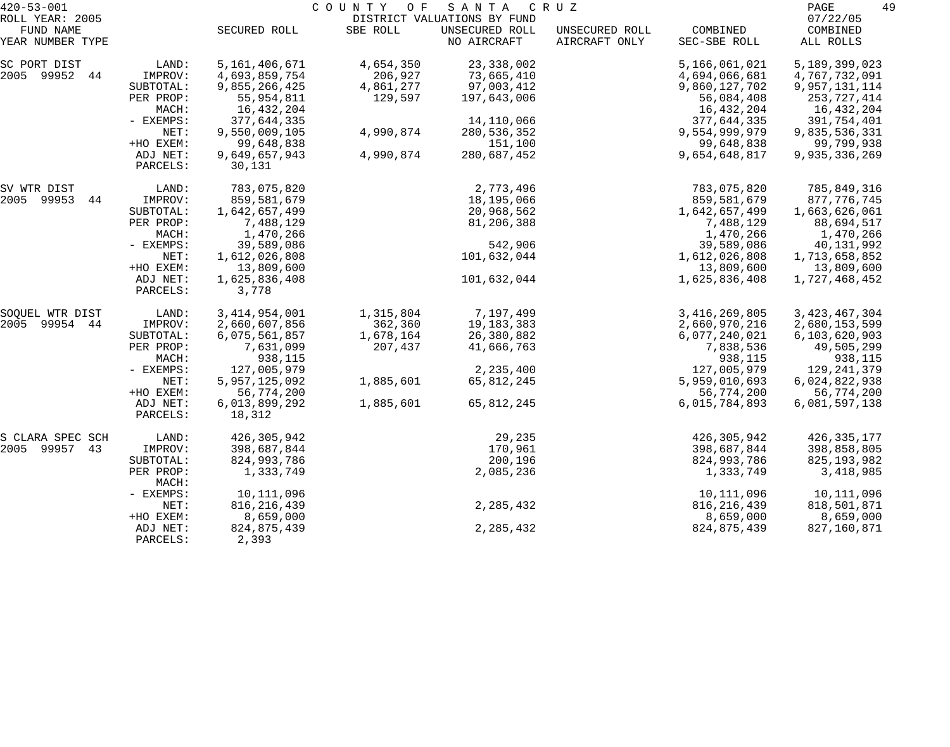| $420 - 53 - 001$              | COUNTY OF<br>SANTA<br>C R U Z |                        |           |                               |                                 |                          | 49<br>PAGE            |
|-------------------------------|-------------------------------|------------------------|-----------|-------------------------------|---------------------------------|--------------------------|-----------------------|
| ROLL YEAR: 2005               |                               |                        |           | DISTRICT VALUATIONS BY FUND   |                                 |                          | 07/22/05              |
| FUND NAME<br>YEAR NUMBER TYPE |                               | SECURED ROLL           | SBE ROLL  | UNSECURED ROLL<br>NO AIRCRAFT | UNSECURED ROLL<br>AIRCRAFT ONLY | COMBINED<br>SEC-SBE ROLL | COMBINED<br>ALL ROLLS |
| SC PORT DIST                  | LAND:                         | 5,161,406,671          | 4,654,350 | 23, 338, 002                  |                                 | 5,166,061,021            | 5,189,399,023         |
| 2005 99952 44                 | IMPROV:                       | 4,693,859,754          | 206,927   | 73,665,410                    |                                 | 4,694,066,681            | 4,767,732,091         |
|                               | SUBTOTAL:                     | 9,855,266,425          | 4,861,277 | 97,003,412                    |                                 | 9,860,127,702            | 9,957,131,114         |
|                               | PER PROP:                     | 55,954,811             | 129,597   | 197,643,006                   |                                 | 56,084,408               | 253,727,414           |
|                               | MACH:                         | 16,432,204             |           |                               |                                 | 16,432,204               | 16,432,204            |
|                               | - EXEMPS:                     | 377,644,335            |           | 14,110,066                    |                                 | 377,644,335              | 391,754,401           |
|                               | NET:                          | 9,550,009,105          | 4,990,874 | 280,536,352                   |                                 | 9,554,999,979            | 9,835,536,331         |
|                               | +HO EXEM:                     | 99,648,838             |           | 151,100                       |                                 | 99,648,838               | 99,799,938            |
|                               | ADJ NET:                      | 9,649,657,943          | 4,990,874 | 280,687,452                   |                                 | 9,654,648,817            | 9,935,336,269         |
|                               | PARCELS:                      | 30,131                 |           |                               |                                 |                          |                       |
| SV WTR DIST                   | LAND:                         | 783,075,820            |           | 2,773,496                     |                                 | 783,075,820              | 785,849,316           |
| 2005 99953<br>44              | IMPROV:                       | 859,581,679            |           | 18,195,066                    |                                 | 859,581,679              | 877, 776, 745         |
|                               | SUBTOTAL:                     | 1,642,657,499          |           | 20,968,562                    |                                 | 1,642,657,499            | 1,663,626,061         |
|                               | PER PROP:                     | 7,488,129              |           | 81,206,388                    |                                 | 7,488,129                | 88,694,517            |
|                               | MACH:                         | 1,470,266              |           |                               |                                 | 1,470,266                | 1,470,266             |
|                               | - EXEMPS:                     | 39,589,086             |           | 542,906                       |                                 | 39,589,086               | 40,131,992            |
|                               | NET:                          | 1,612,026,808          |           | 101,632,044                   |                                 | 1,612,026,808            | 1,713,658,852         |
|                               | +HO EXEM:                     | 13,809,600             |           |                               |                                 | 13,809,600               | 13,809,600            |
|                               | ADJ NET:<br>PARCELS:          | 1,625,836,408<br>3,778 |           | 101,632,044                   |                                 | 1,625,836,408            | 1,727,468,452         |
| SOQUEL WTR DIST               | LAND:                         | 3, 414, 954, 001       | 1,315,804 | 7,197,499                     |                                 | 3, 416, 269, 805         | 3, 423, 467, 304      |
| 2005<br>99954 44              | IMPROV:                       | 2,660,607,856          | 362,360   | 19,183,383                    |                                 | 2,660,970,216            | 2,680,153,599         |
|                               | SUBTOTAL:                     | 6,075,561,857          | 1,678,164 | 26,380,882                    |                                 | 6,077,240,021            | 6,103,620,903         |
|                               | PER PROP:                     | 7,631,099              | 207,437   | 41,666,763                    |                                 | 7,838,536                | 49,505,299            |
|                               | MACH:                         | 938,115                |           |                               |                                 | 938,115                  | 938,115               |
|                               | - EXEMPS:                     | 127,005,979            |           | 2,235,400                     |                                 | 127,005,979              | 129,241,379           |
|                               | NET:                          | 5,957,125,092          | 1,885,601 | 65,812,245                    |                                 | 5,959,010,693            | 6,024,822,938         |
|                               | +HO EXEM:                     | 56,774,200             |           |                               |                                 | 56,774,200               | 56,774,200            |
|                               | ADJ NET:                      | 6,013,899,292          | 1,885,601 | 65,812,245                    |                                 | 6,015,784,893            | 6,081,597,138         |
|                               | PARCELS:                      | 18,312                 |           |                               |                                 |                          |                       |
| S CLARA SPEC SCH              | LAND:                         | 426,305,942            |           | 29,235                        |                                 | 426,305,942              | 426, 335, 177         |
| 2005 99957<br>43              | IMPROV:                       | 398,687,844            |           | 170,961                       |                                 | 398,687,844              | 398,858,805           |
|                               | SUBTOTAL:                     | 824,993,786            |           | 200,196                       |                                 | 824,993,786              | 825, 193, 982         |
|                               | PER PROP:<br>MACH:            | 1,333,749              |           | 2,085,236                     |                                 | 1,333,749                | 3,418,985             |
|                               | - EXEMPS:                     | 10,111,096             |           |                               |                                 | 10,111,096               | 10,111,096            |
|                               | NET:                          | 816, 216, 439          |           | 2,285,432                     |                                 | 816, 216, 439            | 818,501,871           |
|                               | +HO EXEM:                     | 8,659,000              |           |                               |                                 | 8,659,000                | 8,659,000             |
|                               | ADJ NET:                      | 824,875,439            |           | 2,285,432                     |                                 | 824,875,439              | 827,160,871           |
|                               | PARCELS:                      | 2,393                  |           |                               |                                 |                          |                       |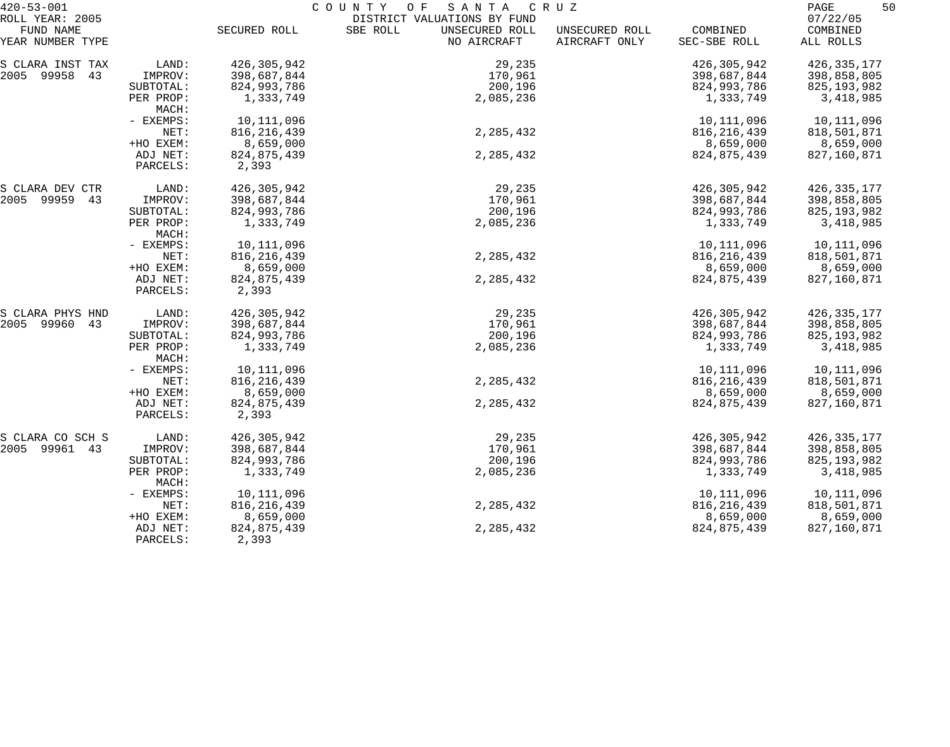| $420 - 53 - 001$ |                    | C O U N T Y<br>O F<br>SANTA<br>C R U Z |                             |                |               |               |
|------------------|--------------------|----------------------------------------|-----------------------------|----------------|---------------|---------------|
| ROLL YEAR: 2005  |                    |                                        | DISTRICT VALUATIONS BY FUND |                |               | 07/22/05      |
| FUND NAME        |                    | SECURED ROLL                           | SBE ROLL<br>UNSECURED ROLL  | UNSECURED ROLL | COMBINED      | COMBINED      |
| YEAR NUMBER TYPE |                    |                                        | NO AIRCRAFT                 | AIRCRAFT ONLY  | SEC-SBE ROLL  | ALL ROLLS     |
| S CLARA INST TAX | LAND:              | 426,305,942                            | 29,235                      |                | 426,305,942   | 426, 335, 177 |
| 2005 99958 43    | IMPROV:            | 398,687,844                            | 170,961                     |                | 398,687,844   | 398,858,805   |
|                  | SUBTOTAL:          | 824,993,786                            | 200,196                     |                | 824,993,786   | 825, 193, 982 |
|                  | PER PROP:          | 1,333,749                              | 2,085,236                   |                | 1,333,749     | 3,418,985     |
|                  | MACH:              |                                        |                             |                |               |               |
|                  | - EXEMPS:          | 10,111,096                             |                             |                | 10,111,096    | 10,111,096    |
|                  | NET:               | 816, 216, 439                          | 2, 285, 432                 |                | 816, 216, 439 | 818,501,871   |
|                  | +HO EXEM:          | 8,659,000                              |                             |                | 8,659,000     | 8,659,000     |
|                  | ADJ NET:           | 824, 875, 439                          | 2, 285, 432                 |                | 824, 875, 439 | 827,160,871   |
|                  | PARCELS:           | 2,393                                  |                             |                |               |               |
| S CLARA DEV CTR  | LAND:              | 426,305,942                            | 29,235                      |                | 426,305,942   | 426, 335, 177 |
| 2005 99959<br>43 | IMPROV:            | 398,687,844                            | 170,961                     |                | 398,687,844   | 398,858,805   |
|                  | SUBTOTAL:          | 824,993,786                            | 200,196                     |                | 824,993,786   | 825, 193, 982 |
|                  | PER PROP:          | 1,333,749                              | 2,085,236                   |                | 1,333,749     | 3,418,985     |
|                  | MACH:              |                                        |                             |                |               |               |
|                  | - EXEMPS:          | 10,111,096                             |                             |                | 10,111,096    | 10,111,096    |
|                  | NET:               | 816, 216, 439                          | 2, 285, 432                 |                | 816, 216, 439 | 818,501,871   |
|                  | +HO EXEM:          | 8,659,000                              |                             |                | 8,659,000     | 8,659,000     |
|                  | ADJ NET:           | 824,875,439                            | 2,285,432                   |                | 824, 875, 439 | 827,160,871   |
|                  | PARCELS:           | 2,393                                  |                             |                |               |               |
| S CLARA PHYS HND | LAND:              | 426,305,942                            | 29,235                      |                | 426,305,942   | 426, 335, 177 |
| 2005 99960<br>43 | IMPROV:            | 398,687,844                            | 170,961                     |                | 398,687,844   | 398,858,805   |
|                  | SUBTOTAL:          | 824,993,786                            | 200,196                     |                | 824,993,786   | 825, 193, 982 |
|                  | PER PROP:<br>MACH: | 1,333,749                              | 2,085,236                   |                | 1,333,749     | 3,418,985     |
|                  | - EXEMPS:          | 10,111,096                             |                             |                | 10,111,096    | 10,111,096    |
|                  | NET:               | 816, 216, 439                          | 2,285,432                   |                | 816,216,439   | 818,501,871   |
|                  | +HO EXEM:          | 8,659,000                              |                             |                | 8,659,000     | 8,659,000     |
|                  | ADJ NET:           | 824, 875, 439                          | 2,285,432                   |                | 824, 875, 439 | 827,160,871   |
|                  | PARCELS:           | 2,393                                  |                             |                |               |               |
| S CLARA CO SCH S | LAND:              | 426,305,942                            | 29,235                      |                | 426,305,942   | 426, 335, 177 |
| 2005 99961 43    | IMPROV:            | 398,687,844                            | 170,961                     |                | 398,687,844   | 398,858,805   |
|                  | SUBTOTAL:          | 824,993,786                            | 200,196                     |                | 824,993,786   | 825, 193, 982 |
|                  | PER PROP:          | 1,333,749                              | 2,085,236                   |                | 1,333,749     | 3,418,985     |
|                  | MACH:              |                                        |                             |                |               |               |
|                  | - EXEMPS:          | 10,111,096                             |                             |                | 10,111,096    | 10,111,096    |
|                  | NET:               | 816, 216, 439                          | 2,285,432                   |                | 816, 216, 439 | 818,501,871   |
|                  | +HO EXEM:          | 8,659,000                              |                             |                | 8,659,000     | 8,659,000     |
|                  | ADJ NET:           | 824, 875, 439                          | 2, 285, 432                 |                | 824,875,439   | 827,160,871   |
|                  | PARCELS:           | 2,393                                  |                             |                |               |               |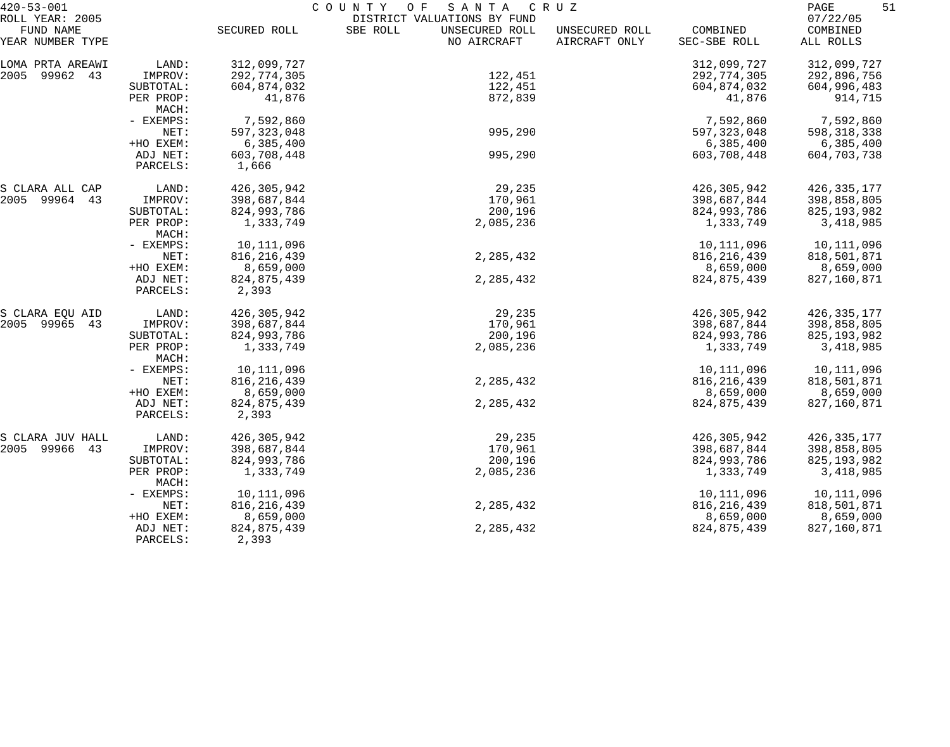| $420 - 53 - 001$ |                      | COUNTY OF<br>SANTA CRUZ |                             |                |               |               |
|------------------|----------------------|-------------------------|-----------------------------|----------------|---------------|---------------|
| ROLL YEAR: 2005  |                      |                         | DISTRICT VALUATIONS BY FUND |                |               | 07/22/05      |
| FUND NAME        |                      | SECURED ROLL            | UNSECURED ROLL<br>SBE ROLL  | UNSECURED ROLL | COMBINED      | COMBINED      |
| YEAR NUMBER TYPE |                      |                         | NO AIRCRAFT                 | AIRCRAFT ONLY  | SEC-SBE ROLL  | ALL ROLLS     |
| LOMA PRTA AREAWI | LAND:                | 312,099,727             |                             |                | 312,099,727   | 312,099,727   |
| 99962 43<br>2005 | IMPROV:              | 292,774,305             | 122,451                     |                | 292,774,305   | 292,896,756   |
|                  | SUBTOTAL:            | 604,874,032             | 122,451                     |                | 604,874,032   | 604,996,483   |
|                  | PER PROP:<br>MACH:   | 41,876                  | 872,839                     |                | 41,876        | 914,715       |
|                  | - EXEMPS:            | 7,592,860               |                             |                | 7,592,860     | 7,592,860     |
|                  | NET:                 | 597, 323, 048           | 995,290                     |                | 597, 323, 048 | 598, 318, 338 |
|                  | +HO EXEM:            | 6,385,400               |                             |                | 6,385,400     | 6,385,400     |
|                  |                      |                         | 995,290                     |                |               |               |
|                  | ADJ NET:<br>PARCELS: | 603,708,448<br>1,666    |                             |                | 603,708,448   | 604,703,738   |
| S CLARA ALL CAP  | LAND:                | 426,305,942             | 29,235                      |                | 426,305,942   | 426, 335, 177 |
| 2005 99964 43    | IMPROV:              | 398,687,844             | 170,961                     |                | 398,687,844   | 398,858,805   |
|                  | SUBTOTAL:            | 824,993,786             | 200,196                     |                | 824,993,786   | 825, 193, 982 |
|                  | PER PROP:            | 1,333,749               | 2,085,236                   |                | 1,333,749     | 3,418,985     |
|                  | MACH:                |                         |                             |                |               |               |
|                  | - EXEMPS:            | 10,111,096              |                             |                | 10,111,096    | 10,111,096    |
|                  | NET:                 | 816, 216, 439           | 2, 285, 432                 |                | 816, 216, 439 | 818,501,871   |
|                  |                      |                         |                             |                | 8,659,000     |               |
|                  | +HO EXEM:            | 8,659,000               |                             |                |               | 8,659,000     |
|                  | ADJ NET:<br>PARCELS: | 824,875,439<br>2,393    | 2, 285, 432                 |                | 824, 875, 439 | 827,160,871   |
| S CLARA EQU AID  | LAND:                | 426, 305, 942           | 29,235                      |                | 426,305,942   | 426, 335, 177 |
| 2005 99965<br>43 | IMPROV:              | 398,687,844             | 170,961                     |                | 398,687,844   | 398,858,805   |
|                  | SUBTOTAL:            | 824,993,786             | 200,196                     |                | 824,993,786   | 825, 193, 982 |
|                  | PER PROP:<br>MACH:   | 1,333,749               | 2,085,236                   |                | 1,333,749     | 3,418,985     |
|                  | - EXEMPS:            | 10,111,096              |                             |                | 10,111,096    | 10,111,096    |
|                  | NET:                 | 816, 216, 439           | 2,285,432                   |                | 816,216,439   | 818,501,871   |
|                  | +HO EXEM:            | 8,659,000               |                             |                | 8,659,000     | 8,659,000     |
|                  | ADJ NET:             | 824,875,439             | 2,285,432                   |                | 824, 875, 439 | 827,160,871   |
|                  | PARCELS:             | 2,393                   |                             |                |               |               |
| S CLARA JUV HALL | LAND:                | 426,305,942             | 29,235                      |                | 426,305,942   | 426, 335, 177 |
| 2005 99966<br>43 | IMPROV:              | 398,687,844             | 170,961                     |                | 398,687,844   | 398,858,805   |
|                  | SUBTOTAL:            | 824,993,786             | 200,196                     |                | 824,993,786   | 825, 193, 982 |
|                  | PER PROP:<br>MACH:   | 1,333,749               | 2,085,236                   |                | 1,333,749     | 3,418,985     |
|                  | $-$ EXEMPS:          | 10,111,096              |                             |                | 10,111,096    | 10,111,096    |
|                  | NET:                 | 816, 216, 439           | 2,285,432                   |                | 816, 216, 439 | 818,501,871   |
|                  | +HO EXEM:            | 8,659,000               |                             |                | 8,659,000     | 8,659,000     |
|                  | ADJ NET:             | 824,875,439             | 2, 285, 432                 |                | 824, 875, 439 | 827,160,871   |
|                  | PARCELS:             | 2,393                   |                             |                |               |               |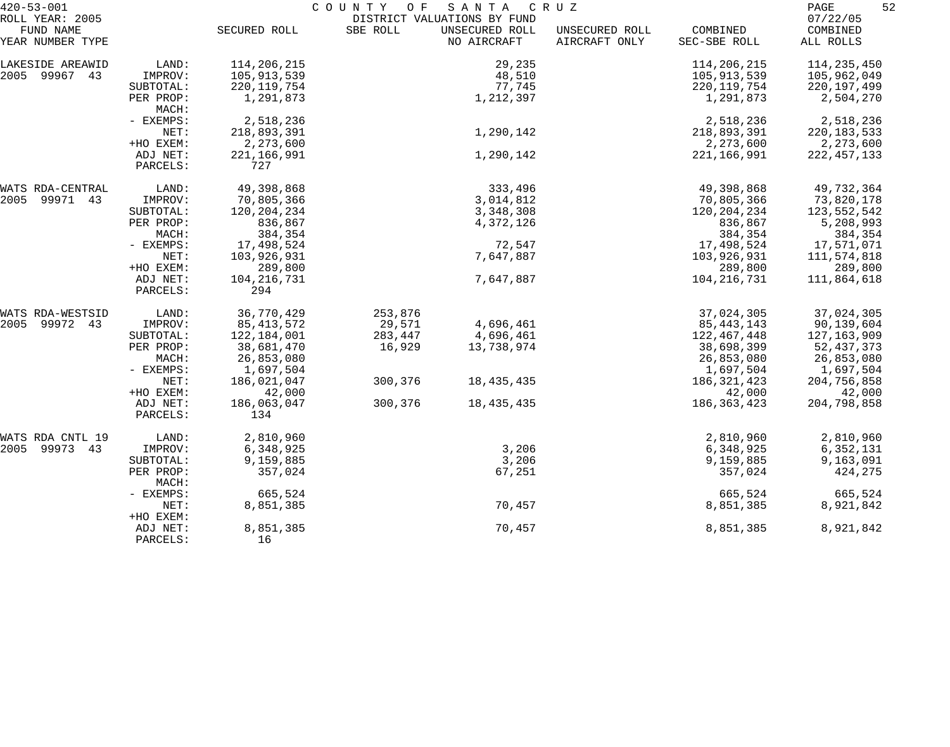| $420 - 53 - 001$                     |                    | COUNTY OF<br>SANTA<br>C R U Z |          |                             |                |               | 52<br>PAGE             |
|--------------------------------------|--------------------|-------------------------------|----------|-----------------------------|----------------|---------------|------------------------|
| ROLL YEAR: 2005                      |                    |                               |          | DISTRICT VALUATIONS BY FUND |                |               | 07/22/05               |
| FUND NAME                            |                    | SECURED ROLL                  | SBE ROLL | UNSECURED ROLL              | UNSECURED ROLL | COMBINED      | COMBINED               |
| YEAR NUMBER TYPE                     |                    |                               |          | NO AIRCRAFT                 | AIRCRAFT ONLY  | SEC-SBE ROLL  | ALL ROLLS              |
| LAKESIDE AREAWID                     | LAND:              | 114,206,215                   |          | 29,235                      |                | 114,206,215   | 114,235,450            |
| 2005 99967 43                        | IMPROV:            | 105,913,539                   |          | 48,510                      |                | 105,913,539   | 105,962,049            |
|                                      | SUBTOTAL:          | 220, 119, 754                 |          | 77,745                      |                | 220, 119, 754 | 220, 197, 499          |
|                                      | PER PROP:          | 1,291,873                     |          | 1,212,397                   |                | 1,291,873     | 2,504,270              |
|                                      | MACH:              |                               |          |                             |                |               |                        |
|                                      | - EXEMPS:          | 2,518,236                     |          |                             |                | 2,518,236     | 2,518,236              |
|                                      | NET:               | 218,893,391                   |          | 1,290,142                   |                | 218,893,391   | 220, 183, 533          |
|                                      | +HO EXEM:          | 2,273,600                     |          |                             |                | 2,273,600     | 2,273,600              |
|                                      | ADJ NET:           | 221,166,991                   |          | 1,290,142                   |                | 221, 166, 991 | 222, 457, 133          |
|                                      | PARCELS:           | 727                           |          |                             |                |               |                        |
|                                      |                    |                               |          |                             |                |               |                        |
| WATS RDA-CENTRAL                     | LAND:              | 49,398,868                    |          | 333,496                     |                | 49,398,868    | 49,732,364             |
| 2005<br>99971 43                     | IMPROV:            | 70,805,366                    |          | 3,014,812                   |                | 70,805,366    | 73,820,178             |
|                                      | SUBTOTAL:          | 120, 204, 234                 |          | 3,348,308                   |                | 120, 204, 234 | 123,552,542            |
|                                      | PER PROP:          | 836,867                       |          | 4,372,126                   |                | 836,867       | 5,208,993              |
|                                      | MACH:              | 384,354                       |          |                             |                | 384,354       | 384,354                |
|                                      | - EXEMPS:          | 17,498,524                    |          | 72,547                      |                | 17,498,524    | 17,571,071             |
|                                      | NET:               | 103,926,931                   |          | 7,647,887                   |                | 103,926,931   | 111,574,818            |
|                                      | +HO EXEM:          | 289,800                       |          |                             |                | 289,800       | 289,800                |
|                                      | ADJ NET:           | 104, 216, 731                 |          | 7,647,887                   |                | 104, 216, 731 | 111,864,618            |
|                                      | PARCELS:           | 294                           |          |                             |                |               |                        |
| WATS RDA-WESTSID                     | LAND:              | 36,770,429                    | 253,876  |                             |                | 37,024,305    | 37,024,305             |
| 2005<br>99972 43                     | IMPROV:            | 85, 413, 572                  | 29,571   | 4,696,461                   |                | 85, 443, 143  | 90,139,604             |
|                                      | SUBTOTAL:          | 122,184,001                   | 283,447  | 4,696,461                   |                | 122,467,448   | 127,163,909            |
|                                      | PER PROP:          | 38,681,470                    | 16,929   | 13,738,974                  |                | 38,698,399    | 52, 437, 373           |
|                                      | MACH:              | 26,853,080                    |          |                             |                | 26,853,080    | 26,853,080             |
|                                      | - EXEMPS:          | 1,697,504                     |          |                             |                | 1,697,504     | 1,697,504              |
|                                      | NET:               | 186,021,047                   | 300,376  | 18,435,435                  |                | 186, 321, 423 | 204,756,858            |
|                                      | +HO EXEM:          | 42,000                        |          |                             |                | 42,000        | 42,000                 |
|                                      | ADJ NET:           | 186,063,047                   | 300,376  | 18, 435, 435                |                | 186, 363, 423 | 204,798,858            |
|                                      | PARCELS:           | 134                           |          |                             |                |               |                        |
|                                      | LAND:              | 2,810,960                     |          |                             |                | 2,810,960     | 2,810,960              |
| WATS RDA CNTL 19<br>2005 99973<br>43 | IMPROV:            | 6,348,925                     |          | 3,206                       |                | 6,348,925     |                        |
|                                      | SUBTOTAL:          | 9,159,885                     |          | 3,206                       |                | 9,159,885     | 6,352,131<br>9,163,091 |
|                                      |                    | 357,024                       |          | 67,251                      |                | 357,024       |                        |
|                                      | PER PROP:<br>MACH: |                               |          |                             |                |               | 424,275                |
|                                      | - EXEMPS:          | 665,524                       |          |                             |                | 665,524       | 665,524                |
|                                      | NET:               | 8,851,385                     |          | 70,457                      |                | 8,851,385     | 8,921,842              |
|                                      | +HO EXEM:          |                               |          |                             |                |               |                        |
|                                      | ADJ NET:           | 8,851,385                     |          | 70,457                      |                | 8,851,385     | 8,921,842              |
|                                      | PARCELS:           | 16                            |          |                             |                |               |                        |